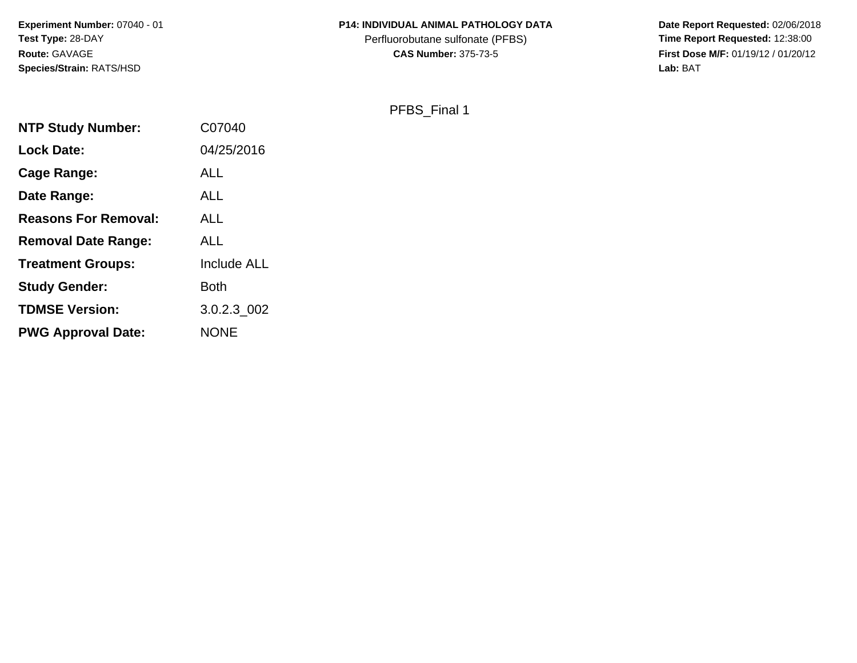**Experiment Number:** 07040 - 01**Test Type:** 28-DAY**Route:** GAVAGE**Species/Strain:** RATS/HSD

## **P14: INDIVIDUAL ANIMAL PATHOLOGY DATA**

Perfluorobutane sulfonate (PFBS)<br>**CAS Number:** 375-73-5

 **Date Report Requested:** 02/06/2018 **First Dose M/F:** 01/19/12 / 01/20/12<br>Lab: BAT **Lab:** BAT

PFBS\_Final 1

| <b>NTP Study Number:</b>    | C07040             |
|-----------------------------|--------------------|
| <b>Lock Date:</b>           | 04/25/2016         |
| Cage Range:                 | ALL                |
| Date Range:                 | <b>ALL</b>         |
| <b>Reasons For Removal:</b> | ALL                |
| <b>Removal Date Range:</b>  | <b>ALL</b>         |
| <b>Treatment Groups:</b>    | <b>Include ALL</b> |
| <b>Study Gender:</b>        | Both               |
| <b>TDMSE Version:</b>       | 3.0.2.3 002        |
| <b>PWG Approval Date:</b>   | <b>NONE</b>        |
|                             |                    |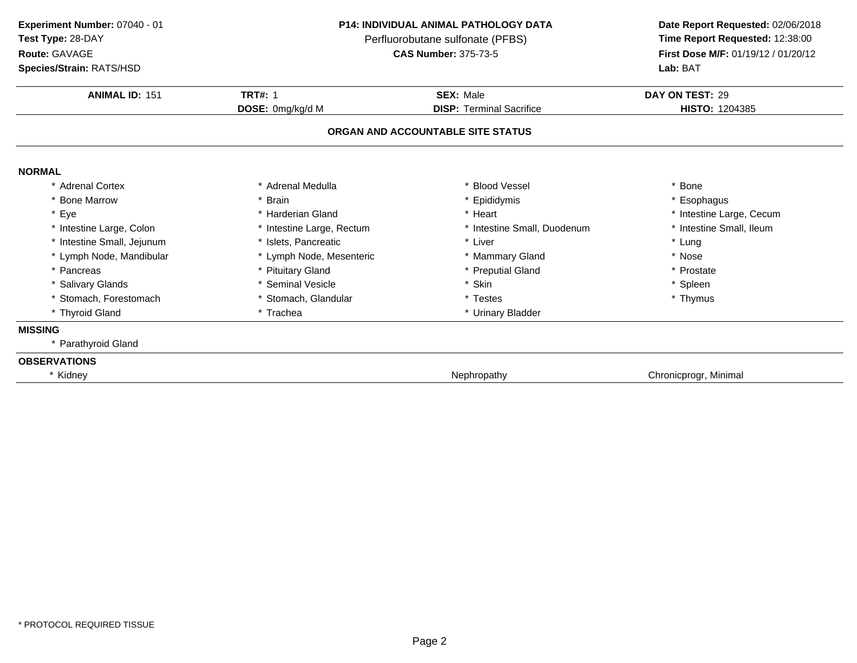**Experiment Number:** 07040 - 01**Test Type:** 28-DAY

**Route:** GAVAGE

**Species/Strain:** RATS/HSD

## **P14: INDIVIDUAL ANIMAL PATHOLOGY DATA**

Perfluorobutane sulfonate (PFBS)<br>**CAS Number:** 375-73-5

| <b>ANIMAL ID: 151</b>      | <b>TRT#: 1</b>            | <b>SEX: Male</b>                  | DAY ON TEST: 29          |
|----------------------------|---------------------------|-----------------------------------|--------------------------|
|                            | DOSE: 0mg/kg/d M          | <b>DISP: Terminal Sacrifice</b>   | HISTO: 1204385           |
|                            |                           | ORGAN AND ACCOUNTABLE SITE STATUS |                          |
| <b>NORMAL</b>              |                           |                                   |                          |
| * Adrenal Cortex           | * Adrenal Medulla         | * Blood Vessel                    | * Bone                   |
| * Bone Marrow              | <b>Brain</b>              | Epididymis                        | * Esophagus              |
| * Eye                      | * Harderian Gland         | * Heart                           | * Intestine Large, Cecum |
| * Intestine Large, Colon   | * Intestine Large, Rectum | * Intestine Small, Duodenum       | * Intestine Small, Ileum |
| * Intestine Small, Jejunum | * Islets, Pancreatic      | * Liver                           | * Lung                   |
| * Lymph Node, Mandibular   | * Lymph Node, Mesenteric  | * Mammary Gland                   | * Nose                   |
| * Pancreas                 | * Pituitary Gland         | * Preputial Gland                 | * Prostate               |
| * Salivary Glands          | * Seminal Vesicle         | * Skin                            | * Spleen                 |
| * Stomach, Forestomach     | * Stomach, Glandular      | * Testes                          | * Thymus                 |
| * Thyroid Gland            | * Trachea                 | * Urinary Bladder                 |                          |
| <b>MISSING</b>             |                           |                                   |                          |
| * Parathyroid Gland        |                           |                                   |                          |
| <b>OBSERVATIONS</b>        |                           |                                   |                          |
| * Kidney                   |                           | Nephropathy                       | Chronicprogr, Minimal    |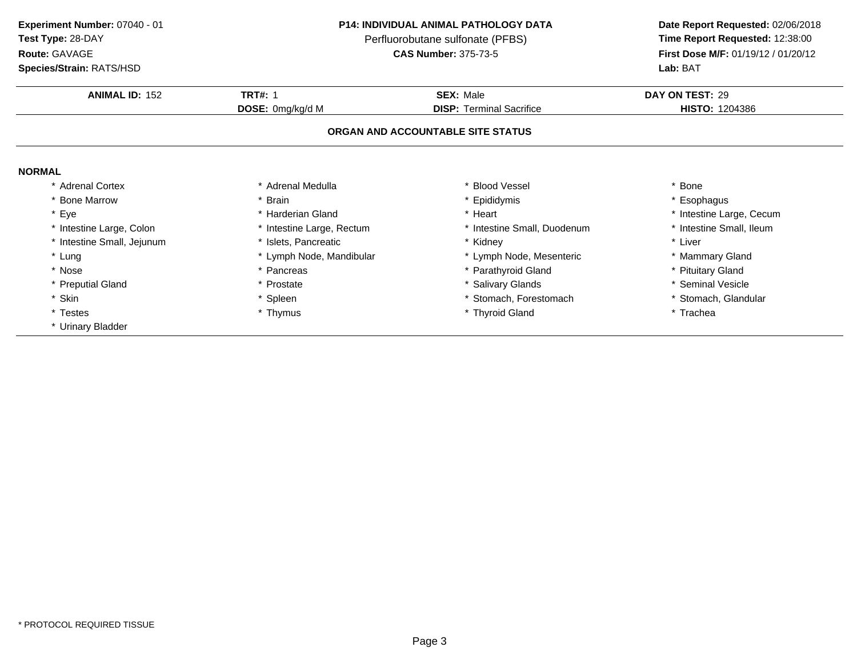**Test Type:** 28-DAY

## **Route:** GAVAGE

**Species/Strain:** RATS/HSD

## **P14: INDIVIDUAL ANIMAL PATHOLOGY DATA**

Perfluorobutane sulfonate (PFBS)<br>**CAS Number:** 375-73-5

| <b>ANIMAL ID: 152</b>      | <b>TRT#: 1</b>            | <b>SEX: Male</b>                  | DAY ON TEST: 29          |
|----------------------------|---------------------------|-----------------------------------|--------------------------|
|                            | <b>DOSE:</b> 0mg/kg/d M   | <b>DISP: Terminal Sacrifice</b>   | <b>HISTO: 1204386</b>    |
|                            |                           | ORGAN AND ACCOUNTABLE SITE STATUS |                          |
| <b>NORMAL</b>              |                           |                                   |                          |
| * Adrenal Cortex           | * Adrenal Medulla         | <b>Blood Vessel</b>               | Bone                     |
| * Bone Marrow              | * Brain                   | * Epididymis                      | Esophagus                |
| * Eye                      | * Harderian Gland         | * Heart                           | * Intestine Large, Cecum |
| * Intestine Large, Colon   | * Intestine Large, Rectum | * Intestine Small, Duodenum       | * Intestine Small, Ileum |
| * Intestine Small, Jejunum | * Islets, Pancreatic      | * Kidnev                          | * Liver                  |
| * Lung                     | * Lymph Node, Mandibular  | * Lymph Node, Mesenteric          | * Mammary Gland          |
| * Nose                     | * Pancreas                | * Parathyroid Gland               | * Pituitary Gland        |
| * Preputial Gland          | * Prostate                | * Salivary Glands                 | * Seminal Vesicle        |
| * Skin                     | * Spleen                  | Stomach, Forestomach              | * Stomach, Glandular     |
| * Testes                   | * Thymus                  | * Thyroid Gland                   | * Trachea                |
| * Urinary Bladder          |                           |                                   |                          |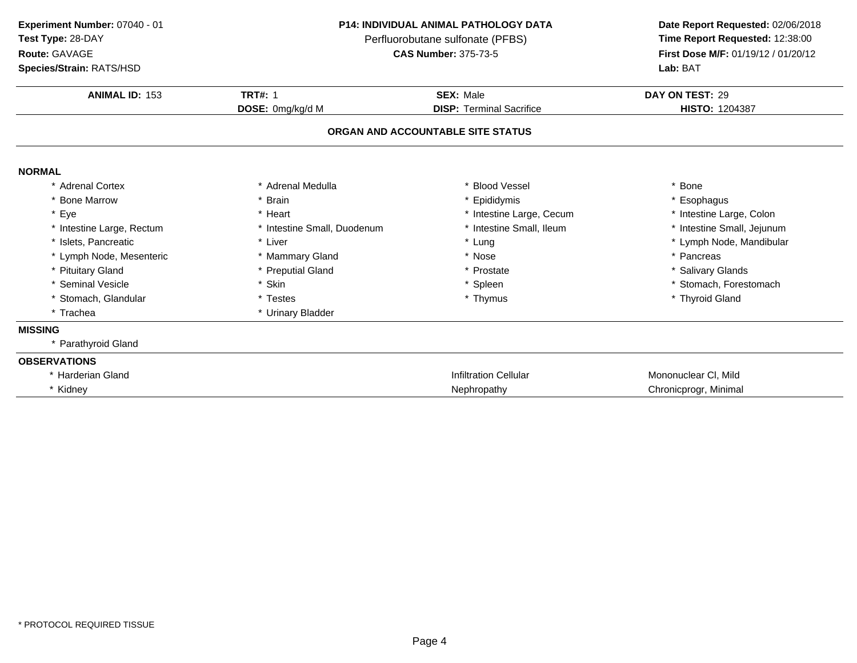**Test Type:** 28-DAY

## **Route:** GAVAGE

**Species/Strain:** RATS/HSD

## **P14: INDIVIDUAL ANIMAL PATHOLOGY DATA**

Perfluorobutane sulfonate (PFBS)<br>**CAS Number:** 375-73-5

| <b>Species/Strain: RATS/HSD</b> |                             |                                   | Lab: BAT                   |
|---------------------------------|-----------------------------|-----------------------------------|----------------------------|
| <b>ANIMAL ID: 153</b>           | <b>TRT#: 1</b>              | <b>SEX: Male</b>                  | DAY ON TEST: 29            |
|                                 | DOSE: 0mg/kg/d M            | <b>DISP: Terminal Sacrifice</b>   | HISTO: 1204387             |
|                                 |                             | ORGAN AND ACCOUNTABLE SITE STATUS |                            |
| <b>NORMAL</b>                   |                             |                                   |                            |
| * Adrenal Cortex                | * Adrenal Medulla           | * Blood Vessel                    | * Bone                     |
| * Bone Marrow                   | Brain                       | * Epididymis                      | * Esophagus                |
| * Eye                           | * Heart                     | * Intestine Large, Cecum          | * Intestine Large, Colon   |
| * Intestine Large, Rectum       | * Intestine Small, Duodenum | * Intestine Small, Ileum          | * Intestine Small, Jejunum |
| * Islets, Pancreatic            | * Liver                     | * Lung                            | * Lymph Node, Mandibular   |
| * Lymph Node, Mesenteric        | * Mammary Gland             | * Nose                            | * Pancreas                 |
| * Pituitary Gland               | * Preputial Gland           | * Prostate                        | * Salivary Glands          |
| * Seminal Vesicle               | * Skin                      | * Spleen                          | * Stomach, Forestomach     |
| * Stomach, Glandular            | * Testes                    | * Thymus                          | * Thyroid Gland            |
| * Trachea                       | * Urinary Bladder           |                                   |                            |
| <b>MISSING</b>                  |                             |                                   |                            |
| Parathyroid Gland               |                             |                                   |                            |
| <b>OBSERVATIONS</b>             |                             |                                   |                            |
| * Harderian Gland               |                             | <b>Infiltration Cellular</b>      | Mononuclear CI, Mild       |
| * Kidney                        |                             | Nephropathy                       | Chronicprogr, Minimal      |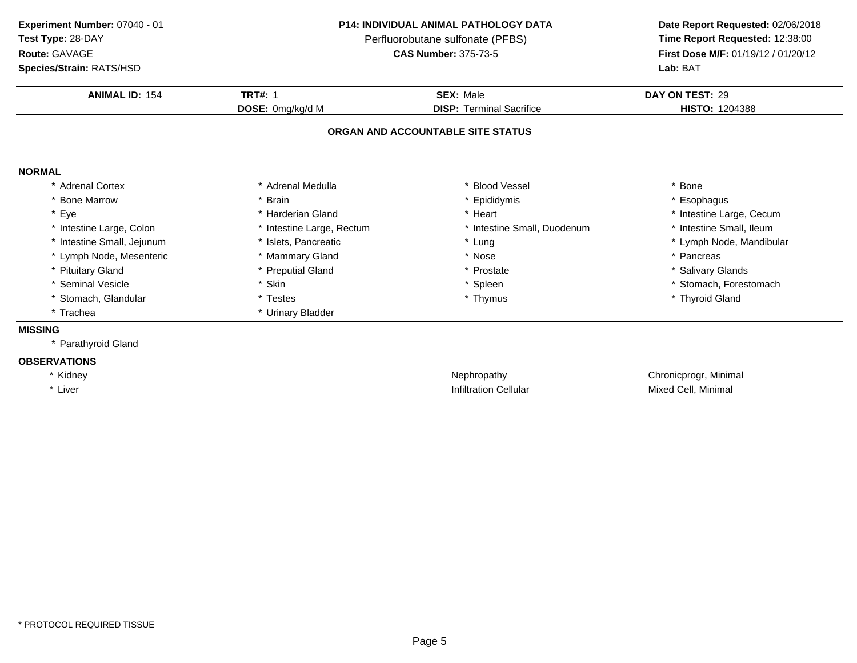**Experiment Number:** 07040 - 01**Test Type:** 28-DAY

**Route:** GAVAGE

**Species/Strain:** RATS/HSD

## **P14: INDIVIDUAL ANIMAL PATHOLOGY DATA**

Perfluorobutane sulfonate (PFBS)<br>**CAS Number:** 375-73-5

| <b>Species/Strain: RATS/HSD</b> |                           |                                   | <b>Lab: BAT</b>          |
|---------------------------------|---------------------------|-----------------------------------|--------------------------|
| <b>ANIMAL ID: 154</b>           | <b>TRT#: 1</b>            | <b>SEX: Male</b>                  | DAY ON TEST: 29          |
|                                 | DOSE: 0mg/kg/d M          | <b>DISP: Terminal Sacrifice</b>   | <b>HISTO: 1204388</b>    |
|                                 |                           | ORGAN AND ACCOUNTABLE SITE STATUS |                          |
| <b>NORMAL</b>                   |                           |                                   |                          |
| * Adrenal Cortex                | * Adrenal Medulla         | * Blood Vessel                    | * Bone                   |
| * Bone Marrow                   | * Brain                   | * Epididymis                      | * Esophagus              |
| * Eye                           | * Harderian Gland         | * Heart                           | * Intestine Large, Cecum |
| * Intestine Large, Colon        | * Intestine Large, Rectum | * Intestine Small, Duodenum       | * Intestine Small, Ileum |
| * Intestine Small, Jejunum      | * Islets, Pancreatic      | * Lung                            | * Lymph Node, Mandibular |
| * Lymph Node, Mesenteric        | * Mammary Gland           | * Nose                            | * Pancreas               |
| * Pituitary Gland               | * Preputial Gland         | * Prostate                        | * Salivary Glands        |
| * Seminal Vesicle               | * Skin                    | * Spleen                          | * Stomach, Forestomach   |
| * Stomach, Glandular            | * Testes                  | * Thymus                          | * Thyroid Gland          |
| * Trachea                       | * Urinary Bladder         |                                   |                          |
| <b>MISSING</b>                  |                           |                                   |                          |
| * Parathyroid Gland             |                           |                                   |                          |
| <b>OBSERVATIONS</b>             |                           |                                   |                          |
| * Kidney                        |                           | Nephropathy                       | Chronicprogr, Minimal    |
| * Liver                         |                           | <b>Infiltration Cellular</b>      | Mixed Cell, Minimal      |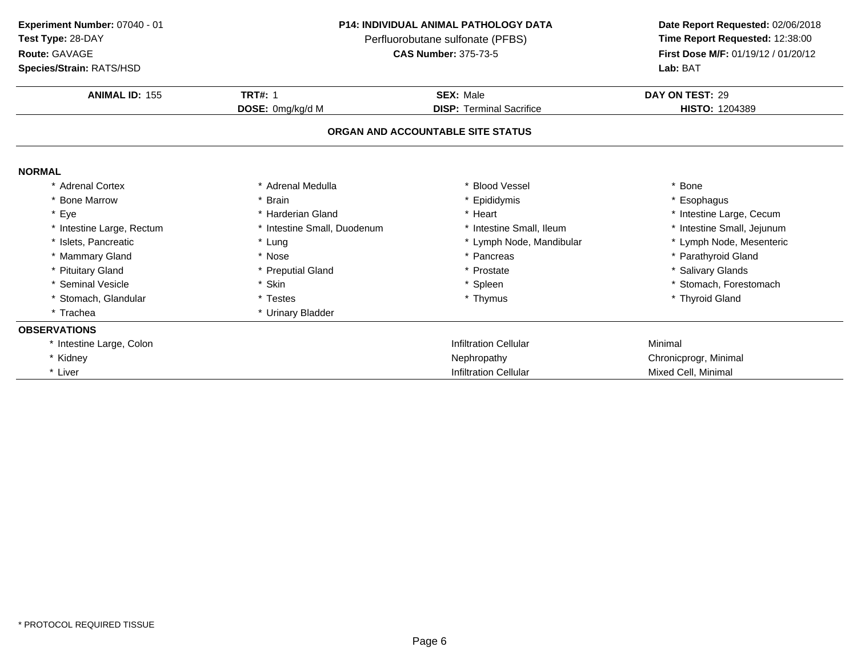**Test Type:** 28-DAY

## **Route:** GAVAGE

**Species/Strain:** RATS/HSD

### **P14: INDIVIDUAL ANIMAL PATHOLOGY DATA**

Perfluorobutane sulfonate (PFBS)<br>**CAS Number:** 375-73-5

| <b>Species/Strain: RATS/HSD</b> |                             |                                   | Lab: BAT                   |
|---------------------------------|-----------------------------|-----------------------------------|----------------------------|
| <b>ANIMAL ID: 155</b>           | <b>TRT#: 1</b>              | <b>SEX: Male</b>                  | DAY ON TEST: 29            |
|                                 | DOSE: 0mg/kg/d M            | <b>DISP: Terminal Sacrifice</b>   | <b>HISTO: 1204389</b>      |
|                                 |                             | ORGAN AND ACCOUNTABLE SITE STATUS |                            |
| <b>NORMAL</b>                   |                             |                                   |                            |
| * Adrenal Cortex                | * Adrenal Medulla           | * Blood Vessel                    | Bone                       |
| * Bone Marrow                   | * Brain                     | * Epididymis                      | * Esophagus                |
| * Eye                           | * Harderian Gland           | * Heart                           | * Intestine Large, Cecum   |
| * Intestine Large, Rectum       | * Intestine Small, Duodenum | * Intestine Small, Ileum          | * Intestine Small, Jejunum |
| * Islets, Pancreatic            | * Lung                      | * Lymph Node, Mandibular          | * Lymph Node, Mesenteric   |
| * Mammary Gland                 | * Nose                      | * Pancreas                        | * Parathyroid Gland        |
| * Pituitary Gland               | * Preputial Gland           | * Prostate                        | * Salivary Glands          |
| * Seminal Vesicle               | * Skin                      | * Spleen                          | * Stomach, Forestomach     |
| * Stomach, Glandular            | * Testes                    | * Thymus                          | * Thyroid Gland            |
| * Trachea                       | * Urinary Bladder           |                                   |                            |
| <b>OBSERVATIONS</b>             |                             |                                   |                            |
| * Intestine Large, Colon        |                             | <b>Infiltration Cellular</b>      | Minimal                    |
| * Kidney                        |                             | Nephropathy                       | Chronicprogr, Minimal      |
| * Liver                         |                             | <b>Infiltration Cellular</b>      | Mixed Cell, Minimal        |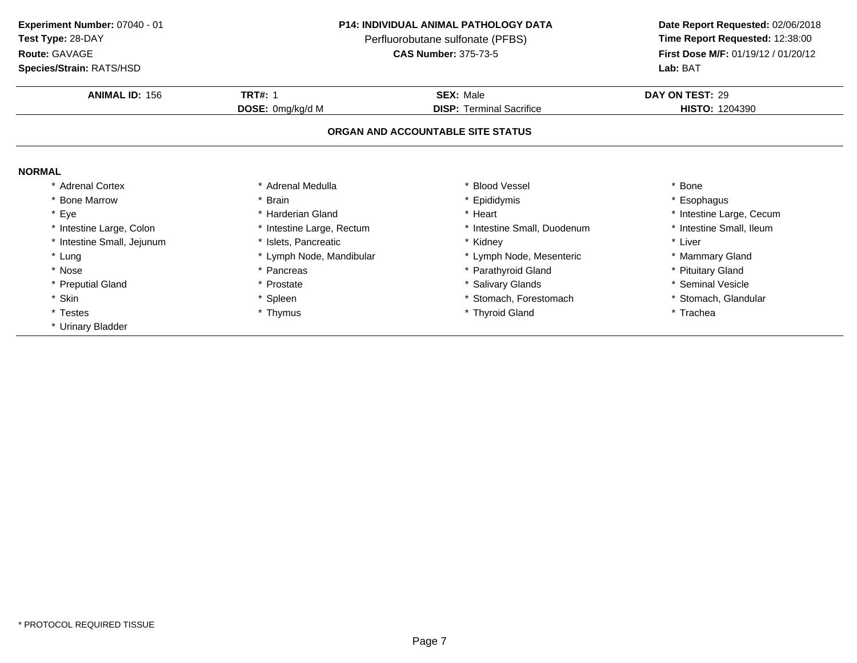**Test Type:** 28-DAY

## **Route:** GAVAGE

**Species/Strain:** RATS/HSD

## **P14: INDIVIDUAL ANIMAL PATHOLOGY DATA**

Perfluorobutane sulfonate (PFBS)<br>**CAS Number:** 375-73-5

| <b>ANIMAL ID: 156</b>      | <b>TRT#: 1</b>            | <b>SEX: Male</b>                  | DAY ON TEST: 29          |
|----------------------------|---------------------------|-----------------------------------|--------------------------|
|                            | DOSE: 0mg/kg/d M          | <b>DISP:</b> Terminal Sacrifice   | <b>HISTO: 1204390</b>    |
|                            |                           | ORGAN AND ACCOUNTABLE SITE STATUS |                          |
| <b>NORMAL</b>              |                           |                                   |                          |
| * Adrenal Cortex           | * Adrenal Medulla         | <b>Blood Vessel</b>               | * Bone                   |
| * Bone Marrow              | * Brain                   | Epididymis                        | * Esophagus              |
| * Eye                      | * Harderian Gland         | * Heart                           | * Intestine Large, Cecum |
| * Intestine Large, Colon   | * Intestine Large, Rectum | * Intestine Small, Duodenum       | * Intestine Small, Ileum |
| * Intestine Small, Jejunum | * Islets, Pancreatic      | * Kidney                          | * Liver                  |
| * Lung                     | * Lymph Node, Mandibular  | * Lymph Node, Mesenteric          | * Mammary Gland          |
| * Nose                     | * Pancreas                | * Parathyroid Gland               | * Pituitary Gland        |
| * Preputial Gland          | * Prostate                | <b>Salivary Glands</b>            | * Seminal Vesicle        |
| * Skin                     | * Spleen                  | Stomach, Forestomach              | * Stomach, Glandular     |
| * Testes                   | * Thymus                  | * Thyroid Gland                   | * Trachea                |
| * Urinary Bladder          |                           |                                   |                          |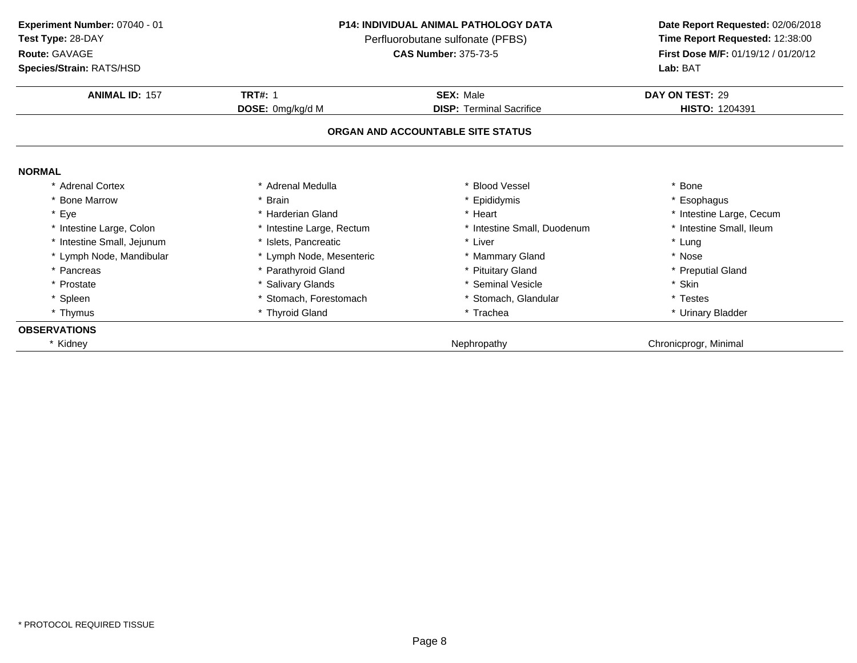| Experiment Number: 07040 - 01 |  |
|-------------------------------|--|
|                               |  |

**Test Type:** 28-DAY

## **Route:** GAVAGE

**Species/Strain:** RATS/HSD

## **P14: INDIVIDUAL ANIMAL PATHOLOGY DATA**

Perfluorobutane sulfonate (PFBS)<br>**CAS Number:** 375-73-5

| <b>Species/Strain: RATS/HSD</b> |                           |                                   | <b>Lab: BAT</b>          |
|---------------------------------|---------------------------|-----------------------------------|--------------------------|
| <b>ANIMAL ID: 157</b>           | <b>TRT#: 1</b>            | <b>SEX: Male</b>                  | DAY ON TEST: 29          |
|                                 | DOSE: 0mg/kg/d M          | <b>DISP: Terminal Sacrifice</b>   | HISTO: 1204391           |
|                                 |                           | ORGAN AND ACCOUNTABLE SITE STATUS |                          |
| <b>NORMAL</b>                   |                           |                                   |                          |
| * Adrenal Cortex                | * Adrenal Medulla         | * Blood Vessel                    | * Bone                   |
| * Bone Marrow                   | * Brain                   | * Epididymis                      | * Esophagus              |
| * Eye                           | * Harderian Gland         | * Heart                           | * Intestine Large, Cecum |
| * Intestine Large, Colon        | * Intestine Large, Rectum | * Intestine Small, Duodenum       | * Intestine Small, Ileum |
| * Intestine Small, Jejunum      | * Islets, Pancreatic      | * Liver                           | * Lung                   |
| * Lymph Node, Mandibular        | * Lymph Node, Mesenteric  | * Mammary Gland                   | * Nose                   |
| * Pancreas                      | * Parathyroid Gland       | * Pituitary Gland                 | * Preputial Gland        |
| * Prostate                      | * Salivary Glands         | * Seminal Vesicle                 | * Skin                   |
| * Spleen                        | * Stomach, Forestomach    | * Stomach, Glandular              | * Testes                 |
| * Thymus                        | * Thyroid Gland           | * Trachea                         | * Urinary Bladder        |
| <b>OBSERVATIONS</b>             |                           |                                   |                          |
| Kidney                          |                           | Nephropathy                       | Chronicprogr, Minimal    |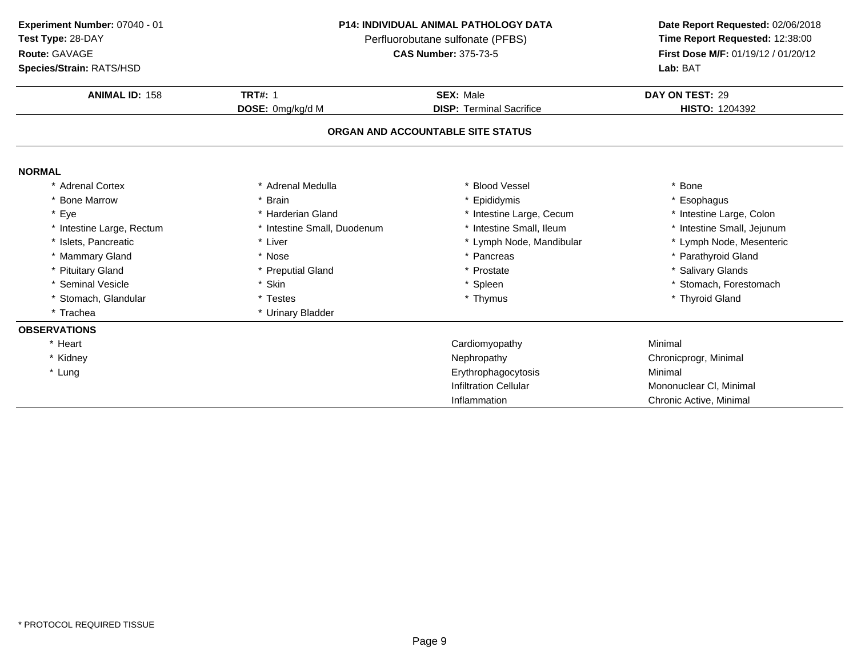**Test Type:** 28-DAY

## **Route:** GAVAGE

**Species/Strain:** RATS/HSD

## **P14: INDIVIDUAL ANIMAL PATHOLOGY DATA**

Perfluorobutane sulfonate (PFBS)<br>**CAS Number:** 375-73-5

| <b>Species/Strain: RATS/HSD</b> |                             |                                   | Lab: BAT                   |
|---------------------------------|-----------------------------|-----------------------------------|----------------------------|
| <b>ANIMAL ID: 158</b>           | <b>TRT#: 1</b>              | <b>SEX: Male</b>                  | DAY ON TEST: 29            |
|                                 | DOSE: 0mg/kg/d M            | <b>DISP: Terminal Sacrifice</b>   | <b>HISTO: 1204392</b>      |
|                                 |                             | ORGAN AND ACCOUNTABLE SITE STATUS |                            |
| <b>NORMAL</b>                   |                             |                                   |                            |
| * Adrenal Cortex                | Adrenal Medulla             | <b>Blood Vessel</b>               | * Bone                     |
| * Bone Marrow                   | <b>Brain</b>                | * Epididymis                      | * Esophagus                |
| * Eye                           | Harderian Gland             | * Intestine Large, Cecum          | * Intestine Large, Colon   |
| * Intestine Large, Rectum       | * Intestine Small, Duodenum | * Intestine Small, Ileum          | * Intestine Small, Jejunum |
| * Islets, Pancreatic            | * Liver                     | * Lymph Node, Mandibular          | * Lymph Node, Mesenteric   |
| * Mammary Gland                 | * Nose                      | * Pancreas                        | * Parathyroid Gland        |
| * Pituitary Gland               | * Preputial Gland           | * Prostate                        | * Salivary Glands          |
| * Seminal Vesicle               | * Skin                      | * Spleen                          | * Stomach, Forestomach     |
| * Stomach, Glandular            | * Testes                    | * Thymus                          | * Thyroid Gland            |
| * Trachea                       | * Urinary Bladder           |                                   |                            |
| <b>OBSERVATIONS</b>             |                             |                                   |                            |
| * Heart                         |                             | Cardiomyopathy                    | Minimal                    |
| * Kidney                        |                             | Nephropathy                       | Chronicprogr, Minimal      |
| * Lung                          |                             | Erythrophagocytosis               | Minimal                    |
|                                 |                             | <b>Infiltration Cellular</b>      | Mononuclear CI, Minimal    |
|                                 |                             | Inflammation                      | Chronic Active, Minimal    |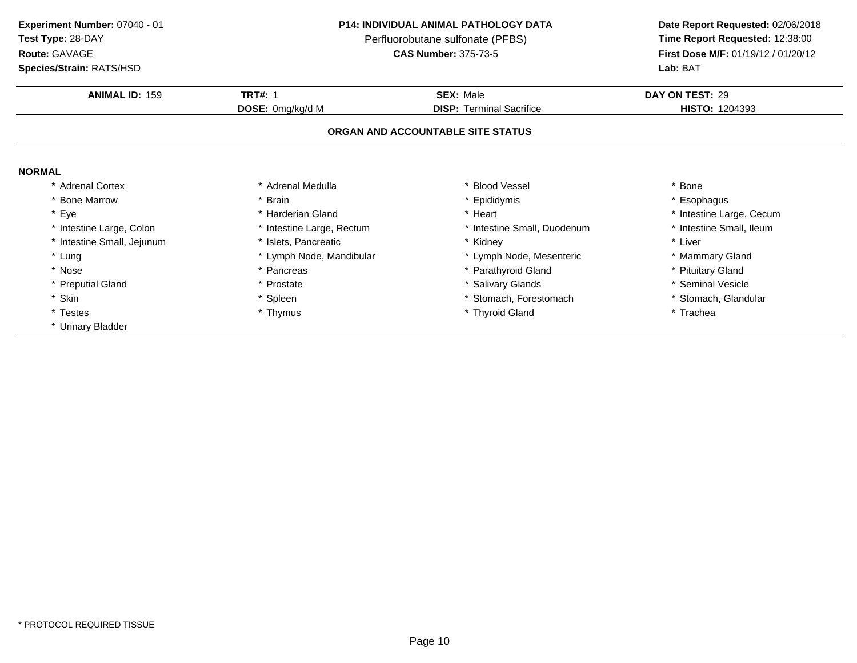**Test Type:** 28-DAY

## **Route:** GAVAGE

**Species/Strain:** RATS/HSD

## **P14: INDIVIDUAL ANIMAL PATHOLOGY DATA**

Perfluorobutane sulfonate (PFBS)<br>**CAS Number:** 375-73-5

| <b>ANIMAL ID: 159</b>      | <b>TRT#: 1</b>            | <b>SEX: Male</b>                  | DAY ON TEST: 29          |
|----------------------------|---------------------------|-----------------------------------|--------------------------|
|                            | DOSE: 0mg/kg/d M          | <b>DISP: Terminal Sacrifice</b>   | <b>HISTO: 1204393</b>    |
|                            |                           | ORGAN AND ACCOUNTABLE SITE STATUS |                          |
| <b>NORMAL</b>              |                           |                                   |                          |
| * Adrenal Cortex           | * Adrenal Medulla         | <b>Blood Vessel</b>               | * Bone                   |
| * Bone Marrow              | * Brain                   | * Epididymis                      | * Esophagus              |
| * Eye                      | * Harderian Gland         | * Heart                           | * Intestine Large, Cecum |
| * Intestine Large, Colon   | * Intestine Large, Rectum | * Intestine Small, Duodenum       | * Intestine Small, Ileum |
| * Intestine Small, Jejunum | * Islets, Pancreatic      | * Kidney                          | * Liver                  |
| * Lung                     | * Lymph Node, Mandibular  | * Lymph Node, Mesenteric          | * Mammary Gland          |
| * Nose                     | * Pancreas                | * Parathyroid Gland               | * Pituitary Gland        |
| * Preputial Gland          | * Prostate                | <b>Salivary Glands</b>            | * Seminal Vesicle        |
| * Skin                     | * Spleen                  | Stomach, Forestomach              | * Stomach, Glandular     |
| * Testes                   | * Thymus                  | * Thyroid Gland                   | * Trachea                |
| * Urinary Bladder          |                           |                                   |                          |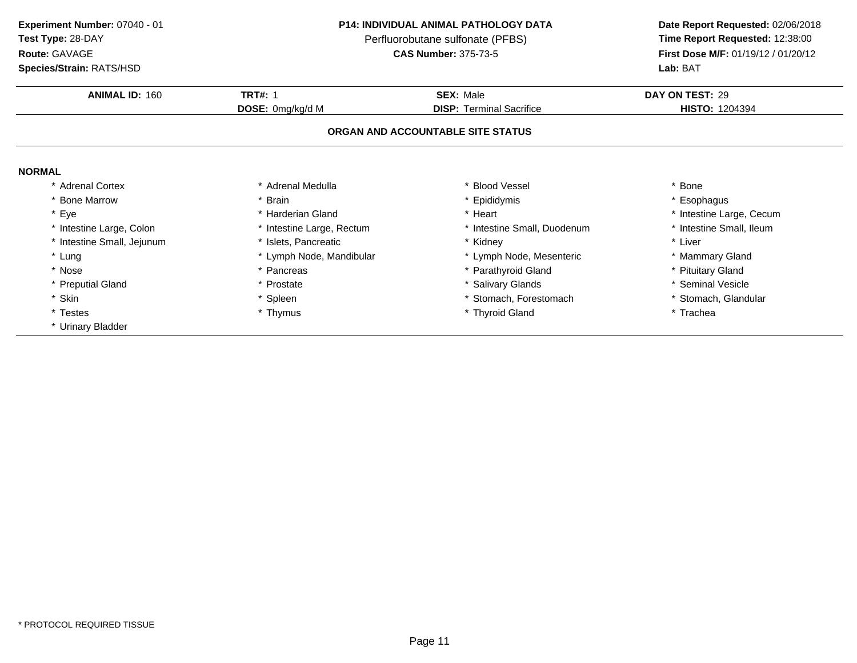**Test Type:** 28-DAY

## **Route:** GAVAGE

**Species/Strain:** RATS/HSD

## **P14: INDIVIDUAL ANIMAL PATHOLOGY DATA**

Perfluorobutane sulfonate (PFBS)<br>**CAS Number:** 375-73-5

| <b>ANIMAL ID: 160</b>      | <b>TRT#: 1</b>            | <b>SEX: Male</b>                  | DAY ON TEST: 29          |
|----------------------------|---------------------------|-----------------------------------|--------------------------|
|                            | DOSE: 0mg/kg/d M          | <b>DISP: Terminal Sacrifice</b>   | <b>HISTO: 1204394</b>    |
|                            |                           | ORGAN AND ACCOUNTABLE SITE STATUS |                          |
| <b>NORMAL</b>              |                           |                                   |                          |
| * Adrenal Cortex           | * Adrenal Medulla         | <b>Blood Vessel</b>               | * Bone                   |
| * Bone Marrow              | * Brain                   | * Epididymis                      | * Esophagus              |
| * Eye                      | * Harderian Gland         | * Heart                           | * Intestine Large, Cecum |
| * Intestine Large, Colon   | * Intestine Large, Rectum | * Intestine Small, Duodenum       | * Intestine Small, Ileum |
| * Intestine Small, Jejunum | * Islets, Pancreatic      | * Kidney                          | * Liver                  |
| * Lung                     | * Lymph Node, Mandibular  | * Lymph Node, Mesenteric          | * Mammary Gland          |
| * Nose                     | * Pancreas                | * Parathyroid Gland               | * Pituitary Gland        |
| * Preputial Gland          | * Prostate                | * Salivary Glands                 | * Seminal Vesicle        |
| * Skin                     | * Spleen                  | * Stomach, Forestomach            | * Stomach, Glandular     |
| * Testes                   | * Thymus                  | * Thyroid Gland                   | * Trachea                |
| * Urinary Bladder          |                           |                                   |                          |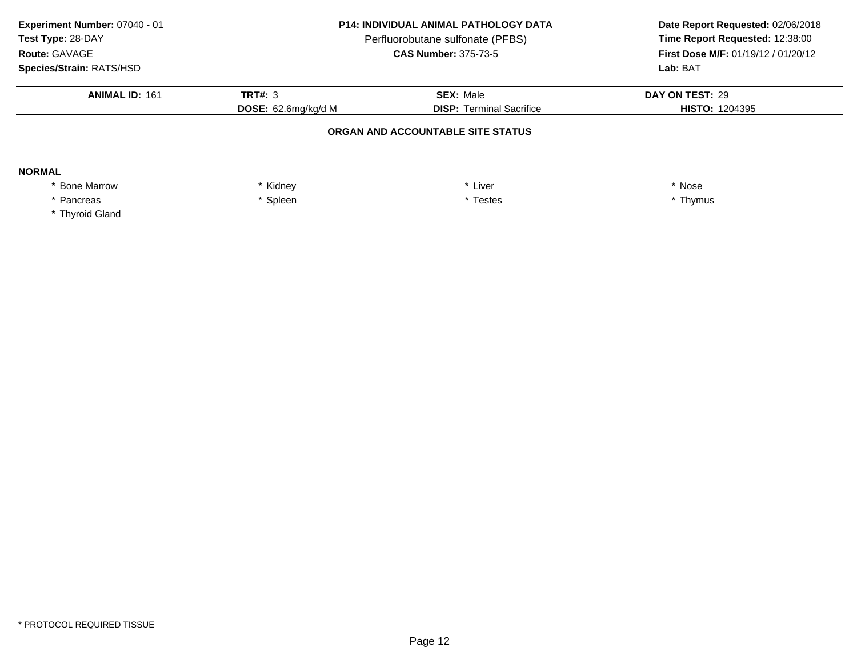| Experiment Number: 07040 - 01<br>Test Type: 28-DAY<br>Route: GAVAGE<br>Species/Strain: RATS/HSD | <b>P14: INDIVIDUAL ANIMAL PATHOLOGY DATA</b><br>Perfluorobutane sulfonate (PFBS)<br><b>CAS Number: 375-73-5</b> |                                   | Date Report Requested: 02/06/2018<br>Time Report Requested: 12:38:00<br>First Dose M/F: 01/19/12 / 01/20/12<br>Lab: BAT |
|-------------------------------------------------------------------------------------------------|-----------------------------------------------------------------------------------------------------------------|-----------------------------------|-------------------------------------------------------------------------------------------------------------------------|
| <b>ANIMAL ID: 161</b>                                                                           | TRT#: $3$                                                                                                       | <b>SEX: Male</b>                  | DAY ON TEST: 29                                                                                                         |
|                                                                                                 | <b>DOSE:</b> 62.6mg/kg/d M                                                                                      | <b>DISP: Terminal Sacrifice</b>   | <b>HISTO: 1204395</b>                                                                                                   |
|                                                                                                 |                                                                                                                 | ORGAN AND ACCOUNTABLE SITE STATUS |                                                                                                                         |
| <b>NORMAL</b>                                                                                   |                                                                                                                 |                                   |                                                                                                                         |
| <b>Bone Marrow</b>                                                                              | Kidney                                                                                                          | * Liver                           | * Nose                                                                                                                  |
| * Pancreas                                                                                      | Spleen                                                                                                          | * Testes                          | * Thymus                                                                                                                |
| * Thyroid Gland                                                                                 |                                                                                                                 |                                   |                                                                                                                         |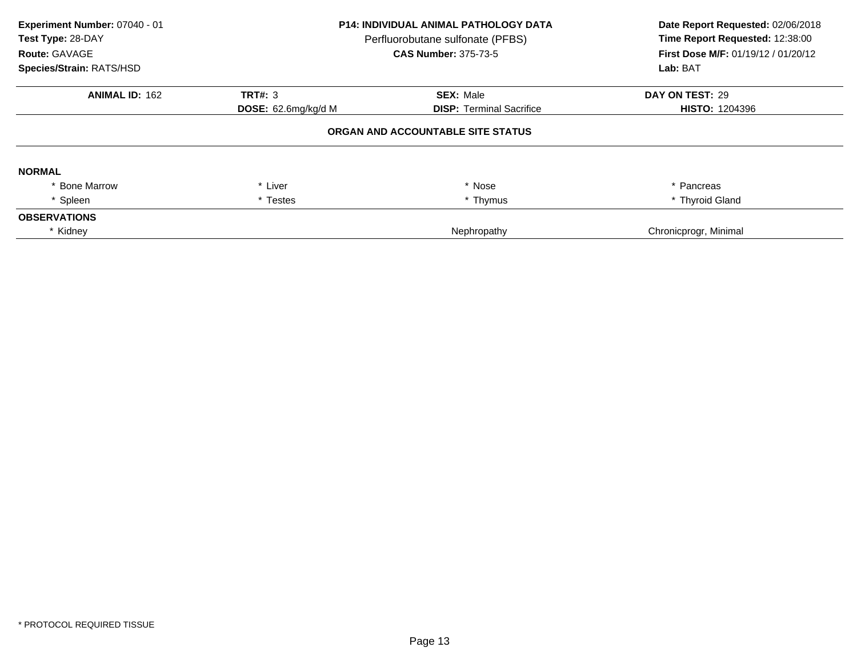| Experiment Number: 07040 - 01<br>Test Type: 28-DAY<br><b>Route: GAVAGE</b><br>Species/Strain: RATS/HSD | <b>P14: INDIVIDUAL ANIMAL PATHOLOGY DATA</b><br>Perfluorobutane sulfonate (PFBS)<br><b>CAS Number: 375-73-5</b> |                                   | Date Report Requested: 02/06/2018<br>Time Report Requested: 12:38:00<br>First Dose M/F: 01/19/12 / 01/20/12<br>Lab: BAT |
|--------------------------------------------------------------------------------------------------------|-----------------------------------------------------------------------------------------------------------------|-----------------------------------|-------------------------------------------------------------------------------------------------------------------------|
| <b>ANIMAL ID: 162</b>                                                                                  | TRT#: 3                                                                                                         | <b>SEX: Male</b>                  | DAY ON TEST: 29                                                                                                         |
|                                                                                                        | <b>DOSE:</b> 62.6mg/kg/d M                                                                                      | <b>DISP: Terminal Sacrifice</b>   | <b>HISTO: 1204396</b>                                                                                                   |
|                                                                                                        |                                                                                                                 | ORGAN AND ACCOUNTABLE SITE STATUS |                                                                                                                         |
| <b>NORMAL</b>                                                                                          |                                                                                                                 |                                   |                                                                                                                         |
| * Bone Marrow                                                                                          | * Liver                                                                                                         | * Nose                            | * Pancreas                                                                                                              |
| * Spleen                                                                                               | * Testes                                                                                                        | * Thymus                          | * Thyroid Gland                                                                                                         |
| <b>OBSERVATIONS</b>                                                                                    |                                                                                                                 |                                   |                                                                                                                         |
| * Kidney                                                                                               |                                                                                                                 | Nephropathy                       | Chronicprogr, Minimal                                                                                                   |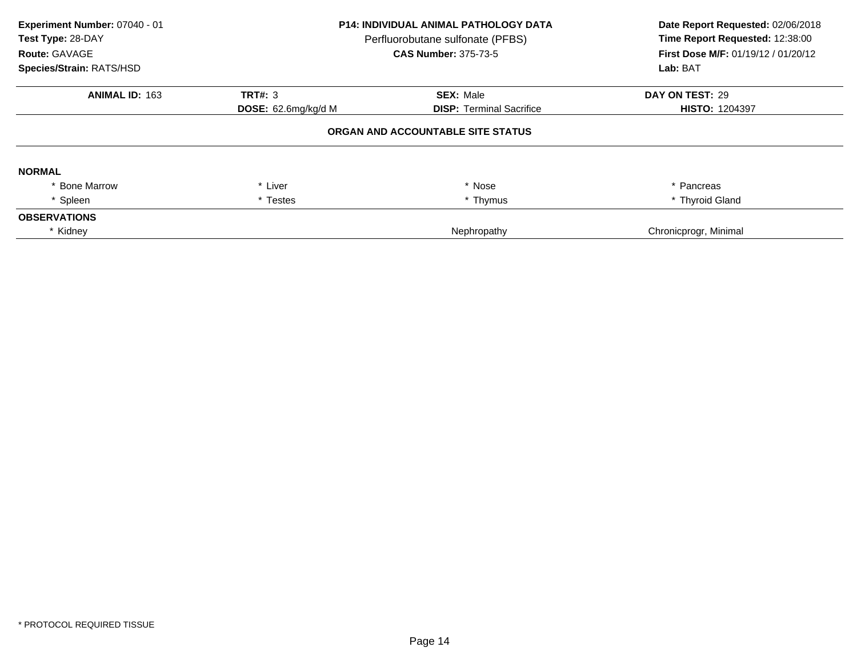| Experiment Number: 07040 - 01<br>Test Type: 28-DAY<br><b>Route: GAVAGE</b><br>Species/Strain: RATS/HSD | <b>P14: INDIVIDUAL ANIMAL PATHOLOGY DATA</b><br>Perfluorobutane sulfonate (PFBS)<br><b>CAS Number: 375-73-5</b> |                                   | Date Report Requested: 02/06/2018<br>Time Report Requested: 12:38:00<br>First Dose M/F: 01/19/12 / 01/20/12<br>Lab: BAT |
|--------------------------------------------------------------------------------------------------------|-----------------------------------------------------------------------------------------------------------------|-----------------------------------|-------------------------------------------------------------------------------------------------------------------------|
| <b>ANIMAL ID: 163</b>                                                                                  | TRT#: 3                                                                                                         | <b>SEX: Male</b>                  | DAY ON TEST: 29                                                                                                         |
|                                                                                                        | <b>DOSE:</b> 62.6mg/kg/d M                                                                                      | <b>DISP:</b> Terminal Sacrifice   | <b>HISTO: 1204397</b>                                                                                                   |
|                                                                                                        |                                                                                                                 | ORGAN AND ACCOUNTABLE SITE STATUS |                                                                                                                         |
| <b>NORMAL</b>                                                                                          |                                                                                                                 |                                   |                                                                                                                         |
| * Bone Marrow                                                                                          | * Liver                                                                                                         | * Nose                            | * Pancreas                                                                                                              |
| * Spleen                                                                                               | * Testes                                                                                                        | * Thymus                          | * Thyroid Gland                                                                                                         |
| <b>OBSERVATIONS</b>                                                                                    |                                                                                                                 |                                   |                                                                                                                         |
| * Kidney                                                                                               |                                                                                                                 | Nephropathy                       | Chronicprogr, Minimal                                                                                                   |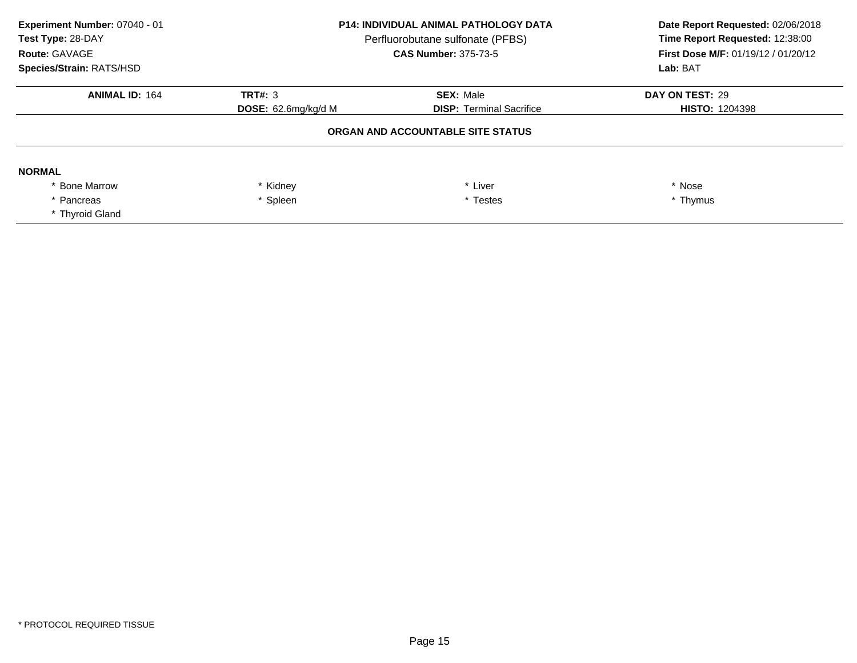| Experiment Number: 07040 - 01<br>Test Type: 28-DAY<br>Route: GAVAGE<br>Species/Strain: RATS/HSD | <b>P14: INDIVIDUAL ANIMAL PATHOLOGY DATA</b><br>Perfluorobutane sulfonate (PFBS)<br><b>CAS Number: 375-73-5</b> |                                 | Date Report Requested: 02/06/2018<br>Time Report Requested: 12:38:00<br>First Dose M/F: 01/19/12 / 01/20/12<br>Lab: BAT |
|-------------------------------------------------------------------------------------------------|-----------------------------------------------------------------------------------------------------------------|---------------------------------|-------------------------------------------------------------------------------------------------------------------------|
| <b>ANIMAL ID: 164</b>                                                                           | <b>TRT#: 3</b>                                                                                                  | <b>SEX: Male</b>                | DAY ON TEST: 29                                                                                                         |
|                                                                                                 | <b>DOSE:</b> 62.6mg/kg/d M                                                                                      | <b>DISP: Terminal Sacrifice</b> | <b>HISTO: 1204398</b>                                                                                                   |
|                                                                                                 |                                                                                                                 |                                 |                                                                                                                         |
| <b>NORMAL</b>                                                                                   |                                                                                                                 |                                 |                                                                                                                         |
| <b>Bone Marrow</b>                                                                              | Kidney                                                                                                          | * Liver                         | * Nose                                                                                                                  |
| * Pancreas                                                                                      | * Spleen                                                                                                        | * Testes                        | * Thymus                                                                                                                |
| * Thyroid Gland                                                                                 |                                                                                                                 |                                 |                                                                                                                         |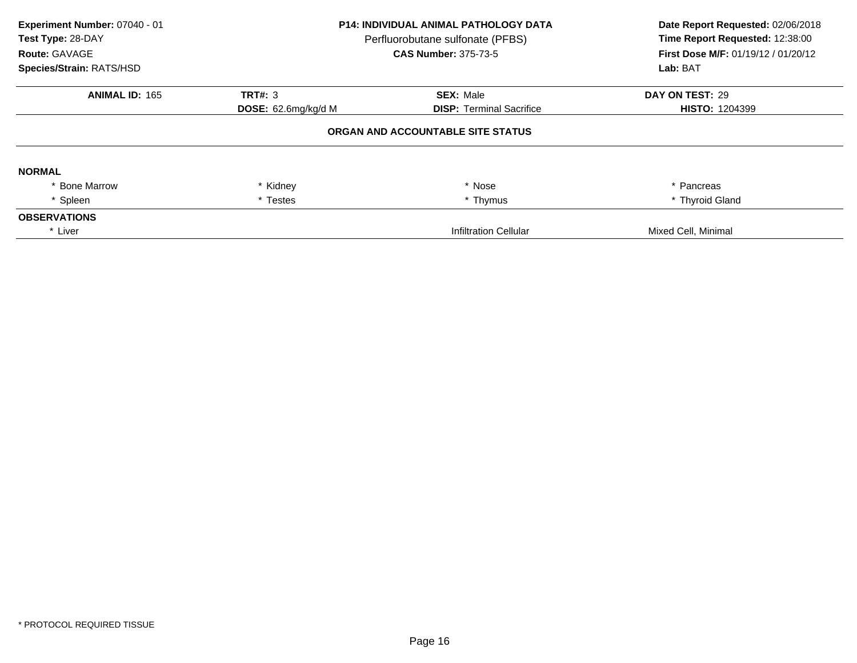| Experiment Number: 07040 - 01<br>Test Type: 28-DAY<br>Route: GAVAGE<br>Species/Strain: RATS/HSD | <b>P14: INDIVIDUAL ANIMAL PATHOLOGY DATA</b><br>Perfluorobutane sulfonate (PFBS)<br><b>CAS Number: 375-73-5</b> |                                   | Date Report Requested: 02/06/2018<br>Time Report Requested: 12:38:00<br>First Dose M/F: 01/19/12 / 01/20/12<br>Lab: BAT |
|-------------------------------------------------------------------------------------------------|-----------------------------------------------------------------------------------------------------------------|-----------------------------------|-------------------------------------------------------------------------------------------------------------------------|
| <b>ANIMAL ID: 165</b>                                                                           | <b>TRT#: 3</b>                                                                                                  | <b>SEX: Male</b>                  | DAY ON TEST: 29                                                                                                         |
|                                                                                                 | <b>DOSE:</b> 62.6mg/kg/d M                                                                                      | <b>DISP: Terminal Sacrifice</b>   | <b>HISTO: 1204399</b>                                                                                                   |
|                                                                                                 |                                                                                                                 | ORGAN AND ACCOUNTABLE SITE STATUS |                                                                                                                         |
| <b>NORMAL</b>                                                                                   |                                                                                                                 |                                   |                                                                                                                         |
| * Bone Marrow                                                                                   | * Kidney                                                                                                        | * Nose                            | * Pancreas                                                                                                              |
| Spleen                                                                                          | * Testes                                                                                                        | * Thymus                          | * Thyroid Gland                                                                                                         |
| <b>OBSERVATIONS</b>                                                                             |                                                                                                                 |                                   |                                                                                                                         |
| * Liver                                                                                         |                                                                                                                 | Infiltration Cellular             | Mixed Cell, Minimal                                                                                                     |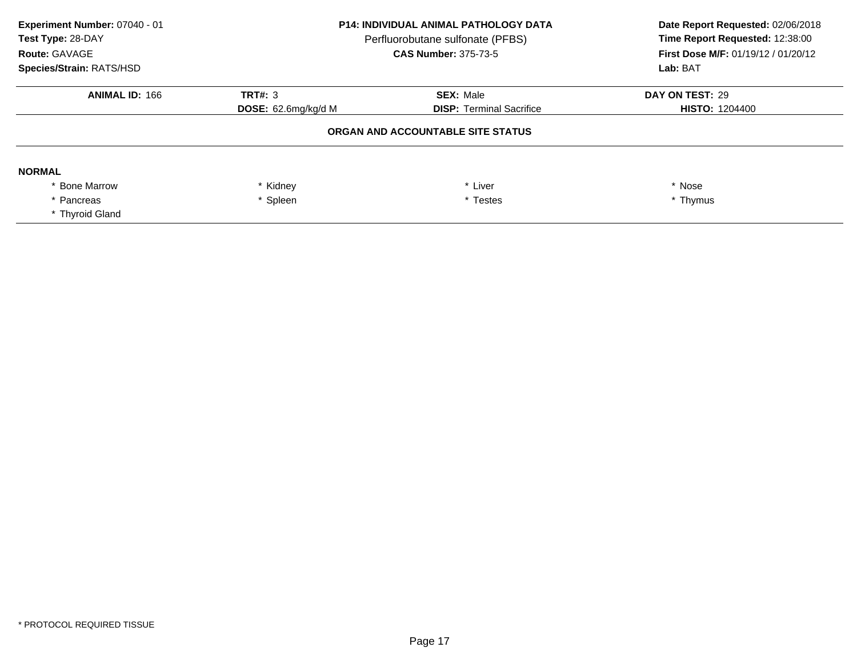| Experiment Number: 07040 - 01<br>Test Type: 28-DAY<br>Route: GAVAGE<br>Species/Strain: RATS/HSD | <b>P14: INDIVIDUAL ANIMAL PATHOLOGY DATA</b><br>Perfluorobutane sulfonate (PFBS)<br><b>CAS Number: 375-73-5</b> |                                 | Date Report Requested: 02/06/2018<br>Time Report Requested: 12:38:00<br>First Dose M/F: 01/19/12 / 01/20/12<br>Lab: BAT |
|-------------------------------------------------------------------------------------------------|-----------------------------------------------------------------------------------------------------------------|---------------------------------|-------------------------------------------------------------------------------------------------------------------------|
| <b>ANIMAL ID: 166</b>                                                                           | <b>TRT#: 3</b>                                                                                                  | <b>SEX: Male</b>                | DAY ON TEST: 29                                                                                                         |
|                                                                                                 | <b>DOSE:</b> 62.6mg/kg/d M                                                                                      | <b>DISP: Terminal Sacrifice</b> | <b>HISTO: 1204400</b>                                                                                                   |
|                                                                                                 | ORGAN AND ACCOUNTABLE SITE STATUS                                                                               |                                 |                                                                                                                         |
| <b>NORMAL</b>                                                                                   |                                                                                                                 |                                 |                                                                                                                         |
| <b>Bone Marrow</b>                                                                              | Kidney                                                                                                          | * Liver                         | * Nose                                                                                                                  |
| * Pancreas                                                                                      | * Spleen                                                                                                        | * Testes                        | * Thymus                                                                                                                |
| * Thyroid Gland                                                                                 |                                                                                                                 |                                 |                                                                                                                         |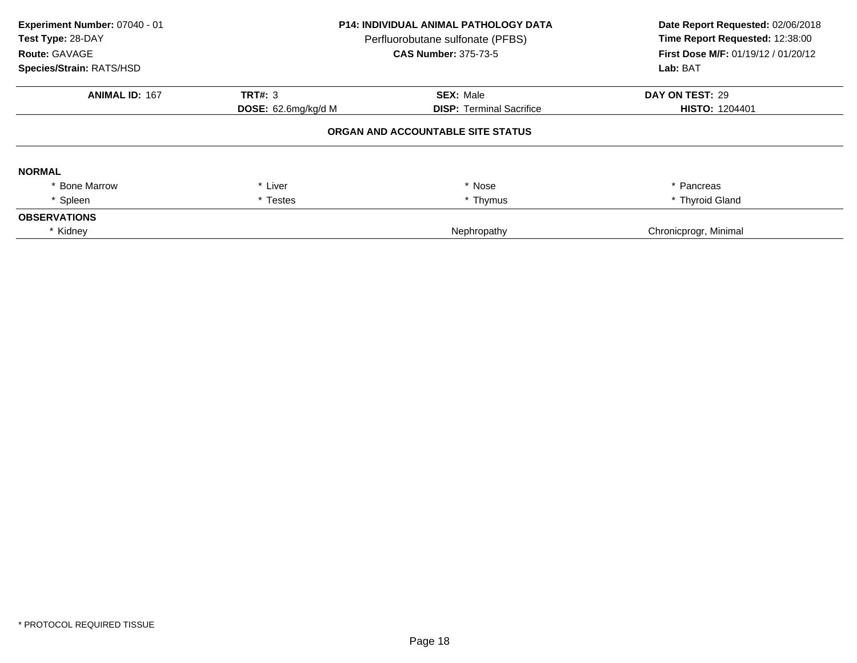| Experiment Number: 07040 - 01<br>Test Type: 28-DAY<br>Route: GAVAGE<br>Species/Strain: RATS/HSD | <b>P14: INDIVIDUAL ANIMAL PATHOLOGY DATA</b><br>Perfluorobutane sulfonate (PFBS)<br><b>CAS Number: 375-73-5</b> |                                   | Date Report Requested: 02/06/2018<br>Time Report Requested: 12:38:00<br>First Dose M/F: 01/19/12 / 01/20/12<br>Lab: BAT |
|-------------------------------------------------------------------------------------------------|-----------------------------------------------------------------------------------------------------------------|-----------------------------------|-------------------------------------------------------------------------------------------------------------------------|
| <b>ANIMAL ID: 167</b>                                                                           | TRT#: 3                                                                                                         | <b>SEX: Male</b>                  | DAY ON TEST: 29                                                                                                         |
|                                                                                                 | <b>DOSE:</b> $62.6$ mg/kg/d M                                                                                   | <b>DISP:</b> Terminal Sacrifice   | <b>HISTO: 1204401</b>                                                                                                   |
|                                                                                                 |                                                                                                                 | ORGAN AND ACCOUNTABLE SITE STATUS |                                                                                                                         |
| <b>NORMAL</b>                                                                                   |                                                                                                                 |                                   |                                                                                                                         |
| <b>Bone Marrow</b>                                                                              | * Liver                                                                                                         | * Nose                            | * Pancreas                                                                                                              |
| Spleen                                                                                          | * Testes                                                                                                        | * Thymus                          | * Thyroid Gland                                                                                                         |
| <b>OBSERVATIONS</b>                                                                             |                                                                                                                 |                                   |                                                                                                                         |
| * Kidney                                                                                        |                                                                                                                 | Nephropathy                       | Chronicprogr, Minimal                                                                                                   |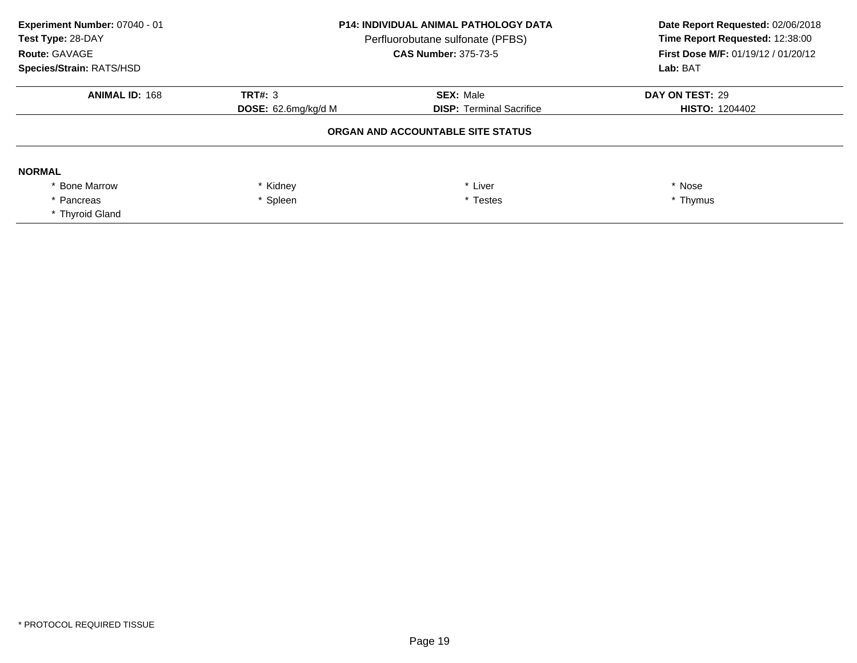| Experiment Number: 07040 - 01<br>Test Type: 28-DAY<br>Route: GAVAGE<br>Species/Strain: RATS/HSD | <b>P14: INDIVIDUAL ANIMAL PATHOLOGY DATA</b><br>Perfluorobutane sulfonate (PFBS)<br><b>CAS Number: 375-73-5</b> |                                   | Date Report Requested: 02/06/2018<br>Time Report Requested: 12:38:00<br>First Dose M/F: 01/19/12 / 01/20/12<br>Lab: BAT |
|-------------------------------------------------------------------------------------------------|-----------------------------------------------------------------------------------------------------------------|-----------------------------------|-------------------------------------------------------------------------------------------------------------------------|
| <b>ANIMAL ID: 168</b>                                                                           | <b>TRT#: 3</b>                                                                                                  | <b>SEX: Male</b>                  | DAY ON TEST: 29                                                                                                         |
|                                                                                                 | <b>DOSE:</b> $62.6$ mg/kg/d M                                                                                   | <b>DISP: Terminal Sacrifice</b>   | <b>HISTO: 1204402</b>                                                                                                   |
|                                                                                                 |                                                                                                                 | ORGAN AND ACCOUNTABLE SITE STATUS |                                                                                                                         |
| <b>NORMAL</b>                                                                                   |                                                                                                                 |                                   |                                                                                                                         |
| <b>Bone Marrow</b>                                                                              | * Kidney                                                                                                        | * Liver                           | * Nose                                                                                                                  |
| * Pancreas                                                                                      | * Spleen                                                                                                        | * Testes                          | * Thymus                                                                                                                |
| * Thyroid Gland                                                                                 |                                                                                                                 |                                   |                                                                                                                         |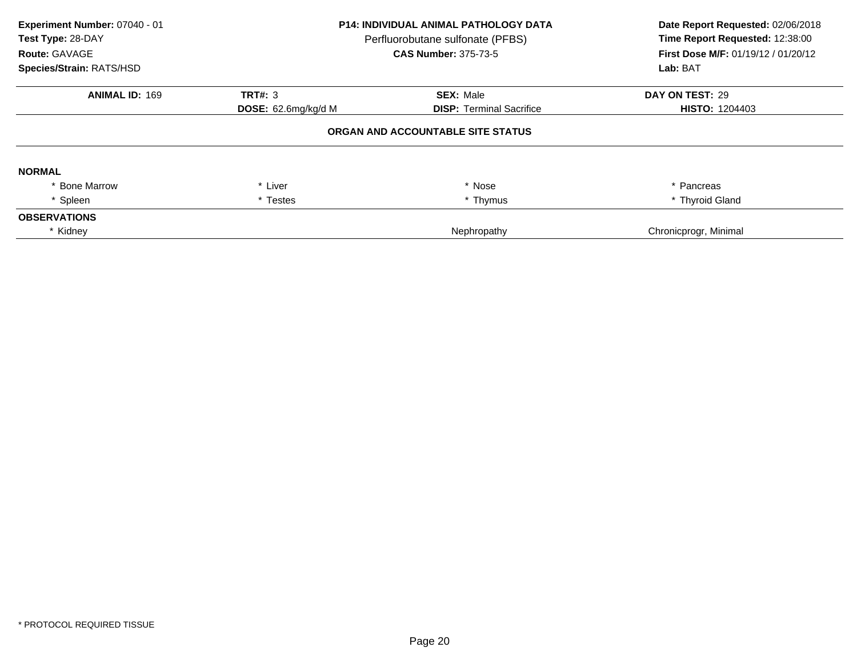| Experiment Number: 07040 - 01<br>Test Type: 28-DAY<br><b>Route: GAVAGE</b><br>Species/Strain: RATS/HSD | <b>P14: INDIVIDUAL ANIMAL PATHOLOGY DATA</b><br>Perfluorobutane sulfonate (PFBS)<br><b>CAS Number: 375-73-5</b> |                                   | Date Report Requested: 02/06/2018<br>Time Report Requested: 12:38:00<br>First Dose M/F: 01/19/12 / 01/20/12<br>Lab: BAT |
|--------------------------------------------------------------------------------------------------------|-----------------------------------------------------------------------------------------------------------------|-----------------------------------|-------------------------------------------------------------------------------------------------------------------------|
| <b>ANIMAL ID: 169</b>                                                                                  | TRT#: 3                                                                                                         | <b>SEX: Male</b>                  | DAY ON TEST: 29                                                                                                         |
|                                                                                                        | <b>DOSE:</b> $62.6$ mg/kg/d M                                                                                   | <b>DISP:</b> Terminal Sacrifice   | <b>HISTO: 1204403</b>                                                                                                   |
|                                                                                                        |                                                                                                                 | ORGAN AND ACCOUNTABLE SITE STATUS |                                                                                                                         |
| <b>NORMAL</b>                                                                                          |                                                                                                                 |                                   |                                                                                                                         |
| * Bone Marrow                                                                                          | * Liver                                                                                                         | * Nose                            | * Pancreas                                                                                                              |
| * Spleen                                                                                               | * Testes                                                                                                        | * Thymus                          | * Thyroid Gland                                                                                                         |
| <b>OBSERVATIONS</b>                                                                                    |                                                                                                                 |                                   |                                                                                                                         |
| * Kidney                                                                                               |                                                                                                                 | Nephropathy                       | Chronicprogr, Minimal                                                                                                   |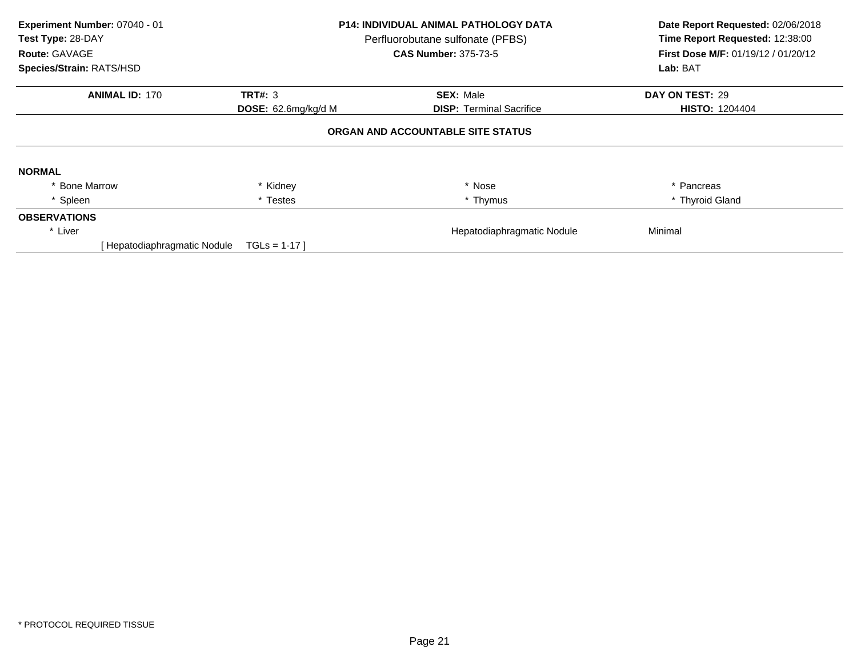| Experiment Number: 07040 - 01 |                     | <b>P14: INDIVIDUAL ANIMAL PATHOLOGY DATA</b> | Date Report Requested: 02/06/2018   |
|-------------------------------|---------------------|----------------------------------------------|-------------------------------------|
| Test Type: 28-DAY             |                     | Perfluorobutane sulfonate (PFBS)             | Time Report Requested: 12:38:00     |
| Route: GAVAGE                 |                     | <b>CAS Number: 375-73-5</b>                  | First Dose M/F: 01/19/12 / 01/20/12 |
| Species/Strain: RATS/HSD      |                     |                                              | Lab: BAT                            |
| <b>ANIMAL ID: 170</b>         | <b>TRT#: 3</b>      | <b>SEX: Male</b>                             | DAY ON TEST: 29                     |
|                               | DOSE: 62.6mg/kg/d M | <b>DISP:</b> Terminal Sacrifice              | <b>HISTO: 1204404</b>               |
|                               |                     | ORGAN AND ACCOUNTABLE SITE STATUS            |                                     |
| <b>NORMAL</b>                 |                     |                                              |                                     |
| <b>Bone Marrow</b>            | Kidney              | * Nose                                       | * Pancreas                          |
| * Spleen                      | * Testes            | * Thymus                                     | * Thyroid Gland                     |
| <b>OBSERVATIONS</b>           |                     |                                              |                                     |
| * Liver                       |                     | Hepatodiaphragmatic Nodule                   | Minimal                             |
| Hepatodiaphragmatic Nodule    | $TGLs = 1-17$       |                                              |                                     |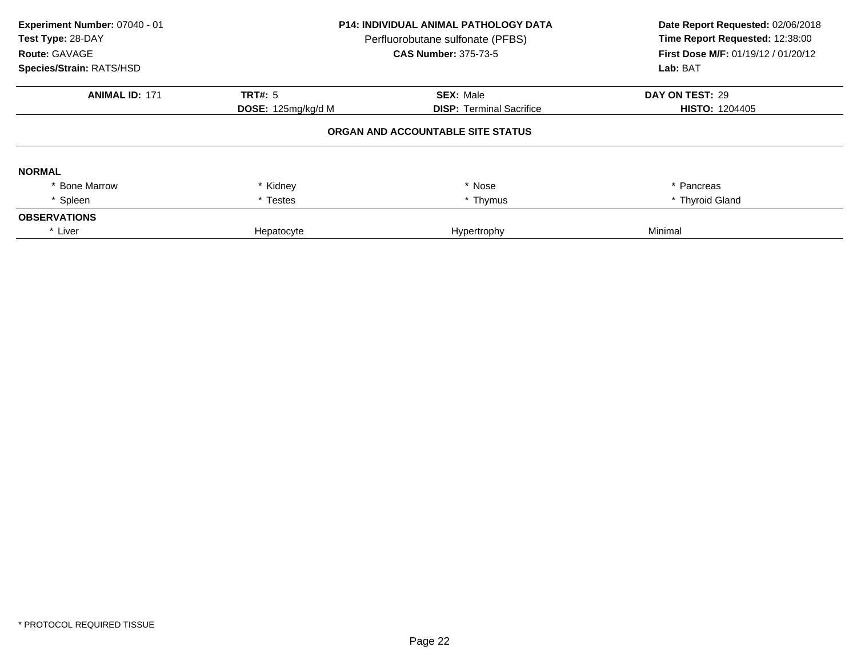| Experiment Number: 07040 - 01<br>Test Type: 28-DAY<br><b>Route: GAVAGE</b><br>Species/Strain: RATS/HSD | <b>P14: INDIVIDUAL ANIMAL PATHOLOGY DATA</b><br>Perfluorobutane sulfonate (PFBS)<br><b>CAS Number: 375-73-5</b> |                                   | Date Report Requested: 02/06/2018<br>Time Report Requested: 12:38:00<br>First Dose M/F: 01/19/12 / 01/20/12<br>Lab: BAT |
|--------------------------------------------------------------------------------------------------------|-----------------------------------------------------------------------------------------------------------------|-----------------------------------|-------------------------------------------------------------------------------------------------------------------------|
| <b>ANIMAL ID: 171</b>                                                                                  | TRT#: 5                                                                                                         | <b>SEX: Male</b>                  | DAY ON TEST: 29                                                                                                         |
|                                                                                                        | DOSE: 125mg/kg/d M                                                                                              | <b>DISP:</b> Terminal Sacrifice   | <b>HISTO: 1204405</b>                                                                                                   |
|                                                                                                        |                                                                                                                 | ORGAN AND ACCOUNTABLE SITE STATUS |                                                                                                                         |
| <b>NORMAL</b>                                                                                          |                                                                                                                 |                                   |                                                                                                                         |
| <b>Bone Marrow</b>                                                                                     | * Kidney                                                                                                        | * Nose                            | * Pancreas                                                                                                              |
| * Spleen                                                                                               | * Testes                                                                                                        | * Thymus                          | * Thyroid Gland                                                                                                         |
| <b>OBSERVATIONS</b>                                                                                    |                                                                                                                 |                                   |                                                                                                                         |
| * Liver                                                                                                | Hepatocyte                                                                                                      | Hypertrophy                       | Minimal                                                                                                                 |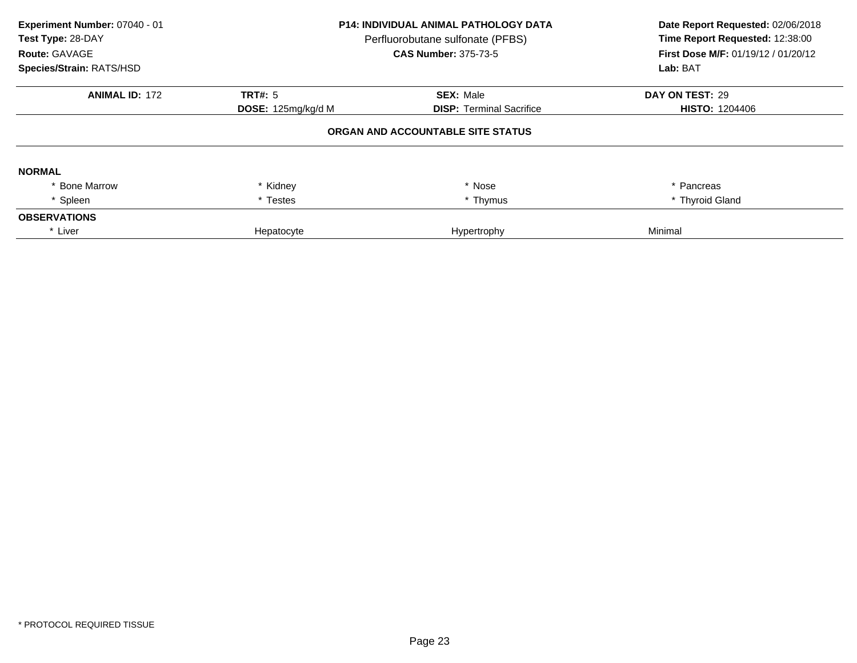| Experiment Number: 07040 - 01<br>Test Type: 28-DAY<br>Route: GAVAGE<br>Species/Strain: RATS/HSD | <b>P14: INDIVIDUAL ANIMAL PATHOLOGY DATA</b><br>Perfluorobutane sulfonate (PFBS)<br><b>CAS Number: 375-73-5</b> |                                   | Date Report Requested: 02/06/2018<br>Time Report Requested: 12:38:00<br>First Dose M/F: 01/19/12 / 01/20/12<br>Lab: BAT |
|-------------------------------------------------------------------------------------------------|-----------------------------------------------------------------------------------------------------------------|-----------------------------------|-------------------------------------------------------------------------------------------------------------------------|
| <b>ANIMAL ID: 172</b>                                                                           | TRT#: $5$                                                                                                       | <b>SEX: Male</b>                  | DAY ON TEST: 29                                                                                                         |
|                                                                                                 | DOSE: 125mg/kg/d M                                                                                              | <b>DISP:</b> Terminal Sacrifice   | <b>HISTO: 1204406</b>                                                                                                   |
|                                                                                                 |                                                                                                                 | ORGAN AND ACCOUNTABLE SITE STATUS |                                                                                                                         |
| <b>NORMAL</b>                                                                                   |                                                                                                                 |                                   |                                                                                                                         |
| <b>Bone Marrow</b>                                                                              | * Kidney                                                                                                        | * Nose                            | * Pancreas                                                                                                              |
| * Spleen                                                                                        | * Testes                                                                                                        | * Thymus                          | * Thyroid Gland                                                                                                         |
| <b>OBSERVATIONS</b>                                                                             |                                                                                                                 |                                   |                                                                                                                         |
| * Liver                                                                                         | Hepatocyte                                                                                                      | Hypertrophy                       | Minimal                                                                                                                 |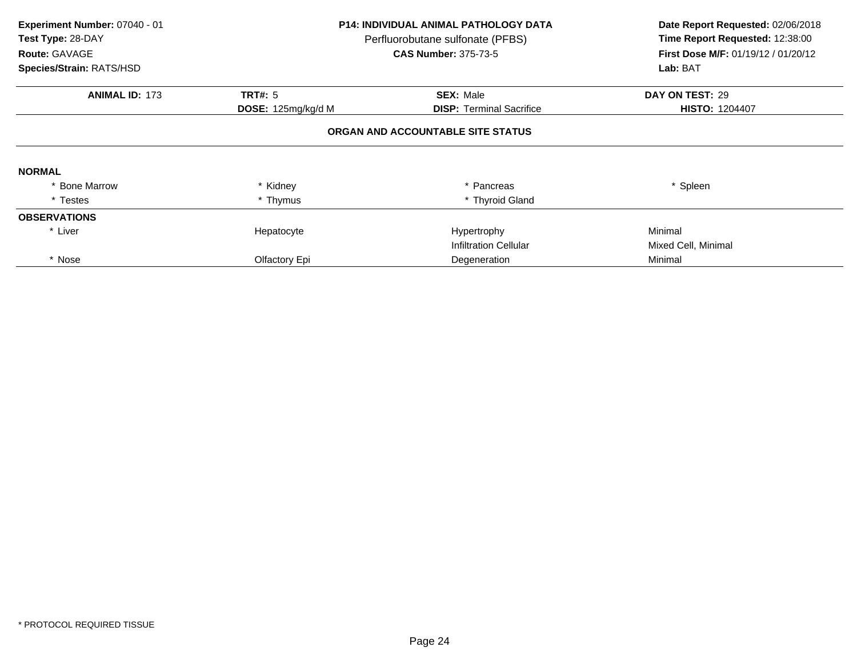| Experiment Number: 07040 - 01<br>Test Type: 28-DAY<br>Route: GAVAGE<br>Species/Strain: RATS/HSD | <b>P14: INDIVIDUAL ANIMAL PATHOLOGY DATA</b><br>Perfluorobutane sulfonate (PFBS)<br><b>CAS Number: 375-73-5</b> |                                   | Date Report Requested: 02/06/2018<br>Time Report Requested: 12:38:00<br>First Dose M/F: 01/19/12 / 01/20/12<br>Lab: BAT |
|-------------------------------------------------------------------------------------------------|-----------------------------------------------------------------------------------------------------------------|-----------------------------------|-------------------------------------------------------------------------------------------------------------------------|
| <b>ANIMAL ID: 173</b>                                                                           | <b>TRT#: 5</b>                                                                                                  | <b>SEX: Male</b>                  | DAY ON TEST: 29                                                                                                         |
|                                                                                                 | DOSE: 125mg/kg/d M                                                                                              | <b>DISP: Terminal Sacrifice</b>   | <b>HISTO: 1204407</b>                                                                                                   |
|                                                                                                 |                                                                                                                 | ORGAN AND ACCOUNTABLE SITE STATUS |                                                                                                                         |
| <b>NORMAL</b>                                                                                   |                                                                                                                 |                                   |                                                                                                                         |
| <b>Bone Marrow</b>                                                                              | Kidney                                                                                                          | Pancreas                          | * Spleen                                                                                                                |
| * Testes                                                                                        | * Thymus                                                                                                        | * Thyroid Gland                   |                                                                                                                         |
| <b>OBSERVATIONS</b>                                                                             |                                                                                                                 |                                   |                                                                                                                         |
| * Liver                                                                                         | Hepatocyte                                                                                                      | Hypertrophy                       | Minimal                                                                                                                 |
|                                                                                                 |                                                                                                                 | <b>Infiltration Cellular</b>      | Mixed Cell, Minimal                                                                                                     |
| * Nose                                                                                          | Olfactory Epi                                                                                                   | Degeneration                      | Minimal                                                                                                                 |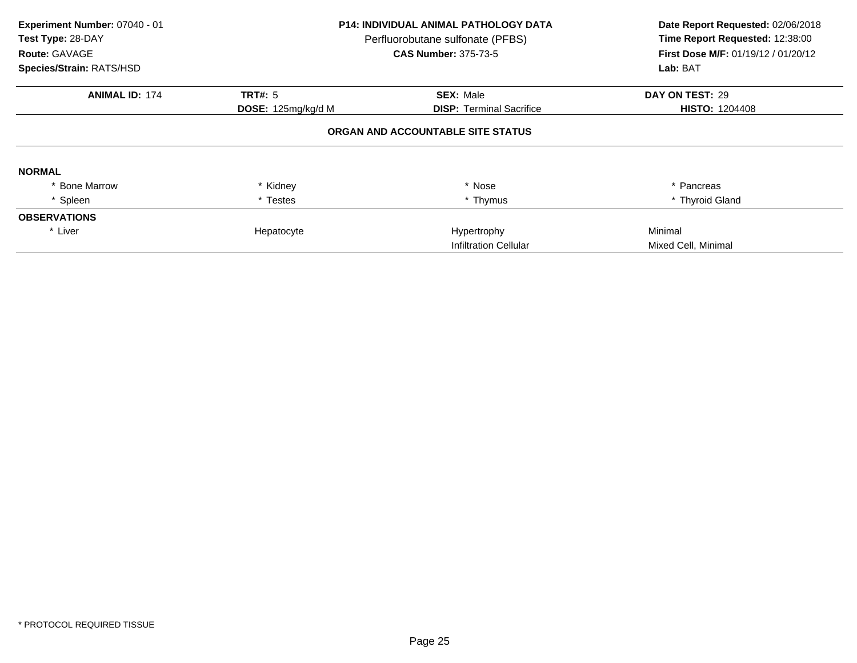| Experiment Number: 07040 - 01<br>Test Type: 28-DAY<br>Route: GAVAGE<br>Species/Strain: RATS/HSD | <b>P14: INDIVIDUAL ANIMAL PATHOLOGY DATA</b><br>Perfluorobutane sulfonate (PFBS)<br><b>CAS Number: 375-73-5</b> |                                   | Date Report Requested: 02/06/2018<br>Time Report Requested: 12:38:00<br><b>First Dose M/F: 01/19/12 / 01/20/12</b><br>Lab: BAT |
|-------------------------------------------------------------------------------------------------|-----------------------------------------------------------------------------------------------------------------|-----------------------------------|--------------------------------------------------------------------------------------------------------------------------------|
| <b>ANIMAL ID: 174</b>                                                                           | <b>TRT#: 5</b>                                                                                                  | <b>SEX: Male</b>                  | DAY ON TEST: 29                                                                                                                |
|                                                                                                 | DOSE: 125mg/kg/d M                                                                                              | <b>DISP:</b> Terminal Sacrifice   | <b>HISTO: 1204408</b>                                                                                                          |
|                                                                                                 |                                                                                                                 | ORGAN AND ACCOUNTABLE SITE STATUS |                                                                                                                                |
| <b>NORMAL</b>                                                                                   |                                                                                                                 |                                   |                                                                                                                                |
| <b>Bone Marrow</b>                                                                              | * Kidney                                                                                                        | * Nose                            | * Pancreas                                                                                                                     |
| * Spleen                                                                                        | * Testes                                                                                                        | * Thymus                          | * Thyroid Gland                                                                                                                |
| <b>OBSERVATIONS</b>                                                                             |                                                                                                                 |                                   |                                                                                                                                |
| * Liver                                                                                         | Hepatocyte                                                                                                      | Hypertrophy                       | Minimal                                                                                                                        |
|                                                                                                 |                                                                                                                 | <b>Infiltration Cellular</b>      | Mixed Cell, Minimal                                                                                                            |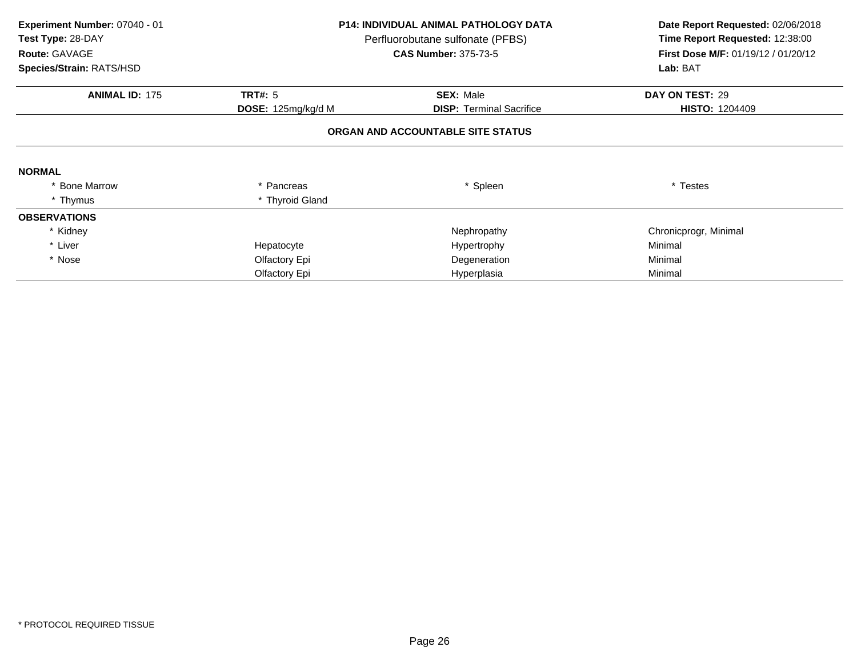| Experiment Number: 07040 - 01<br>Test Type: 28-DAY<br>Route: GAVAGE<br>Species/Strain: RATS/HSD |                    | <b>P14: INDIVIDUAL ANIMAL PATHOLOGY DATA</b><br>Perfluorobutane sulfonate (PFBS)<br><b>CAS Number: 375-73-5</b> | Date Report Requested: 02/06/2018<br>Time Report Requested: 12:38:00<br><b>First Dose M/F: 01/19/12 / 01/20/12</b><br>Lab: BAT |
|-------------------------------------------------------------------------------------------------|--------------------|-----------------------------------------------------------------------------------------------------------------|--------------------------------------------------------------------------------------------------------------------------------|
| <b>ANIMAL ID: 175</b>                                                                           | <b>TRT#: 5</b>     | <b>SEX: Male</b>                                                                                                | DAY ON TEST: 29                                                                                                                |
|                                                                                                 | DOSE: 125mg/kg/d M | <b>DISP:</b> Terminal Sacrifice                                                                                 | <b>HISTO: 1204409</b>                                                                                                          |
|                                                                                                 |                    | ORGAN AND ACCOUNTABLE SITE STATUS                                                                               |                                                                                                                                |
| <b>NORMAL</b>                                                                                   |                    |                                                                                                                 |                                                                                                                                |
| <b>Bone Marrow</b>                                                                              | * Pancreas         | * Spleen                                                                                                        | * Testes                                                                                                                       |
| * Thymus                                                                                        | * Thyroid Gland    |                                                                                                                 |                                                                                                                                |
| <b>OBSERVATIONS</b>                                                                             |                    |                                                                                                                 |                                                                                                                                |
| * Kidney                                                                                        |                    | Nephropathy                                                                                                     | Chronicprogr, Minimal                                                                                                          |
| * Liver                                                                                         | Hepatocyte         | Hypertrophy                                                                                                     | Minimal                                                                                                                        |
| * Nose                                                                                          | Olfactory Epi      | Degeneration                                                                                                    | Minimal                                                                                                                        |
|                                                                                                 | Olfactory Epi      | Hyperplasia                                                                                                     | Minimal                                                                                                                        |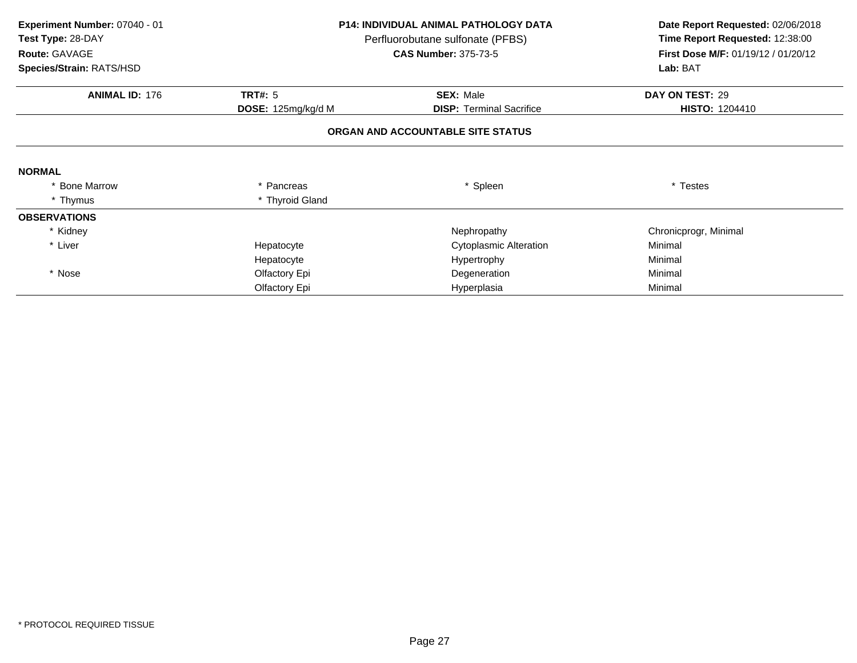| Experiment Number: 07040 - 01<br>Test Type: 28-DAY<br>Route: GAVAGE<br>Species/Strain: RATS/HSD |                    | <b>P14: INDIVIDUAL ANIMAL PATHOLOGY DATA</b><br>Perfluorobutane sulfonate (PFBS)<br><b>CAS Number: 375-73-5</b> | Date Report Requested: 02/06/2018<br>Time Report Requested: 12:38:00<br>First Dose M/F: 01/19/12 / 01/20/12<br>Lab: BAT |
|-------------------------------------------------------------------------------------------------|--------------------|-----------------------------------------------------------------------------------------------------------------|-------------------------------------------------------------------------------------------------------------------------|
| <b>ANIMAL ID: 176</b>                                                                           | <b>TRT#: 5</b>     | <b>SEX: Male</b>                                                                                                | DAY ON TEST: 29                                                                                                         |
|                                                                                                 | DOSE: 125mg/kg/d M | <b>DISP: Terminal Sacrifice</b>                                                                                 | <b>HISTO: 1204410</b>                                                                                                   |
|                                                                                                 |                    | ORGAN AND ACCOUNTABLE SITE STATUS                                                                               |                                                                                                                         |
| <b>NORMAL</b>                                                                                   |                    |                                                                                                                 |                                                                                                                         |
| * Bone Marrow                                                                                   | Pancreas           | * Spleen                                                                                                        | * Testes                                                                                                                |
| * Thymus                                                                                        | * Thyroid Gland    |                                                                                                                 |                                                                                                                         |
| <b>OBSERVATIONS</b>                                                                             |                    |                                                                                                                 |                                                                                                                         |
| * Kidney                                                                                        |                    | Nephropathy                                                                                                     | Chronicprogr, Minimal                                                                                                   |
| * Liver                                                                                         | Hepatocyte         | <b>Cytoplasmic Alteration</b>                                                                                   | Minimal                                                                                                                 |
|                                                                                                 | Hepatocyte         | Hypertrophy                                                                                                     | Minimal                                                                                                                 |
| * Nose                                                                                          | Olfactory Epi      | Degeneration                                                                                                    | Minimal                                                                                                                 |
|                                                                                                 | Olfactory Epi      | Hyperplasia                                                                                                     | Minimal                                                                                                                 |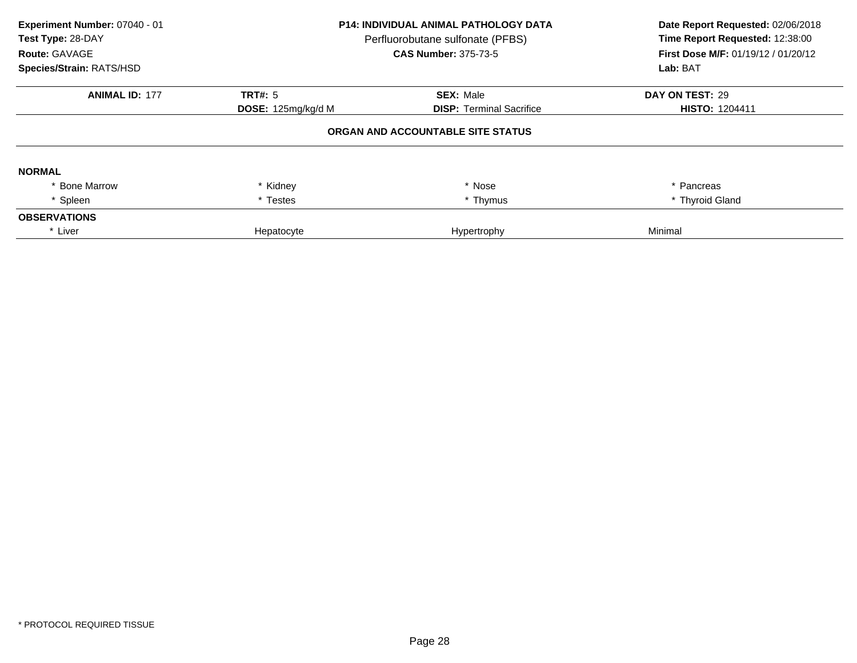| Experiment Number: 07040 - 01<br>Test Type: 28-DAY<br>Route: GAVAGE<br>Species/Strain: RATS/HSD | <b>P14: INDIVIDUAL ANIMAL PATHOLOGY DATA</b><br>Perfluorobutane sulfonate (PFBS)<br><b>CAS Number: 375-73-5</b> |                                   | Date Report Requested: 02/06/2018<br>Time Report Requested: 12:38:00<br>First Dose M/F: 01/19/12 / 01/20/12<br>Lab: BAT |
|-------------------------------------------------------------------------------------------------|-----------------------------------------------------------------------------------------------------------------|-----------------------------------|-------------------------------------------------------------------------------------------------------------------------|
| <b>ANIMAL ID: 177</b>                                                                           | TRT#: $5$                                                                                                       | <b>SEX: Male</b>                  | DAY ON TEST: 29                                                                                                         |
|                                                                                                 | DOSE: 125mg/kg/d M                                                                                              | <b>DISP:</b> Terminal Sacrifice   | <b>HISTO: 1204411</b>                                                                                                   |
|                                                                                                 |                                                                                                                 | ORGAN AND ACCOUNTABLE SITE STATUS |                                                                                                                         |
| <b>NORMAL</b>                                                                                   |                                                                                                                 |                                   |                                                                                                                         |
| <b>Bone Marrow</b>                                                                              | * Kidney                                                                                                        | * Nose                            | * Pancreas                                                                                                              |
| * Spleen                                                                                        | * Testes                                                                                                        | * Thymus                          | * Thyroid Gland                                                                                                         |
| <b>OBSERVATIONS</b>                                                                             |                                                                                                                 |                                   |                                                                                                                         |
| * Liver                                                                                         | Hepatocyte                                                                                                      | Hypertrophy                       | Minimal                                                                                                                 |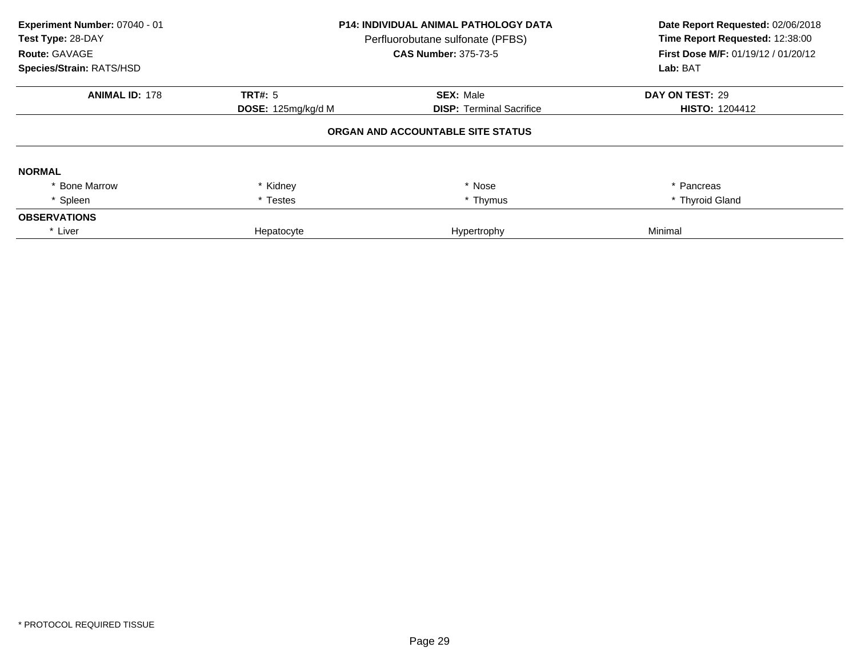| Experiment Number: 07040 - 01<br>Test Type: 28-DAY<br><b>Route: GAVAGE</b><br>Species/Strain: RATS/HSD | <b>P14: INDIVIDUAL ANIMAL PATHOLOGY DATA</b><br>Perfluorobutane sulfonate (PFBS)<br><b>CAS Number: 375-73-5</b> |                                   | Date Report Requested: 02/06/2018<br>Time Report Requested: 12:38:00<br>First Dose M/F: 01/19/12 / 01/20/12<br>Lab: BAT |
|--------------------------------------------------------------------------------------------------------|-----------------------------------------------------------------------------------------------------------------|-----------------------------------|-------------------------------------------------------------------------------------------------------------------------|
| <b>ANIMAL ID: 178</b>                                                                                  | TRT#: 5                                                                                                         | <b>SEX: Male</b>                  | DAY ON TEST: 29                                                                                                         |
|                                                                                                        | DOSE: 125mg/kg/d M                                                                                              | <b>DISP:</b> Terminal Sacrifice   | <b>HISTO: 1204412</b>                                                                                                   |
|                                                                                                        |                                                                                                                 | ORGAN AND ACCOUNTABLE SITE STATUS |                                                                                                                         |
| <b>NORMAL</b>                                                                                          |                                                                                                                 |                                   |                                                                                                                         |
| <b>Bone Marrow</b>                                                                                     | * Kidney                                                                                                        | * Nose                            | * Pancreas                                                                                                              |
| * Spleen                                                                                               | * Testes                                                                                                        | * Thymus                          | * Thyroid Gland                                                                                                         |
| <b>OBSERVATIONS</b>                                                                                    |                                                                                                                 |                                   |                                                                                                                         |
| * Liver                                                                                                | Hepatocyte                                                                                                      | Hypertrophy                       | Minimal                                                                                                                 |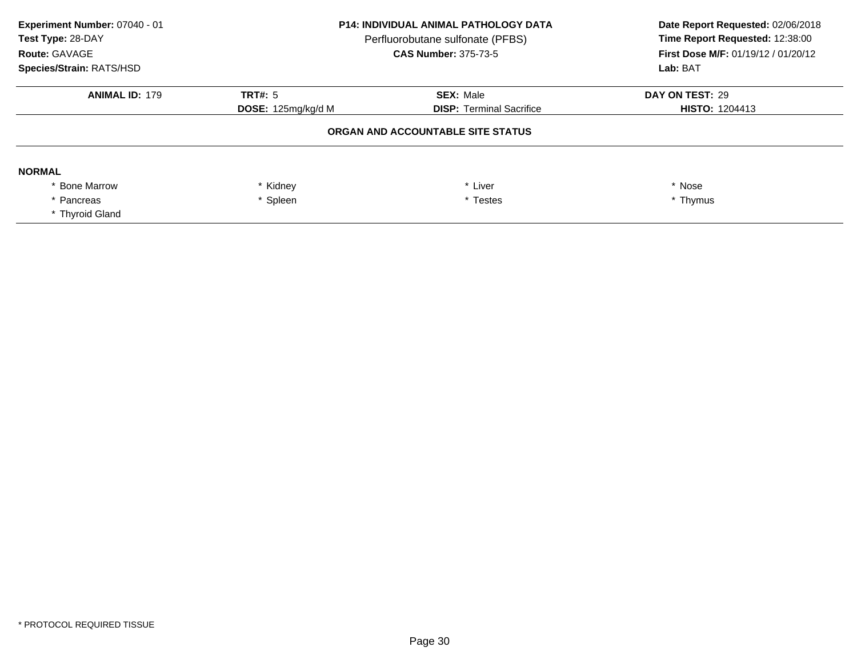| Experiment Number: 07040 - 01<br>Test Type: 28-DAY<br>Route: GAVAGE<br>Species/Strain: RATS/HSD | <b>P14: INDIVIDUAL ANIMAL PATHOLOGY DATA</b><br>Perfluorobutane sulfonate (PFBS)<br><b>CAS Number: 375-73-5</b> |                                   | Lab: BAT              |  | Date Report Requested: 02/06/2018<br>Time Report Requested: 12:38:00<br>First Dose M/F: 01/19/12 / 01/20/12 |
|-------------------------------------------------------------------------------------------------|-----------------------------------------------------------------------------------------------------------------|-----------------------------------|-----------------------|--|-------------------------------------------------------------------------------------------------------------|
| <b>ANIMAL ID: 179</b>                                                                           | TRT#: 5                                                                                                         | <b>SEX: Male</b>                  | DAY ON TEST: 29       |  |                                                                                                             |
|                                                                                                 | DOSE: 125mg/kg/d M                                                                                              | <b>DISP: Terminal Sacrifice</b>   | <b>HISTO: 1204413</b> |  |                                                                                                             |
|                                                                                                 |                                                                                                                 | ORGAN AND ACCOUNTABLE SITE STATUS |                       |  |                                                                                                             |
| <b>NORMAL</b>                                                                                   |                                                                                                                 |                                   |                       |  |                                                                                                             |
| * Bone Marrow                                                                                   | * Kidney<br>* Liver                                                                                             |                                   | * Nose                |  |                                                                                                             |
| * Pancreas                                                                                      | Spleen<br>* Testes                                                                                              |                                   | * Thymus              |  |                                                                                                             |
| * Thyroid Gland                                                                                 |                                                                                                                 |                                   |                       |  |                                                                                                             |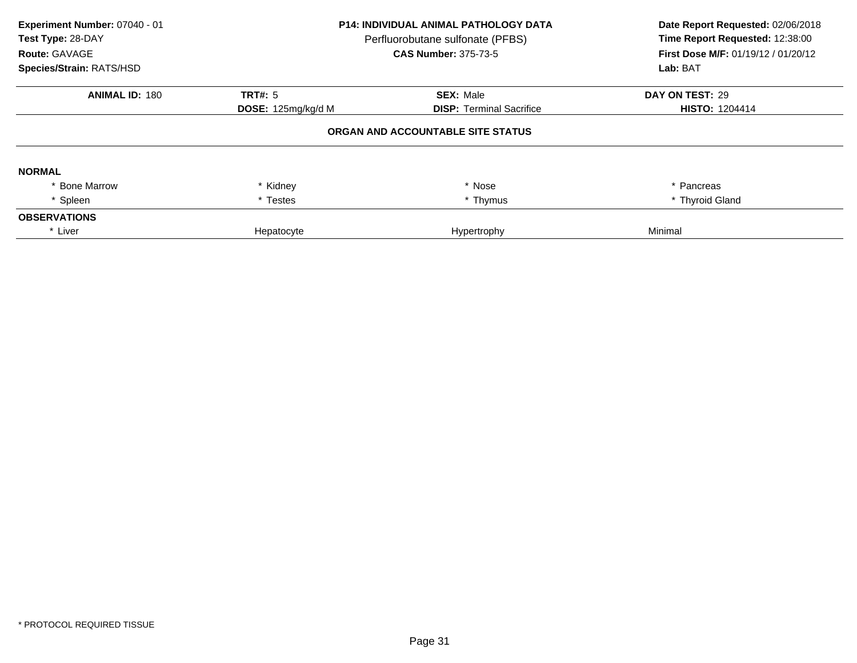| Experiment Number: 07040 - 01<br>Test Type: 28-DAY<br><b>Route: GAVAGE</b><br>Species/Strain: RATS/HSD | <b>P14: INDIVIDUAL ANIMAL PATHOLOGY DATA</b><br>Perfluorobutane sulfonate (PFBS)<br><b>CAS Number: 375-73-5</b> |                                   | Date Report Requested: 02/06/2018<br>Time Report Requested: 12:38:00<br>First Dose M/F: 01/19/12 / 01/20/12<br>Lab: BAT |
|--------------------------------------------------------------------------------------------------------|-----------------------------------------------------------------------------------------------------------------|-----------------------------------|-------------------------------------------------------------------------------------------------------------------------|
| <b>ANIMAL ID: 180</b>                                                                                  | TRT#: 5                                                                                                         | <b>SEX: Male</b>                  | DAY ON TEST: 29                                                                                                         |
|                                                                                                        | DOSE: 125mg/kg/d M<br><b>DISP:</b> Terminal Sacrifice                                                           |                                   | <b>HISTO: 1204414</b>                                                                                                   |
|                                                                                                        |                                                                                                                 | ORGAN AND ACCOUNTABLE SITE STATUS |                                                                                                                         |
| <b>NORMAL</b>                                                                                          |                                                                                                                 |                                   |                                                                                                                         |
| <b>Bone Marrow</b>                                                                                     | * Kidney                                                                                                        | * Nose                            | * Pancreas                                                                                                              |
| * Spleen                                                                                               | * Testes                                                                                                        | * Thymus                          | * Thyroid Gland                                                                                                         |
| <b>OBSERVATIONS</b>                                                                                    |                                                                                                                 |                                   |                                                                                                                         |
| * Liver                                                                                                | Hepatocyte                                                                                                      | Hypertrophy                       | Minimal                                                                                                                 |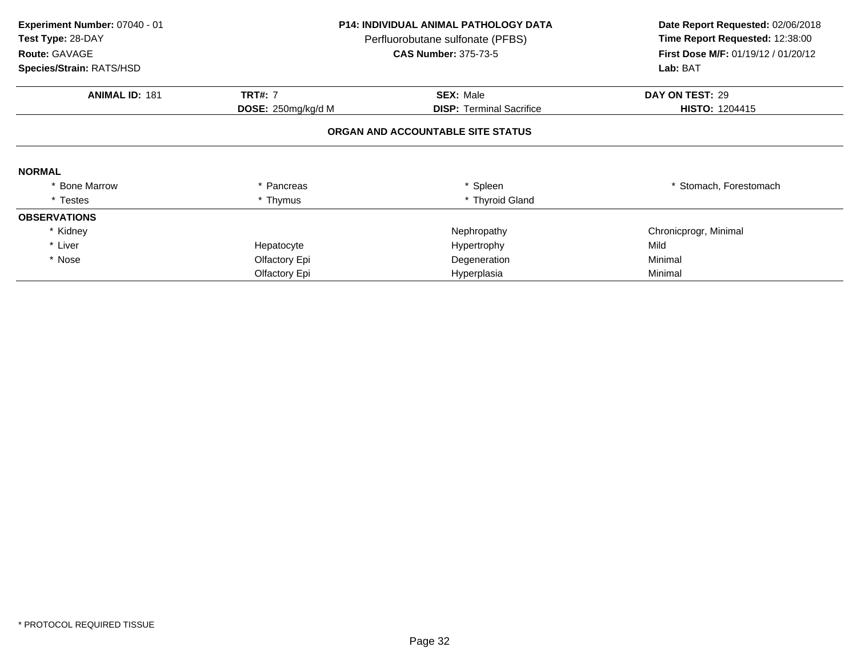| Experiment Number: 07040 - 01<br>Test Type: 28-DAY |                    | <b>P14: INDIVIDUAL ANIMAL PATHOLOGY DATA</b><br>Perfluorobutane sulfonate (PFBS) | Date Report Requested: 02/06/2018<br>Time Report Requested: 12:38:00<br><b>First Dose M/F: 01/19/12 / 01/20/12</b> |  |
|----------------------------------------------------|--------------------|----------------------------------------------------------------------------------|--------------------------------------------------------------------------------------------------------------------|--|
| Route: GAVAGE                                      |                    | <b>CAS Number: 375-73-5</b>                                                      |                                                                                                                    |  |
| Species/Strain: RATS/HSD                           |                    |                                                                                  | Lab: BAT                                                                                                           |  |
| <b>ANIMAL ID: 181</b>                              | <b>TRT#: 7</b>     | <b>SEX: Male</b>                                                                 | DAY ON TEST: 29                                                                                                    |  |
|                                                    | DOSE: 250mg/kg/d M | <b>DISP:</b> Terminal Sacrifice                                                  | <b>HISTO: 1204415</b>                                                                                              |  |
|                                                    |                    | ORGAN AND ACCOUNTABLE SITE STATUS                                                |                                                                                                                    |  |
| <b>NORMAL</b>                                      |                    |                                                                                  |                                                                                                                    |  |
| * Bone Marrow                                      | Pancreas           | * Spleen                                                                         | * Stomach, Forestomach                                                                                             |  |
| * Testes                                           | * Thymus           | * Thyroid Gland                                                                  |                                                                                                                    |  |
| <b>OBSERVATIONS</b>                                |                    |                                                                                  |                                                                                                                    |  |
| * Kidney                                           |                    | Nephropathy                                                                      | Chronicprogr, Minimal                                                                                              |  |
| * Liver                                            | Hepatocyte         | Hypertrophy                                                                      | Mild                                                                                                               |  |
| * Nose                                             | Olfactory Epi      | Degeneration                                                                     | Minimal                                                                                                            |  |
|                                                    | Olfactory Epi      | Hyperplasia                                                                      | Minimal                                                                                                            |  |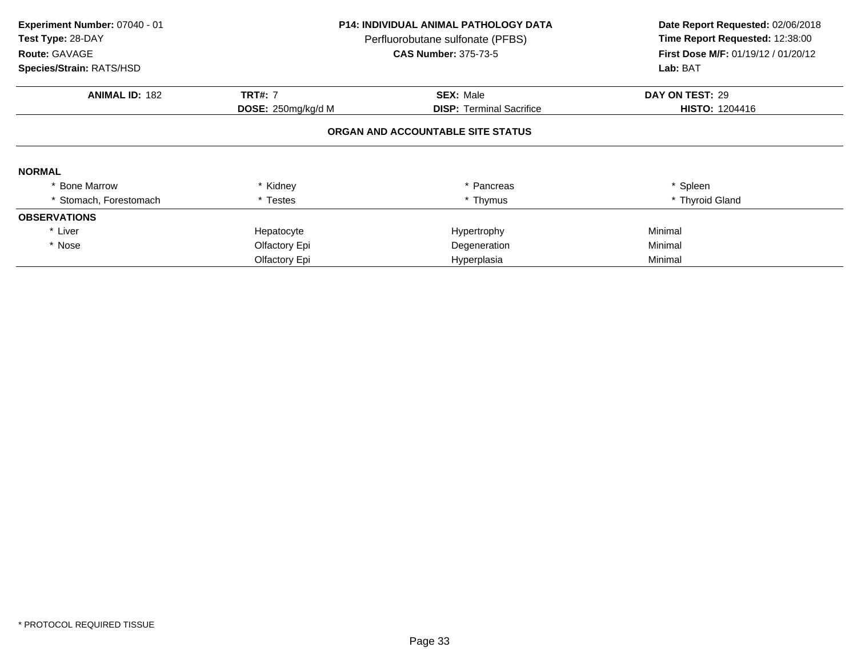| Experiment Number: 07040 - 01 |                    | <b>P14: INDIVIDUAL ANIMAL PATHOLOGY DATA</b> | Date Report Requested: 02/06/2018<br>Time Report Requested: 12:38:00 |  |
|-------------------------------|--------------------|----------------------------------------------|----------------------------------------------------------------------|--|
| Test Type: 28-DAY             |                    | Perfluorobutane sulfonate (PFBS)             |                                                                      |  |
| Route: GAVAGE                 |                    | <b>CAS Number: 375-73-5</b>                  | First Dose M/F: 01/19/12 / 01/20/12                                  |  |
| Species/Strain: RATS/HSD      |                    |                                              | Lab: BAT                                                             |  |
| <b>ANIMAL ID: 182</b>         | <b>TRT#: 7</b>     | <b>SEX: Male</b>                             | DAY ON TEST: 29                                                      |  |
|                               | DOSE: 250mg/kg/d M | <b>DISP: Terminal Sacrifice</b>              | <b>HISTO: 1204416</b>                                                |  |
|                               |                    | ORGAN AND ACCOUNTABLE SITE STATUS            |                                                                      |  |
| <b>NORMAL</b>                 |                    |                                              |                                                                      |  |
| * Bone Marrow                 | * Kidney           | * Pancreas                                   | * Spleen                                                             |  |
| * Stomach, Forestomach        | * Testes           | * Thymus                                     | * Thyroid Gland                                                      |  |
| <b>OBSERVATIONS</b>           |                    |                                              |                                                                      |  |
| * Liver                       | Hepatocyte         | Hypertrophy                                  | Minimal                                                              |  |
| * Nose                        | Olfactory Epi      | Degeneration                                 | Minimal                                                              |  |
|                               | Olfactory Epi      | Hyperplasia                                  | Minimal                                                              |  |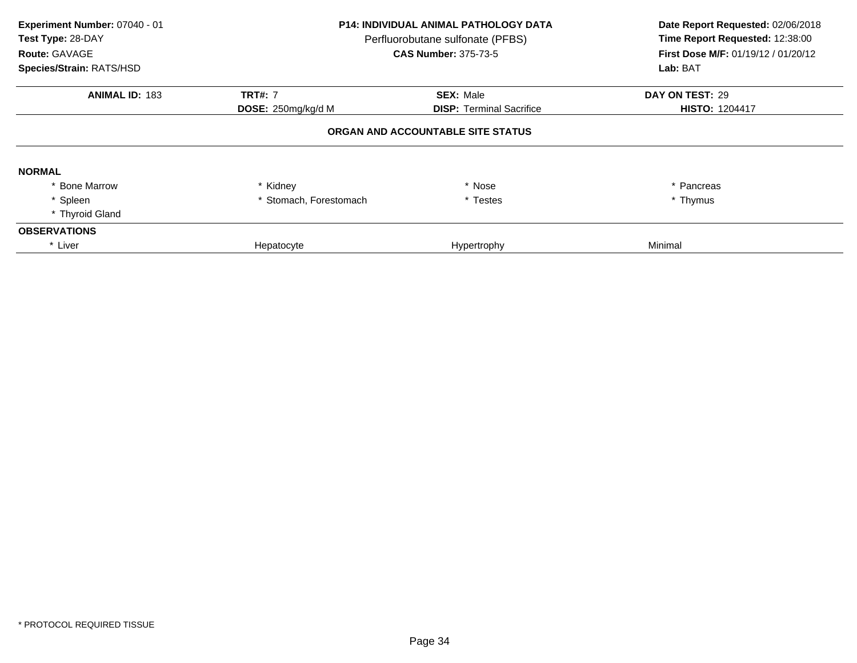| Experiment Number: 07040 - 01<br>Test Type: 28-DAY<br>Route: GAVAGE<br>Species/Strain: RATS/HSD | <b>P14: INDIVIDUAL ANIMAL PATHOLOGY DATA</b><br>Perfluorobutane sulfonate (PFBS)<br><b>CAS Number: 375-73-5</b> |                                   | Date Report Requested: 02/06/2018<br>Time Report Requested: 12:38:00<br>First Dose M/F: 01/19/12 / 01/20/12<br>Lab: BAT |
|-------------------------------------------------------------------------------------------------|-----------------------------------------------------------------------------------------------------------------|-----------------------------------|-------------------------------------------------------------------------------------------------------------------------|
| <b>ANIMAL ID: 183</b>                                                                           | <b>TRT#: 7</b>                                                                                                  | <b>SEX: Male</b>                  | DAY ON TEST: 29                                                                                                         |
|                                                                                                 | <b>DOSE:</b> 250mg/kg/d M                                                                                       | <b>DISP: Terminal Sacrifice</b>   | <b>HISTO: 1204417</b>                                                                                                   |
|                                                                                                 |                                                                                                                 | ORGAN AND ACCOUNTABLE SITE STATUS |                                                                                                                         |
| <b>NORMAL</b>                                                                                   |                                                                                                                 |                                   |                                                                                                                         |
| * Bone Marrow                                                                                   | * Kidney                                                                                                        | * Nose                            | * Pancreas                                                                                                              |
| * Spleen                                                                                        | * Stomach, Forestomach                                                                                          | * Testes                          | * Thymus                                                                                                                |
| * Thyroid Gland                                                                                 |                                                                                                                 |                                   |                                                                                                                         |
| <b>OBSERVATIONS</b>                                                                             |                                                                                                                 |                                   |                                                                                                                         |
| * Liver                                                                                         | Hepatocyte                                                                                                      | Hypertrophy                       | Minimal                                                                                                                 |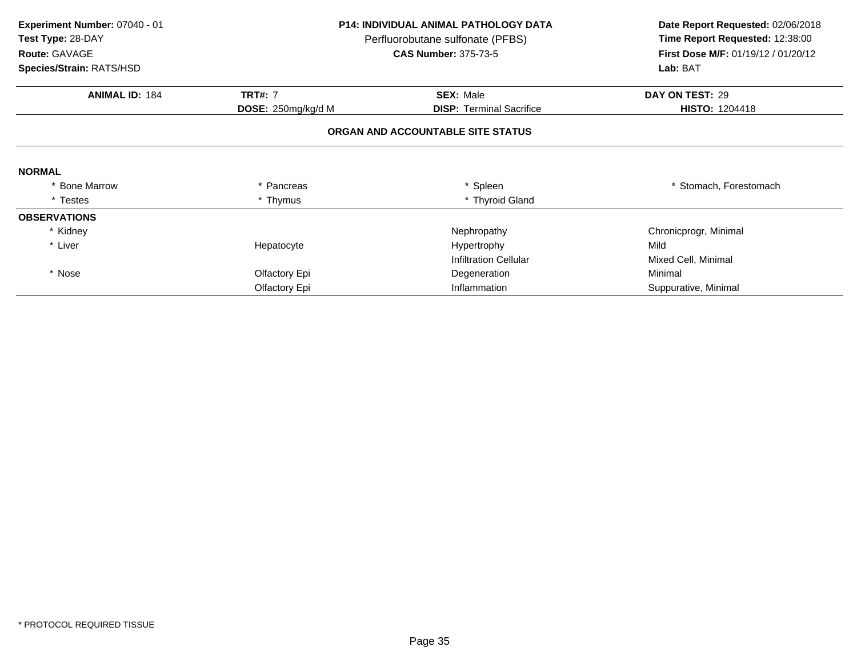| Experiment Number: 07040 - 01<br>Test Type: 28-DAY<br><b>Route: GAVAGE</b> |                    | <b>P14: INDIVIDUAL ANIMAL PATHOLOGY DATA</b><br>Perfluorobutane sulfonate (PFBS)<br><b>CAS Number: 375-73-5</b> | Date Report Requested: 02/06/2018<br>Time Report Requested: 12:38:00<br>First Dose M/F: 01/19/12 / 01/20/12<br>Lab: BAT |
|----------------------------------------------------------------------------|--------------------|-----------------------------------------------------------------------------------------------------------------|-------------------------------------------------------------------------------------------------------------------------|
| Species/Strain: RATS/HSD                                                   |                    |                                                                                                                 |                                                                                                                         |
| <b>ANIMAL ID: 184</b>                                                      | <b>TRT#: 7</b>     | <b>SEX: Male</b>                                                                                                | DAY ON TEST: 29                                                                                                         |
|                                                                            | DOSE: 250mg/kg/d M | <b>DISP:</b> Terminal Sacrifice                                                                                 | <b>HISTO: 1204418</b>                                                                                                   |
|                                                                            |                    | ORGAN AND ACCOUNTABLE SITE STATUS                                                                               |                                                                                                                         |
| <b>NORMAL</b>                                                              |                    |                                                                                                                 |                                                                                                                         |
| * Bone Marrow                                                              | * Pancreas         | * Spleen                                                                                                        | * Stomach, Forestomach                                                                                                  |
| * Testes                                                                   | * Thymus           | * Thyroid Gland                                                                                                 |                                                                                                                         |
| <b>OBSERVATIONS</b>                                                        |                    |                                                                                                                 |                                                                                                                         |
| * Kidney                                                                   |                    | Nephropathy                                                                                                     | Chronicprogr, Minimal                                                                                                   |
| * Liver                                                                    | Hepatocyte         | Hypertrophy                                                                                                     | Mild                                                                                                                    |
|                                                                            |                    | <b>Infiltration Cellular</b>                                                                                    | Mixed Cell, Minimal                                                                                                     |
| * Nose                                                                     | Olfactory Epi      | Degeneration                                                                                                    | Minimal                                                                                                                 |
|                                                                            | Olfactory Epi      | Inflammation                                                                                                    | Suppurative, Minimal                                                                                                    |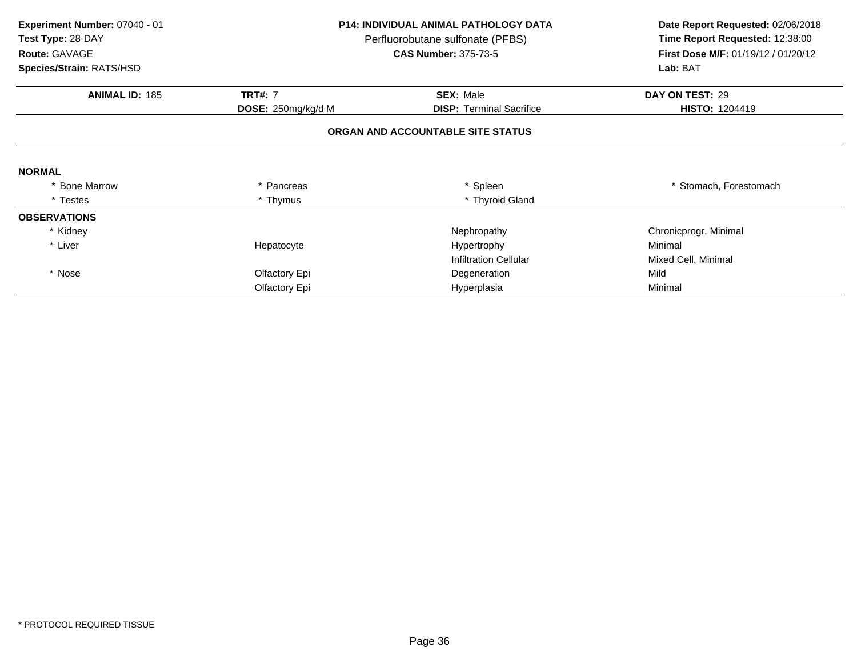| Experiment Number: 07040 - 01<br>Test Type: 28-DAY | <b>P14: INDIVIDUAL ANIMAL PATHOLOGY DATA</b><br>Perfluorobutane sulfonate (PFBS)<br><b>CAS Number: 375-73-5</b> |                                   | Date Report Requested: 02/06/2018<br>Time Report Requested: 12:38:00<br>First Dose M/F: 01/19/12 / 01/20/12<br>Lab: BAT |
|----------------------------------------------------|-----------------------------------------------------------------------------------------------------------------|-----------------------------------|-------------------------------------------------------------------------------------------------------------------------|
| Route: GAVAGE                                      |                                                                                                                 |                                   |                                                                                                                         |
| Species/Strain: RATS/HSD                           |                                                                                                                 |                                   |                                                                                                                         |
| <b>ANIMAL ID: 185</b>                              | <b>TRT#: 7</b>                                                                                                  | <b>SEX: Male</b>                  | DAY ON TEST: 29                                                                                                         |
|                                                    | DOSE: 250mg/kg/d M                                                                                              | <b>DISP:</b> Terminal Sacrifice   | <b>HISTO: 1204419</b>                                                                                                   |
|                                                    |                                                                                                                 | ORGAN AND ACCOUNTABLE SITE STATUS |                                                                                                                         |
| <b>NORMAL</b>                                      |                                                                                                                 |                                   |                                                                                                                         |
| * Bone Marrow                                      | * Pancreas                                                                                                      | * Spleen                          | Stomach, Forestomach                                                                                                    |
| * Testes                                           | * Thymus                                                                                                        | * Thyroid Gland                   |                                                                                                                         |
| <b>OBSERVATIONS</b>                                |                                                                                                                 |                                   |                                                                                                                         |
| * Kidney                                           |                                                                                                                 | Nephropathy                       | Chronicprogr, Minimal                                                                                                   |
| * Liver                                            | Hepatocyte                                                                                                      | Hypertrophy                       | Minimal                                                                                                                 |
|                                                    |                                                                                                                 | <b>Infiltration Cellular</b>      | Mixed Cell, Minimal                                                                                                     |
| * Nose                                             | Olfactory Epi                                                                                                   | Degeneration                      | Mild                                                                                                                    |
|                                                    | Olfactory Epi                                                                                                   | Hyperplasia                       | Minimal                                                                                                                 |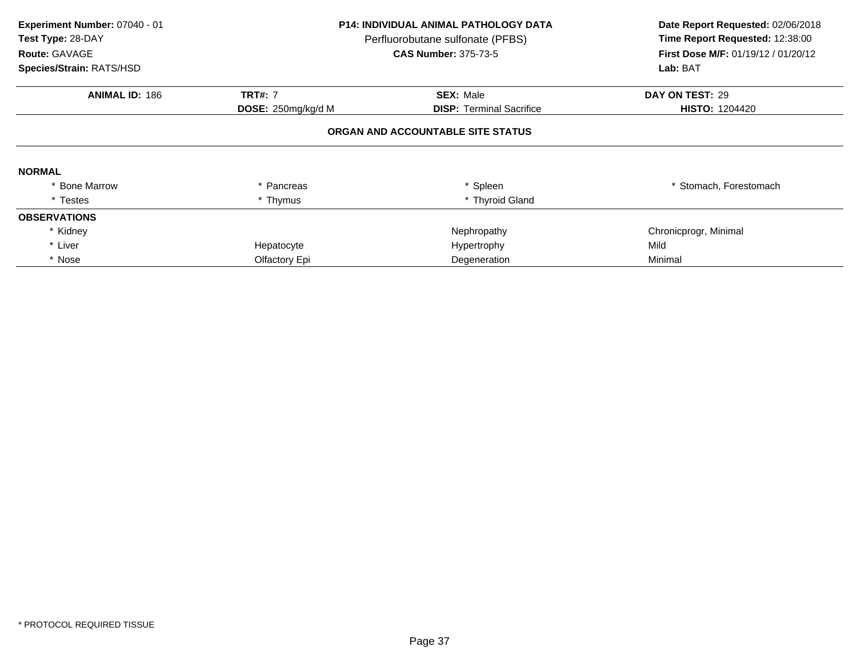| Experiment Number: 07040 - 01<br>Test Type: 28-DAY<br>Route: GAVAGE<br>Species/Strain: RATS/HSD | <b>P14: INDIVIDUAL ANIMAL PATHOLOGY DATA</b><br>Perfluorobutane sulfonate (PFBS)<br><b>CAS Number: 375-73-5</b> |                                   | Date Report Requested: 02/06/2018<br>Time Report Requested: 12:38:00<br>First Dose M/F: 01/19/12 / 01/20/12<br>Lab: BAT |
|-------------------------------------------------------------------------------------------------|-----------------------------------------------------------------------------------------------------------------|-----------------------------------|-------------------------------------------------------------------------------------------------------------------------|
| <b>ANIMAL ID: 186</b>                                                                           | <b>TRT#: 7</b><br><b>SEX: Male</b>                                                                              |                                   | DAY ON TEST: 29                                                                                                         |
|                                                                                                 | DOSE: 250mg/kg/d M                                                                                              | <b>DISP:</b> Terminal Sacrifice   | <b>HISTO: 1204420</b>                                                                                                   |
|                                                                                                 |                                                                                                                 | ORGAN AND ACCOUNTABLE SITE STATUS |                                                                                                                         |
| <b>NORMAL</b>                                                                                   |                                                                                                                 |                                   |                                                                                                                         |
| <b>Bone Marrow</b>                                                                              | Pancreas                                                                                                        | * Spleen                          | * Stomach, Forestomach                                                                                                  |
| * Testes                                                                                        | * Thymus                                                                                                        | * Thyroid Gland                   |                                                                                                                         |
| <b>OBSERVATIONS</b>                                                                             |                                                                                                                 |                                   |                                                                                                                         |
| * Kidney                                                                                        |                                                                                                                 | Nephropathy                       | Chronicprogr, Minimal                                                                                                   |
| * Liver                                                                                         | Hepatocyte                                                                                                      | Hypertrophy                       | Mild                                                                                                                    |
| * Nose                                                                                          | Olfactory Epi                                                                                                   | Degeneration                      | Minimal                                                                                                                 |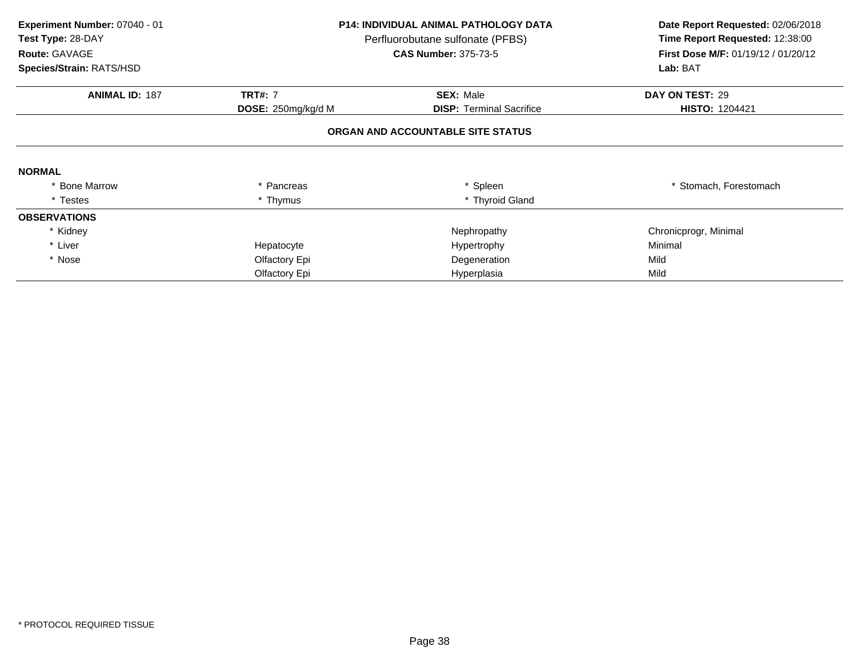| Experiment Number: 07040 - 01<br>Test Type: 28-DAY<br>Route: GAVAGE |                                      | <b>P14: INDIVIDUAL ANIMAL PATHOLOGY DATA</b><br>Perfluorobutane sulfonate (PFBS)<br><b>CAS Number: 375-73-5</b> | Date Report Requested: 02/06/2018<br>Time Report Requested: 12:38:00<br><b>First Dose M/F: 01/19/12 / 01/20/12</b> |
|---------------------------------------------------------------------|--------------------------------------|-----------------------------------------------------------------------------------------------------------------|--------------------------------------------------------------------------------------------------------------------|
| Species/Strain: RATS/HSD                                            |                                      |                                                                                                                 | Lab: BAT                                                                                                           |
| <b>ANIMAL ID: 187</b>                                               | <b>TRT#: 7</b><br>DOSE: 250mg/kg/d M | <b>SEX: Male</b><br><b>DISP:</b> Terminal Sacrifice                                                             | DAY ON TEST: 29<br><b>HISTO: 1204421</b>                                                                           |
|                                                                     |                                      | ORGAN AND ACCOUNTABLE SITE STATUS                                                                               |                                                                                                                    |
| <b>NORMAL</b>                                                       |                                      |                                                                                                                 |                                                                                                                    |
| * Bone Marrow                                                       | Pancreas                             | * Spleen                                                                                                        | * Stomach. Forestomach                                                                                             |
| * Testes                                                            | * Thymus                             | * Thyroid Gland                                                                                                 |                                                                                                                    |
| <b>OBSERVATIONS</b>                                                 |                                      |                                                                                                                 |                                                                                                                    |
| * Kidney                                                            |                                      | Nephropathy                                                                                                     | Chronicprogr, Minimal                                                                                              |
| * Liver                                                             | Hepatocyte                           | Hypertrophy                                                                                                     | Minimal                                                                                                            |
| * Nose                                                              | Olfactory Epi                        | Degeneration                                                                                                    | Mild                                                                                                               |
|                                                                     | Olfactory Epi                        | Hyperplasia                                                                                                     | Mild                                                                                                               |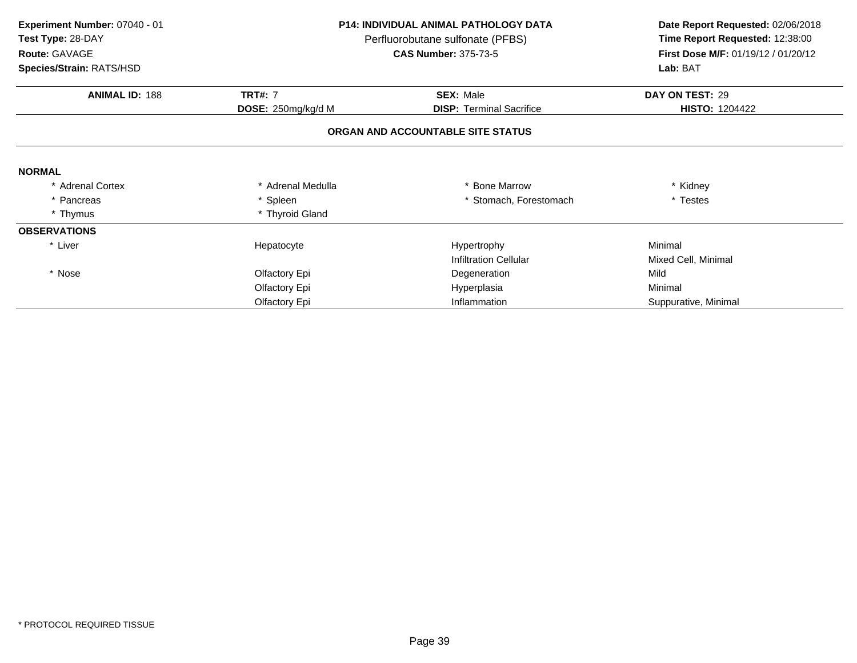| Experiment Number: 07040 - 01 | <b>P14: INDIVIDUAL ANIMAL PATHOLOGY DATA</b> |                                   |                                     |  | Date Report Requested: 02/06/2018 |
|-------------------------------|----------------------------------------------|-----------------------------------|-------------------------------------|--|-----------------------------------|
| Test Type: 28-DAY             |                                              | Perfluorobutane sulfonate (PFBS)  | Time Report Requested: 12:38:00     |  |                                   |
| Route: GAVAGE                 |                                              | <b>CAS Number: 375-73-5</b>       | First Dose M/F: 01/19/12 / 01/20/12 |  |                                   |
| Species/Strain: RATS/HSD      |                                              |                                   | Lab: BAT                            |  |                                   |
| <b>ANIMAL ID: 188</b>         | <b>TRT#: 7</b>                               | <b>SEX: Male</b>                  | DAY ON TEST: 29                     |  |                                   |
|                               | DOSE: 250mg/kg/d M                           | <b>DISP: Terminal Sacrifice</b>   | <b>HISTO: 1204422</b>               |  |                                   |
|                               |                                              | ORGAN AND ACCOUNTABLE SITE STATUS |                                     |  |                                   |
| <b>NORMAL</b>                 |                                              |                                   |                                     |  |                                   |
| <b>Adrenal Cortex</b>         | * Adrenal Medulla                            | * Bone Marrow                     | * Kidney                            |  |                                   |
| * Pancreas                    | * Spleen                                     | * Stomach, Forestomach            | * Testes                            |  |                                   |
| * Thymus                      | * Thyroid Gland                              |                                   |                                     |  |                                   |
| <b>OBSERVATIONS</b>           |                                              |                                   |                                     |  |                                   |
| * Liver                       | Hepatocyte                                   | Hypertrophy                       | Minimal                             |  |                                   |
|                               |                                              | <b>Infiltration Cellular</b>      | Mixed Cell, Minimal                 |  |                                   |
| * Nose                        | Olfactory Epi                                | Degeneration                      | Mild                                |  |                                   |
|                               | Olfactory Epi                                | Hyperplasia                       | Minimal                             |  |                                   |
|                               | Olfactory Epi                                | Inflammation                      | Suppurative, Minimal                |  |                                   |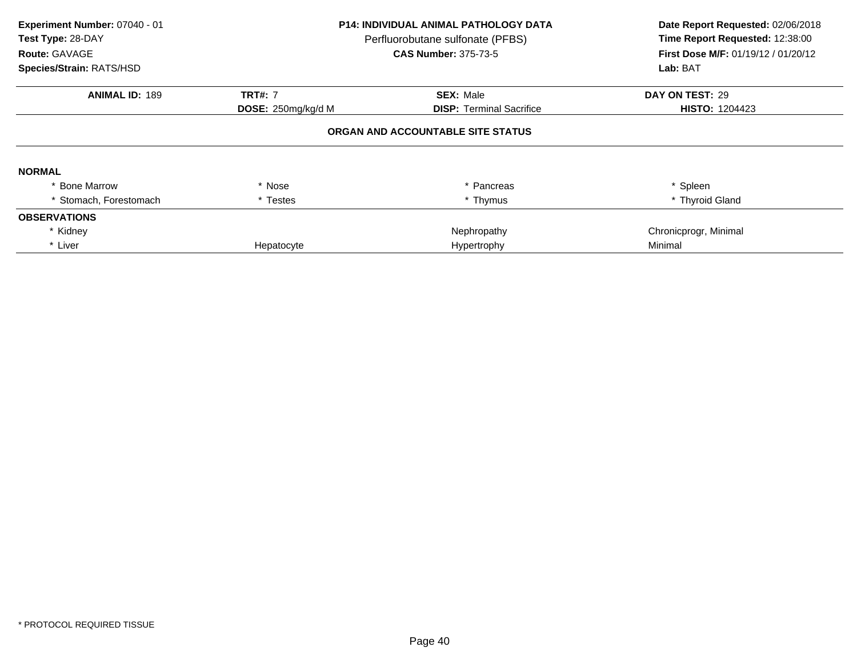| Experiment Number: 07040 - 01<br>Test Type: 28-DAY<br>Route: GAVAGE<br>Species/Strain: RATS/HSD | P14: INDIVIDUAL ANIMAL PATHOLOGY DATA<br>Perfluorobutane sulfonate (PFBS)<br><b>CAS Number: 375-73-5</b> |                                   | Date Report Requested: 02/06/2018<br>Time Report Requested: 12:38:00<br>First Dose M/F: 01/19/12 / 01/20/12<br>Lab: BAT |
|-------------------------------------------------------------------------------------------------|----------------------------------------------------------------------------------------------------------|-----------------------------------|-------------------------------------------------------------------------------------------------------------------------|
| <b>ANIMAL ID: 189</b>                                                                           | <b>TRT#: 7</b>                                                                                           | <b>SEX: Male</b>                  | DAY ON TEST: 29                                                                                                         |
|                                                                                                 | DOSE: 250mg/kg/d M                                                                                       | <b>DISP: Terminal Sacrifice</b>   | <b>HISTO: 1204423</b>                                                                                                   |
|                                                                                                 |                                                                                                          | ORGAN AND ACCOUNTABLE SITE STATUS |                                                                                                                         |
| <b>NORMAL</b>                                                                                   |                                                                                                          |                                   |                                                                                                                         |
| * Bone Marrow                                                                                   | * Nose                                                                                                   | * Pancreas                        | * Spleen                                                                                                                |
| Stomach, Forestomach                                                                            | * Testes                                                                                                 | * Thymus                          | * Thyroid Gland                                                                                                         |
| <b>OBSERVATIONS</b>                                                                             |                                                                                                          |                                   |                                                                                                                         |
| * Kidney                                                                                        |                                                                                                          | Nephropathy                       | Chronicprogr, Minimal                                                                                                   |
| * Liver                                                                                         | Hepatocyte                                                                                               | Hypertrophy                       | Minimal                                                                                                                 |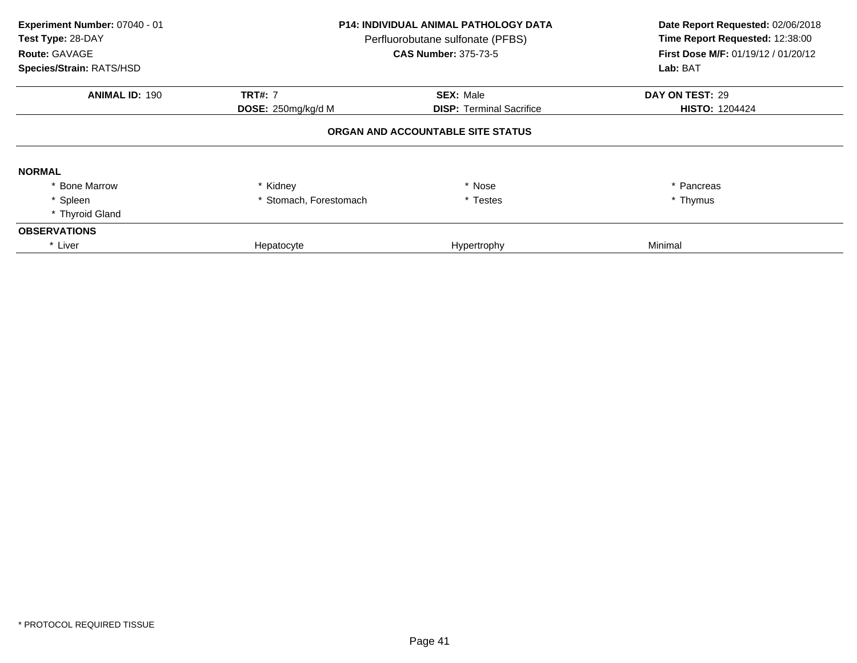| Experiment Number: 07040 - 01<br>Test Type: 28-DAY<br>Route: GAVAGE<br>Species/Strain: RATS/HSD | <b>P14: INDIVIDUAL ANIMAL PATHOLOGY DATA</b><br>Perfluorobutane sulfonate (PFBS)<br><b>CAS Number: 375-73-5</b> |                                   | Date Report Requested: 02/06/2018<br>Time Report Requested: 12:38:00<br>First Dose M/F: 01/19/12 / 01/20/12<br>Lab: BAT |
|-------------------------------------------------------------------------------------------------|-----------------------------------------------------------------------------------------------------------------|-----------------------------------|-------------------------------------------------------------------------------------------------------------------------|
| <b>ANIMAL ID: 190</b>                                                                           | <b>TRT#: 7</b>                                                                                                  | <b>SEX: Male</b>                  | DAY ON TEST: 29                                                                                                         |
|                                                                                                 | <b>DOSE:</b> 250mg/kg/d M                                                                                       | <b>DISP:</b> Terminal Sacrifice   | <b>HISTO: 1204424</b>                                                                                                   |
|                                                                                                 |                                                                                                                 | ORGAN AND ACCOUNTABLE SITE STATUS |                                                                                                                         |
| <b>NORMAL</b>                                                                                   |                                                                                                                 |                                   |                                                                                                                         |
| <b>Bone Marrow</b>                                                                              | * Kidney                                                                                                        | * Nose                            | * Pancreas                                                                                                              |
| * Spleen                                                                                        | * Stomach, Forestomach                                                                                          | * Testes                          | * Thymus                                                                                                                |
| * Thyroid Gland                                                                                 |                                                                                                                 |                                   |                                                                                                                         |
| <b>OBSERVATIONS</b>                                                                             |                                                                                                                 |                                   |                                                                                                                         |
| * Liver                                                                                         | Hepatocyte                                                                                                      | Hypertrophy                       | Minimal                                                                                                                 |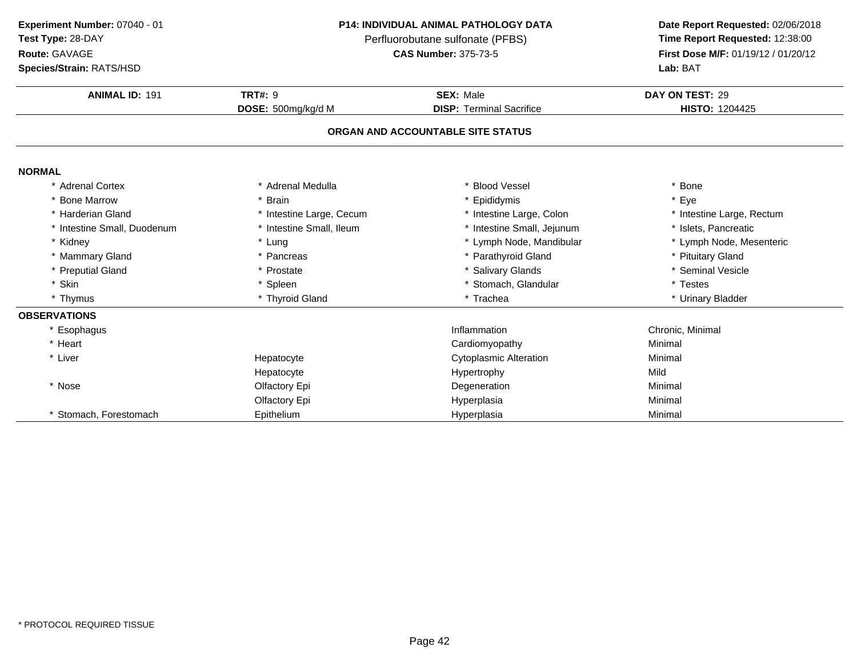**Test Type:** 28-DAY

# **Route:** GAVAGE

**Species/Strain:** RATS/HSD

## **P14: INDIVIDUAL ANIMAL PATHOLOGY DATA**

Perfluorobutane sulfonate (PFBS)<br>**CAS Number:** 375-73-5

| <b>ANIMAL ID: 191</b>       | <b>TRT#: 9</b>           | <b>SEX: Male</b>                  | DAY ON TEST: 29           |
|-----------------------------|--------------------------|-----------------------------------|---------------------------|
|                             | DOSE: 500mg/kg/d M       | <b>DISP: Terminal Sacrifice</b>   | <b>HISTO: 1204425</b>     |
|                             |                          | ORGAN AND ACCOUNTABLE SITE STATUS |                           |
|                             |                          |                                   |                           |
| <b>NORMAL</b>               |                          |                                   |                           |
| * Adrenal Cortex            | * Adrenal Medulla        | * Blood Vessel                    | * Bone                    |
| * Bone Marrow               | <b>Brain</b>             | * Epididymis                      | * Eye                     |
| * Harderian Gland           | * Intestine Large, Cecum | * Intestine Large, Colon          | * Intestine Large, Rectum |
| * Intestine Small, Duodenum | Intestine Small, Ileum   | * Intestine Small, Jejunum        | * Islets, Pancreatic      |
| * Kidney                    | * Lung                   | * Lymph Node, Mandibular          | * Lymph Node, Mesenteric  |
| * Mammary Gland             | $^\star$<br>Pancreas     | * Parathyroid Gland               | * Pituitary Gland         |
| * Preputial Gland           | * Prostate               | * Salivary Glands                 | * Seminal Vesicle         |
| * Skin                      | * Spleen                 | * Stomach, Glandular              | * Testes                  |
| * Thymus                    | * Thyroid Gland          | * Trachea                         | * Urinary Bladder         |
| <b>OBSERVATIONS</b>         |                          |                                   |                           |
| * Esophagus                 |                          | Inflammation                      | Chronic, Minimal          |
| * Heart                     |                          | Cardiomyopathy                    | Minimal                   |
| * Liver                     | Hepatocyte               | <b>Cytoplasmic Alteration</b>     | Minimal                   |
|                             | Hepatocyte               | Hypertrophy                       | Mild                      |
| * Nose                      | Olfactory Epi            | Degeneration                      | Minimal                   |
|                             | Olfactory Epi            | Hyperplasia                       | Minimal                   |
| Stomach, Forestomach        | Epithelium               | Hyperplasia                       | Minimal                   |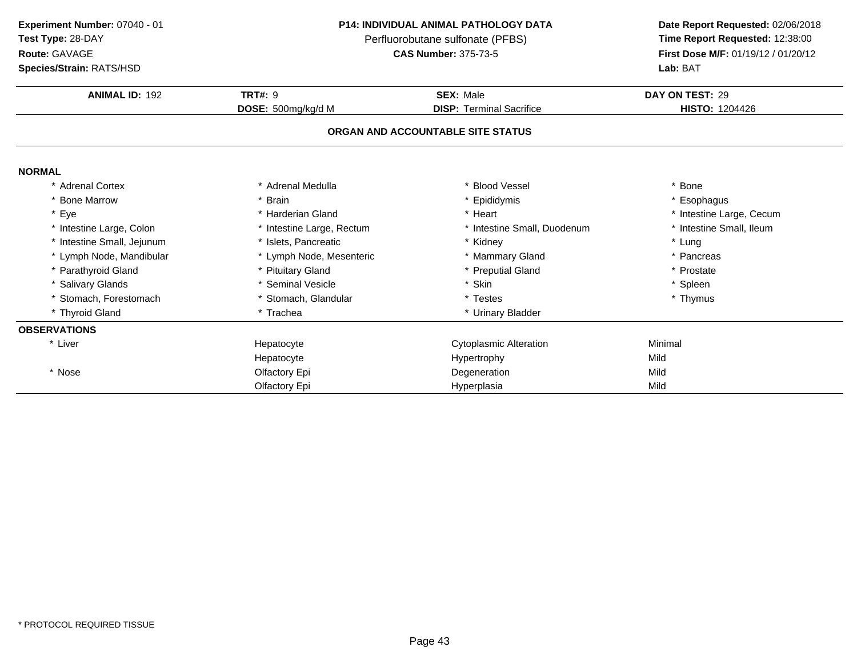**Test Type:** 28-DAY

# **Route:** GAVAGE

**Species/Strain:** RATS/HSD

### **P14: INDIVIDUAL ANIMAL PATHOLOGY DATA**

Perfluorobutane sulfonate (PFBS)<br>**CAS Number:** 375-73-5

| <b>Species/Strain: RATS/HSD</b> |                           | <b>Lab: BAT</b>                   |                          |  |
|---------------------------------|---------------------------|-----------------------------------|--------------------------|--|
| <b>ANIMAL ID: 192</b>           | <b>TRT#: 9</b>            | <b>SEX: Male</b>                  | DAY ON TEST: 29          |  |
|                                 | DOSE: 500mg/kg/d M        | <b>DISP: Terminal Sacrifice</b>   | <b>HISTO: 1204426</b>    |  |
|                                 |                           | ORGAN AND ACCOUNTABLE SITE STATUS |                          |  |
| <b>NORMAL</b>                   |                           |                                   |                          |  |
| * Adrenal Cortex                | * Adrenal Medulla         | * Blood Vessel                    | * Bone                   |  |
| * Bone Marrow                   | * Brain                   | * Epididymis                      | * Esophagus              |  |
| * Eye                           | * Harderian Gland         | * Heart                           | * Intestine Large, Cecum |  |
| * Intestine Large, Colon        | * Intestine Large, Rectum | * Intestine Small, Duodenum       | * Intestine Small, Ileum |  |
| * Intestine Small, Jejunum      | * Islets, Pancreatic      | * Kidney                          | * Lung                   |  |
| * Lymph Node, Mandibular        | * Lymph Node, Mesenteric  | * Mammary Gland                   | * Pancreas               |  |
| * Parathyroid Gland             | * Pituitary Gland         | * Preputial Gland                 | * Prostate               |  |
| * Salivary Glands               | * Seminal Vesicle         | * Skin                            | * Spleen                 |  |
| * Stomach, Forestomach          | * Stomach, Glandular      | * Testes                          | * Thymus                 |  |
| * Thyroid Gland                 | * Trachea                 | * Urinary Bladder                 |                          |  |
| <b>OBSERVATIONS</b>             |                           |                                   |                          |  |
| * Liver                         | Hepatocyte                | <b>Cytoplasmic Alteration</b>     | Minimal                  |  |
|                                 | Hepatocyte                | Hypertrophy                       | Mild                     |  |
| * Nose                          | Olfactory Epi             | Degeneration                      | Mild                     |  |
|                                 | Olfactory Epi             | Hyperplasia                       | Mild                     |  |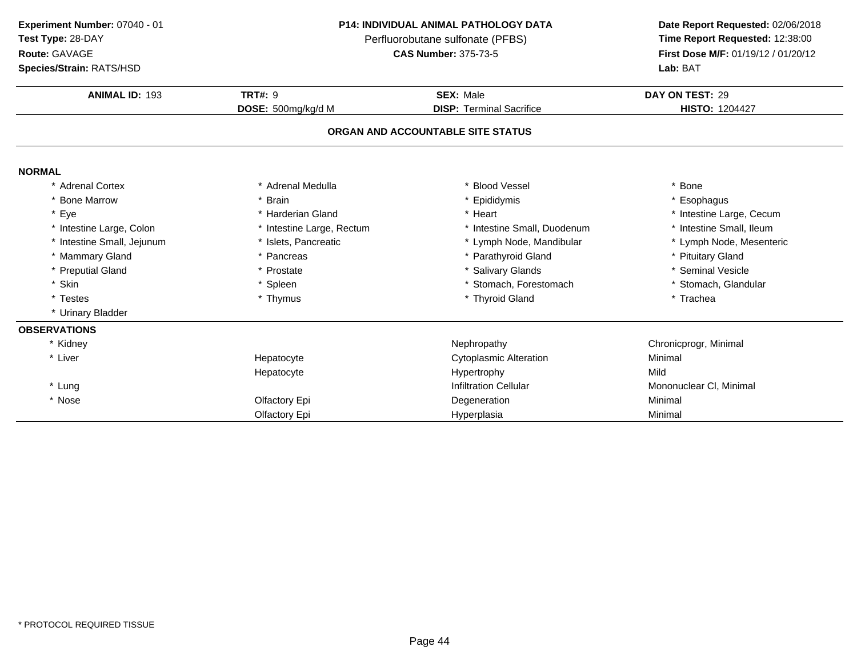**Test Type:** 28-DAY

**Route:** GAVAGE

**Species/Strain:** RATS/HSD

### **P14: INDIVIDUAL ANIMAL PATHOLOGY DATA**

Perfluorobutane sulfonate (PFBS)<br>**CAS Number:** 375-73-5

| <b>Species/Strain: RATS/HSD</b> |                           |                                   | Lab: BAT                 |
|---------------------------------|---------------------------|-----------------------------------|--------------------------|
| <b>ANIMAL ID: 193</b>           | <b>TRT#: 9</b>            | <b>SEX: Male</b>                  | DAY ON TEST: 29          |
|                                 | DOSE: 500mg/kg/d M        | <b>DISP:</b> Terminal Sacrifice   | <b>HISTO: 1204427</b>    |
|                                 |                           | ORGAN AND ACCOUNTABLE SITE STATUS |                          |
| <b>NORMAL</b>                   |                           |                                   |                          |
| * Adrenal Cortex                | * Adrenal Medulla         | * Blood Vessel                    | * Bone                   |
| * Bone Marrow                   | <b>Brain</b>              | * Epididymis                      | * Esophagus              |
| * Eye                           | * Harderian Gland         | * Heart                           | * Intestine Large, Cecum |
| * Intestine Large, Colon        | * Intestine Large, Rectum | * Intestine Small, Duodenum       | * Intestine Small, Ileum |
| * Intestine Small, Jejunum      | * Islets, Pancreatic      | * Lymph Node, Mandibular          | * Lymph Node, Mesenteric |
| * Mammary Gland                 | * Pancreas                | * Parathyroid Gland               | * Pituitary Gland        |
| * Preputial Gland               | * Prostate                | * Salivary Glands                 | * Seminal Vesicle        |
| * Skin                          | * Spleen                  | * Stomach, Forestomach            | * Stomach, Glandular     |
| * Testes                        | * Thymus                  | * Thyroid Gland                   | * Trachea                |
| * Urinary Bladder               |                           |                                   |                          |
| <b>OBSERVATIONS</b>             |                           |                                   |                          |
| * Kidney                        |                           | Nephropathy                       | Chronicprogr, Minimal    |
| * Liver                         | Hepatocyte                | <b>Cytoplasmic Alteration</b>     | Minimal                  |
|                                 | Hepatocyte                | Hypertrophy                       | Mild                     |
| * Lung                          |                           | <b>Infiltration Cellular</b>      | Mononuclear CI, Minimal  |
| * Nose                          | Olfactory Epi             | Degeneration                      | Minimal                  |
|                                 | Olfactory Epi             | Hyperplasia                       | Minimal                  |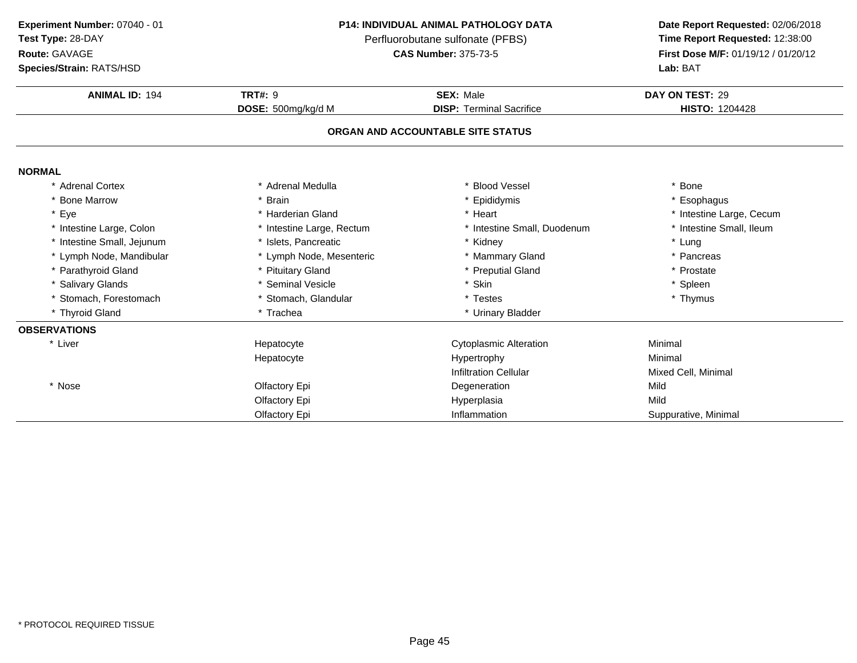**Test Type:** 28-DAY

## **Route:** GAVAGE

**Species/Strain:** RATS/HSD

### **P14: INDIVIDUAL ANIMAL PATHOLOGY DATA**

Perfluorobutane sulfonate (PFBS)<br>**CAS Number:** 375-73-5

| <b>Species/Strain: RATS/HSD</b> |                           |                                   | Lab: BAT                 |
|---------------------------------|---------------------------|-----------------------------------|--------------------------|
| <b>ANIMAL ID: 194</b>           | <b>TRT#: 9</b>            | <b>SEX: Male</b>                  | DAY ON TEST: 29          |
|                                 | DOSE: 500mg/kg/d M        | <b>DISP: Terminal Sacrifice</b>   | <b>HISTO: 1204428</b>    |
|                                 |                           | ORGAN AND ACCOUNTABLE SITE STATUS |                          |
| <b>NORMAL</b>                   |                           |                                   |                          |
| * Adrenal Cortex                | * Adrenal Medulla         | * Blood Vessel                    | * Bone                   |
| * Bone Marrow                   | * Brain                   | * Epididymis                      | * Esophagus              |
| * Eye                           | * Harderian Gland         | * Heart                           | * Intestine Large, Cecum |
| * Intestine Large, Colon        | * Intestine Large, Rectum | * Intestine Small, Duodenum       | * Intestine Small, Ileum |
| * Intestine Small, Jejunum      | * Islets, Pancreatic      | * Kidney                          | * Lung                   |
| * Lymph Node, Mandibular        | * Lymph Node, Mesenteric  | * Mammary Gland                   | * Pancreas               |
| * Parathyroid Gland             | * Pituitary Gland         | * Preputial Gland                 | * Prostate               |
| * Salivary Glands               | * Seminal Vesicle         | * Skin                            | * Spleen                 |
| * Stomach, Forestomach          | * Stomach, Glandular      | * Testes                          | * Thymus                 |
| * Thyroid Gland                 | * Trachea                 | * Urinary Bladder                 |                          |
| <b>OBSERVATIONS</b>             |                           |                                   |                          |
| * Liver                         | Hepatocyte                | <b>Cytoplasmic Alteration</b>     | Minimal                  |
|                                 | Hepatocyte                | Hypertrophy                       | Minimal                  |
|                                 |                           | <b>Infiltration Cellular</b>      | Mixed Cell, Minimal      |
| * Nose                          | Olfactory Epi             | Degeneration                      | Mild                     |
|                                 | Olfactory Epi             | Hyperplasia                       | Mild                     |
|                                 | Olfactory Epi             | Inflammation                      | Suppurative, Minimal     |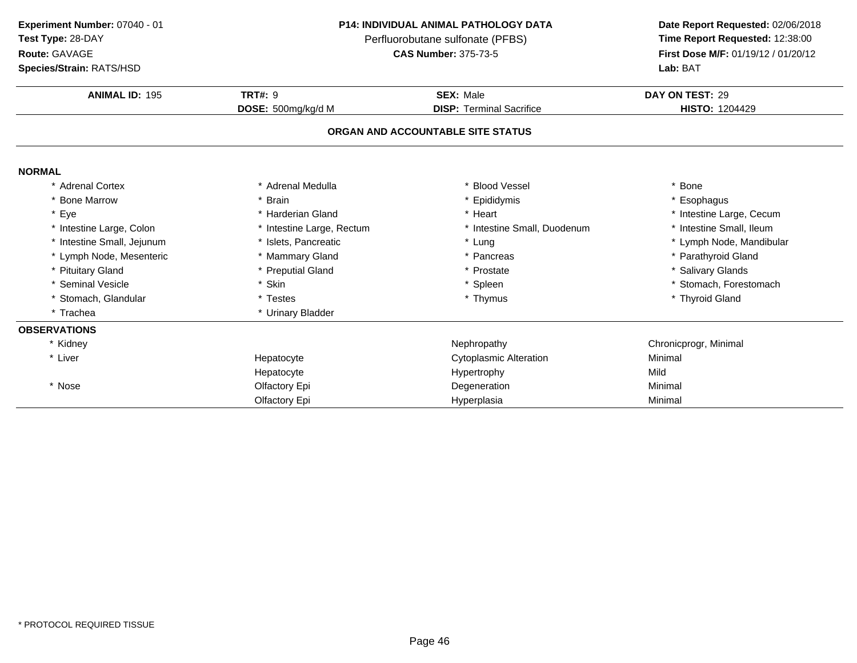**Test Type:** 28-DAY

# **Route:** GAVAGE

**Species/Strain:** RATS/HSD

## **P14: INDIVIDUAL ANIMAL PATHOLOGY DATA**

Perfluorobutane sulfonate (PFBS)<br>**CAS Number:** 375-73-5

| <b>Species/Strain: RATS/HSD</b> |                           | Lab: BAT                          |                          |  |
|---------------------------------|---------------------------|-----------------------------------|--------------------------|--|
| <b>ANIMAL ID: 195</b>           | <b>TRT#: 9</b>            | <b>SEX: Male</b>                  | DAY ON TEST: 29          |  |
|                                 | DOSE: 500mg/kg/d M        | <b>DISP: Terminal Sacrifice</b>   | <b>HISTO: 1204429</b>    |  |
|                                 |                           | ORGAN AND ACCOUNTABLE SITE STATUS |                          |  |
| <b>NORMAL</b>                   |                           |                                   |                          |  |
| * Adrenal Cortex                | * Adrenal Medulla         | * Blood Vessel                    | * Bone                   |  |
| * Bone Marrow                   | <b>Brain</b>              | * Epididymis                      | * Esophagus              |  |
| * Eye                           | * Harderian Gland         | * Heart                           | * Intestine Large, Cecum |  |
| * Intestine Large, Colon        | * Intestine Large, Rectum | * Intestine Small, Duodenum       | * Intestine Small, Ileum |  |
| * Intestine Small, Jejunum      | * Islets, Pancreatic      | * Lung                            | * Lymph Node, Mandibular |  |
| * Lymph Node, Mesenteric        | * Mammary Gland           | * Pancreas                        | * Parathyroid Gland      |  |
| * Pituitary Gland               | * Preputial Gland         | * Prostate                        | * Salivary Glands        |  |
| * Seminal Vesicle               | * Skin                    | * Spleen                          | * Stomach, Forestomach   |  |
| * Stomach, Glandular            | * Testes                  | * Thymus                          | * Thyroid Gland          |  |
| * Trachea                       | * Urinary Bladder         |                                   |                          |  |
| <b>OBSERVATIONS</b>             |                           |                                   |                          |  |
| * Kidney                        |                           | Nephropathy                       | Chronicprogr, Minimal    |  |
| * Liver                         | Hepatocyte                | <b>Cytoplasmic Alteration</b>     | Minimal                  |  |
|                                 | Hepatocyte                | Hypertrophy                       | Mild                     |  |
| * Nose                          | Olfactory Epi             | Degeneration                      | Minimal                  |  |
|                                 | Olfactory Epi             | Hyperplasia                       | Minimal                  |  |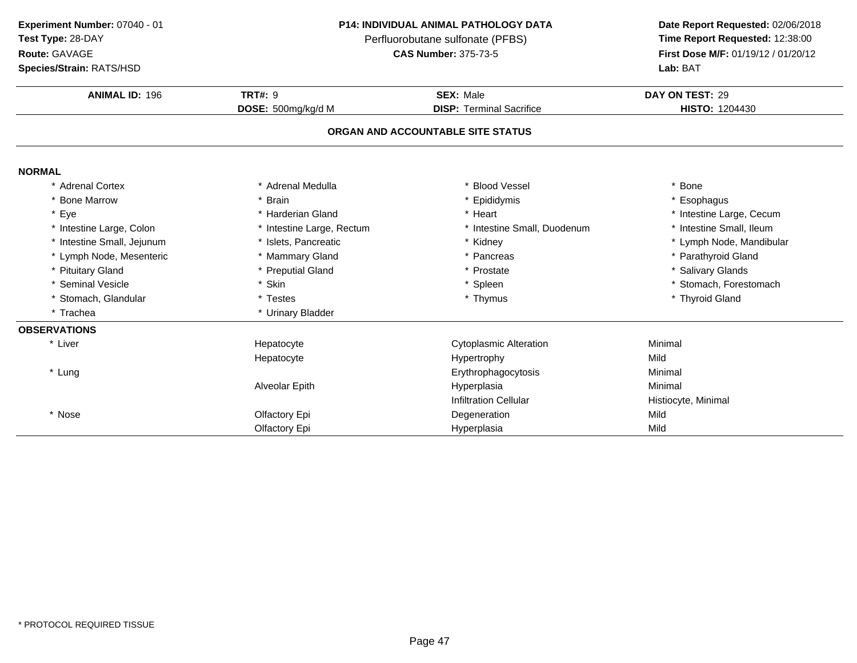**Test Type:** 28-DAY

# **Route:** GAVAGE

**Species/Strain:** RATS/HSD

### **P14: INDIVIDUAL ANIMAL PATHOLOGY DATA**

Perfluorobutane sulfonate (PFBS)<br>**CAS Number:** 375-73-5

| <b>Species/Strain: RATS/HSD</b> |                           |                                   | Lab: BAT                 |
|---------------------------------|---------------------------|-----------------------------------|--------------------------|
| <b>ANIMAL ID: 196</b>           | <b>TRT#: 9</b>            | <b>SEX: Male</b>                  | DAY ON TEST: 29          |
|                                 | DOSE: 500mg/kg/d M        | <b>DISP: Terminal Sacrifice</b>   | <b>HISTO: 1204430</b>    |
|                                 |                           | ORGAN AND ACCOUNTABLE SITE STATUS |                          |
| <b>NORMAL</b>                   |                           |                                   |                          |
| * Adrenal Cortex                | Adrenal Medulla           | * Blood Vessel                    | * Bone                   |
| * Bone Marrow                   | * Brain                   | * Epididymis                      | * Esophagus              |
| * Eye                           | * Harderian Gland         | * Heart                           | * Intestine Large, Cecum |
| * Intestine Large, Colon        | * Intestine Large, Rectum | * Intestine Small, Duodenum       | * Intestine Small, Ileum |
| * Intestine Small, Jejunum      | * Islets, Pancreatic      | * Kidney                          | * Lymph Node, Mandibular |
| * Lymph Node, Mesenteric        | * Mammary Gland           | * Pancreas                        | * Parathyroid Gland      |
| * Pituitary Gland               | * Preputial Gland         | * Prostate                        | * Salivary Glands        |
| * Seminal Vesicle               | * Skin                    | * Spleen                          | * Stomach, Forestomach   |
| * Stomach, Glandular            | * Testes                  | * Thymus                          | * Thyroid Gland          |
| * Trachea                       | * Urinary Bladder         |                                   |                          |
| <b>OBSERVATIONS</b>             |                           |                                   |                          |
| * Liver                         | Hepatocyte                | <b>Cytoplasmic Alteration</b>     | Minimal                  |
|                                 | Hepatocyte                | Hypertrophy                       | Mild                     |
| * Lung                          |                           | Erythrophagocytosis               | Minimal                  |
|                                 | Alveolar Epith            | Hyperplasia                       | Minimal                  |
|                                 |                           | <b>Infiltration Cellular</b>      | Histiocyte, Minimal      |
| * Nose                          | Olfactory Epi             | Degeneration                      | Mild                     |
|                                 | Olfactory Epi             | Hyperplasia                       | Mild                     |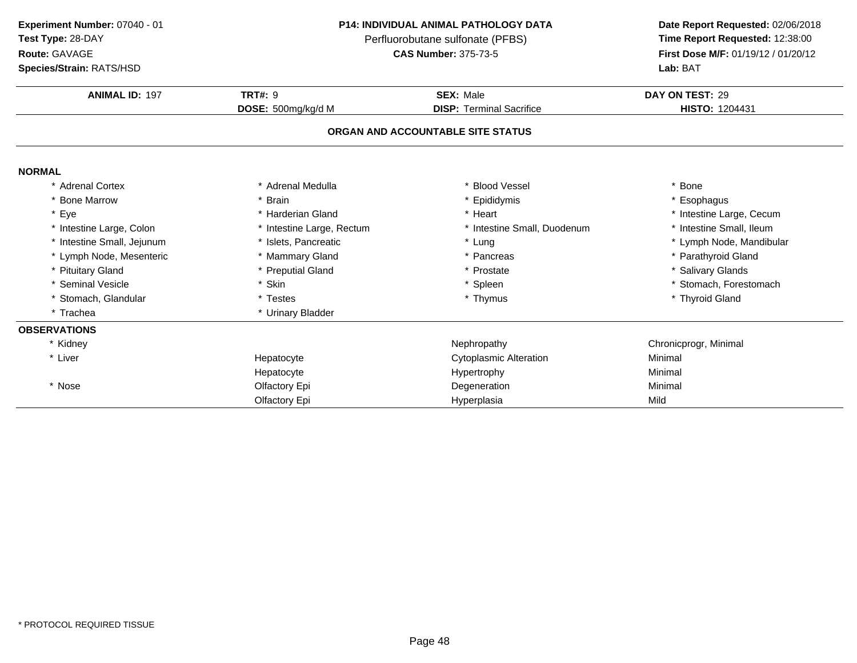**Test Type:** 28-DAY

# **Route:** GAVAGE

**Species/Strain:** RATS/HSD

## **P14: INDIVIDUAL ANIMAL PATHOLOGY DATA**

Perfluorobutane sulfonate (PFBS)<br>**CAS Number:** 375-73-5

| <b>Species/Strain: RATS/HSD</b> |                           | Lab: BAT                          |                          |  |
|---------------------------------|---------------------------|-----------------------------------|--------------------------|--|
| <b>ANIMAL ID: 197</b>           | <b>TRT#: 9</b>            | <b>SEX: Male</b>                  | DAY ON TEST: 29          |  |
|                                 | DOSE: 500mg/kg/d M        | <b>DISP: Terminal Sacrifice</b>   | <b>HISTO: 1204431</b>    |  |
|                                 |                           | ORGAN AND ACCOUNTABLE SITE STATUS |                          |  |
| <b>NORMAL</b>                   |                           |                                   |                          |  |
| * Adrenal Cortex                | Adrenal Medulla           | * Blood Vessel                    | * Bone                   |  |
| * Bone Marrow                   | <b>Brain</b>              | * Epididymis                      | * Esophagus              |  |
| * Eye                           | * Harderian Gland         | * Heart                           | * Intestine Large, Cecum |  |
| * Intestine Large, Colon        | * Intestine Large, Rectum | * Intestine Small, Duodenum       | * Intestine Small, Ileum |  |
| * Intestine Small, Jejunum      | * Islets, Pancreatic      | * Lung                            | * Lymph Node, Mandibular |  |
| * Lymph Node, Mesenteric        | * Mammary Gland           | * Pancreas                        | * Parathyroid Gland      |  |
| * Pituitary Gland               | * Preputial Gland         | * Prostate                        | * Salivary Glands        |  |
| * Seminal Vesicle               | * Skin                    | * Spleen                          | * Stomach, Forestomach   |  |
| * Stomach, Glandular            | * Testes                  | * Thymus                          | * Thyroid Gland          |  |
| * Trachea                       | * Urinary Bladder         |                                   |                          |  |
| <b>OBSERVATIONS</b>             |                           |                                   |                          |  |
| * Kidney                        |                           | Nephropathy                       | Chronicprogr, Minimal    |  |
| * Liver                         | Hepatocyte                | <b>Cytoplasmic Alteration</b>     | Minimal                  |  |
|                                 | Hepatocyte                | Hypertrophy                       | Minimal                  |  |
| * Nose                          | Olfactory Epi             | Degeneration                      | Minimal                  |  |
|                                 | Olfactory Epi             | Hyperplasia                       | Mild                     |  |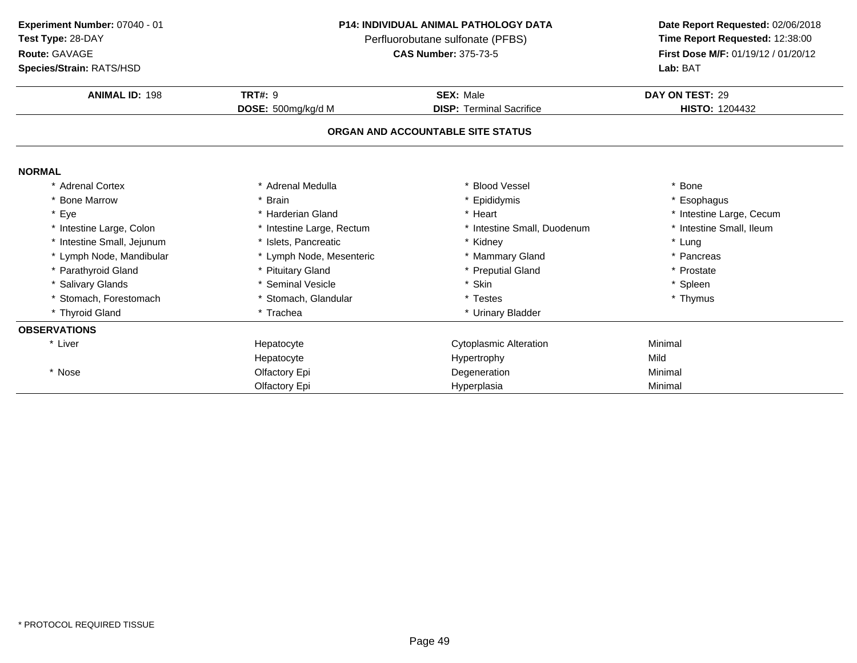**Test Type:** 28-DAY

# **Route:** GAVAGE

**Species/Strain:** RATS/HSD

### **P14: INDIVIDUAL ANIMAL PATHOLOGY DATA**

Perfluorobutane sulfonate (PFBS)<br>**CAS Number:** 375-73-5

| <b>Species/Strain: RATS/HSD</b> |                           |                                   | <b>Lab: BAT</b>          |
|---------------------------------|---------------------------|-----------------------------------|--------------------------|
| <b>ANIMAL ID: 198</b>           | <b>TRT#: 9</b>            | <b>SEX: Male</b>                  | DAY ON TEST: 29          |
|                                 | DOSE: 500mg/kg/d M        | <b>DISP: Terminal Sacrifice</b>   | <b>HISTO: 1204432</b>    |
|                                 |                           | ORGAN AND ACCOUNTABLE SITE STATUS |                          |
| <b>NORMAL</b>                   |                           |                                   |                          |
| * Adrenal Cortex                | * Adrenal Medulla         | * Blood Vessel                    | * Bone                   |
| * Bone Marrow                   | * Brain                   | * Epididymis                      | * Esophagus              |
| * Eye                           | * Harderian Gland         | * Heart                           | * Intestine Large, Cecum |
| * Intestine Large, Colon        | * Intestine Large, Rectum | * Intestine Small, Duodenum       | * Intestine Small, Ileum |
| * Intestine Small, Jejunum      | * Islets, Pancreatic      | * Kidney                          | * Lung                   |
| * Lymph Node, Mandibular        | * Lymph Node, Mesenteric  | * Mammary Gland                   | * Pancreas               |
| * Parathyroid Gland             | * Pituitary Gland         | * Preputial Gland                 | * Prostate               |
| * Salivary Glands               | * Seminal Vesicle         | * Skin                            | * Spleen                 |
| * Stomach, Forestomach          | * Stomach, Glandular      | * Testes                          | * Thymus                 |
| * Thyroid Gland                 | * Trachea                 | * Urinary Bladder                 |                          |
| <b>OBSERVATIONS</b>             |                           |                                   |                          |
| * Liver                         | Hepatocyte                | <b>Cytoplasmic Alteration</b>     | Minimal                  |
|                                 | Hepatocyte                | Hypertrophy                       | Mild                     |
| * Nose                          | Olfactory Epi             | Degeneration                      | Minimal                  |
|                                 | Olfactory Epi             | Hyperplasia                       | Minimal                  |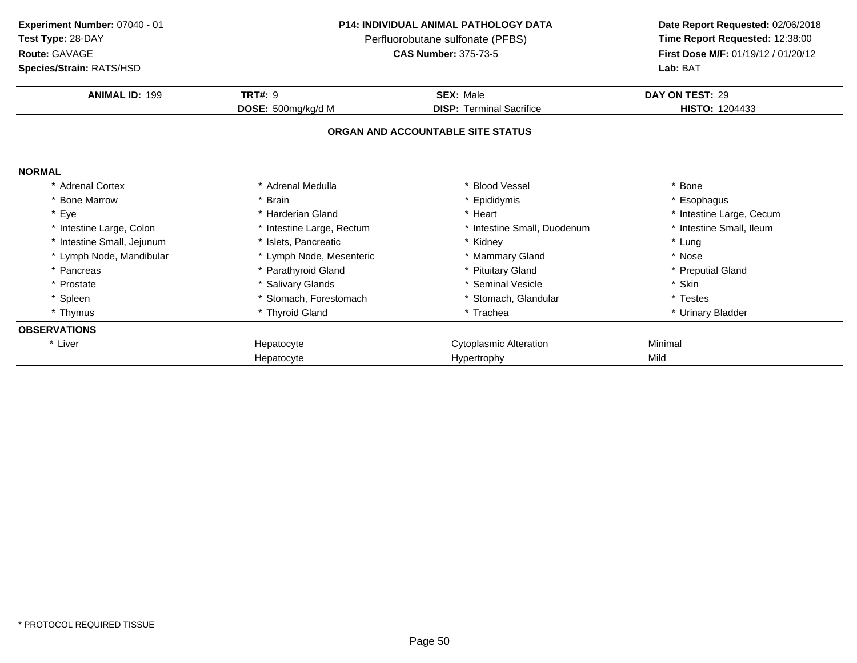# **Route:** GAVAGE

**Species/Strain:** RATS/HSD

### **P14: INDIVIDUAL ANIMAL PATHOLOGY DATA**

Perfluorobutane sulfonate (PFBS)<br>**CAS Number:** 375-73-5

| <b>ANIMAL ID: 199</b>      | <b>TRT#: 9</b>            | <b>SEX: Male</b>                  | DAY ON TEST: 29          |
|----------------------------|---------------------------|-----------------------------------|--------------------------|
|                            | DOSE: 500mg/kg/d M        | <b>DISP: Terminal Sacrifice</b>   | <b>HISTO: 1204433</b>    |
|                            |                           | ORGAN AND ACCOUNTABLE SITE STATUS |                          |
| <b>NORMAL</b>              |                           |                                   |                          |
| * Adrenal Cortex           | * Adrenal Medulla         | * Blood Vessel                    | * Bone                   |
| * Bone Marrow              | * Brain                   | * Epididymis                      | * Esophagus              |
| * Eye                      | * Harderian Gland         | * Heart                           | * Intestine Large, Cecum |
| * Intestine Large, Colon   | * Intestine Large, Rectum | * Intestine Small, Duodenum       | * Intestine Small, Ileum |
| * Intestine Small, Jejunum | * Islets, Pancreatic      | * Kidney                          | * Lung                   |
| * Lymph Node, Mandibular   | * Lymph Node, Mesenteric  | * Mammary Gland                   | * Nose                   |
| * Pancreas                 | * Parathyroid Gland       | * Pituitary Gland                 | * Preputial Gland        |
| * Prostate                 | * Salivary Glands         | * Seminal Vesicle                 | * Skin                   |
| * Spleen                   | * Stomach, Forestomach    | * Stomach, Glandular              | * Testes                 |
| * Thymus                   | * Thyroid Gland           | * Trachea                         | * Urinary Bladder        |
| <b>OBSERVATIONS</b>        |                           |                                   |                          |
| * Liver                    | Hepatocyte                | <b>Cytoplasmic Alteration</b>     | Minimal                  |
|                            | Hepatocyte                | Hypertrophy                       | Mild                     |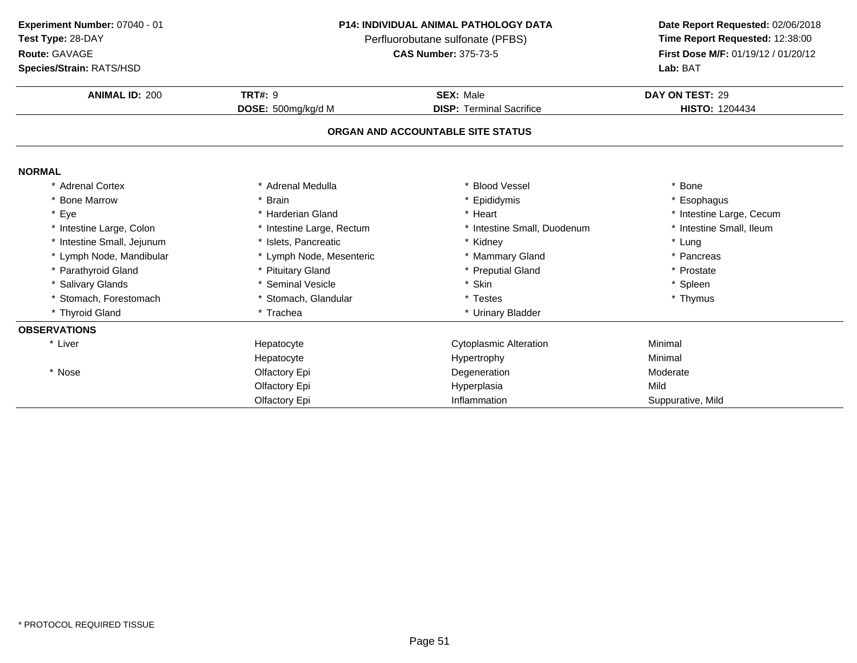**Test Type:** 28-DAY

# **Route:** GAVAGE

**Species/Strain:** RATS/HSD

### **P14: INDIVIDUAL ANIMAL PATHOLOGY DATA**

Perfluorobutane sulfonate (PFBS)<br>**CAS Number:** 375-73-5

| <b>Species/Strain: RATS/HSD</b> |                           |                                   | Lab: BAT                 |
|---------------------------------|---------------------------|-----------------------------------|--------------------------|
| <b>ANIMAL ID: 200</b>           | <b>TRT#: 9</b>            | <b>SEX: Male</b>                  | DAY ON TEST: 29          |
|                                 | DOSE: 500mg/kg/d M        | <b>DISP: Terminal Sacrifice</b>   | <b>HISTO: 1204434</b>    |
|                                 |                           | ORGAN AND ACCOUNTABLE SITE STATUS |                          |
| <b>NORMAL</b>                   |                           |                                   |                          |
| * Adrenal Cortex                | Adrenal Medulla           | * Blood Vessel                    | * Bone                   |
| * Bone Marrow                   | <b>Brain</b>              | * Epididymis                      | * Esophagus              |
| * Eye                           | * Harderian Gland         | * Heart                           | * Intestine Large, Cecum |
| * Intestine Large, Colon        | * Intestine Large, Rectum | * Intestine Small, Duodenum       | * Intestine Small, Ileum |
| * Intestine Small, Jejunum      | * Islets, Pancreatic      | * Kidney                          | * Lung                   |
| * Lymph Node, Mandibular        | * Lymph Node, Mesenteric  | * Mammary Gland                   | * Pancreas               |
| * Parathyroid Gland             | * Pituitary Gland         | * Preputial Gland                 | * Prostate               |
| * Salivary Glands               | * Seminal Vesicle         | * Skin                            | * Spleen                 |
| * Stomach, Forestomach          | * Stomach, Glandular      | * Testes                          | * Thymus                 |
| * Thyroid Gland                 | * Trachea                 | * Urinary Bladder                 |                          |
| <b>OBSERVATIONS</b>             |                           |                                   |                          |
| * Liver                         | Hepatocyte                | <b>Cytoplasmic Alteration</b>     | Minimal                  |
|                                 | Hepatocyte                | Hypertrophy                       | Minimal                  |
| * Nose                          | Olfactory Epi             | Degeneration                      | Moderate                 |
|                                 | Olfactory Epi             | Hyperplasia                       | Mild                     |
|                                 | Olfactory Epi             | Inflammation                      | Suppurative, Mild        |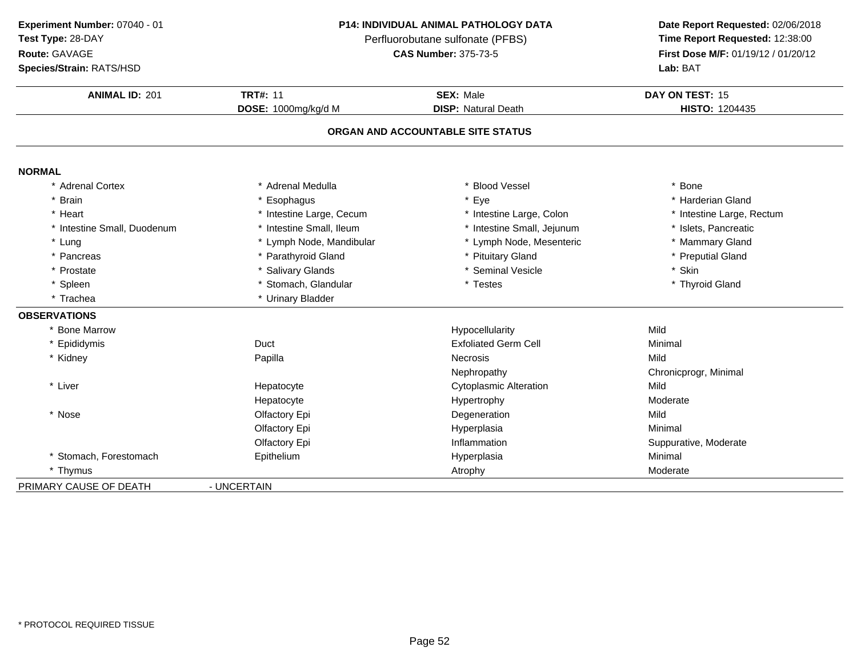| Experiment Number: 07040 - 01 |
|-------------------------------|
| $\sim$ $\sim$ $\sim$ $\sim$   |

**Route:** GAVAGE

**Species/Strain:** RATS/HSD

### **P14: INDIVIDUAL ANIMAL PATHOLOGY DATA**

Perfluorobutane sulfonate (PFBS)<br>**CAS Number:** 375-73-5

| <b>ANIMAL ID: 201</b>     | <b>TRT#: 11</b>          | <b>SEX: Male</b>                  | DAY ON TEST: 15           |
|---------------------------|--------------------------|-----------------------------------|---------------------------|
|                           | DOSE: 1000mg/kg/d M      | <b>DISP: Natural Death</b>        | HISTO: 1204435            |
|                           |                          | ORGAN AND ACCOUNTABLE SITE STATUS |                           |
| <b>NORMAL</b>             |                          |                                   |                           |
| * Adrenal Cortex          | * Adrenal Medulla        | * Blood Vessel                    | * Bone                    |
| <b>Brain</b>              | Esophagus                | * Eye                             | * Harderian Gland         |
| Heart                     | * Intestine Large, Cecum | * Intestine Large, Colon          | * Intestine Large, Rectum |
| Intestine Small, Duodenum | * Intestine Small, Ileum | * Intestine Small, Jejunum        | * Islets, Pancreatic      |
| * Lung                    | * Lymph Node, Mandibular | * Lymph Node, Mesenteric          | * Mammary Gland           |
| Pancreas                  | * Parathyroid Gland      | * Pituitary Gland                 | * Preputial Gland         |
| * Prostate                | * Salivary Glands        | * Seminal Vesicle                 | * Skin                    |
| * Spleen                  | * Stomach, Glandular     | * Testes                          | * Thyroid Gland           |
| * Trachea                 | * Urinary Bladder        |                                   |                           |
| <b>OBSERVATIONS</b>       |                          |                                   |                           |
| * Bone Marrow             |                          | Hypocellularity                   | Mild                      |
| * Epididymis              | Duct                     | <b>Exfoliated Germ Cell</b>       | Minimal                   |
| * Kidney                  | Papilla                  | <b>Necrosis</b>                   | Mild                      |
|                           |                          | Nephropathy                       | Chronicprogr, Minimal     |
| * Liver                   | Hepatocyte               | <b>Cytoplasmic Alteration</b>     | Mild                      |
|                           | Hepatocyte               | Hypertrophy                       | Moderate                  |
| * Nose                    | Olfactory Epi            | Degeneration                      | Mild                      |
|                           | Olfactory Epi            | Hyperplasia                       | Minimal                   |
|                           | Olfactory Epi            | Inflammation                      | Suppurative, Moderate     |
| * Stomach, Forestomach    | Epithelium               | Hyperplasia                       | Minimal                   |
| * Thymus                  |                          | Atrophy                           | Moderate                  |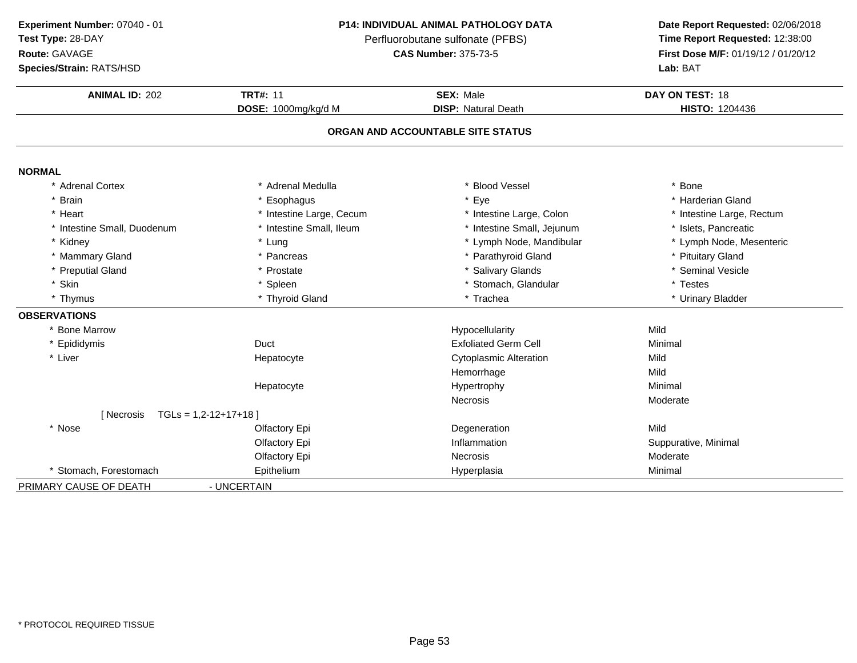| Experiment Number: 07040 - 01 |
|-------------------------------|
| $\sim$ $\sim$ $\sim$ $\sim$   |

**Route:** GAVAGE

**Species/Strain:** RATS/HSD

## **P14: INDIVIDUAL ANIMAL PATHOLOGY DATA**

Perfluorobutane sulfonate (PFBS)<br>**CAS Number:** 375-73-5

| <b>ANIMAL ID: 202</b>       | <b>TRT#: 11</b>          | <b>SEX: Male</b>                  | DAY ON TEST: 18           |
|-----------------------------|--------------------------|-----------------------------------|---------------------------|
|                             | DOSE: 1000mg/kg/d M      | <b>DISP: Natural Death</b>        | <b>HISTO: 1204436</b>     |
|                             |                          | ORGAN AND ACCOUNTABLE SITE STATUS |                           |
| <b>NORMAL</b>               |                          |                                   |                           |
| * Adrenal Cortex            | * Adrenal Medulla        | <b>Blood Vessel</b>               | * Bone                    |
| <b>Brain</b>                | Esophagus                | * Eye                             | * Harderian Gland         |
| * Heart                     | * Intestine Large, Cecum | * Intestine Large, Colon          | * Intestine Large, Rectum |
| * Intestine Small, Duodenum | * Intestine Small, Ileum | * Intestine Small, Jejunum        | * Islets, Pancreatic      |
| * Kidney                    | * Lung                   | * Lymph Node, Mandibular          | * Lymph Node, Mesenteric  |
| * Mammary Gland             | * Pancreas               | * Parathyroid Gland               | * Pituitary Gland         |
| * Preputial Gland           | * Prostate               | * Salivary Glands                 | * Seminal Vesicle         |
| * Skin                      | * Spleen                 | * Stomach, Glandular              | * Testes                  |
| * Thymus                    | * Thyroid Gland          | * Trachea                         | * Urinary Bladder         |
| <b>OBSERVATIONS</b>         |                          |                                   |                           |
| * Bone Marrow               |                          | Hypocellularity                   | Mild                      |
| * Epididymis                | Duct                     | <b>Exfoliated Germ Cell</b>       | Minimal                   |
| * Liver                     | Hepatocyte               | <b>Cytoplasmic Alteration</b>     | Mild                      |
|                             |                          | Hemorrhage                        | Mild                      |
|                             | Hepatocyte               | Hypertrophy                       | Minimal                   |
|                             |                          | <b>Necrosis</b>                   | Moderate                  |
| [ Necrosis                  | $TGLs = 1,2-12+17+18$    |                                   |                           |
| * Nose                      | Olfactory Epi            | Degeneration                      | Mild                      |
|                             | Olfactory Epi            | Inflammation                      | Suppurative, Minimal      |
|                             | Olfactory Epi            | <b>Necrosis</b>                   | Moderate                  |
| * Stomach, Forestomach      | Epithelium               | Hyperplasia                       | Minimal                   |
| PRIMARY CAUSE OF DEATH      | - UNCERTAIN              |                                   |                           |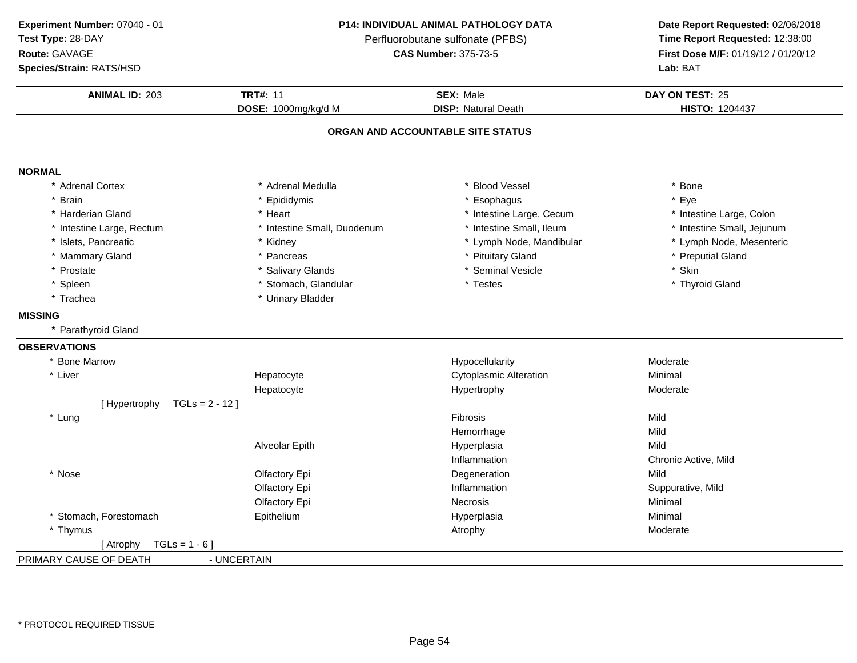**ANIMAL ID:** <sup>203</sup> **TRT#:** <sup>11</sup> **SEX:** Male **DAY ON TEST:** <sup>25</sup> **DOSE:** 1000mg/kg/d M**DISP:** Natural Death **HISTO:** 1204437 **ORGAN AND ACCOUNTABLE SITE STATUSNORMAL** \* Adrenal Cortex \* Adrenal Medullaa the set of the set of the set of the set of the set of the set of the set of the set of the set of the set o<br>Set of the set of the set of the set of the set of the set of the set of the set of the set of the set of the s \* Brain \* Epididymis \* Esophagus \* Eye \* Harderian Gland\* Heart \* 11testine Large, Cecum<br>\* Intestine Small. Duodenum \* 11testine Small. Ileum \* Intestine Large, Colon<br>\* Intestine Small, Jejunum \* Intestine Large, Rectum\* Intestine Small, Duodenum \* 11testine Small, Ileum \* Intestine Small, Intestine Small, Jejunum \* Kidney \* Numeration \* Lymph Node, Mandibular \* Tymph Node, Mesenteric \* Islets, Pancreatic\* Lymph Node, Mandibular \* Mammary Gland \* Pancreas \* Pituitary Gland \* Preputial Gland \* Prostatee the second of the Salivary Glands the second of the seminal Vesicle the second of the second  $\ast$  Skin \* Spleenn the stomach, Glandular the stomach of the store of the store of the store of the store of the store of the store of the store of the store of the store of the store of the store of the store of the store of the store of \* Trachea \* Urinary Bladder **MISSING** \* Parathyroid Gland**OBSERVATIONS** \* Bone Marroww metal control of the Hypocellularity and the Moderate Moderate Moderate \* Liver Hepatocyte Cytoplasmic Alteration **Minimal**<br>
Hypertrophy Moderate Hepatocytee and the Hypertrophy and the Moderate Moderate  $[$  Hypertrophy  $TGLs = 2 - 12$ ] \* Lungg in the state of the state of the state of the Shane School is the Shane School in the Mild state of the Mild Hemorrhagee Mild Alveolar Epith Hyperplasia Mild InflammationInflammation Chronic Active, Mild<br>Degeneration Mild \* Nosee and the Colfactory Epi and the Degeneration Colfactory Epi and the Degeneration of the Mild Olfactory Epi Inflammation Suppurative, Mild Olfactory Epi Necrosis Minimal \* Stomach, Forestomach Epithelium Hyperplasia Minimal \* Thymuss and the contract of the contract of the contract of the contract of the contract of the Moderate  $[Atrophy TGLs = 1 - 6]$ PRIMARY CAUSE OF DEATH - UNCERTAIN **Experiment Number:** 07040 - 01 **P14: INDIVIDUAL ANIMAL PATHOLOGY DATA Date Report Requested:** 02/06/2018 **Test Type:** 28-DAYPerfluorobutane sulfonate (PFBS)<br>**CAS Number:** 375-73-5 **Route:** GAVAGE**First Dose M/F:** 01/19/12 / 01/20/12<br>**Lab:** BAT **Species/Strain:** RATS/HSD**Lab:** BAT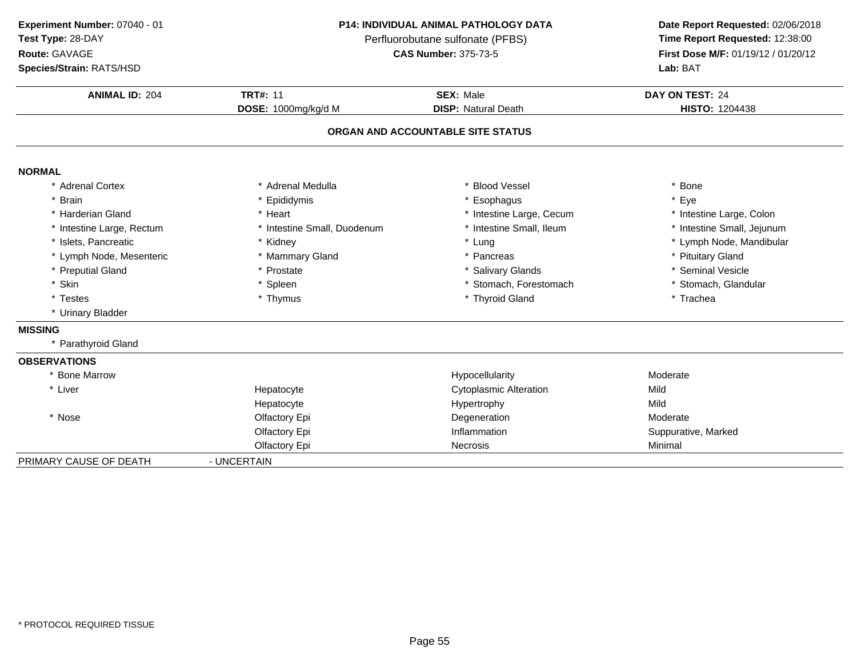**Experiment Number:** 07040 - 01**Test Type:** 28-DAY**Route:** GAVAGE

## **P14: INDIVIDUAL ANIMAL PATHOLOGY DATA**

Perfluorobutane sulfonate (PFBS)<br>**CAS Number:** 375-73-5

| Species/Strain: RATS/HSD  |                             |                                   | Lab: BAT                   |
|---------------------------|-----------------------------|-----------------------------------|----------------------------|
| <b>ANIMAL ID: 204</b>     | <b>TRT#: 11</b>             | <b>SEX: Male</b>                  | DAY ON TEST: 24            |
|                           | DOSE: 1000mg/kg/d M         | <b>DISP: Natural Death</b>        | <b>HISTO: 1204438</b>      |
|                           |                             | ORGAN AND ACCOUNTABLE SITE STATUS |                            |
| <b>NORMAL</b>             |                             |                                   |                            |
| * Adrenal Cortex          | * Adrenal Medulla           | * Blood Vessel                    | * Bone                     |
| * Brain                   | * Epididymis                | * Esophagus                       | * Eye                      |
| * Harderian Gland         | * Heart                     | * Intestine Large, Cecum          | * Intestine Large, Colon   |
| * Intestine Large, Rectum | * Intestine Small, Duodenum | * Intestine Small, Ileum          | * Intestine Small, Jejunum |
| * Islets, Pancreatic      | * Kidney                    | * Lung                            | * Lymph Node, Mandibular   |
| * Lymph Node, Mesenteric  | * Mammary Gland             | * Pancreas                        | * Pituitary Gland          |
| * Preputial Gland         | * Prostate                  | * Salivary Glands                 | * Seminal Vesicle          |
| * Skin                    | * Spleen                    | * Stomach, Forestomach            | * Stomach, Glandular       |
| * Testes                  | * Thymus                    | * Thyroid Gland                   | * Trachea                  |
| * Urinary Bladder         |                             |                                   |                            |
| <b>MISSING</b>            |                             |                                   |                            |
| * Parathyroid Gland       |                             |                                   |                            |
| <b>OBSERVATIONS</b>       |                             |                                   |                            |
| * Bone Marrow             |                             | Hypocellularity                   | Moderate                   |
| * Liver                   | Hepatocyte                  | <b>Cytoplasmic Alteration</b>     | Mild                       |
|                           | Hepatocyte                  | Hypertrophy                       | Mild                       |
| * Nose                    | Olfactory Epi               | Degeneration                      | Moderate                   |
|                           | Olfactory Epi               | Inflammation                      | Suppurative, Marked        |
|                           | Olfactory Epi               | Necrosis                          | Minimal                    |
| PRIMARY CAUSE OF DEATH    | - UNCERTAIN                 |                                   |                            |
|                           |                             |                                   |                            |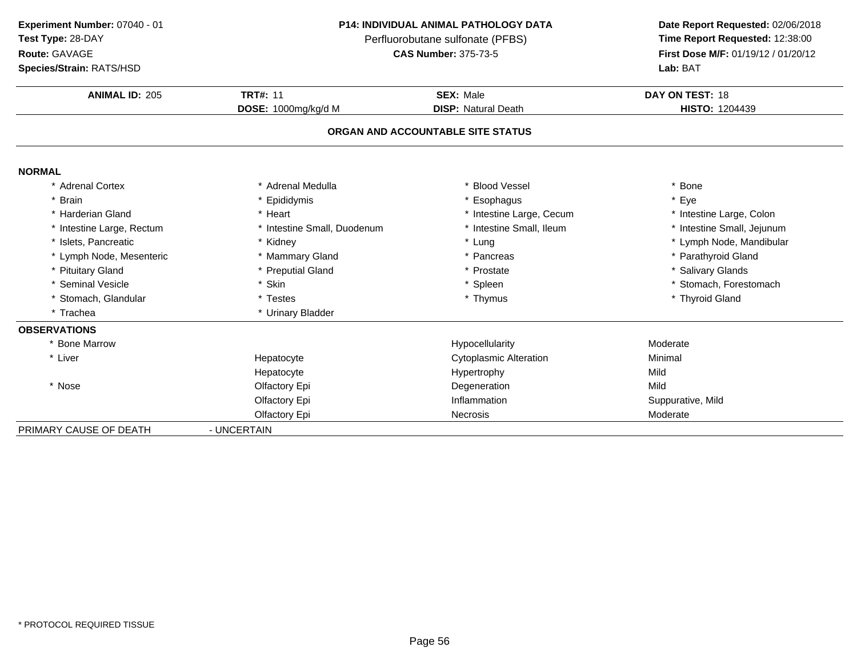**Experiment Number:** 07040 - 01**Test Type:** 28-DAY

**Route:** GAVAGE

**Species/Strain:** RATS/HSD

## **P14: INDIVIDUAL ANIMAL PATHOLOGY DATA**

Perfluorobutane sulfonate (PFBS)<br>**CAS Number:** 375-73-5

| <b>Species/Strain: RATS/HSD</b> |                             |                                   | Lab: BAT                   |
|---------------------------------|-----------------------------|-----------------------------------|----------------------------|
| <b>ANIMAL ID: 205</b>           | <b>TRT#: 11</b>             | <b>SEX: Male</b>                  | DAY ON TEST: 18            |
|                                 | DOSE: 1000mg/kg/d M         | <b>DISP: Natural Death</b>        | <b>HISTO: 1204439</b>      |
|                                 |                             | ORGAN AND ACCOUNTABLE SITE STATUS |                            |
| <b>NORMAL</b>                   |                             |                                   |                            |
| * Adrenal Cortex                | * Adrenal Medulla           | * Blood Vessel                    | * Bone                     |
| * Brain                         | * Epididymis                | * Esophagus                       | * Eye                      |
| * Harderian Gland               | * Heart                     | * Intestine Large, Cecum          | * Intestine Large, Colon   |
| * Intestine Large, Rectum       | * Intestine Small, Duodenum | * Intestine Small, Ileum          | * Intestine Small, Jejunum |
| * Islets, Pancreatic            | * Kidney                    | * Lung                            | * Lymph Node, Mandibular   |
| * Lymph Node, Mesenteric        | * Mammary Gland             | * Pancreas                        | * Parathyroid Gland        |
| * Pituitary Gland               | * Preputial Gland           | * Prostate                        | * Salivary Glands          |
| * Seminal Vesicle               | * Skin                      | * Spleen                          | * Stomach, Forestomach     |
| * Stomach, Glandular            | * Testes                    | * Thymus                          | * Thyroid Gland            |
| * Trachea                       | * Urinary Bladder           |                                   |                            |
| <b>OBSERVATIONS</b>             |                             |                                   |                            |
| * Bone Marrow                   |                             | Hypocellularity                   | Moderate                   |
| * Liver                         | Hepatocyte                  | <b>Cytoplasmic Alteration</b>     | Minimal                    |
|                                 | Hepatocyte                  | Hypertrophy                       | Mild                       |
| * Nose                          | Olfactory Epi               | Degeneration                      | Mild                       |
|                                 | Olfactory Epi               | Inflammation                      | Suppurative, Mild          |
|                                 | Olfactory Epi               | <b>Necrosis</b>                   | Moderate                   |
| PRIMARY CAUSE OF DEATH          | - UNCERTAIN                 |                                   |                            |
|                                 |                             |                                   |                            |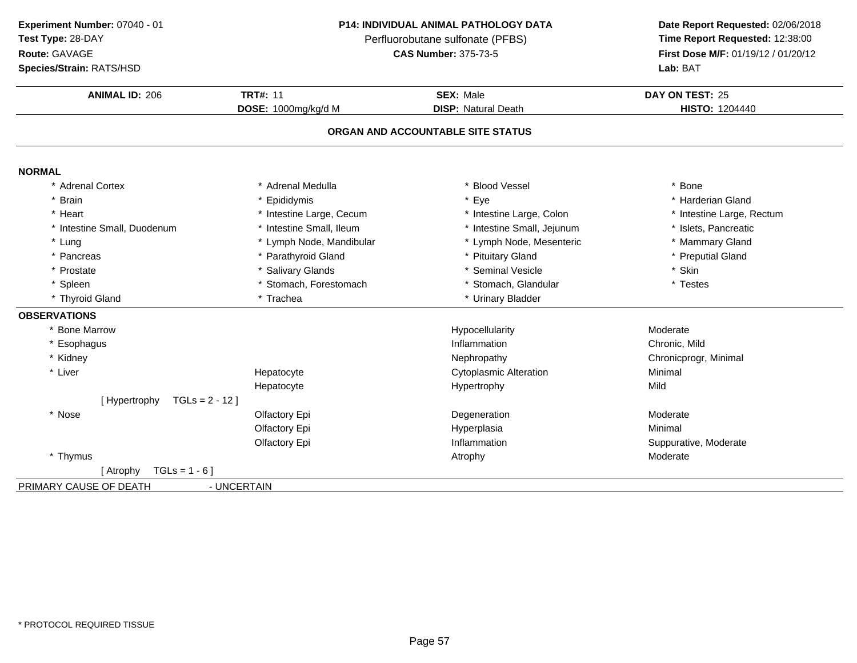| Experiment Number: 07040 - 01 |
|-------------------------------|
| Test Type: 28-DAY             |

# **Route:** GAVAGE

**Species/Strain:** RATS/HSD

## **P14: INDIVIDUAL ANIMAL PATHOLOGY DATA**

Perfluorobutane sulfonate (PFBS)<br>**CAS Number:** 375-73-5

| <b>ANIMAL ID: 206</b>             | <b>TRT#: 11</b>          | <b>SEX: Male</b>                  | DAY ON TEST: 25           |
|-----------------------------------|--------------------------|-----------------------------------|---------------------------|
|                                   | DOSE: 1000mg/kg/d M      | <b>DISP: Natural Death</b>        | <b>HISTO: 1204440</b>     |
|                                   |                          | ORGAN AND ACCOUNTABLE SITE STATUS |                           |
| <b>NORMAL</b>                     |                          |                                   |                           |
| * Adrenal Cortex                  | * Adrenal Medulla        | <b>Blood Vessel</b>               | * Bone                    |
| <b>Brain</b>                      | * Epididymis             | * Eye                             | * Harderian Gland         |
| Heart                             | * Intestine Large, Cecum | * Intestine Large, Colon          | * Intestine Large, Rectum |
| Intestine Small, Duodenum         | * Intestine Small, Ileum | * Intestine Small, Jejunum        | * Islets, Pancreatic      |
| * Lung                            | * Lymph Node, Mandibular | * Lymph Node, Mesenteric          | * Mammary Gland           |
| * Pancreas                        | * Parathyroid Gland      | * Pituitary Gland                 | * Preputial Gland         |
| * Prostate                        | * Salivary Glands        | * Seminal Vesicle                 | * Skin                    |
| * Spleen                          | * Stomach, Forestomach   | Stomach, Glandular                | * Testes                  |
| * Thyroid Gland                   | * Trachea                | * Urinary Bladder                 |                           |
| <b>OBSERVATIONS</b>               |                          |                                   |                           |
| * Bone Marrow                     |                          | Hypocellularity                   | Moderate                  |
| * Esophagus                       |                          | Inflammation                      | Chronic, Mild             |
| * Kidney                          |                          | Nephropathy                       | Chronicprogr, Minimal     |
| * Liver                           | Hepatocyte               | <b>Cytoplasmic Alteration</b>     | Minimal                   |
|                                   | Hepatocyte               | Hypertrophy                       | Mild                      |
| [Hypertrophy<br>TGLs = $2 - 12$ ] |                          |                                   |                           |
| * Nose                            | Olfactory Epi            | Degeneration                      | Moderate                  |
|                                   | Olfactory Epi            | Hyperplasia                       | Minimal                   |
|                                   | Olfactory Epi            | Inflammation                      | Suppurative, Moderate     |
| * Thymus                          |                          | Atrophy                           | Moderate                  |
| $TGLs = 1 - 6$ ]<br>[ Atrophy     |                          |                                   |                           |
| PRIMARY CAUSE OF DEATH            | - UNCERTAIN              |                                   |                           |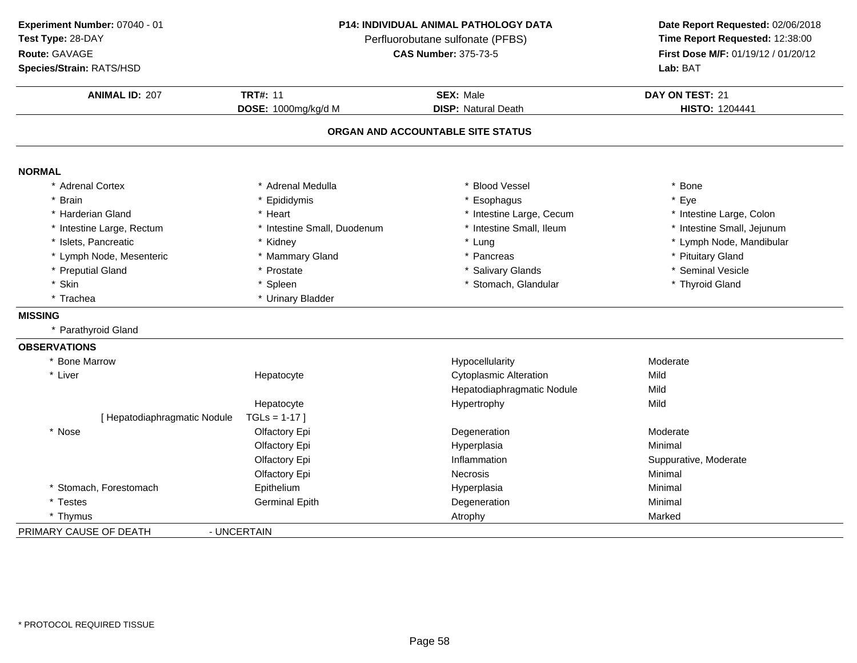**ANIMAL ID:** <sup>207</sup> **TRT#:** <sup>11</sup> **SEX:** Male **DAY ON TEST:** <sup>21</sup> **DOSE:** 1000mg/kg/d M**DISP:** Natural Death **HISTO:** 1204441 **ORGAN AND ACCOUNTABLE SITE STATUSNORMAL** \* Adrenal Cortex \* Adrenal Medullaa the set of the set of the set of the set of the set of the set of the set of the set of the set of the set o<br>Set of the set of the set of the set of the set of the set of the set of the set of the set of the set of the s \* Brain \* Epididymis \* Esophagus \* Eye \* Harderian Gland\* Heart \* 11testine Large, Cecum<br>\* Intestine Small, Duodenum \* 1testine Small, Ileum \* Intestine Large, Colon<br>\* Intestine Small, Jejunum \* Intestine Large, Rectum\* Intestine Small, Duodenum \* 1ntestine Small, Duodenum \* Intestine Small, Intesting \* Intesting \* Intesting \* Intesting \* Intesting \* Intesting \* Intesting \* Intesting \* Intesting \* Intesting \* Intesting \* Intesting \* Int \* Islets, Pancreaticc \* Kidney \* Cung \* Lung \* Lymph Node, Mandibular \* Lymph Node, Mesenteric \* Mammary Gland\* Pancreas \* Pituitary Gland<br>\* Salivary Glands \* \* Seminal Vesicle \* Preputial Gland \* Prostate \* Salivary Glands \* Seminal Vesicle \* Skinn the stormach, Glandular the stormach of the stormach of the stormach, Glandular the stormach of the stormach \* Trachea \* Urinary Bladder **MISSING** \* Parathyroid Gland**OBSERVATIONS** \* Bone Marroww metal control of the Hypocellularity and the Moderate Moderate Moderate \* Liver Hepatocyte Cytoplasmic Alteration **Mild** Hepatodiaphragmatic NoduleMild<br>Mild HepatocyteHepatocyte Hypertrophy<br>
TGLs = 1-17 ] [ Hepatodiaphragmatic Nodule \* Nosee and the Olfactory Epi and the Degeneration Controller and Moderate Olfactory Epi Hyperplasiaa Minimal Olfactory Epi Inflammation Suppurative, Moderate Olfactory Epi**Necrosis**  Minimal \* Stomach, Forestomach**Epithelium**  Hyperplasia Minimal \* Testes Germinal Epith Degeneration Minimal \* Thymuss Atrophy Marked Marked Atrophy Marked Marked Marked Marked Marked Marked Marked Marked Marked Marked Marked Marked Marked Marked Marked Marked Marked Marked Marked Marked Marked Marked Marked Marked Marked Marked Marked M PRIMARY CAUSE OF DEATH - UNCERTAIN **Experiment Number:** 07040 - 01 **P14: INDIVIDUAL ANIMAL PATHOLOGY DATA Date Report Requested:** 02/06/2018 **Test Type:** 28-DAYPerfluorobutane sulfonate (PFBS)<br>**CAS Number:** 375-73-5 **Route:** GAVAGE**First Dose M/F:** 01/19/12 / 01/20/12<br>**Lab:** BAT **Species/Strain:** RATS/HSD**Lab:** BAT

\* PROTOCOL REQUIRED TISSUE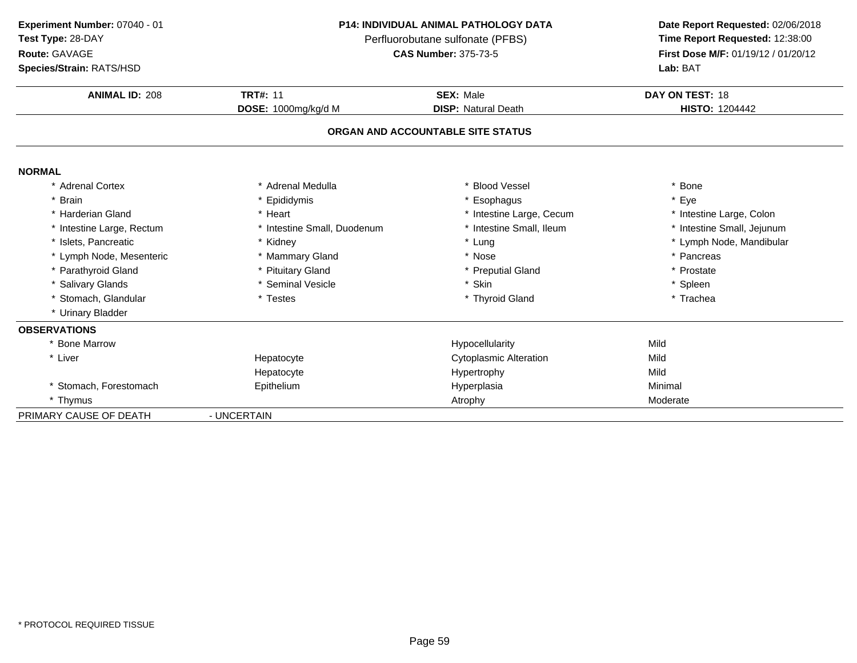| Experiment Number: 07040 - 01 |
|-------------------------------|
| $\sim$ $\sim$ $\sim$ $\sim$   |

**Route:** GAVAGE

**Species/Strain:** RATS/HSD

## **P14: INDIVIDUAL ANIMAL PATHOLOGY DATA**

Perfluorobutane sulfonate (PFBS)<br>**CAS Number:** 375-73-5

| <b>Species/Strain: RATS/HSD</b> |                             |                                   | Lab: BAT                   |
|---------------------------------|-----------------------------|-----------------------------------|----------------------------|
| <b>ANIMAL ID: 208</b>           | <b>TRT#: 11</b>             | SEX: Male                         | DAY ON TEST: 18            |
|                                 | DOSE: 1000mg/kg/d M         | <b>DISP: Natural Death</b>        | <b>HISTO: 1204442</b>      |
|                                 |                             | ORGAN AND ACCOUNTABLE SITE STATUS |                            |
| <b>NORMAL</b>                   |                             |                                   |                            |
| * Adrenal Cortex                | * Adrenal Medulla           | * Blood Vessel                    | Bone                       |
| * Brain                         | * Epididymis                | * Esophagus                       | Eye                        |
| * Harderian Gland               | * Heart                     | * Intestine Large, Cecum          | * Intestine Large, Colon   |
| * Intestine Large, Rectum       | * Intestine Small, Duodenum | * Intestine Small, Ileum          | * Intestine Small, Jejunum |
| * Islets. Pancreatic            | * Kidney                    | * Lung                            | * Lymph Node, Mandibular   |
| * Lymph Node, Mesenteric        | * Mammary Gland             | * Nose                            | * Pancreas                 |
| * Parathyroid Gland             | * Pituitary Gland           | * Preputial Gland                 | * Prostate                 |
| * Salivary Glands               | * Seminal Vesicle           | * Skin                            | * Spleen                   |
| * Stomach, Glandular            | * Testes                    | * Thyroid Gland                   | * Trachea                  |
| * Urinary Bladder               |                             |                                   |                            |
| <b>OBSERVATIONS</b>             |                             |                                   |                            |
| * Bone Marrow                   |                             | Hypocellularity                   | Mild                       |
| * Liver                         | Hepatocyte                  | <b>Cytoplasmic Alteration</b>     | Mild                       |
|                                 | Hepatocyte                  | Hypertrophy                       | Mild                       |
| * Stomach, Forestomach          | Epithelium                  | Hyperplasia                       | Minimal                    |
| * Thymus                        |                             | Atrophy                           | Moderate                   |
| PRIMARY CAUSE OF DEATH          | - UNCERTAIN                 |                                   |                            |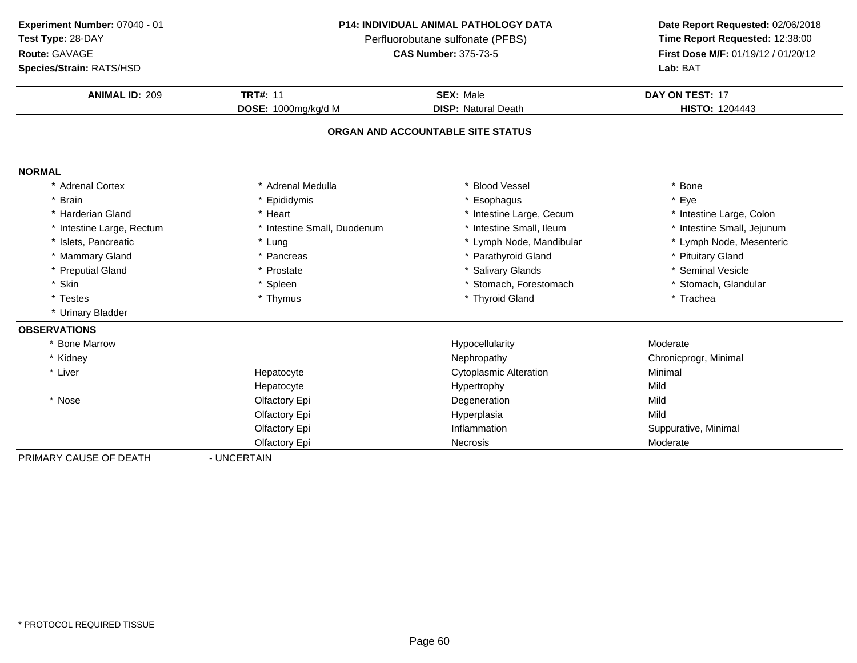| Experiment Number: 07040 - 01 |  |
|-------------------------------|--|
|                               |  |

## **Route:** GAVAGE

**Species/Strain:** RATS/HSD

## **P14: INDIVIDUAL ANIMAL PATHOLOGY DATA**

Perfluorobutane sulfonate (PFBS)<br>**CAS Number:** 375-73-5

| <b>ANIMAL ID: 209</b>     | <b>TRT#: 11</b>             | <b>SEX: Male</b>                  | DAY ON TEST: 17            |
|---------------------------|-----------------------------|-----------------------------------|----------------------------|
|                           | DOSE: 1000mg/kg/d M         | <b>DISP: Natural Death</b>        | <b>HISTO: 1204443</b>      |
|                           |                             | ORGAN AND ACCOUNTABLE SITE STATUS |                            |
| <b>NORMAL</b>             |                             |                                   |                            |
| * Adrenal Cortex          | * Adrenal Medulla           | <b>Blood Vessel</b>               | * Bone                     |
| * Brain                   | * Epididymis                | * Esophagus                       | * Eye                      |
| * Harderian Gland         | * Heart                     | * Intestine Large, Cecum          | * Intestine Large, Colon   |
| * Intestine Large, Rectum | * Intestine Small, Duodenum | * Intestine Small, Ileum          | * Intestine Small, Jejunum |
| * Islets, Pancreatic      | * Lung                      | * Lymph Node, Mandibular          | * Lymph Node, Mesenteric   |
| * Mammary Gland           | * Pancreas                  | * Parathyroid Gland               | * Pituitary Gland          |
| * Preputial Gland         | * Prostate                  | * Salivary Glands                 | * Seminal Vesicle          |
| * Skin                    | * Spleen                    | * Stomach, Forestomach            | * Stomach, Glandular       |
| * Testes                  | * Thymus                    | * Thyroid Gland                   | * Trachea                  |
| * Urinary Bladder         |                             |                                   |                            |
| <b>OBSERVATIONS</b>       |                             |                                   |                            |
| * Bone Marrow             |                             | Hypocellularity                   | Moderate                   |
| * Kidney                  |                             | Nephropathy                       | Chronicprogr, Minimal      |
| * Liver                   | Hepatocyte                  | <b>Cytoplasmic Alteration</b>     | Minimal                    |
|                           | Hepatocyte                  | Hypertrophy                       | Mild                       |
| * Nose                    | Olfactory Epi               | Degeneration                      | Mild                       |
|                           | Olfactory Epi               | Hyperplasia                       | Mild                       |
|                           | Olfactory Epi               | Inflammation                      | Suppurative, Minimal       |
|                           | Olfactory Epi               | Necrosis                          | Moderate                   |
| PRIMARY CAUSE OF DEATH    | - UNCERTAIN                 |                                   |                            |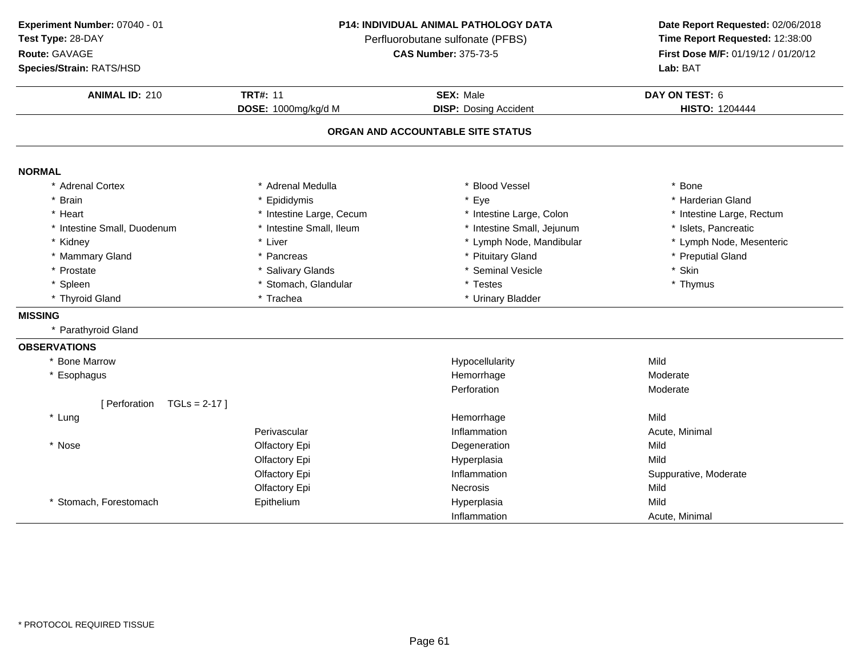**ANIMAL ID:** <sup>210</sup> **TRT#:** <sup>11</sup> **SEX:** Male **DAY ON TEST:** <sup>6</sup> **DOSE:** 1000mg/kg/d M**DISP:** Dosing Accident **HISTO:** 1204444 **ORGAN AND ACCOUNTABLE SITE STATUSNORMAL** \* Adrenal Cortex \* Adrenal Medullaa the set of the set of the set of the set of the set of the set of the set of the set of the set of the set o<br>Set of the set of the set of the set of the set of the set of the set of the set of the set of the set of the s \* Brain \* Epididymis \* Eye \* Harderian Gland \* Heart \* Intestine Large, Cecum \* Intestine Large, Cecum \* 1ntestine Large, Colon \* Intestine Large, Rectum \* Intestine Carge, Rectum \* Intestine Small, Jeiunum \* 11. 1990 \* Intestine Small, Jeiunum \* 11. 1990 \* Intestine Small, Jeiunum \* 11. 1990 \* Inte \* Intestine Small, Duodenum\* Intestine Small, Ileum \* 11testine Small, Jejunum \* Islets, Pancreatic \* Islets, Pancreatic \* Liver \* Liver \* Kidney\* Lymph Node, Mandibular \* Mammary Gland \* Pancreas \* Pituitary Gland \* Preputial Gland \* Prostatee the second of the Salivary Glands the second of the seminal Vesicle the second of the second  $\ast$  Skin \* Spleen\* Stomach, Glandular \* \* Testes \* Testes \* Trachea \* Thymus \* Trachea \* Thymus \* Thymus \* Thymus \* Thymus \* Thymus \* Thymus \* Thymus \* Thymus \* Thymus \* Thymus \* Thymus \* Thymus \* Thymus \* Thymus \* Thymus \* Thymus \* Thymus \* Thyroid Gland\* Urinary Bladder **MISSING** \* Parathyroid Gland**OBSERVATIONS** \* Bone Marroww the contract of the Hypocellularity and the Mild Mild of the Mild Separate Separate Separate Separate Separate Separate Separate Separate Separate Separate Separate Separate Separate Separate Separate Separate Separate S \* Esophaguss the contract of the contract of the contract of the contract of the contract of the contract of the contract of the contract of the contract of the contract of the contract of the contract of the contract of the contract Hemorrhage Moderate Perforation Moderate [ Perforation TGLs = 2-17 ] \* Lungg and the morning of the Mild Separate Separate Separate Separate Separate Separate Separate Separate Separate S Perivascular InflammationInflammation **Acute, Minimal**<br>
Degeneration **Mild** \* Nosee entitled to the Colfactory Epi the Colfactory Epi and Degeneration and Design Mild Olfactory Epi Hyperplasiaa Mild Olfactory Epi Inflammation Suppurative, Moderate Olfactory Epi**Necrosis** s Mild Mild \* Stomach, Forestomach Epithelium Hyperplasia Mild Inflammation Acute, Minimal **Experiment Number:** 07040 - 01 **P14: INDIVIDUAL ANIMAL PATHOLOGY DATA Date Report Requested:** 02/06/2018 **Test Type:** 28-DAYPerfluorobutane sulfonate (PFBS)<br>**CAS Number:** 375-73-5 **Route:** GAVAGE**First Dose M/F:** 01/19/12 / 01/20/12<br>**Lab:** BAT **Species/Strain:** RATS/HSD**Lab:** BAT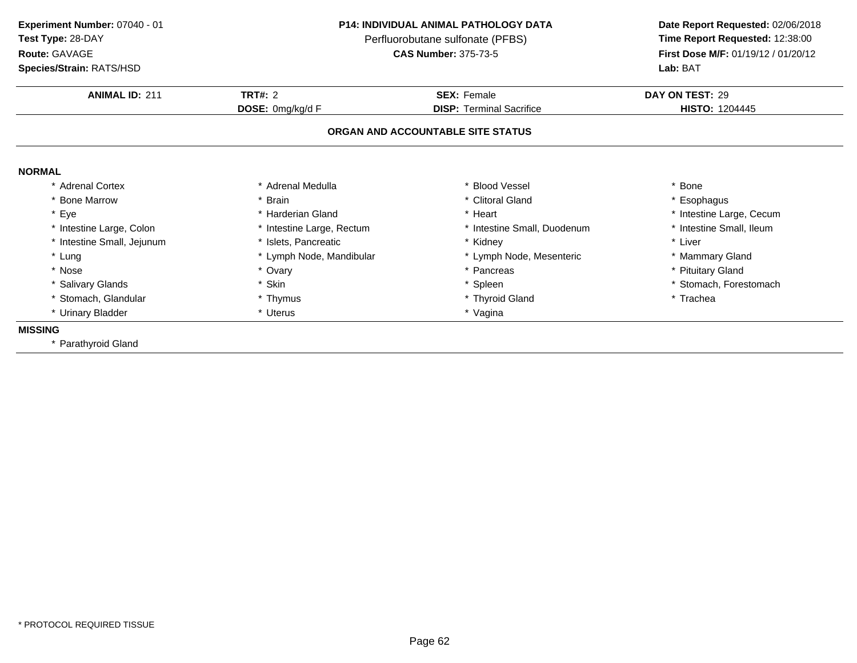**ANIMAL ID:** <sup>211</sup> **TRT#:** <sup>2</sup> **SEX:** Female **DAY ON TEST:** <sup>29</sup> **DOSE:** 0mg/kg/d F**DISP:** Terminal Sacrifice **HISTO:** 1204445 **ORGAN AND ACCOUNTABLE SITE STATUSNORMAL** \* Adrenal Cortex\* Adrenal Medulla<br>\* Brain a the set of the set of the set of the set of the set of the set of the set of the set of the set of the set o<br>Set of the set of the set of the set of the set of the set of the set of the set of the set of the set of the s \* Bone Marrow \* Brain \* Clitoral Gland \* Esophagus \* Eyee the second of the second term in the second term in the second term in the second term in the second term in the second term in the second term in the second term in the second term in the second term in the second term \* Intestine Small, Ileum \* Intestine Large, Colon\* Intestine Large, Rectum<br>\* Islets, Pancreatic \* Intestine Small, Duodenum \* \* Intest<br>\* Kidney \* \* Liver \* Intestine Small, Jejunum \* Islets, Pancreatic \* Kidney \* Liver \* Lung\* Lymph Node, Mandibular \* 1990 \* Lymph Node, Mesenteric \* \* Mammary Gland<br>\* Ovary \* Pancreas \* Pancreas \* Pancreas \* Pituitary Gland \* Nosee entitled by the state of the state of the state of the state of the state of the state of the state of the state of the state of the state of the state of the state of the state of the state of the state of the state of \* Salivary Glands\* Skin<br>\* Thymus \* Spleen \* Stomach, Forestomach \* Stomach, Glandular **\*** Thymus \* Thymus \* Thyroid Gland<br>\* Uterus \* \* Yaqina \* Trachea \* Urinary Bladder \* Uterus \* Vagina**MISSING** \* Parathyroid Gland**Experiment Number:** 07040 - 01 **P14: INDIVIDUAL ANIMAL PATHOLOGY DATA Date Report Requested:** 02/06/2018 **Test Type:** 28-DAYPerfluorobutane sulfonate (PFBS)<br>**CAS Number:** 375-73-5 **Route:** GAVAGE**First Dose M/F:** 01/19/12 / 01/20/12<br>**Lab:** BAT **Species/Strain:** RATS/HSD**Lab:** BAT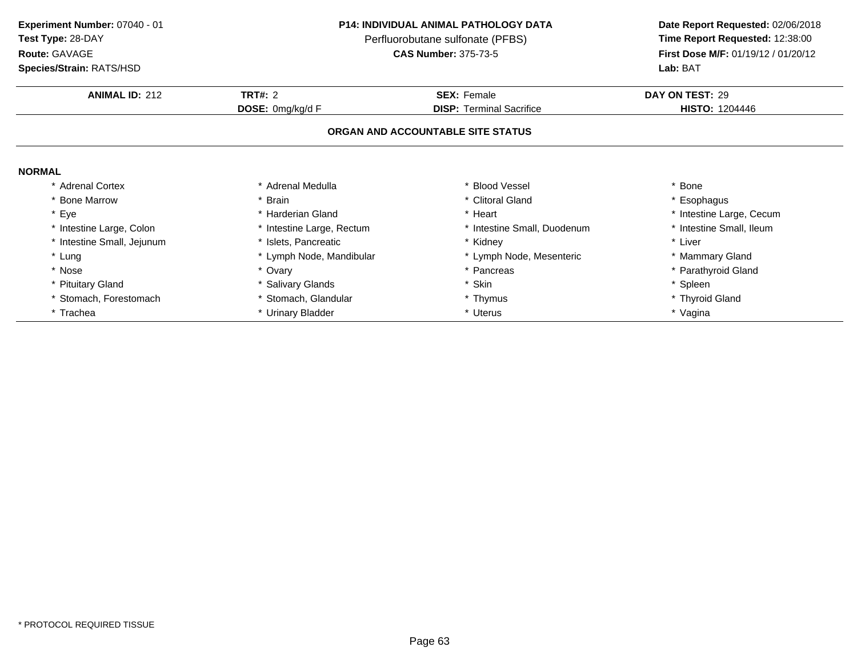**Test Type:** 28-DAY

# **Route:** GAVAGE

**Species/Strain:** RATS/HSD

## **P14: INDIVIDUAL ANIMAL PATHOLOGY DATA**

Perfluorobutane sulfonate (PFBS)<br>**CAS Number:** 375-73-5

| <b>Species/Strain: RATS/HSD</b> |                           | Lab: BAT                          |                          |
|---------------------------------|---------------------------|-----------------------------------|--------------------------|
| <b>ANIMAL ID: 212</b>           | <b>TRT#: 2</b>            | <b>SEX: Female</b>                | DAY ON TEST: 29          |
|                                 | DOSE: 0mg/kg/d F          | <b>DISP: Terminal Sacrifice</b>   | <b>HISTO: 1204446</b>    |
|                                 |                           | ORGAN AND ACCOUNTABLE SITE STATUS |                          |
| <b>NORMAL</b>                   |                           |                                   |                          |
| * Adrenal Cortex                | * Adrenal Medulla         | * Blood Vessel                    | * Bone                   |
| * Bone Marrow                   | * Brain                   | * Clitoral Gland                  | * Esophagus              |
| * Eye                           | * Harderian Gland         | * Heart                           | * Intestine Large, Cecum |
| * Intestine Large, Colon        | * Intestine Large, Rectum | * Intestine Small, Duodenum       | * Intestine Small, Ileum |
| * Intestine Small, Jejunum      | * Islets, Pancreatic      | * Kidney                          | * Liver                  |
| * Lung                          | * Lymph Node, Mandibular  | * Lymph Node, Mesenteric          | * Mammary Gland          |
| * Nose                          | * Ovary                   | * Pancreas                        | * Parathyroid Gland      |
| * Pituitary Gland               | * Salivary Glands         | * Skin                            | * Spleen                 |
| Stomach, Forestomach            | * Stomach, Glandular      | * Thymus                          | * Thyroid Gland          |
| * Trachea                       | * Urinary Bladder         | * Uterus                          | * Vagina                 |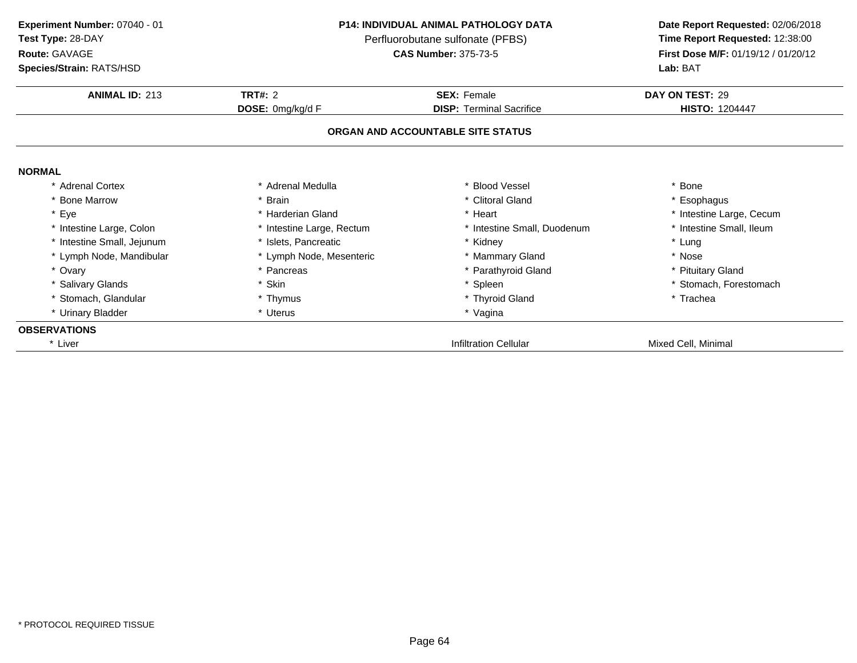| Experiment Number: 07040 - 01<br>Test Type: 28-DAY<br>Route: GAVAGE<br>Species/Strain: RATS/HSD |                           | <b>P14: INDIVIDUAL ANIMAL PATHOLOGY DATA</b><br>Perfluorobutane sulfonate (PFBS)<br><b>CAS Number: 375-73-5</b> | Date Report Requested: 02/06/2018<br>Time Report Requested: 12:38:00<br>First Dose M/F: 01/19/12 / 01/20/12<br>Lab: BAT |  |
|-------------------------------------------------------------------------------------------------|---------------------------|-----------------------------------------------------------------------------------------------------------------|-------------------------------------------------------------------------------------------------------------------------|--|
| <b>ANIMAL ID: 213</b>                                                                           | <b>TRT#: 2</b>            | <b>SEX: Female</b>                                                                                              | DAY ON TEST: 29                                                                                                         |  |
|                                                                                                 | DOSE: 0mg/kg/d F          | <b>DISP: Terminal Sacrifice</b><br>ORGAN AND ACCOUNTABLE SITE STATUS                                            | <b>HISTO: 1204447</b>                                                                                                   |  |
| <b>NORMAL</b>                                                                                   |                           |                                                                                                                 |                                                                                                                         |  |
| * Adrenal Cortex                                                                                | * Adrenal Medulla         | <b>Blood Vessel</b>                                                                                             | * Bone                                                                                                                  |  |
| <b>Bone Marrow</b>                                                                              | * Brain                   | * Clitoral Gland                                                                                                | * Esophagus                                                                                                             |  |
| * Eye                                                                                           | * Harderian Gland         | * Heart                                                                                                         | * Intestine Large, Cecum                                                                                                |  |
| * Intestine Large, Colon                                                                        | * Intestine Large, Rectum | * Intestine Small, Duodenum                                                                                     | * Intestine Small, Ileum                                                                                                |  |
| Intestine Small, Jejunum                                                                        | * Islets. Pancreatic      | * Kidney                                                                                                        | * Lung                                                                                                                  |  |
| * Lymph Node, Mandibular                                                                        | * Lymph Node, Mesenteric  | * Mammary Gland                                                                                                 | * Nose                                                                                                                  |  |
| * Ovary                                                                                         | * Pancreas                | * Parathyroid Gland                                                                                             | * Pituitary Gland                                                                                                       |  |
| * Salivary Glands                                                                               | * Skin                    | * Spleen                                                                                                        | * Stomach, Forestomach                                                                                                  |  |
| * Stomach, Glandular                                                                            | * Thymus                  | * Thyroid Gland                                                                                                 | * Trachea                                                                                                               |  |
| * Urinary Bladder                                                                               | * Uterus                  | * Vagina                                                                                                        |                                                                                                                         |  |
| <b>OBSERVATIONS</b>                                                                             |                           |                                                                                                                 |                                                                                                                         |  |
| * Liver                                                                                         |                           | <b>Infiltration Cellular</b>                                                                                    | Mixed Cell, Minimal                                                                                                     |  |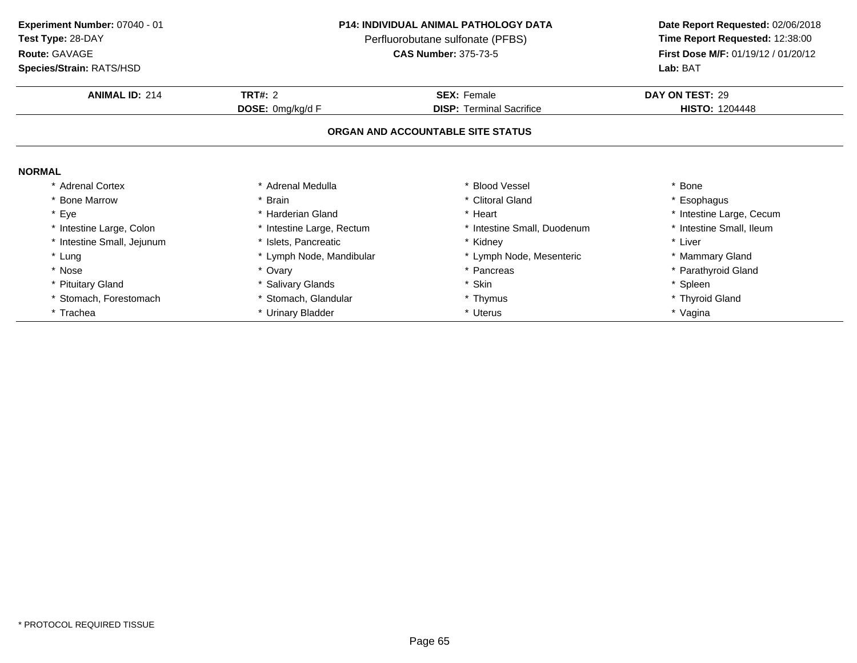| Experiment Number: 07040 - 01 |  |
|-------------------------------|--|
|                               |  |

# **Route:** GAVAGE

**Species/Strain:** RATS/HSD

## **P14: INDIVIDUAL ANIMAL PATHOLOGY DATA**

Perfluorobutane sulfonate (PFBS)<br>**CAS Number:** 375-73-5

| <b>Species/Strain: RATS/HSD</b> |                           | Lab: BAT                          |                          |  |
|---------------------------------|---------------------------|-----------------------------------|--------------------------|--|
| <b>ANIMAL ID: 214</b>           | <b>TRT#: 2</b>            | <b>SEX: Female</b>                | DAY ON TEST: 29          |  |
|                                 | DOSE: 0mg/kg/d F          | <b>DISP: Terminal Sacrifice</b>   | <b>HISTO: 1204448</b>    |  |
|                                 |                           | ORGAN AND ACCOUNTABLE SITE STATUS |                          |  |
| <b>NORMAL</b>                   |                           |                                   |                          |  |
| * Adrenal Cortex                | * Adrenal Medulla         | * Blood Vessel                    | * Bone                   |  |
| * Bone Marrow                   | * Brain                   | * Clitoral Gland                  | * Esophagus              |  |
| * Eye                           | * Harderian Gland         | * Heart                           | * Intestine Large, Cecum |  |
| * Intestine Large, Colon        | * Intestine Large, Rectum | * Intestine Small, Duodenum       | * Intestine Small, Ileum |  |
| * Intestine Small, Jejunum      | * Islets, Pancreatic      | * Kidney                          | * Liver                  |  |
| * Lung                          | * Lymph Node, Mandibular  | * Lymph Node, Mesenteric          | * Mammary Gland          |  |
| * Nose                          | * Ovary                   | * Pancreas                        | * Parathyroid Gland      |  |
| * Pituitary Gland               | * Salivary Glands         | Skin<br>$\ast$                    | * Spleen                 |  |
| * Stomach, Forestomach          | * Stomach, Glandular      | * Thymus                          | * Thyroid Gland          |  |
| * Trachea                       | * Urinary Bladder         | * Uterus                          | * Vagina                 |  |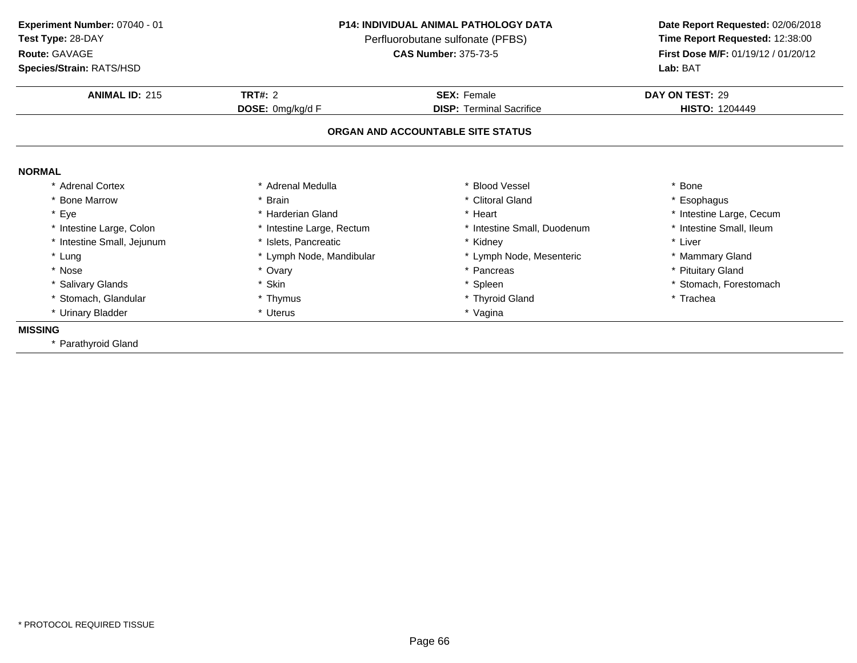**ANIMAL ID:** <sup>215</sup> **TRT#:** <sup>2</sup> **SEX:** Female **DAY ON TEST:** <sup>29</sup> **DOSE:** 0mg/kg/d F**DISP:** Terminal Sacrifice **HISTO:** 1204449 **ORGAN AND ACCOUNTABLE SITE STATUSNORMAL** \* Adrenal Cortex\* Adrenal Medulla<br>\* Brain a the set of the set of the set of the set of the set of the set of the set of the set of the set of the set o<br>Set of the set of the set of the set of the set of the set of the set of the set of the set of the set of the s \* Bone Marrow \* Brain \* Clitoral Gland \* Esophagus \* Eyee the second of the second term in the second term in the second term in the second term in the second term in the second term in the second term in the second term in the second term in the second term in the second term \* Intestine Small, Ileum \* Intestine Large, Colon\* Intestine Large, Rectum<br>\* Islets, Pancreatic \* Intestine Small, Duodenum \* \* Intest<br>\* Kidney \* \* Liver \* Intestine Small, Jejunum \* Islets, Pancreatic \* Kidney \* Liver \* Lung\* Lymph Node, Mandibular \* 1990 \* Lymph Node, Mesenteric \* \* Mammary Gland<br>\* Ovary \* Pancreas \* Pancreas \* Pancreas \* Pituitary Gland \* Nosee entitled by the state of the state of the state of the state of the state of the state of the state of the state of the state of the state of the state of the state of the state of the state of the state of the state of \* Salivary Glands\* Skin<br>\* Thymus \* Spleen \* Stomach, Forestomach \* Stomach, Glandular **\*** Thymus \* Thymus \* Thyroid Gland<br>\* Uterus \* \* Yaqina \* Trachea \* Urinary Bladder \* Uterus \* Vagina**MISSING** \* Parathyroid Gland**Experiment Number:** 07040 - 01 **P14: INDIVIDUAL ANIMAL PATHOLOGY DATA Date Report Requested:** 02/06/2018 **Test Type:** 28-DAYPerfluorobutane sulfonate (PFBS)<br>**CAS Number:** 375-73-5 **Route:** GAVAGE**First Dose M/F:** 01/19/12 / 01/20/12<br>**Lab:** BAT **Species/Strain:** RATS/HSD**Lab:** BAT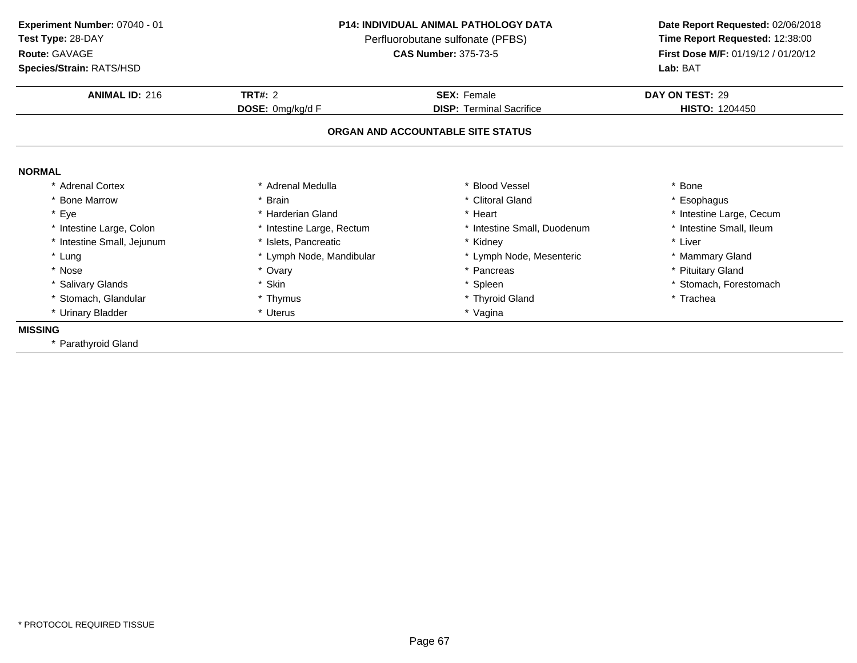**ANIMAL ID:** <sup>216</sup> **TRT#:** <sup>2</sup> **SEX:** Female **DAY ON TEST:** <sup>29</sup> **DOSE:** 0mg/kg/d F**DISP:** Terminal Sacrifice **HISTO:** 1204450 **ORGAN AND ACCOUNTABLE SITE STATUSNORMAL** \* Adrenal Cortex\* Adrenal Medulla<br>\* Brain a the set of the set of the set of the set of the set of the set of the set of the set of the set of the set o<br>Set of the set of the set of the set of the set of the set of the set of the set of the set of the set of the s \* Bone Marrow \* Brain \* Clitoral Gland \* Esophagus \* Eyee the second of the second term in the second term in the second term in the second term in the second term in the second term in the second term in the second term in the second term in the second term in the second term \* Intestine Small, Ileum \* Intestine Large, Colon\* Intestine Large, Rectum<br>\* Islets, Pancreatic \* Intestine Small, Duodenum \* \* Intest<br>\* Kidney \* \* Liver \* Intestine Small, Jejunum \* Islets, Pancreatic \* Kidney \* Liver \* Lung\* Lymph Node, Mandibular \* 1990 \* Lymph Node, Mesenteric \* \* Mammary Gland<br>\* Ovary \* Pancreas \* Pancreas \* Pancreas \* Pituitary Gland \* Nosee entitled by the state of the state of the state of the state of the state of the state of the state of the state of the state of the state of the state of the state of the state of the state of the state of the state of \* Salivary Glands\* Skin<br>\* Thymus \* Spleen \* Stomach, Forestomach \* Stomach, Glandular **\*** Thymus \* Thymus \* Thyroid Gland<br>\* Uterus \* \* Yaqina \* Trachea \* Urinary Bladder \* Uterus \* Vagina**MISSING** \* Parathyroid Gland**Experiment Number:** 07040 - 01 **P14: INDIVIDUAL ANIMAL PATHOLOGY DATA Date Report Requested:** 02/06/2018 **Test Type:** 28-DAYPerfluorobutane sulfonate (PFBS)<br>**CAS Number:** 375-73-5 **Route:** GAVAGE**First Dose M/F:** 01/19/12 / 01/20/12<br>**Lab:** BAT **Species/Strain:** RATS/HSD**Lab:** BAT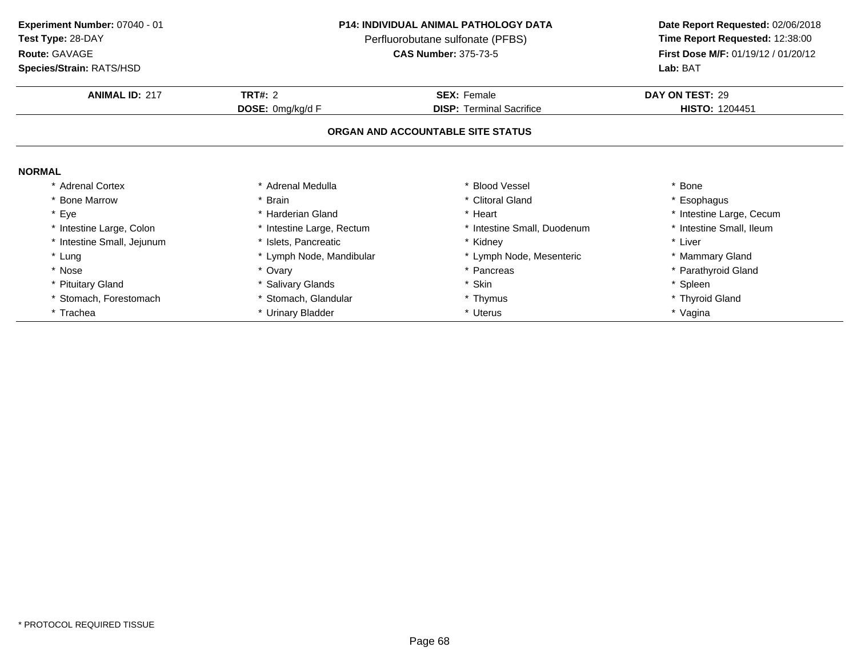**Experiment Number:** 07040 - 01 **P14: INDIVIDUAL ANIMAL PATHOLOGY DATATest Type:** 28-DAYPerfluorobutane sulfonate (PFBS)<br>**CAS Number:** 375-73-5 **Route:** GAVAGE**Species/Strain:** RATS/HSD**Lab:** BAT

| <b>ANIMAL ID: 217</b>      | <b>TRT#: 2</b>            | <b>SEX: Female</b>                | DAY ON TEST: 29          |
|----------------------------|---------------------------|-----------------------------------|--------------------------|
|                            | <b>DOSE:</b> 0mg/kg/d F   | <b>DISP:</b> Terminal Sacrifice   | <b>HISTO: 1204451</b>    |
|                            |                           | ORGAN AND ACCOUNTABLE SITE STATUS |                          |
| <b>NORMAL</b>              |                           |                                   |                          |
| * Adrenal Cortex           | * Adrenal Medulla         | * Blood Vessel                    | * Bone                   |
| * Bone Marrow              | * Brain                   | * Clitoral Gland                  | * Esophagus              |
| * Eye                      | * Harderian Gland         | * Heart                           | * Intestine Large, Cecum |
| * Intestine Large, Colon   | * Intestine Large, Rectum | * Intestine Small, Duodenum       | * Intestine Small, Ileum |
| * Intestine Small, Jejunum | * Islets, Pancreatic      | * Kidney                          | * Liver                  |
| * Lung                     | * Lymph Node, Mandibular  | * Lymph Node, Mesenteric          | * Mammary Gland          |
| * Nose                     | * Ovary                   | * Pancreas                        | * Parathyroid Gland      |
| * Pituitary Gland          | * Salivary Glands         | * Skin                            | * Spleen                 |
| * Stomach, Forestomach     | * Stomach, Glandular      | * Thymus                          | * Thyroid Gland          |
| * Trachea                  | * Urinary Bladder         | * Uterus                          | * Vagina                 |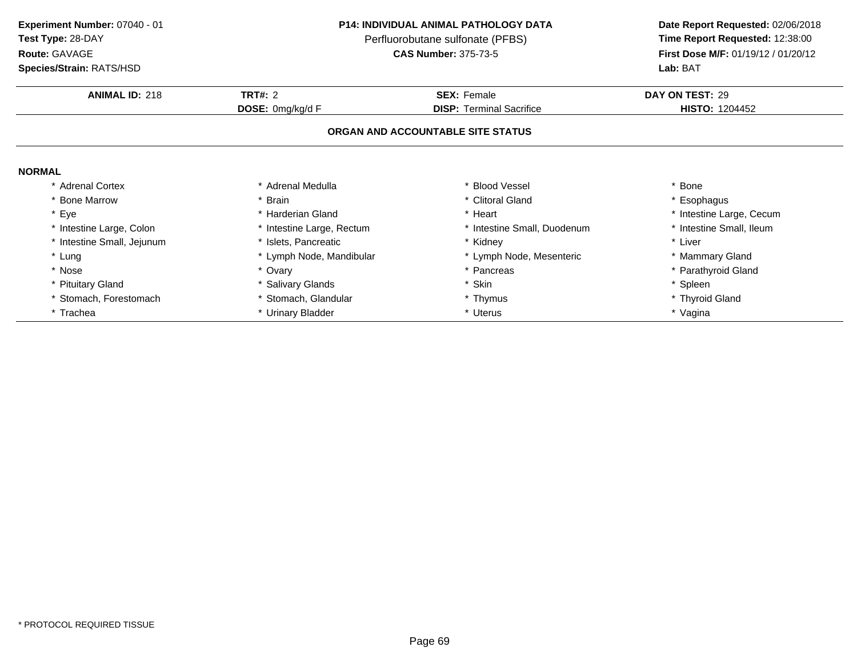| Experiment Number: 07040 - 01 |  |
|-------------------------------|--|
|                               |  |

# **Route:** GAVAGE

**Species/Strain:** RATS/HSD

## **P14: INDIVIDUAL ANIMAL PATHOLOGY DATA**

Perfluorobutane sulfonate (PFBS)<br>**CAS Number:** 375-73-5

| <b>Species/Strain: RATS/HSD</b> |                           | Lab: BAT                          |                          |  |
|---------------------------------|---------------------------|-----------------------------------|--------------------------|--|
| <b>ANIMAL ID: 218</b>           | <b>TRT#: 2</b>            | <b>SEX: Female</b>                | DAY ON TEST: 29          |  |
|                                 | DOSE: 0mg/kg/d F          | <b>DISP: Terminal Sacrifice</b>   | <b>HISTO: 1204452</b>    |  |
|                                 |                           | ORGAN AND ACCOUNTABLE SITE STATUS |                          |  |
| <b>NORMAL</b>                   |                           |                                   |                          |  |
| * Adrenal Cortex                | * Adrenal Medulla         | * Blood Vessel                    | * Bone                   |  |
| * Bone Marrow                   | * Brain                   | * Clitoral Gland                  | * Esophagus              |  |
| * Eye                           | * Harderian Gland         | * Heart                           | * Intestine Large, Cecum |  |
| * Intestine Large, Colon        | * Intestine Large, Rectum | * Intestine Small, Duodenum       | * Intestine Small, Ileum |  |
| * Intestine Small, Jejunum      | * Islets, Pancreatic      | * Kidney                          | * Liver                  |  |
| * Lung                          | * Lymph Node, Mandibular  | * Lymph Node, Mesenteric          | * Mammary Gland          |  |
| * Nose                          | * Ovary                   | * Pancreas                        | * Parathyroid Gland      |  |
| * Pituitary Gland               | * Salivary Glands         | Skin<br>$\ast$                    | * Spleen                 |  |
| * Stomach, Forestomach          | * Stomach, Glandular      | * Thymus                          | * Thyroid Gland          |  |
| * Trachea                       | * Urinary Bladder         | * Uterus                          | * Vagina                 |  |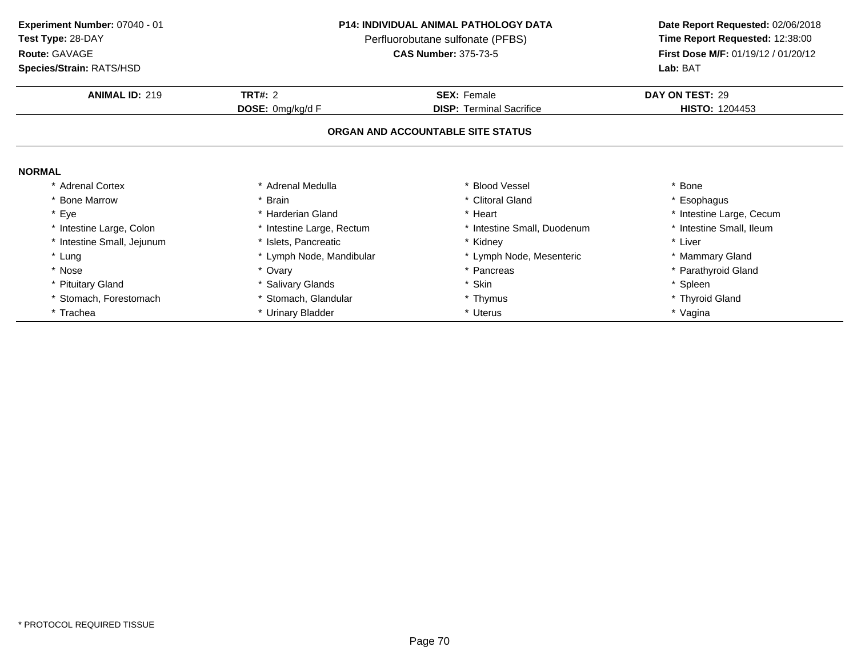| Experiment Number: 07040 - 01 |  |
|-------------------------------|--|
|-------------------------------|--|

# **Route:** GAVAGE

**Species/Strain:** RATS/HSD

## **P14: INDIVIDUAL ANIMAL PATHOLOGY DATA**

Perfluorobutane sulfonate (PFBS)<br>**CAS Number:** 375-73-5

| <b>Species/Strain: RATS/HSD</b> |                           | Lab: BAT                          |                          |  |
|---------------------------------|---------------------------|-----------------------------------|--------------------------|--|
| <b>ANIMAL ID: 219</b>           | <b>TRT#: 2</b>            | <b>SEX: Female</b>                | DAY ON TEST: 29          |  |
|                                 | DOSE: 0mg/kg/d F          | <b>DISP:</b> Terminal Sacrifice   | <b>HISTO: 1204453</b>    |  |
|                                 |                           | ORGAN AND ACCOUNTABLE SITE STATUS |                          |  |
| <b>NORMAL</b>                   |                           |                                   |                          |  |
| * Adrenal Cortex                | * Adrenal Medulla         | * Blood Vessel                    | * Bone                   |  |
| * Bone Marrow                   | * Brain                   | * Clitoral Gland                  | * Esophagus              |  |
| * Eye                           | * Harderian Gland         | * Heart                           | * Intestine Large, Cecum |  |
| * Intestine Large, Colon        | * Intestine Large, Rectum | * Intestine Small, Duodenum       | * Intestine Small, Ileum |  |
| * Intestine Small, Jejunum      | * Islets, Pancreatic      | * Kidney                          | * Liver                  |  |
| * Lung                          | * Lymph Node, Mandibular  | * Lymph Node, Mesenteric          | * Mammary Gland          |  |
| * Nose                          | * Ovary                   | * Pancreas                        | * Parathyroid Gland      |  |
| * Pituitary Gland               | * Salivary Glands         | * Skin                            | * Spleen                 |  |
| * Stomach, Forestomach          | * Stomach, Glandular      | * Thymus                          | * Thyroid Gland          |  |
| * Trachea                       | * Urinary Bladder         | * Uterus                          | * Vagina                 |  |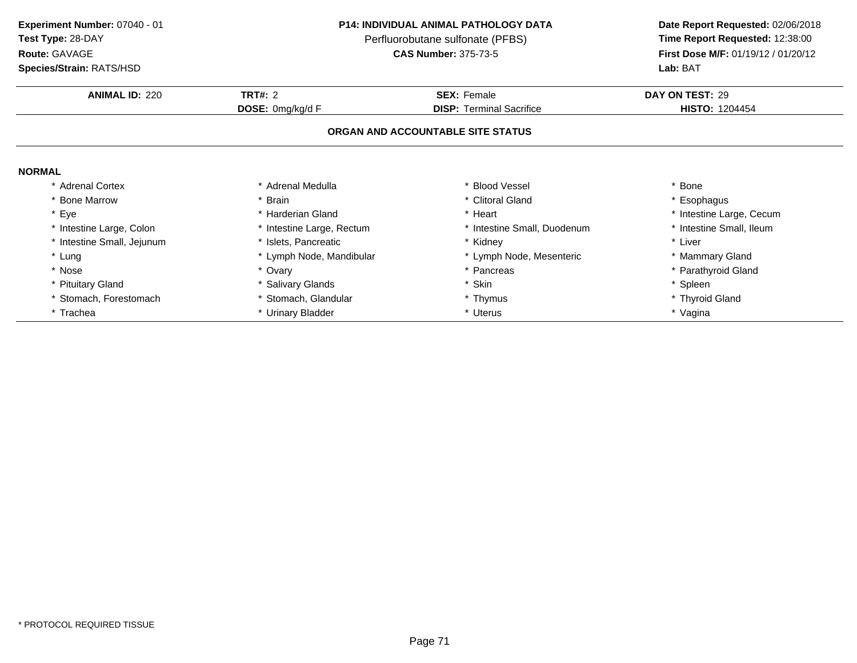# **Route:** GAVAGE

**Species/Strain:** RATS/HSD

## **P14: INDIVIDUAL ANIMAL PATHOLOGY DATA**

Perfluorobutane sulfonate (PFBS)<br>**CAS Number:** 375-73-5

| <b>Species/Strain: RATS/HSD</b> |                           | Lab: BAT                          |                          |  |
|---------------------------------|---------------------------|-----------------------------------|--------------------------|--|
| <b>ANIMAL ID: 220</b>           | <b>TRT#: 2</b>            | <b>SEX: Female</b>                | DAY ON TEST: 29          |  |
|                                 | DOSE: 0mg/kg/d F          | <b>DISP:</b> Terminal Sacrifice   | <b>HISTO: 1204454</b>    |  |
|                                 |                           | ORGAN AND ACCOUNTABLE SITE STATUS |                          |  |
| <b>NORMAL</b>                   |                           |                                   |                          |  |
| * Adrenal Cortex                | * Adrenal Medulla         | * Blood Vessel                    | * Bone                   |  |
| <b>Bone Marrow</b>              | * Brain                   | * Clitoral Gland                  | * Esophagus              |  |
| * Eye                           | * Harderian Gland         | * Heart                           | * Intestine Large, Cecum |  |
| * Intestine Large, Colon        | * Intestine Large, Rectum | Intestine Small, Duodenum         | * Intestine Small, Ileum |  |
| * Intestine Small, Jejunum      | * Islets, Pancreatic      | * Kidney                          | * Liver                  |  |
| * Lung                          | * Lymph Node, Mandibular  | * Lymph Node, Mesenteric          | * Mammary Gland          |  |
| * Nose                          | * Ovary                   | * Pancreas                        | * Parathyroid Gland      |  |
| * Pituitary Gland               | * Salivary Glands         | * Skin                            | * Spleen                 |  |
| * Stomach, Forestomach          | * Stomach, Glandular      | * Thymus                          | * Thyroid Gland          |  |
| * Trachea                       | * Urinary Bladder         | * Uterus                          | * Vagina                 |  |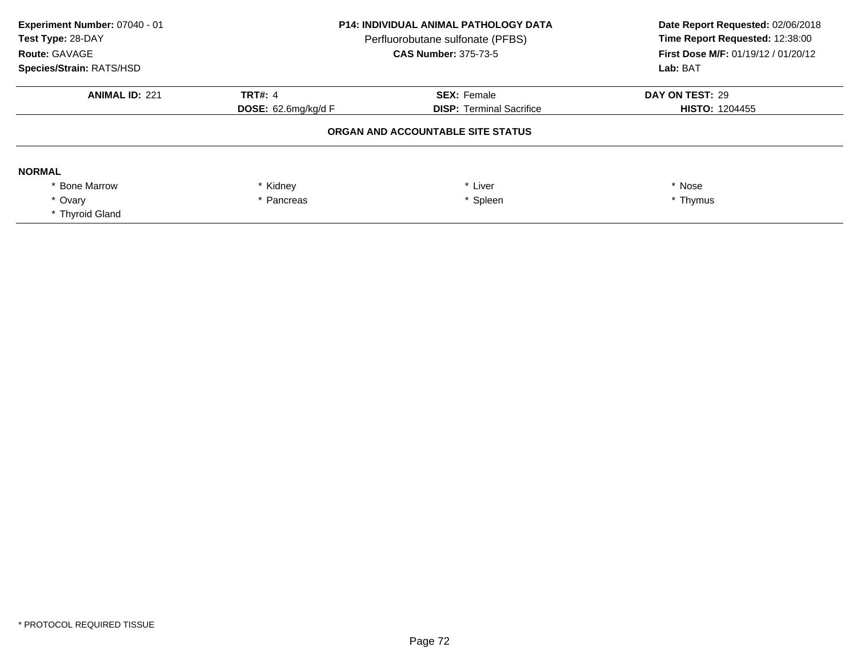| Experiment Number: 07040 - 01<br>Test Type: 28-DAY<br>Route: GAVAGE<br><b>Species/Strain: RATS/HSD</b> | <b>P14: INDIVIDUAL ANIMAL PATHOLOGY DATA</b><br>Perfluorobutane sulfonate (PFBS)<br><b>CAS Number: 375-73-5</b> |                                   | Date Report Requested: 02/06/2018<br>Time Report Requested: 12:38:00<br><b>First Dose M/F: 01/19/12 / 01/20/12</b><br>Lab: BAT |
|--------------------------------------------------------------------------------------------------------|-----------------------------------------------------------------------------------------------------------------|-----------------------------------|--------------------------------------------------------------------------------------------------------------------------------|
| <b>ANIMAL ID: 221</b>                                                                                  | <b>TRT#: 4</b>                                                                                                  | <b>SEX: Female</b>                | DAY ON TEST: 29                                                                                                                |
|                                                                                                        | <b>DOSE:</b> $62.6$ mg/kg/d F                                                                                   | <b>DISP: Terminal Sacrifice</b>   | <b>HISTO: 1204455</b>                                                                                                          |
|                                                                                                        |                                                                                                                 | ORGAN AND ACCOUNTABLE SITE STATUS |                                                                                                                                |
| <b>NORMAL</b>                                                                                          |                                                                                                                 |                                   |                                                                                                                                |
| <b>Bone Marrow</b>                                                                                     | * Kidney                                                                                                        | Liver                             | * Nose                                                                                                                         |
| * Ovarv                                                                                                | * Pancreas                                                                                                      | * Spleen                          | * Thymus                                                                                                                       |
| * Thyroid Gland                                                                                        |                                                                                                                 |                                   |                                                                                                                                |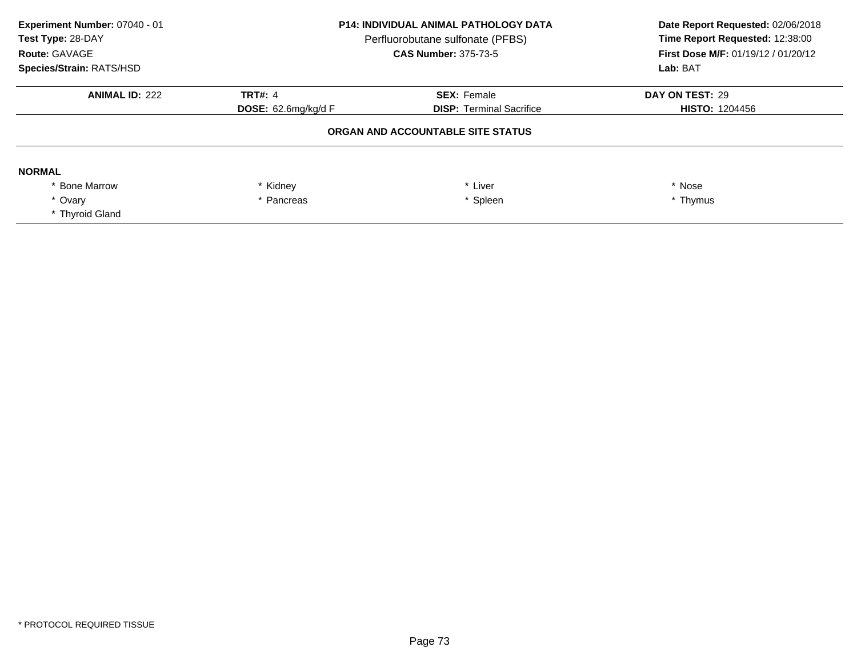| Experiment Number: 07040 - 01<br>Test Type: 28-DAY<br>Route: GAVAGE<br><b>Species/Strain: RATS/HSD</b> | <b>P14: INDIVIDUAL ANIMAL PATHOLOGY DATA</b><br>Perfluorobutane sulfonate (PFBS)<br><b>CAS Number: 375-73-5</b> |                                 | Date Report Requested: 02/06/2018<br>Time Report Requested: 12:38:00<br><b>First Dose M/F: 01/19/12 / 01/20/12</b><br>Lab: BAT |
|--------------------------------------------------------------------------------------------------------|-----------------------------------------------------------------------------------------------------------------|---------------------------------|--------------------------------------------------------------------------------------------------------------------------------|
| <b>ANIMAL ID: 222</b>                                                                                  | <b>TRT#: 4</b>                                                                                                  | <b>SEX: Female</b>              | DAY ON TEST: 29                                                                                                                |
|                                                                                                        | <b>DOSE:</b> 62.6mg/kg/d F                                                                                      | <b>DISP: Terminal Sacrifice</b> | <b>HISTO: 1204456</b>                                                                                                          |
|                                                                                                        | ORGAN AND ACCOUNTABLE SITE STATUS                                                                               |                                 |                                                                                                                                |
| <b>NORMAL</b>                                                                                          |                                                                                                                 |                                 |                                                                                                                                |
| <b>Bone Marrow</b>                                                                                     | * Kidney                                                                                                        | Liver                           | * Nose                                                                                                                         |
| * Ovarv                                                                                                | * Spleen<br>* Pancreas                                                                                          |                                 | * Thymus                                                                                                                       |
| * Thyroid Gland                                                                                        |                                                                                                                 |                                 |                                                                                                                                |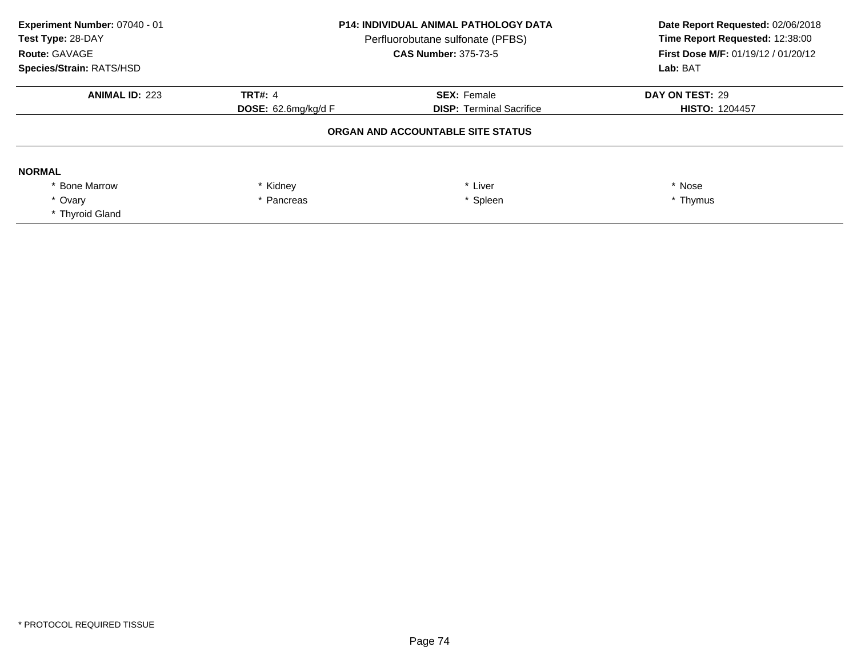| Experiment Number: 07040 - 01<br>Test Type: 28-DAY<br>Route: GAVAGE<br><b>Species/Strain: RATS/HSD</b> | <b>P14: INDIVIDUAL ANIMAL PATHOLOGY DATA</b><br>Perfluorobutane sulfonate (PFBS)<br><b>CAS Number: 375-73-5</b> |                                 | Date Report Requested: 02/06/2018<br>Time Report Requested: 12:38:00<br><b>First Dose M/F: 01/19/12 / 01/20/12</b><br>Lab: BAT |
|--------------------------------------------------------------------------------------------------------|-----------------------------------------------------------------------------------------------------------------|---------------------------------|--------------------------------------------------------------------------------------------------------------------------------|
| <b>ANIMAL ID: 223</b>                                                                                  | <b>TRT#: 4</b>                                                                                                  | <b>SEX: Female</b>              | DAY ON TEST: 29                                                                                                                |
|                                                                                                        | <b>DOSE:</b> 62.6mg/kg/d F                                                                                      | <b>DISP: Terminal Sacrifice</b> | <b>HISTO: 1204457</b>                                                                                                          |
|                                                                                                        | ORGAN AND ACCOUNTABLE SITE STATUS                                                                               |                                 |                                                                                                                                |
| <b>NORMAL</b>                                                                                          |                                                                                                                 |                                 |                                                                                                                                |
| <b>Bone Marrow</b>                                                                                     | * Kidney                                                                                                        | Liver                           | * Nose                                                                                                                         |
| * Ovarv                                                                                                | * Spleen<br>* Pancreas                                                                                          |                                 | * Thymus                                                                                                                       |
| * Thyroid Gland                                                                                        |                                                                                                                 |                                 |                                                                                                                                |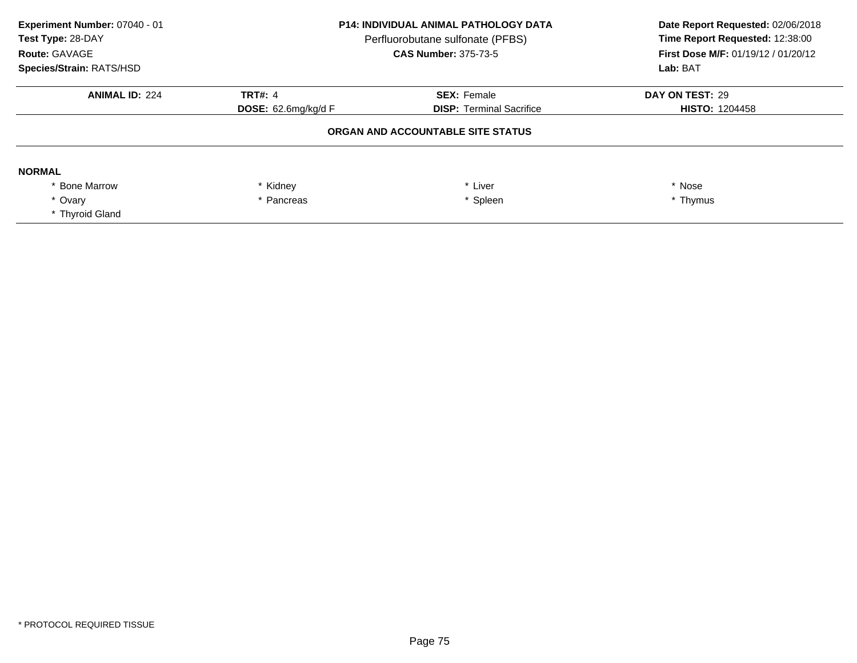| Experiment Number: 07040 - 01<br>Test Type: 28-DAY<br>Route: GAVAGE<br><b>Species/Strain: RATS/HSD</b> | <b>P14: INDIVIDUAL ANIMAL PATHOLOGY DATA</b><br>Perfluorobutane sulfonate (PFBS)<br><b>CAS Number: 375-73-5</b> |                                 | Date Report Requested: 02/06/2018<br>Time Report Requested: 12:38:00<br><b>First Dose M/F: 01/19/12 / 01/20/12</b><br>Lab: BAT |
|--------------------------------------------------------------------------------------------------------|-----------------------------------------------------------------------------------------------------------------|---------------------------------|--------------------------------------------------------------------------------------------------------------------------------|
| <b>ANIMAL ID: 224</b>                                                                                  | <b>TRT#: 4</b>                                                                                                  | <b>SEX: Female</b>              | DAY ON TEST: 29                                                                                                                |
|                                                                                                        | <b>DOSE:</b> 62.6mg/kg/d F                                                                                      | <b>DISP: Terminal Sacrifice</b> | <b>HISTO: 1204458</b>                                                                                                          |
|                                                                                                        | ORGAN AND ACCOUNTABLE SITE STATUS                                                                               |                                 |                                                                                                                                |
| <b>NORMAL</b>                                                                                          |                                                                                                                 |                                 |                                                                                                                                |
| <b>Bone Marrow</b>                                                                                     | * Kidney                                                                                                        | Liver                           | * Nose                                                                                                                         |
| * Ovarv                                                                                                | * Spleen<br>* Pancreas                                                                                          |                                 | * Thymus                                                                                                                       |
| * Thyroid Gland                                                                                        |                                                                                                                 |                                 |                                                                                                                                |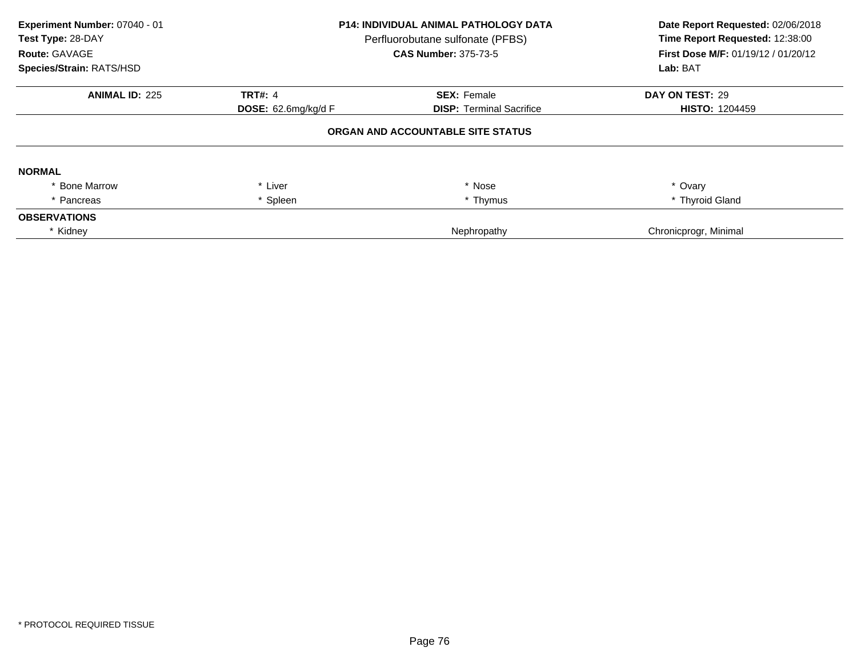| Experiment Number: 07040 - 01<br>Test Type: 28-DAY<br>Route: GAVAGE<br>Species/Strain: RATS/HSD | <b>P14: INDIVIDUAL ANIMAL PATHOLOGY DATA</b><br>Perfluorobutane sulfonate (PFBS)<br><b>CAS Number: 375-73-5</b> |                                   | Date Report Requested: 02/06/2018<br>Time Report Requested: 12:38:00<br>First Dose M/F: 01/19/12 / 01/20/12<br>Lab: BAT |
|-------------------------------------------------------------------------------------------------|-----------------------------------------------------------------------------------------------------------------|-----------------------------------|-------------------------------------------------------------------------------------------------------------------------|
| <b>ANIMAL ID: 225</b>                                                                           | <b>TRT#: 4</b>                                                                                                  | <b>SEX: Female</b>                | DAY ON TEST: 29                                                                                                         |
|                                                                                                 | <b>DOSE:</b> $62.6$ mg/kg/d F                                                                                   | <b>DISP:</b> Terminal Sacrifice   | <b>HISTO: 1204459</b>                                                                                                   |
|                                                                                                 |                                                                                                                 | ORGAN AND ACCOUNTABLE SITE STATUS |                                                                                                                         |
| <b>NORMAL</b>                                                                                   |                                                                                                                 |                                   |                                                                                                                         |
| * Bone Marrow                                                                                   | * Liver                                                                                                         | * Nose                            | * Ovary                                                                                                                 |
| * Pancreas                                                                                      | Spleen                                                                                                          | * Thymus                          | * Thyroid Gland                                                                                                         |
| <b>OBSERVATIONS</b>                                                                             |                                                                                                                 |                                   |                                                                                                                         |
| * Kidney                                                                                        |                                                                                                                 | Nephropathy                       | Chronicprogr, Minimal                                                                                                   |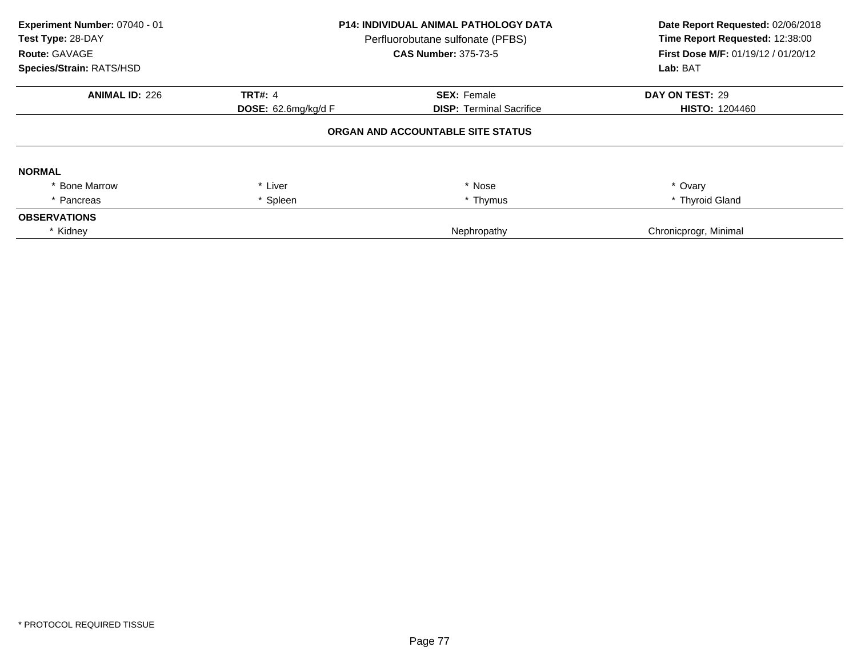| Experiment Number: 07040 - 01<br>Test Type: 28-DAY<br>Route: GAVAGE<br>Species/Strain: RATS/HSD | <b>P14: INDIVIDUAL ANIMAL PATHOLOGY DATA</b><br>Perfluorobutane sulfonate (PFBS)<br><b>CAS Number: 375-73-5</b> |                                   | Date Report Requested: 02/06/2018<br>Time Report Requested: 12:38:00<br>First Dose M/F: 01/19/12 / 01/20/12<br>Lab: BAT |
|-------------------------------------------------------------------------------------------------|-----------------------------------------------------------------------------------------------------------------|-----------------------------------|-------------------------------------------------------------------------------------------------------------------------|
| <b>ANIMAL ID: 226</b>                                                                           | <b>TRT#: 4</b>                                                                                                  | <b>SEX: Female</b>                | DAY ON TEST: 29                                                                                                         |
|                                                                                                 | <b>DOSE:</b> $62.6$ mg/kg/d F                                                                                   | <b>DISP:</b> Terminal Sacrifice   | <b>HISTO: 1204460</b>                                                                                                   |
|                                                                                                 |                                                                                                                 | ORGAN AND ACCOUNTABLE SITE STATUS |                                                                                                                         |
| <b>NORMAL</b>                                                                                   |                                                                                                                 |                                   |                                                                                                                         |
| * Bone Marrow                                                                                   | * Liver                                                                                                         | * Nose                            | * Ovary                                                                                                                 |
| * Pancreas                                                                                      | Spleen                                                                                                          | * Thymus                          | * Thyroid Gland                                                                                                         |
| <b>OBSERVATIONS</b>                                                                             |                                                                                                                 |                                   |                                                                                                                         |
| * Kidney                                                                                        |                                                                                                                 | Nephropathy                       | Chronicprogr, Minimal                                                                                                   |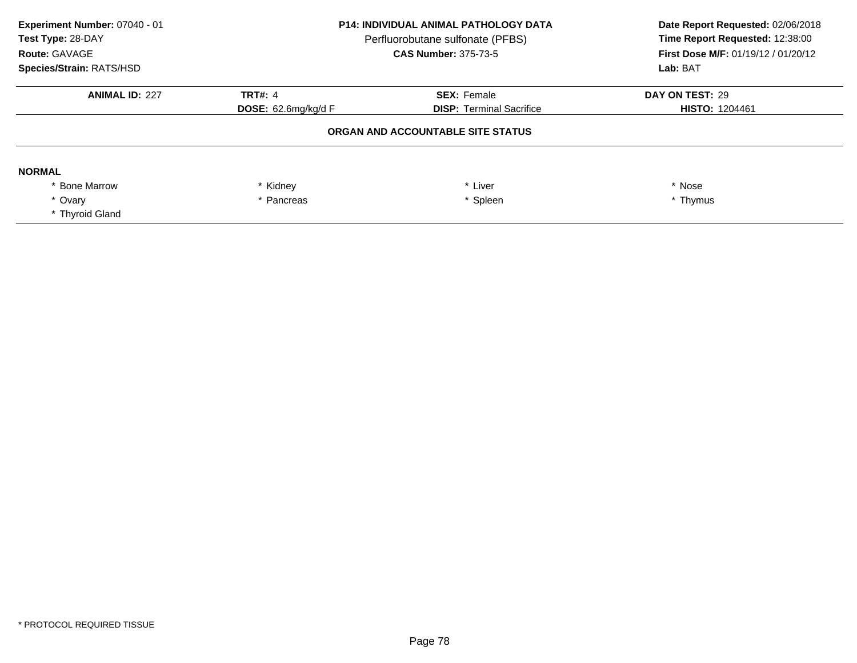| Experiment Number: 07040 - 01<br>Test Type: 28-DAY<br>Route: GAVAGE<br><b>Species/Strain: RATS/HSD</b> | <b>P14: INDIVIDUAL ANIMAL PATHOLOGY DATA</b><br>Perfluorobutane sulfonate (PFBS)<br><b>CAS Number: 375-73-5</b> |                                 | Date Report Requested: 02/06/2018<br>Time Report Requested: 12:38:00<br><b>First Dose M/F: 01/19/12 / 01/20/12</b><br>Lab: BAT |
|--------------------------------------------------------------------------------------------------------|-----------------------------------------------------------------------------------------------------------------|---------------------------------|--------------------------------------------------------------------------------------------------------------------------------|
| <b>ANIMAL ID: 227</b>                                                                                  | <b>TRT#: 4</b>                                                                                                  | <b>SEX: Female</b>              | DAY ON TEST: 29                                                                                                                |
|                                                                                                        | <b>DOSE:</b> $62.6$ mg/kg/d F                                                                                   | <b>DISP: Terminal Sacrifice</b> | <b>HISTO: 1204461</b>                                                                                                          |
|                                                                                                        | ORGAN AND ACCOUNTABLE SITE STATUS                                                                               |                                 |                                                                                                                                |
| <b>NORMAL</b>                                                                                          |                                                                                                                 |                                 |                                                                                                                                |
| <b>Bone Marrow</b>                                                                                     | * Kidney                                                                                                        | Liver                           | * Nose                                                                                                                         |
| * Ovarv                                                                                                | * Spleen<br>* Pancreas                                                                                          |                                 | * Thymus                                                                                                                       |
| * Thyroid Gland                                                                                        |                                                                                                                 |                                 |                                                                                                                                |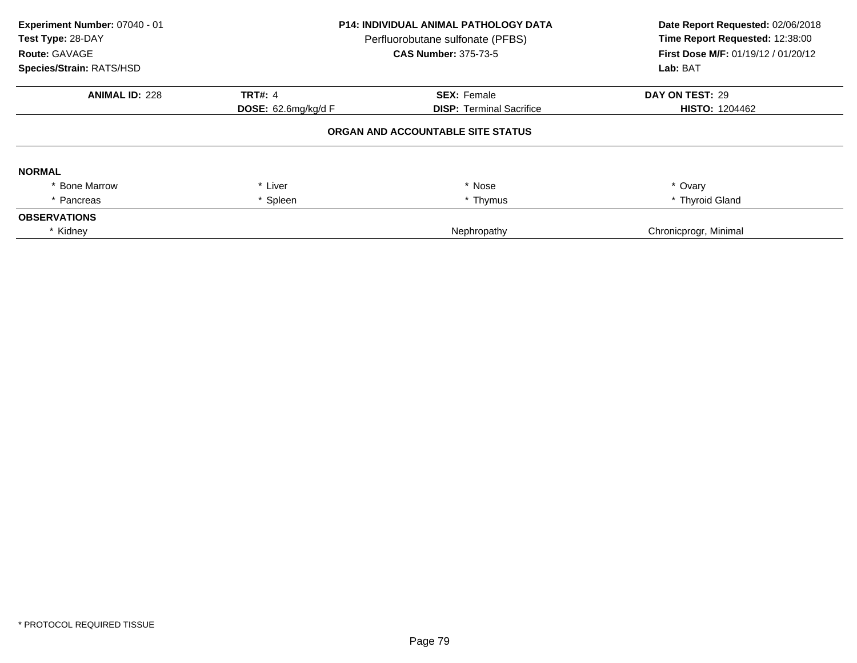| Experiment Number: 07040 - 01<br>Test Type: 28-DAY<br>Route: GAVAGE<br>Species/Strain: RATS/HSD | <b>P14: INDIVIDUAL ANIMAL PATHOLOGY DATA</b><br>Perfluorobutane sulfonate (PFBS)<br><b>CAS Number: 375-73-5</b> |                                   | Date Report Requested: 02/06/2018<br>Time Report Requested: 12:38:00<br>First Dose M/F: 01/19/12 / 01/20/12<br>Lab: BAT |
|-------------------------------------------------------------------------------------------------|-----------------------------------------------------------------------------------------------------------------|-----------------------------------|-------------------------------------------------------------------------------------------------------------------------|
| <b>ANIMAL ID: 228</b>                                                                           | <b>TRT#: 4</b>                                                                                                  | <b>SEX: Female</b>                | DAY ON TEST: 29                                                                                                         |
|                                                                                                 | DOSE: 62.6mg/kg/d F                                                                                             | <b>DISP:</b> Terminal Sacrifice   | <b>HISTO: 1204462</b>                                                                                                   |
|                                                                                                 |                                                                                                                 | ORGAN AND ACCOUNTABLE SITE STATUS |                                                                                                                         |
| <b>NORMAL</b>                                                                                   |                                                                                                                 |                                   |                                                                                                                         |
| <b>Bone Marrow</b>                                                                              | Liver                                                                                                           | * Nose                            | * Ovary                                                                                                                 |
| Pancreas                                                                                        | Spleen                                                                                                          | * Thymus                          | * Thyroid Gland                                                                                                         |
| <b>OBSERVATIONS</b>                                                                             |                                                                                                                 |                                   |                                                                                                                         |
| * Kidney                                                                                        |                                                                                                                 | Nephropathy                       | Chronicprogr, Minimal                                                                                                   |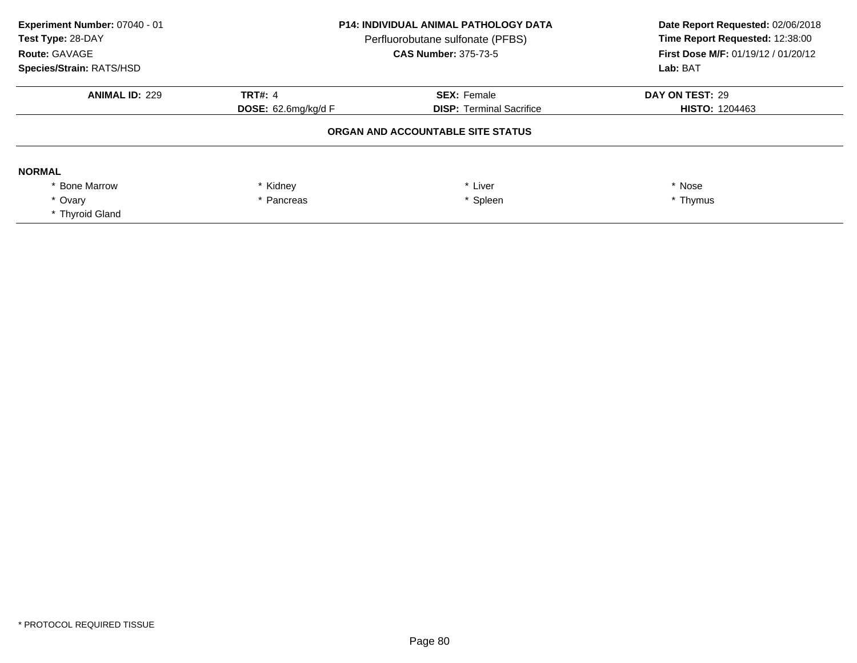| Experiment Number: 07040 - 01<br>Test Type: 28-DAY<br>Route: GAVAGE<br><b>Species/Strain: RATS/HSD</b> | <b>P14: INDIVIDUAL ANIMAL PATHOLOGY DATA</b><br>Perfluorobutane sulfonate (PFBS)<br><b>CAS Number: 375-73-5</b> |                                   | Date Report Requested: 02/06/2018<br>Time Report Requested: 12:38:00<br><b>First Dose M/F: 01/19/12 / 01/20/12</b><br>Lab: BAT |
|--------------------------------------------------------------------------------------------------------|-----------------------------------------------------------------------------------------------------------------|-----------------------------------|--------------------------------------------------------------------------------------------------------------------------------|
| <b>ANIMAL ID: 229</b>                                                                                  | <b>TRT#: 4</b>                                                                                                  | <b>SEX: Female</b>                | DAY ON TEST: 29                                                                                                                |
|                                                                                                        | <b>DOSE:</b> $62.6$ mg/kg/d F                                                                                   | <b>DISP: Terminal Sacrifice</b>   | <b>HISTO: 1204463</b>                                                                                                          |
|                                                                                                        |                                                                                                                 | ORGAN AND ACCOUNTABLE SITE STATUS |                                                                                                                                |
| <b>NORMAL</b>                                                                                          |                                                                                                                 |                                   |                                                                                                                                |
| <b>Bone Marrow</b>                                                                                     | * Kidney                                                                                                        | Liver                             | * Nose                                                                                                                         |
| * Ovarv                                                                                                | * Spleen<br>* Pancreas                                                                                          |                                   | * Thymus                                                                                                                       |
| * Thyroid Gland                                                                                        |                                                                                                                 |                                   |                                                                                                                                |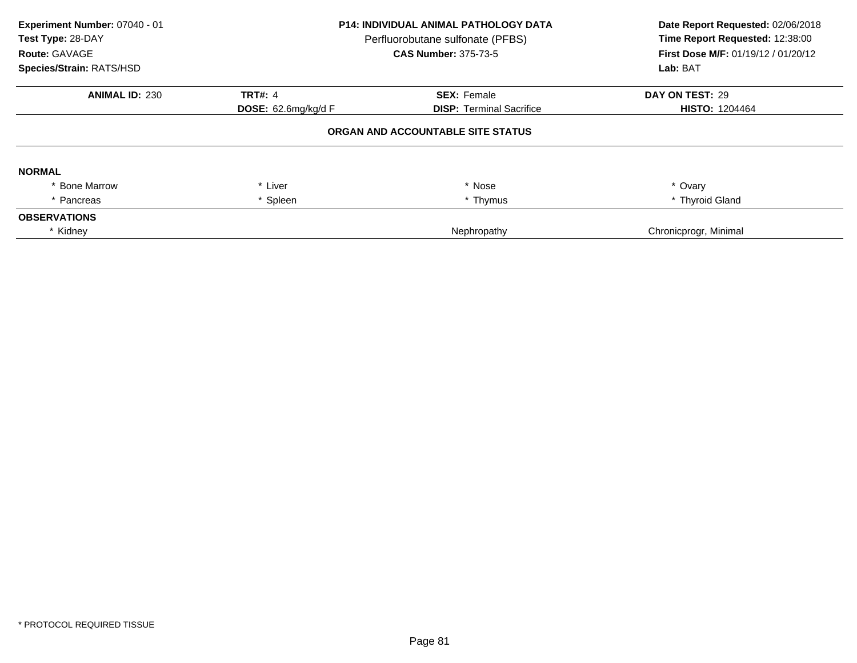| Experiment Number: 07040 - 01<br>Test Type: 28-DAY<br>Route: GAVAGE<br>Species/Strain: RATS/HSD | <b>P14: INDIVIDUAL ANIMAL PATHOLOGY DATA</b><br>Perfluorobutane sulfonate (PFBS)<br><b>CAS Number: 375-73-5</b> |                                   | Date Report Requested: 02/06/2018<br>Time Report Requested: 12:38:00<br>First Dose M/F: 01/19/12 / 01/20/12<br>Lab: BAT |
|-------------------------------------------------------------------------------------------------|-----------------------------------------------------------------------------------------------------------------|-----------------------------------|-------------------------------------------------------------------------------------------------------------------------|
| <b>ANIMAL ID: 230</b>                                                                           | <b>TRT#: 4</b>                                                                                                  | <b>SEX: Female</b>                | DAY ON TEST: 29                                                                                                         |
|                                                                                                 | <b>DOSE:</b> $62.6$ mg/kg/d F                                                                                   | <b>DISP:</b> Terminal Sacrifice   | <b>HISTO: 1204464</b>                                                                                                   |
|                                                                                                 |                                                                                                                 | ORGAN AND ACCOUNTABLE SITE STATUS |                                                                                                                         |
| <b>NORMAL</b>                                                                                   |                                                                                                                 |                                   |                                                                                                                         |
| * Bone Marrow                                                                                   | * Liver                                                                                                         | * Nose                            | * Ovary                                                                                                                 |
| * Pancreas                                                                                      | Spleen                                                                                                          | * Thymus                          | * Thyroid Gland                                                                                                         |
| <b>OBSERVATIONS</b>                                                                             |                                                                                                                 |                                   |                                                                                                                         |
| * Kidney                                                                                        |                                                                                                                 | Nephropathy                       | Chronicprogr, Minimal                                                                                                   |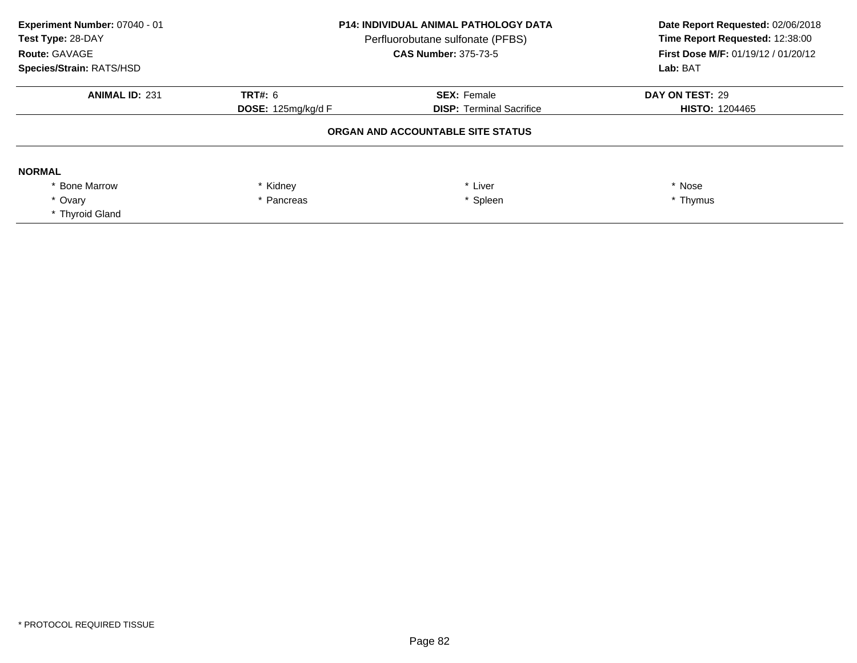| Experiment Number: 07040 - 01<br>Test Type: 28-DAY<br>Route: GAVAGE<br>Species/Strain: RATS/HSD | <b>P14: INDIVIDUAL ANIMAL PATHOLOGY DATA</b><br>Perfluorobutane sulfonate (PFBS)<br><b>CAS Number: 375-73-5</b> |                                   | Date Report Requested: 02/06/2018<br>Time Report Requested: 12:38:00<br>First Dose M/F: 01/19/12 / 01/20/12<br>Lab: BAT |
|-------------------------------------------------------------------------------------------------|-----------------------------------------------------------------------------------------------------------------|-----------------------------------|-------------------------------------------------------------------------------------------------------------------------|
| <b>ANIMAL ID: 231</b>                                                                           | <b>TRT#: 6</b>                                                                                                  | <b>SEX: Female</b>                | DAY ON TEST: 29                                                                                                         |
|                                                                                                 | <b>DISP: Terminal Sacrifice</b><br>DOSE: 125mg/kg/d F                                                           | <b>HISTO: 1204465</b>             |                                                                                                                         |
|                                                                                                 |                                                                                                                 | ORGAN AND ACCOUNTABLE SITE STATUS |                                                                                                                         |
| <b>NORMAL</b>                                                                                   |                                                                                                                 |                                   |                                                                                                                         |
| * Bone Marrow                                                                                   | * Kidney                                                                                                        | * Liver                           | * Nose                                                                                                                  |
| * Ovary                                                                                         | * Spleen<br>* Pancreas                                                                                          |                                   | * Thymus                                                                                                                |
| * Thyroid Gland                                                                                 |                                                                                                                 |                                   |                                                                                                                         |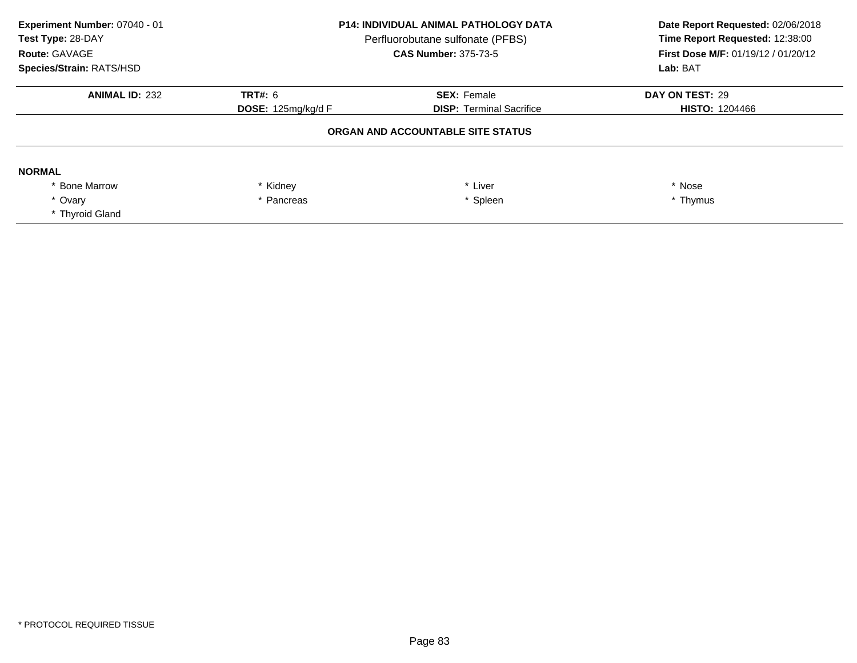| Experiment Number: 07040 - 01<br>Test Type: 28-DAY<br>Route: GAVAGE<br>Species/Strain: RATS/HSD | <b>P14: INDIVIDUAL ANIMAL PATHOLOGY DATA</b><br>Perfluorobutane sulfonate (PFBS)<br><b>CAS Number: 375-73-5</b> |                                   | Date Report Requested: 02/06/2018<br>Time Report Requested: 12:38:00<br>First Dose M/F: 01/19/12 / 01/20/12<br>Lab: BAT |
|-------------------------------------------------------------------------------------------------|-----------------------------------------------------------------------------------------------------------------|-----------------------------------|-------------------------------------------------------------------------------------------------------------------------|
| <b>ANIMAL ID: 232</b>                                                                           | <b>TRT#: 6</b>                                                                                                  | <b>SEX: Female</b>                | DAY ON TEST: 29                                                                                                         |
|                                                                                                 | <b>DISP: Terminal Sacrifice</b><br>DOSE: 125mg/kg/d F                                                           | <b>HISTO: 1204466</b>             |                                                                                                                         |
|                                                                                                 |                                                                                                                 | ORGAN AND ACCOUNTABLE SITE STATUS |                                                                                                                         |
| <b>NORMAL</b>                                                                                   |                                                                                                                 |                                   |                                                                                                                         |
| * Bone Marrow                                                                                   | * Kidney                                                                                                        | * Liver                           | * Nose                                                                                                                  |
| * Ovary                                                                                         | * Spleen<br>* Pancreas                                                                                          |                                   | * Thymus                                                                                                                |
| * Thyroid Gland                                                                                 |                                                                                                                 |                                   |                                                                                                                         |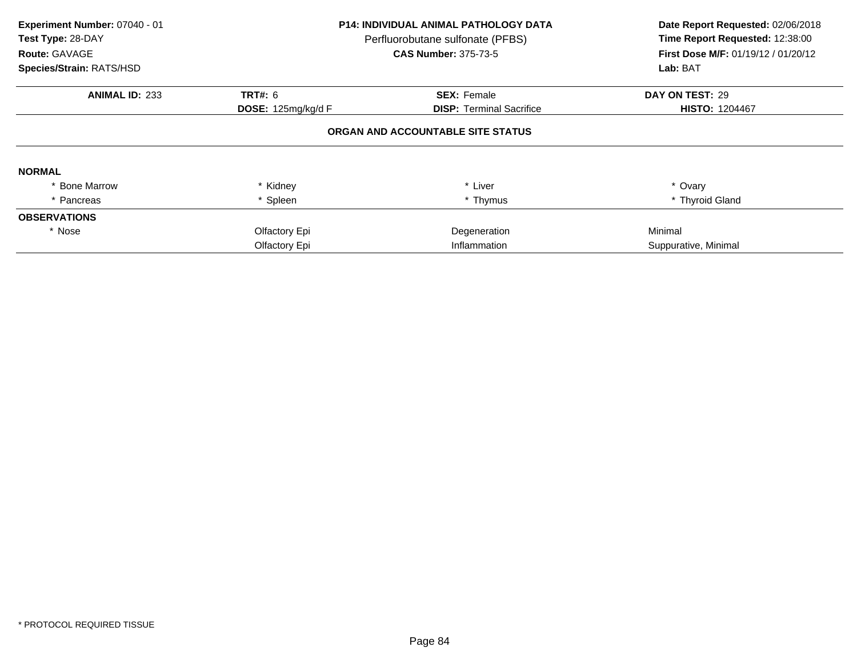| Experiment Number: 07040 - 01<br>Test Type: 28-DAY<br><b>Route: GAVAGE</b><br>Species/Strain: RATS/HSD | <b>P14: INDIVIDUAL ANIMAL PATHOLOGY DATA</b><br>Perfluorobutane sulfonate (PFBS)<br><b>CAS Number: 375-73-5</b> |                                   | Date Report Requested: 02/06/2018<br>Time Report Requested: 12:38:00<br>First Dose M/F: 01/19/12 / 01/20/12<br>Lab: BAT |
|--------------------------------------------------------------------------------------------------------|-----------------------------------------------------------------------------------------------------------------|-----------------------------------|-------------------------------------------------------------------------------------------------------------------------|
| <b>ANIMAL ID: 233</b>                                                                                  | <b>TRT#: 6</b>                                                                                                  | <b>SEX: Female</b>                | DAY ON TEST: 29                                                                                                         |
|                                                                                                        | DOSE: 125mg/kg/d F                                                                                              | <b>DISP:</b> Terminal Sacrifice   | <b>HISTO: 1204467</b>                                                                                                   |
|                                                                                                        |                                                                                                                 | ORGAN AND ACCOUNTABLE SITE STATUS |                                                                                                                         |
| <b>NORMAL</b>                                                                                          |                                                                                                                 |                                   |                                                                                                                         |
| <b>Bone Marrow</b>                                                                                     | Kidney                                                                                                          | * Liver                           | * Ovary                                                                                                                 |
| * Pancreas                                                                                             | Spleen                                                                                                          | * Thymus                          | * Thyroid Gland                                                                                                         |
| <b>OBSERVATIONS</b>                                                                                    |                                                                                                                 |                                   |                                                                                                                         |
| * Nose                                                                                                 | Olfactory Epi                                                                                                   | Degeneration                      | Minimal                                                                                                                 |
|                                                                                                        | Olfactory Epi                                                                                                   | Inflammation                      | Suppurative, Minimal                                                                                                    |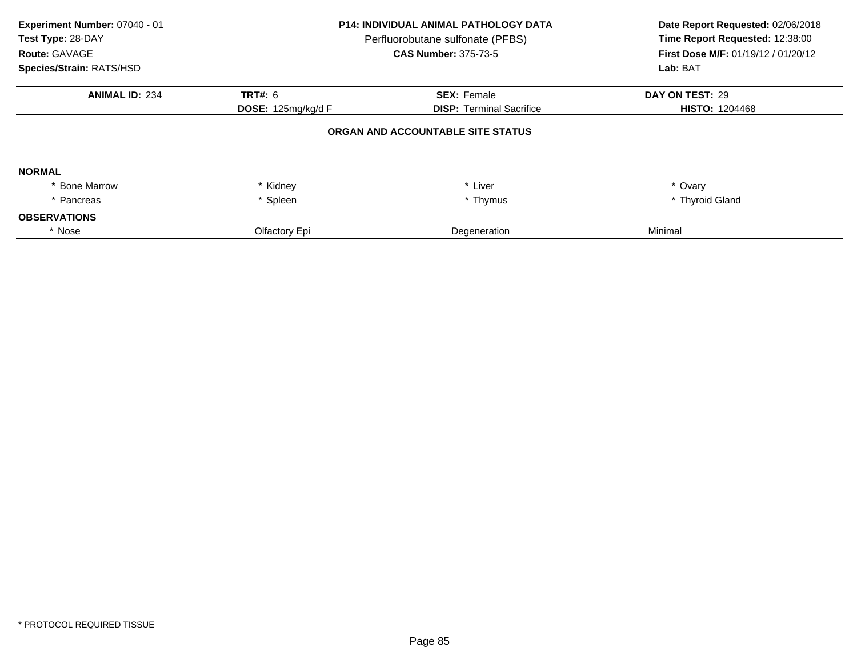| Experiment Number: 07040 - 01<br>Test Type: 28-DAY<br>Route: GAVAGE<br>Species/Strain: RATS/HSD | <b>P14: INDIVIDUAL ANIMAL PATHOLOGY DATA</b><br>Perfluorobutane sulfonate (PFBS)<br><b>CAS Number: 375-73-5</b> |                                   | Date Report Requested: 02/06/2018<br>Time Report Requested: 12:38:00<br>First Dose M/F: 01/19/12 / 01/20/12<br>Lab: BAT |
|-------------------------------------------------------------------------------------------------|-----------------------------------------------------------------------------------------------------------------|-----------------------------------|-------------------------------------------------------------------------------------------------------------------------|
| <b>ANIMAL ID: 234</b>                                                                           | <b>TRT#: 6</b>                                                                                                  | <b>SEX: Female</b>                | DAY ON TEST: 29                                                                                                         |
|                                                                                                 | DOSE: 125mg/kg/d F                                                                                              | <b>DISP: Terminal Sacrifice</b>   | <b>HISTO: 1204468</b>                                                                                                   |
|                                                                                                 |                                                                                                                 | ORGAN AND ACCOUNTABLE SITE STATUS |                                                                                                                         |
| <b>NORMAL</b>                                                                                   |                                                                                                                 |                                   |                                                                                                                         |
| <b>Bone Marrow</b>                                                                              | * Kidney                                                                                                        | * Liver                           | * Ovary                                                                                                                 |
| * Pancreas                                                                                      | Spleen                                                                                                          | * Thymus                          | * Thyroid Gland                                                                                                         |
| <b>OBSERVATIONS</b>                                                                             |                                                                                                                 |                                   |                                                                                                                         |
| * Nose                                                                                          | Olfactory Epi                                                                                                   | Degeneration                      | Minimal                                                                                                                 |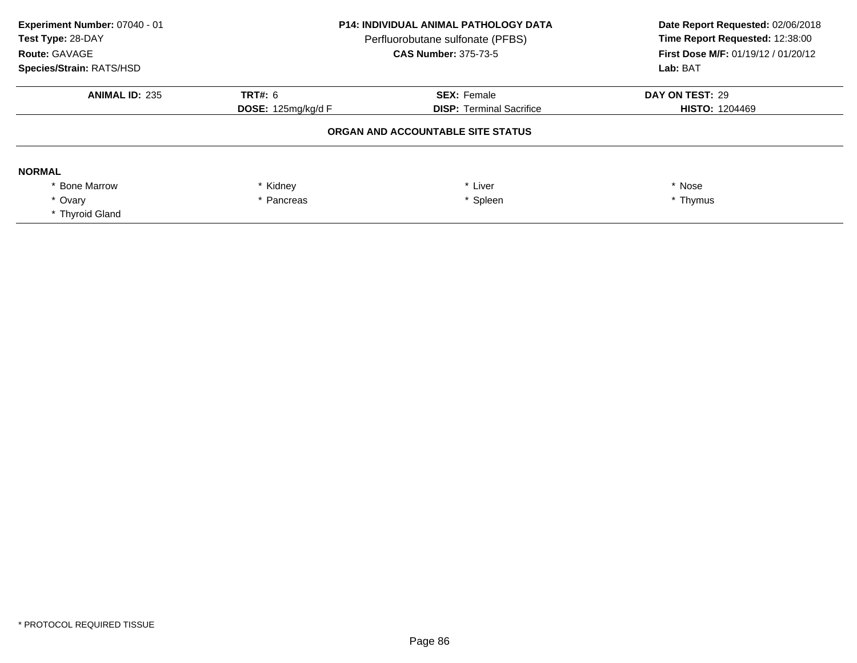| Experiment Number: 07040 - 01<br>Test Type: 28-DAY<br>Route: GAVAGE<br>Species/Strain: RATS/HSD | <b>P14: INDIVIDUAL ANIMAL PATHOLOGY DATA</b><br>Perfluorobutane sulfonate (PFBS)<br><b>CAS Number: 375-73-5</b> |                                   | Date Report Requested: 02/06/2018<br>Time Report Requested: 12:38:00<br>First Dose M/F: 01/19/12 / 01/20/12<br>Lab: BAT |
|-------------------------------------------------------------------------------------------------|-----------------------------------------------------------------------------------------------------------------|-----------------------------------|-------------------------------------------------------------------------------------------------------------------------|
| <b>ANIMAL ID: 235</b>                                                                           | <b>TRT#: 6</b>                                                                                                  | <b>SEX: Female</b>                | DAY ON TEST: 29                                                                                                         |
|                                                                                                 | <b>DISP: Terminal Sacrifice</b><br>DOSE: 125mg/kg/d F                                                           | <b>HISTO: 1204469</b>             |                                                                                                                         |
|                                                                                                 |                                                                                                                 | ORGAN AND ACCOUNTABLE SITE STATUS |                                                                                                                         |
| <b>NORMAL</b>                                                                                   |                                                                                                                 |                                   |                                                                                                                         |
| * Bone Marrow                                                                                   | * Kidney                                                                                                        | * Liver                           | * Nose                                                                                                                  |
| * Ovary                                                                                         | * Spleen<br>* Pancreas                                                                                          |                                   | * Thymus                                                                                                                |
| * Thyroid Gland                                                                                 |                                                                                                                 |                                   |                                                                                                                         |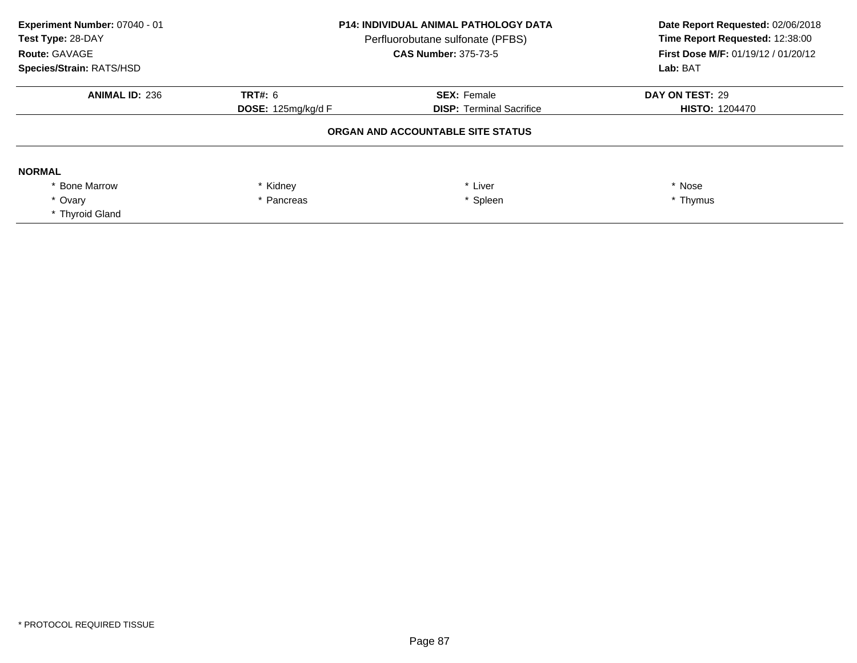| Experiment Number: 07040 - 01<br>Test Type: 28-DAY<br>Route: GAVAGE<br>Species/Strain: RATS/HSD | <b>P14: INDIVIDUAL ANIMAL PATHOLOGY DATA</b><br>Perfluorobutane sulfonate (PFBS)<br><b>CAS Number: 375-73-5</b> |                                   | Date Report Requested: 02/06/2018<br>Time Report Requested: 12:38:00<br>First Dose M/F: 01/19/12 / 01/20/12<br>Lab: BAT |
|-------------------------------------------------------------------------------------------------|-----------------------------------------------------------------------------------------------------------------|-----------------------------------|-------------------------------------------------------------------------------------------------------------------------|
| <b>ANIMAL ID: 236</b>                                                                           | <b>TRT#: 6</b>                                                                                                  | <b>SEX: Female</b>                | DAY ON TEST: 29                                                                                                         |
|                                                                                                 | <b>DISP: Terminal Sacrifice</b><br>DOSE: 125mg/kg/d F                                                           | <b>HISTO: 1204470</b>             |                                                                                                                         |
|                                                                                                 |                                                                                                                 | ORGAN AND ACCOUNTABLE SITE STATUS |                                                                                                                         |
| <b>NORMAL</b>                                                                                   |                                                                                                                 |                                   |                                                                                                                         |
| * Bone Marrow                                                                                   | * Kidney                                                                                                        | * Liver                           | * Nose                                                                                                                  |
| * Ovary                                                                                         | * Spleen<br>* Pancreas                                                                                          |                                   | * Thymus                                                                                                                |
| * Thyroid Gland                                                                                 |                                                                                                                 |                                   |                                                                                                                         |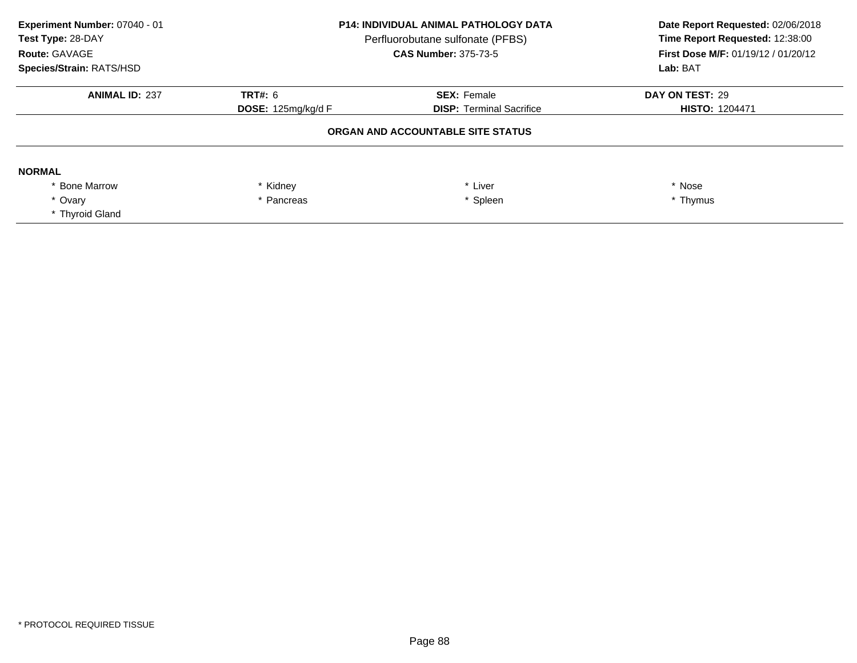| Experiment Number: 07040 - 01<br>Test Type: 28-DAY<br>Route: GAVAGE<br>Species/Strain: RATS/HSD | <b>P14: INDIVIDUAL ANIMAL PATHOLOGY DATA</b><br>Perfluorobutane sulfonate (PFBS)<br><b>CAS Number: 375-73-5</b> |                                                       | Date Report Requested: 02/06/2018<br>Time Report Requested: 12:38:00<br><b>First Dose M/F: 01/19/12 / 01/20/12</b><br>Lab: BAT |
|-------------------------------------------------------------------------------------------------|-----------------------------------------------------------------------------------------------------------------|-------------------------------------------------------|--------------------------------------------------------------------------------------------------------------------------------|
| <b>ANIMAL ID: 237</b>                                                                           | <b>TRT#: 6</b><br>DOSE: 125mg/kg/d F                                                                            | <b>SEX: Female</b><br><b>DISP:</b> Terminal Sacrifice | DAY ON TEST: 29<br><b>HISTO: 1204471</b>                                                                                       |
|                                                                                                 | ORGAN AND ACCOUNTABLE SITE STATUS                                                                               |                                                       |                                                                                                                                |
| <b>NORMAL</b>                                                                                   |                                                                                                                 |                                                       |                                                                                                                                |
| <b>Bone Marrow</b>                                                                              | * Kidney                                                                                                        | * Liver                                               | * Nose                                                                                                                         |
| * Ovarv<br>* Thyroid Gland                                                                      | * Pancreas                                                                                                      | * Spleen                                              | * Thymus                                                                                                                       |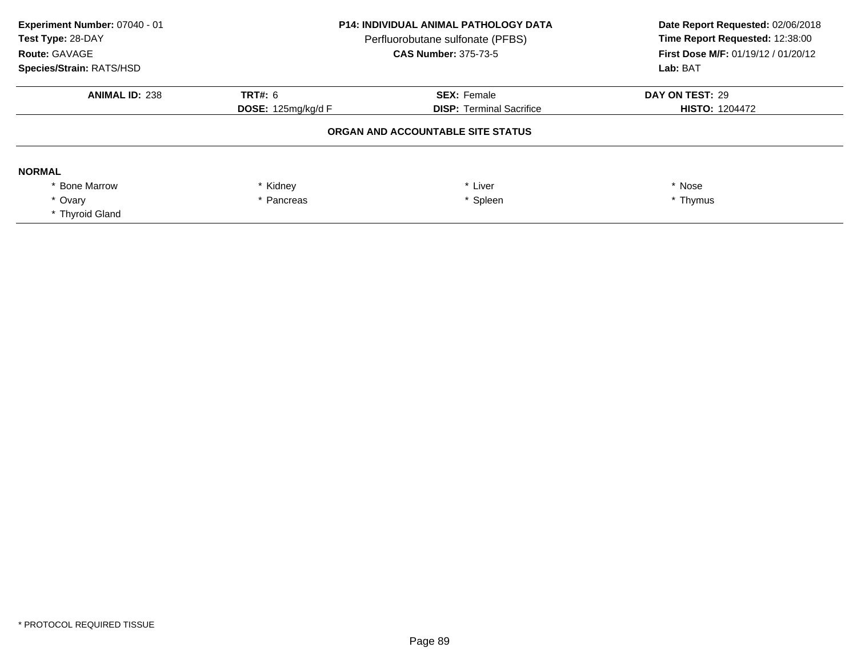| Experiment Number: 07040 - 01<br>Test Type: 28-DAY<br>Route: GAVAGE<br>Species/Strain: RATS/HSD | <b>P14: INDIVIDUAL ANIMAL PATHOLOGY DATA</b><br>Perfluorobutane sulfonate (PFBS)<br><b>CAS Number: 375-73-5</b> |                                                       | Date Report Requested: 02/06/2018<br>Time Report Requested: 12:38:00<br><b>First Dose M/F: 01/19/12 / 01/20/12</b><br>Lab: BAT |
|-------------------------------------------------------------------------------------------------|-----------------------------------------------------------------------------------------------------------------|-------------------------------------------------------|--------------------------------------------------------------------------------------------------------------------------------|
| <b>ANIMAL ID: 238</b>                                                                           | <b>TRT#: 6</b><br>DOSE: 125mg/kg/d F                                                                            | <b>SEX: Female</b><br><b>DISP:</b> Terminal Sacrifice | DAY ON TEST: 29<br><b>HISTO: 1204472</b>                                                                                       |
|                                                                                                 | ORGAN AND ACCOUNTABLE SITE STATUS                                                                               |                                                       |                                                                                                                                |
| <b>NORMAL</b>                                                                                   |                                                                                                                 |                                                       |                                                                                                                                |
| <b>Bone Marrow</b>                                                                              | * Kidney                                                                                                        | * Liver                                               | * Nose                                                                                                                         |
| * Ovarv<br>* Thyroid Gland                                                                      | * Pancreas                                                                                                      | * Spleen                                              | * Thymus                                                                                                                       |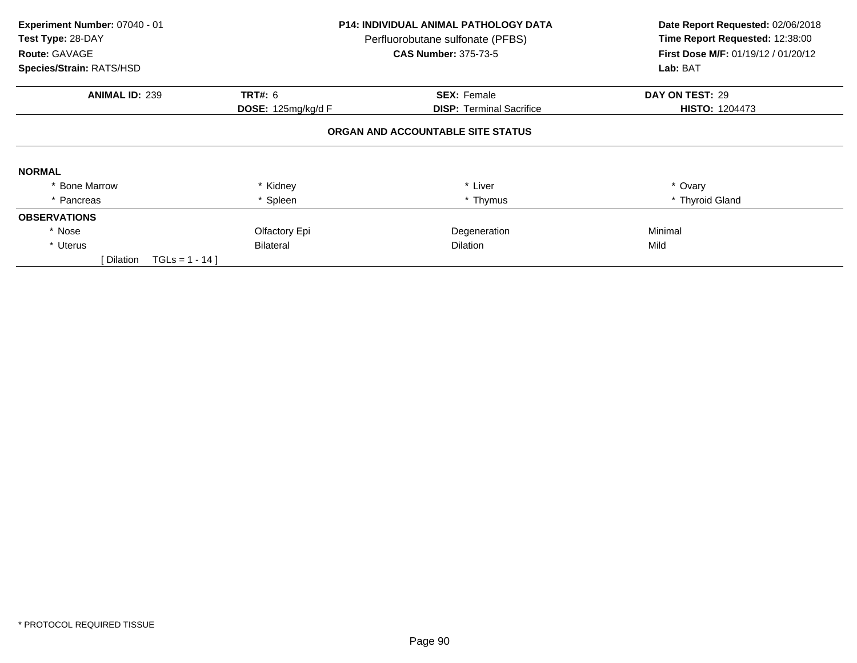| Experiment Number: 07040 - 01<br>Test Type: 28-DAY<br>Route: GAVAGE |                           | <b>P14: INDIVIDUAL ANIMAL PATHOLOGY DATA</b><br>Perfluorobutane sulfonate (PFBS)<br><b>CAS Number: 375-73-5</b> | Date Report Requested: 02/06/2018<br>Time Report Requested: 12:38:00<br>First Dose M/F: 01/19/12 / 01/20/12 |  |
|---------------------------------------------------------------------|---------------------------|-----------------------------------------------------------------------------------------------------------------|-------------------------------------------------------------------------------------------------------------|--|
| Species/Strain: RATS/HSD                                            |                           |                                                                                                                 | Lab: BAT                                                                                                    |  |
| <b>ANIMAL ID: 239</b>                                               | <b>TRT#: 6</b>            | <b>SEX: Female</b>                                                                                              | DAY ON TEST: 29                                                                                             |  |
|                                                                     | <b>DOSE:</b> 125mg/kg/d F | <b>DISP:</b> Terminal Sacrifice                                                                                 | <b>HISTO: 1204473</b>                                                                                       |  |
|                                                                     |                           | ORGAN AND ACCOUNTABLE SITE STATUS                                                                               |                                                                                                             |  |
| <b>NORMAL</b>                                                       |                           |                                                                                                                 |                                                                                                             |  |
| <b>Bone Marrow</b>                                                  | * Kidney                  | * Liver                                                                                                         | * Ovary                                                                                                     |  |
| * Pancreas                                                          | * Spleen                  | * Thymus                                                                                                        | * Thyroid Gland                                                                                             |  |
| <b>OBSERVATIONS</b>                                                 |                           |                                                                                                                 |                                                                                                             |  |
| * Nose                                                              | Olfactory Epi             | Degeneration                                                                                                    | Minimal                                                                                                     |  |
| * Uterus                                                            | <b>Bilateral</b>          | <b>Dilation</b>                                                                                                 | Mild                                                                                                        |  |
| [ Dilation<br>$TGLS = 1 - 14$                                       |                           |                                                                                                                 |                                                                                                             |  |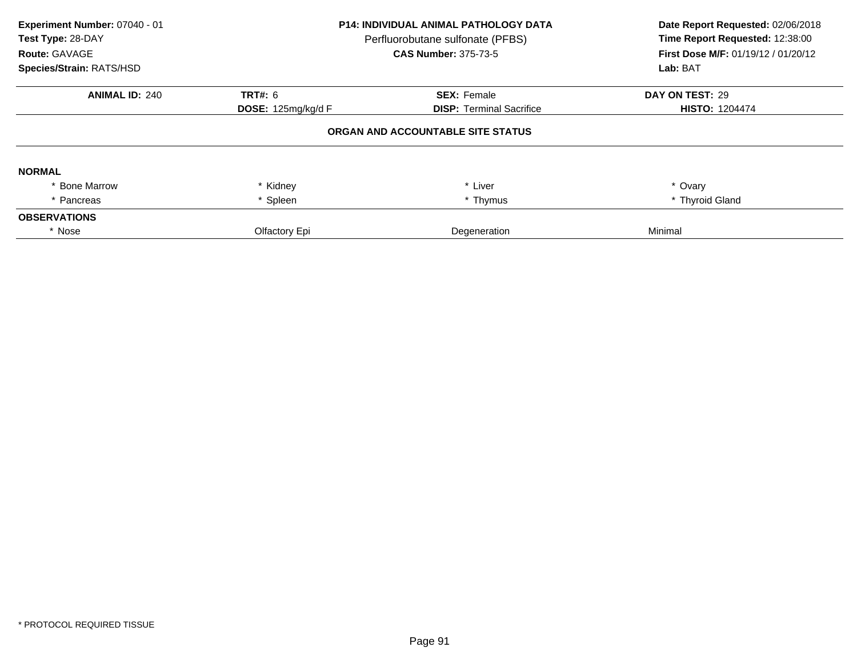| Experiment Number: 07040 - 01<br>Test Type: 28-DAY<br>Route: GAVAGE<br>Species/Strain: RATS/HSD | <b>P14: INDIVIDUAL ANIMAL PATHOLOGY DATA</b><br>Perfluorobutane sulfonate (PFBS)<br><b>CAS Number: 375-73-5</b> |                                   | Date Report Requested: 02/06/2018<br>Time Report Requested: 12:38:00<br>First Dose M/F: 01/19/12 / 01/20/12<br>Lab: BAT |
|-------------------------------------------------------------------------------------------------|-----------------------------------------------------------------------------------------------------------------|-----------------------------------|-------------------------------------------------------------------------------------------------------------------------|
| <b>ANIMAL ID: 240</b>                                                                           | <b>TRT#: 6</b>                                                                                                  | <b>SEX: Female</b>                | DAY ON TEST: 29                                                                                                         |
|                                                                                                 | DOSE: 125mg/kg/d F                                                                                              | <b>DISP:</b> Terminal Sacrifice   | <b>HISTO: 1204474</b>                                                                                                   |
|                                                                                                 |                                                                                                                 | ORGAN AND ACCOUNTABLE SITE STATUS |                                                                                                                         |
| <b>NORMAL</b>                                                                                   |                                                                                                                 |                                   |                                                                                                                         |
| <b>Bone Marrow</b>                                                                              | * Kidney                                                                                                        | * Liver                           | * Ovary                                                                                                                 |
| * Pancreas                                                                                      | * Spleen                                                                                                        | * Thymus                          | * Thyroid Gland                                                                                                         |
| <b>OBSERVATIONS</b>                                                                             |                                                                                                                 |                                   |                                                                                                                         |
| * Nose                                                                                          | Olfactory Epi                                                                                                   | Degeneration                      | Minimal                                                                                                                 |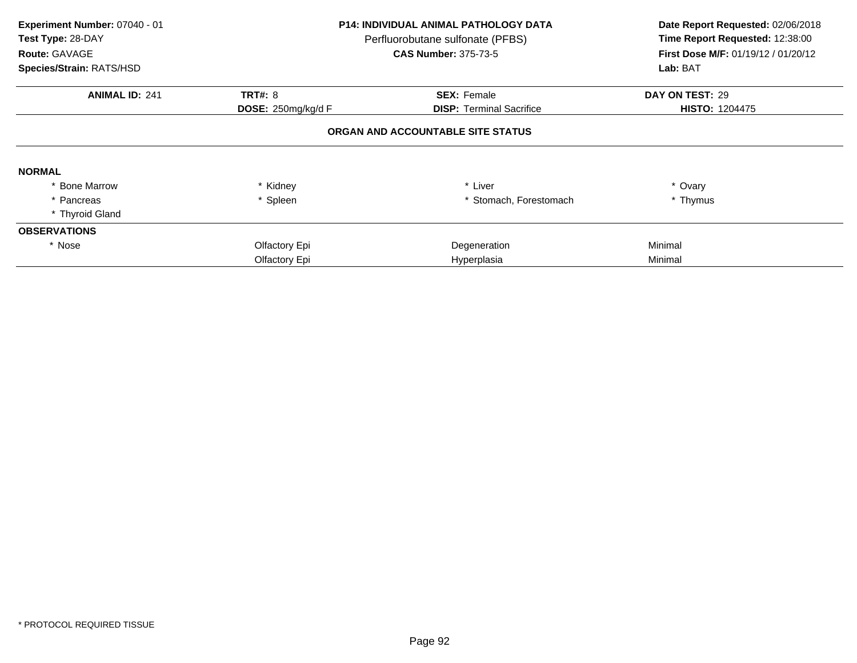| Experiment Number: 07040 - 01<br>Test Type: 28-DAY<br>Route: GAVAGE<br>Species/Strain: RATS/HSD |                    | P14: INDIVIDUAL ANIMAL PATHOLOGY DATA<br>Perfluorobutane sulfonate (PFBS)<br><b>CAS Number: 375-73-5</b> | Date Report Requested: 02/06/2018<br>Time Report Requested: 12:38:00<br>First Dose M/F: 01/19/12 / 01/20/12<br>Lab: BAT |
|-------------------------------------------------------------------------------------------------|--------------------|----------------------------------------------------------------------------------------------------------|-------------------------------------------------------------------------------------------------------------------------|
| <b>ANIMAL ID: 241</b>                                                                           | <b>TRT#: 8</b>     | <b>SEX: Female</b>                                                                                       | DAY ON TEST: 29                                                                                                         |
|                                                                                                 | DOSE: 250mg/kg/d F | <b>DISP:</b> Terminal Sacrifice                                                                          | <b>HISTO: 1204475</b>                                                                                                   |
|                                                                                                 |                    | ORGAN AND ACCOUNTABLE SITE STATUS                                                                        |                                                                                                                         |
| <b>NORMAL</b>                                                                                   |                    |                                                                                                          |                                                                                                                         |
| <b>Bone Marrow</b>                                                                              | Kidney             | * Liver                                                                                                  | * Ovary                                                                                                                 |
| * Pancreas                                                                                      | * Spleen           | Stomach, Forestomach                                                                                     | * Thymus                                                                                                                |
| * Thyroid Gland                                                                                 |                    |                                                                                                          |                                                                                                                         |
| <b>OBSERVATIONS</b>                                                                             |                    |                                                                                                          |                                                                                                                         |
| * Nose                                                                                          | Olfactory Epi      | Degeneration                                                                                             | Minimal                                                                                                                 |
|                                                                                                 | Olfactory Epi      | Hyperplasia                                                                                              | Minimal                                                                                                                 |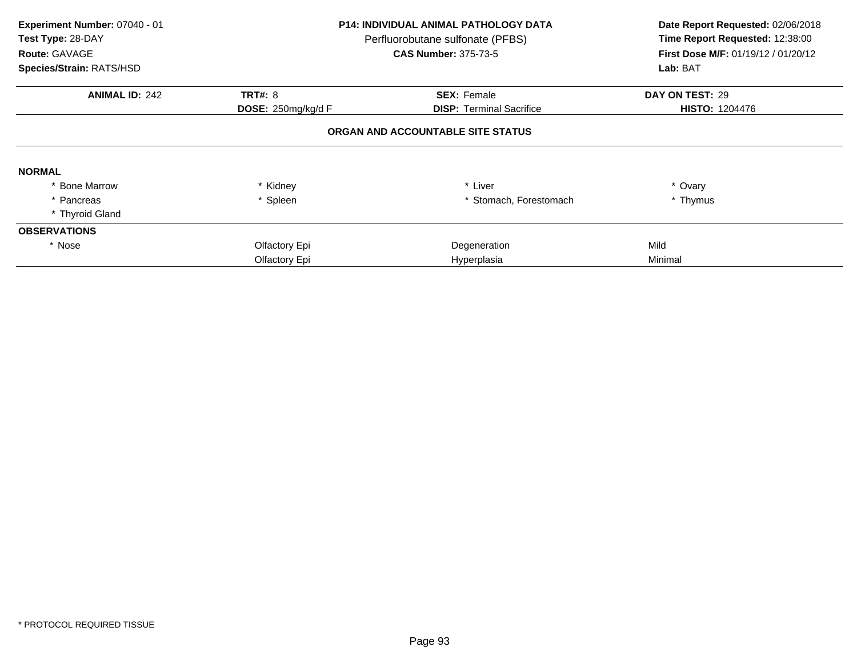| Experiment Number: 07040 - 01<br>Test Type: 28-DAY<br>Route: GAVAGE<br>Species/Strain: RATS/HSD |                    | <b>P14: INDIVIDUAL ANIMAL PATHOLOGY DATA</b><br>Perfluorobutane sulfonate (PFBS)<br><b>CAS Number: 375-73-5</b> | Date Report Requested: 02/06/2018<br>Time Report Requested: 12:38:00<br><b>First Dose M/F: 01/19/12 / 01/20/12</b><br>Lab: BAT |
|-------------------------------------------------------------------------------------------------|--------------------|-----------------------------------------------------------------------------------------------------------------|--------------------------------------------------------------------------------------------------------------------------------|
| <b>ANIMAL ID: 242</b>                                                                           | <b>TRT#: 8</b>     | <b>SEX: Female</b>                                                                                              | DAY ON TEST: 29                                                                                                                |
|                                                                                                 | DOSE: 250mg/kg/d F | <b>DISP:</b> Terminal Sacrifice                                                                                 | <b>HISTO: 1204476</b>                                                                                                          |
|                                                                                                 |                    | ORGAN AND ACCOUNTABLE SITE STATUS                                                                               |                                                                                                                                |
| <b>NORMAL</b>                                                                                   |                    |                                                                                                                 |                                                                                                                                |
| <b>Bone Marrow</b>                                                                              | Kidney             | * Liver                                                                                                         | * Ovary                                                                                                                        |
| * Pancreas                                                                                      | * Spleen           | Stomach, Forestomach                                                                                            | * Thymus                                                                                                                       |
| * Thyroid Gland                                                                                 |                    |                                                                                                                 |                                                                                                                                |
| <b>OBSERVATIONS</b>                                                                             |                    |                                                                                                                 |                                                                                                                                |
| * Nose                                                                                          | Olfactory Epi      | Degeneration                                                                                                    | Mild                                                                                                                           |
|                                                                                                 | Olfactory Epi      | Hyperplasia                                                                                                     | Minimal                                                                                                                        |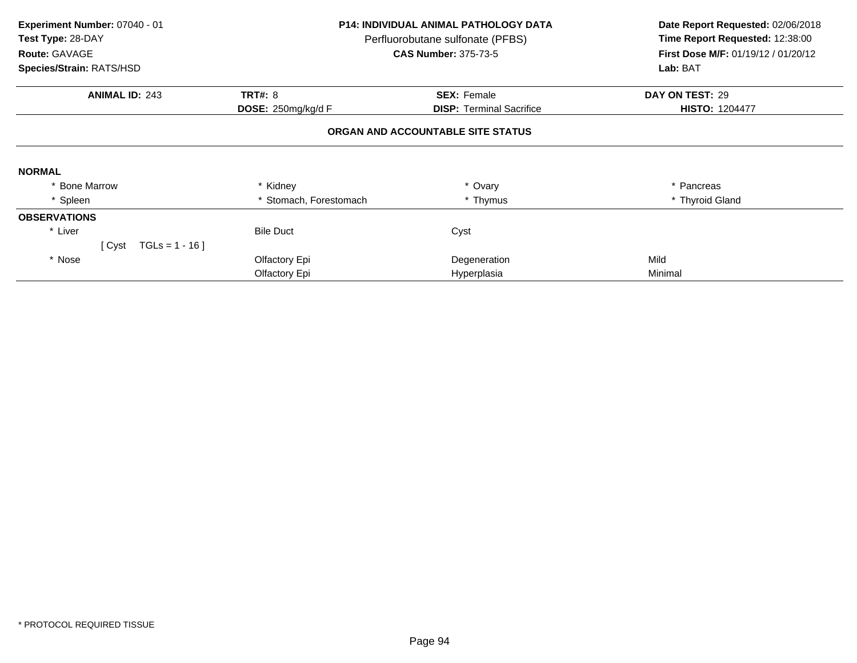| Experiment Number: 07040 - 01<br>Test Type: 28-DAY<br>Route: GAVAGE<br>Species/Strain: RATS/HSD |                        | <b>P14: INDIVIDUAL ANIMAL PATHOLOGY DATA</b><br>Perfluorobutane sulfonate (PFBS)<br><b>CAS Number: 375-73-5</b> | Date Report Requested: 02/06/2018<br>Time Report Requested: 12:38:00<br>First Dose M/F: 01/19/12 / 01/20/12<br>Lab: BAT |
|-------------------------------------------------------------------------------------------------|------------------------|-----------------------------------------------------------------------------------------------------------------|-------------------------------------------------------------------------------------------------------------------------|
| <b>ANIMAL ID: 243</b>                                                                           | <b>TRT#: 8</b>         | <b>SEX: Female</b>                                                                                              | DAY ON TEST: 29                                                                                                         |
|                                                                                                 | DOSE: 250mg/kg/d F     | <b>DISP: Terminal Sacrifice</b>                                                                                 | <b>HISTO: 1204477</b>                                                                                                   |
|                                                                                                 |                        | ORGAN AND ACCOUNTABLE SITE STATUS                                                                               |                                                                                                                         |
| <b>NORMAL</b>                                                                                   |                        |                                                                                                                 |                                                                                                                         |
| * Bone Marrow                                                                                   | * Kidney               | * Ovary                                                                                                         | Pancreas                                                                                                                |
| * Spleen                                                                                        | * Stomach, Forestomach | * Thymus                                                                                                        | * Thyroid Gland                                                                                                         |
| <b>OBSERVATIONS</b>                                                                             |                        |                                                                                                                 |                                                                                                                         |
| * Liver                                                                                         | <b>Bile Duct</b>       | Cyst                                                                                                            |                                                                                                                         |
| [ $Cyst$ TGLs = 1 - 16]                                                                         |                        |                                                                                                                 |                                                                                                                         |
| * Nose                                                                                          | Olfactory Epi          | Degeneration                                                                                                    | Mild                                                                                                                    |
|                                                                                                 | Olfactory Epi          | Hyperplasia                                                                                                     | Minimal                                                                                                                 |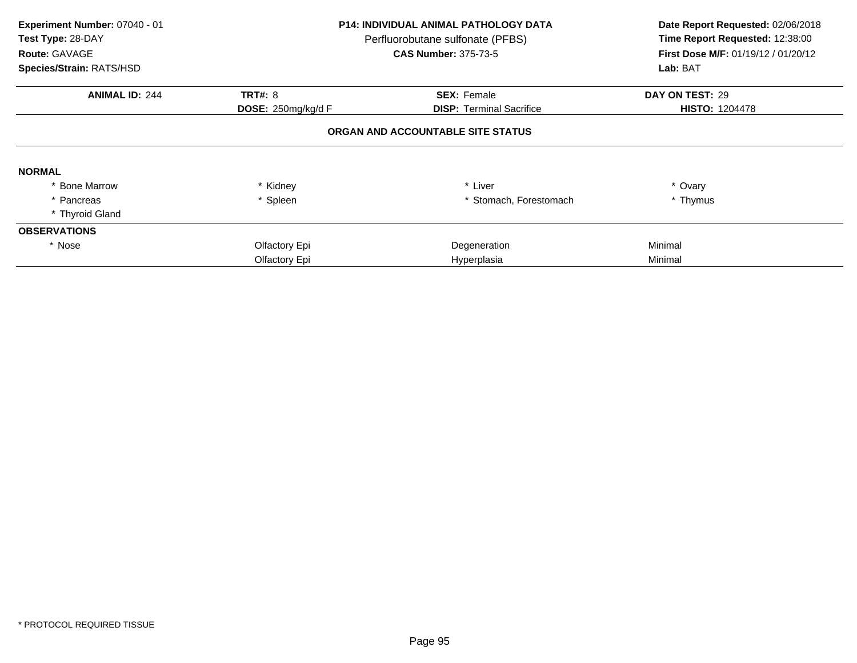| Experiment Number: 07040 - 01<br>Test Type: 28-DAY<br>Route: GAVAGE<br>Species/Strain: RATS/HSD |                    | <b>P14: INDIVIDUAL ANIMAL PATHOLOGY DATA</b><br>Perfluorobutane sulfonate (PFBS)<br><b>CAS Number: 375-73-5</b> | Date Report Requested: 02/06/2018<br>Time Report Requested: 12:38:00<br><b>First Dose M/F: 01/19/12 / 01/20/12</b><br>Lab: BAT |
|-------------------------------------------------------------------------------------------------|--------------------|-----------------------------------------------------------------------------------------------------------------|--------------------------------------------------------------------------------------------------------------------------------|
| <b>ANIMAL ID: 244</b>                                                                           | <b>TRT#: 8</b>     | <b>SEX: Female</b>                                                                                              | DAY ON TEST: 29                                                                                                                |
|                                                                                                 | DOSE: 250mg/kg/d F | <b>DISP:</b> Terminal Sacrifice                                                                                 | <b>HISTO: 1204478</b>                                                                                                          |
|                                                                                                 |                    | ORGAN AND ACCOUNTABLE SITE STATUS                                                                               |                                                                                                                                |
| <b>NORMAL</b>                                                                                   |                    |                                                                                                                 |                                                                                                                                |
| <b>Bone Marrow</b>                                                                              | Kidney             | * Liver                                                                                                         | * Ovary                                                                                                                        |
| * Pancreas                                                                                      | * Spleen           | Stomach, Forestomach                                                                                            | * Thymus                                                                                                                       |
| * Thyroid Gland                                                                                 |                    |                                                                                                                 |                                                                                                                                |
| <b>OBSERVATIONS</b>                                                                             |                    |                                                                                                                 |                                                                                                                                |
| * Nose                                                                                          | Olfactory Epi      | Degeneration                                                                                                    | Minimal                                                                                                                        |
|                                                                                                 | Olfactory Epi      | Hyperplasia                                                                                                     | Minimal                                                                                                                        |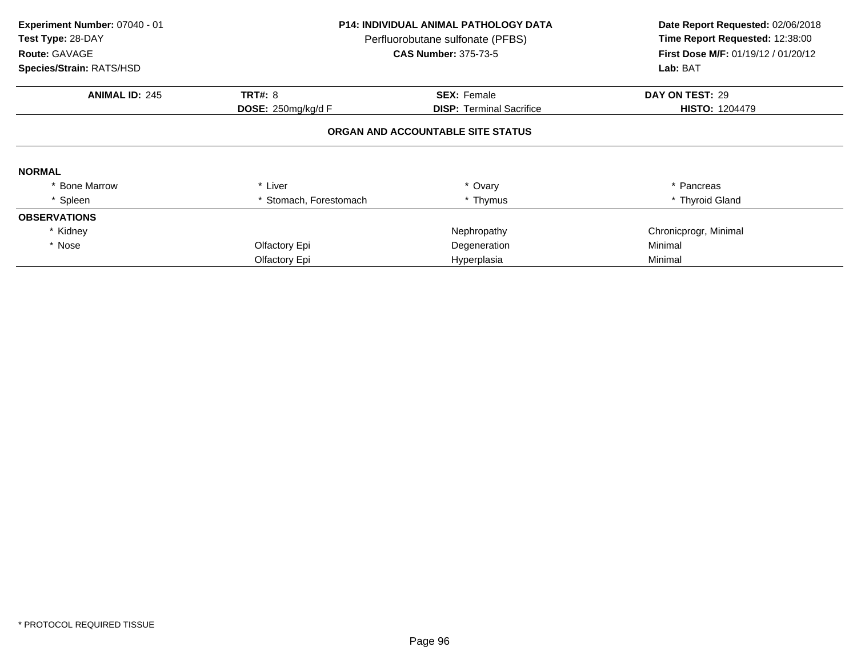| Experiment Number: 07040 - 01<br>Test Type: 28-DAY<br>Route: GAVAGE<br>Species/Strain: RATS/HSD | <b>P14: INDIVIDUAL ANIMAL PATHOLOGY DATA</b><br>Perfluorobutane sulfonate (PFBS)<br><b>CAS Number: 375-73-5</b> |                                   | Date Report Requested: 02/06/2018<br>Time Report Requested: 12:38:00<br>First Dose M/F: 01/19/12 / 01/20/12<br>Lab: BAT |
|-------------------------------------------------------------------------------------------------|-----------------------------------------------------------------------------------------------------------------|-----------------------------------|-------------------------------------------------------------------------------------------------------------------------|
| <b>ANIMAL ID: 245</b>                                                                           | <b>TRT#: 8</b>                                                                                                  | <b>SEX: Female</b>                | DAY ON TEST: 29                                                                                                         |
|                                                                                                 | DOSE: 250mg/kg/d F                                                                                              | <b>DISP:</b> Terminal Sacrifice   | <b>HISTO: 1204479</b>                                                                                                   |
|                                                                                                 |                                                                                                                 | ORGAN AND ACCOUNTABLE SITE STATUS |                                                                                                                         |
| <b>NORMAL</b>                                                                                   |                                                                                                                 |                                   |                                                                                                                         |
| <b>Bone Marrow</b>                                                                              | * Liver                                                                                                         | * Ovary                           | * Pancreas                                                                                                              |
| * Spleen                                                                                        | * Stomach, Forestomach                                                                                          | * Thymus                          | * Thyroid Gland                                                                                                         |
| <b>OBSERVATIONS</b>                                                                             |                                                                                                                 |                                   |                                                                                                                         |
| * Kidney                                                                                        |                                                                                                                 | Nephropathy                       | Chronicprogr, Minimal                                                                                                   |
| * Nose                                                                                          | Olfactory Epi                                                                                                   | Degeneration                      | Minimal                                                                                                                 |
|                                                                                                 | Olfactory Epi                                                                                                   | Hyperplasia                       | Minimal                                                                                                                 |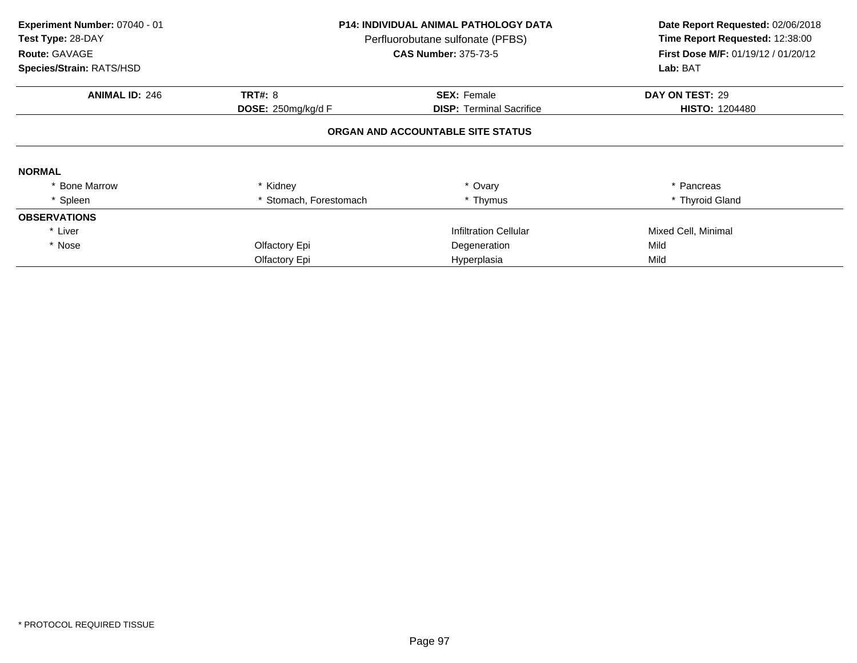| Experiment Number: 07040 - 01<br>Test Type: 28-DAY<br><b>Route: GAVAGE</b><br>Species/Strain: RATS/HSD | <b>P14: INDIVIDUAL ANIMAL PATHOLOGY DATA</b><br>Perfluorobutane sulfonate (PFBS)<br><b>CAS Number: 375-73-5</b> |                                   | Date Report Requested: 02/06/2018<br>Time Report Requested: 12:38:00<br><b>First Dose M/F: 01/19/12 / 01/20/12</b><br>Lab: BAT |
|--------------------------------------------------------------------------------------------------------|-----------------------------------------------------------------------------------------------------------------|-----------------------------------|--------------------------------------------------------------------------------------------------------------------------------|
| <b>ANIMAL ID: 246</b>                                                                                  | <b>TRT#: 8</b>                                                                                                  | <b>SEX: Female</b>                | DAY ON TEST: 29                                                                                                                |
|                                                                                                        | DOSE: 250mg/kg/d F                                                                                              | <b>DISP:</b> Terminal Sacrifice   | <b>HISTO: 1204480</b>                                                                                                          |
|                                                                                                        |                                                                                                                 | ORGAN AND ACCOUNTABLE SITE STATUS |                                                                                                                                |
| <b>NORMAL</b>                                                                                          |                                                                                                                 |                                   |                                                                                                                                |
| <b>Bone Marrow</b>                                                                                     | Kidney                                                                                                          | * Ovary                           | * Pancreas                                                                                                                     |
| * Spleen                                                                                               | Stomach, Forestomach                                                                                            | * Thymus                          | * Thyroid Gland                                                                                                                |
| <b>OBSERVATIONS</b>                                                                                    |                                                                                                                 |                                   |                                                                                                                                |
| * Liver                                                                                                |                                                                                                                 | Infiltration Cellular             | Mixed Cell, Minimal                                                                                                            |
| * Nose                                                                                                 | Olfactory Epi                                                                                                   | Degeneration                      | Mild                                                                                                                           |
|                                                                                                        | Olfactory Epi                                                                                                   | Hyperplasia                       | Mild                                                                                                                           |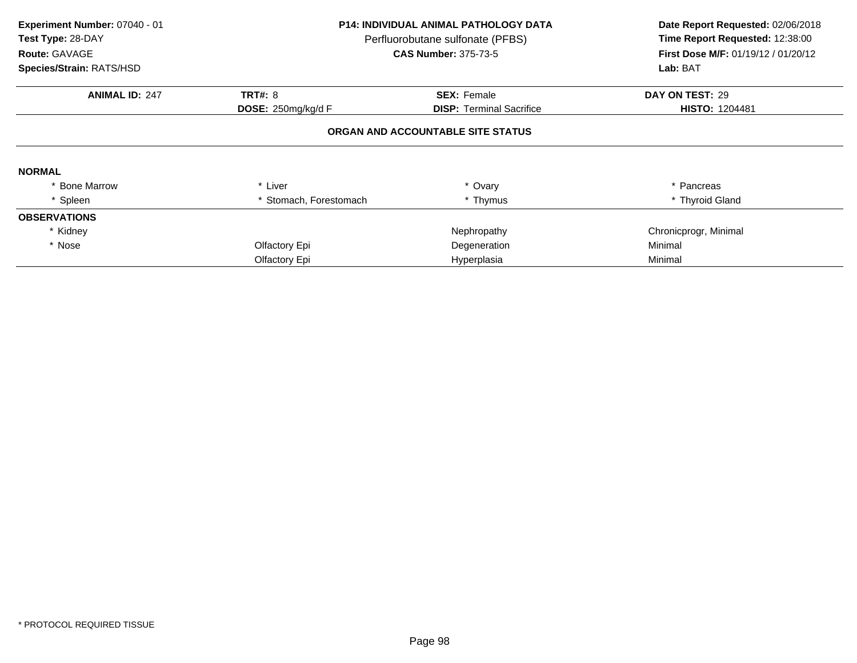| Experiment Number: 07040 - 01<br>Test Type: 28-DAY<br>Route: GAVAGE<br>Species/Strain: RATS/HSD | P14: INDIVIDUAL ANIMAL PATHOLOGY DATA<br>Perfluorobutane sulfonate (PFBS)<br><b>CAS Number: 375-73-5</b> |                                   | Date Report Requested: 02/06/2018<br>Time Report Requested: 12:38:00<br><b>First Dose M/F: 01/19/12 / 01/20/12</b><br>Lab: BAT |
|-------------------------------------------------------------------------------------------------|----------------------------------------------------------------------------------------------------------|-----------------------------------|--------------------------------------------------------------------------------------------------------------------------------|
| <b>ANIMAL ID: 247</b>                                                                           | <b>TRT#: 8</b>                                                                                           | <b>SEX: Female</b>                | DAY ON TEST: 29                                                                                                                |
|                                                                                                 | DOSE: 250mg/kg/d F                                                                                       | <b>DISP: Terminal Sacrifice</b>   | <b>HISTO: 1204481</b>                                                                                                          |
|                                                                                                 |                                                                                                          | ORGAN AND ACCOUNTABLE SITE STATUS |                                                                                                                                |
| <b>NORMAL</b>                                                                                   |                                                                                                          |                                   |                                                                                                                                |
| <b>Bone Marrow</b>                                                                              | * Liver                                                                                                  | * Ovary                           | * Pancreas                                                                                                                     |
| * Spleen                                                                                        | * Stomach, Forestomach                                                                                   | * Thymus                          | * Thyroid Gland                                                                                                                |
| <b>OBSERVATIONS</b>                                                                             |                                                                                                          |                                   |                                                                                                                                |
| * Kidney                                                                                        |                                                                                                          | Nephropathy                       | Chronicprogr, Minimal                                                                                                          |
| * Nose                                                                                          | Olfactory Epi                                                                                            | Degeneration                      | Minimal                                                                                                                        |
|                                                                                                 | Olfactory Epi                                                                                            | Hyperplasia                       | Minimal                                                                                                                        |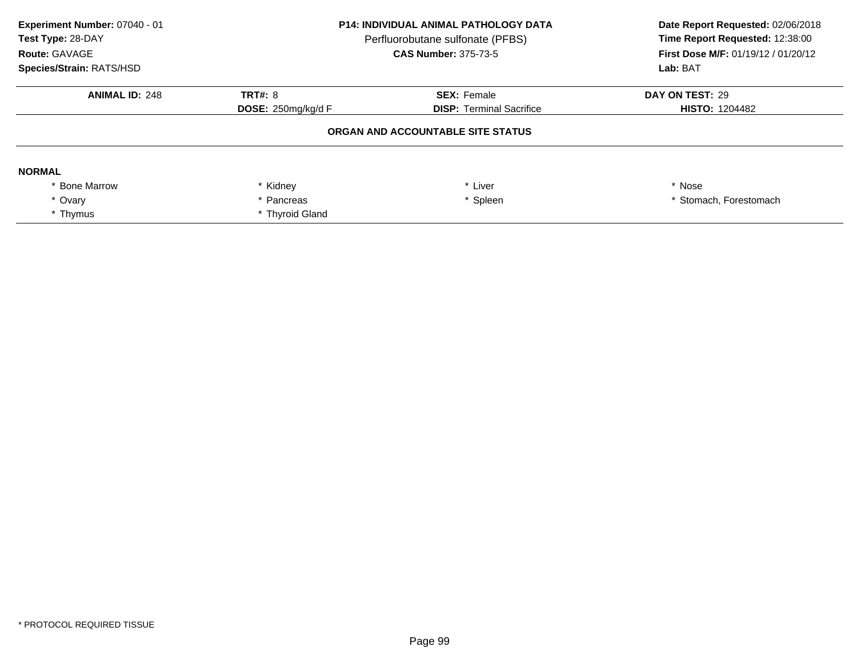| Experiment Number: 07040 - 01<br>Test Type: 28-DAY<br>Route: GAVAGE<br>Species/Strain: RATS/HSD | <b>P14: INDIVIDUAL ANIMAL PATHOLOGY DATA</b><br>Perfluorobutane sulfonate (PFBS)<br><b>CAS Number: 375-73-5</b> |                                   | Date Report Requested: 02/06/2018<br>Time Report Requested: 12:38:00<br>First Dose M/F: 01/19/12 / 01/20/12<br>Lab: BAT |
|-------------------------------------------------------------------------------------------------|-----------------------------------------------------------------------------------------------------------------|-----------------------------------|-------------------------------------------------------------------------------------------------------------------------|
| <b>ANIMAL ID: 248</b>                                                                           | TRT#: $8$                                                                                                       | <b>SEX: Female</b>                | DAY ON TEST: 29                                                                                                         |
|                                                                                                 | DOSE: $250$ mg/kg/d F                                                                                           | <b>DISP:</b> Terminal Sacrifice   | <b>HISTO: 1204482</b>                                                                                                   |
|                                                                                                 |                                                                                                                 | ORGAN AND ACCOUNTABLE SITE STATUS |                                                                                                                         |
| <b>NORMAL</b>                                                                                   |                                                                                                                 |                                   |                                                                                                                         |
| <b>Bone Marrow</b>                                                                              | * Kidney                                                                                                        | * Liver                           | * Nose                                                                                                                  |
| * Ovary                                                                                         | * Pancreas                                                                                                      | * Spleen                          | * Stomach, Forestomach                                                                                                  |
| * Thymus                                                                                        | * Thyroid Gland                                                                                                 |                                   |                                                                                                                         |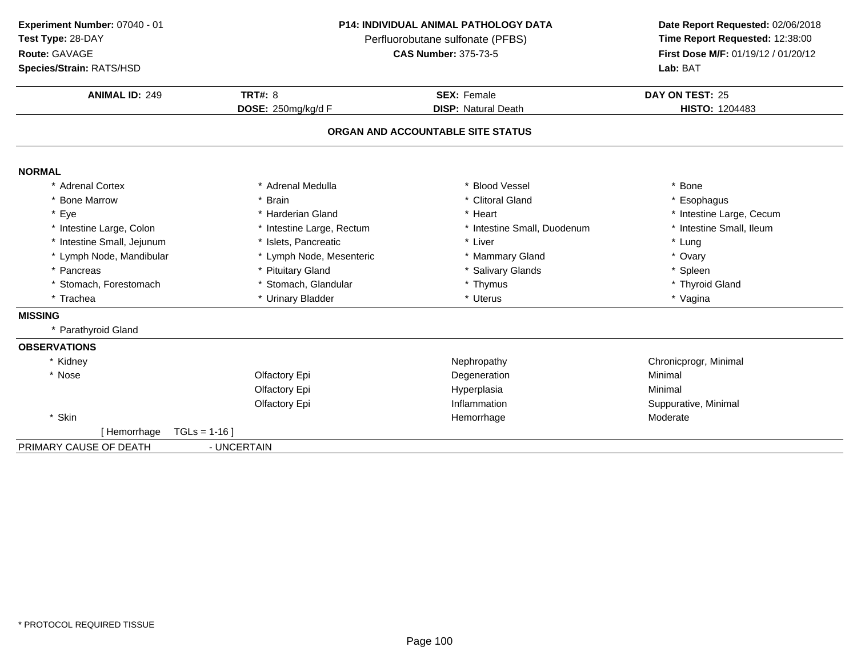**ANIMAL ID:** <sup>249</sup> **TRT#:** <sup>8</sup> **SEX:** Female **DAY ON TEST:** <sup>25</sup> **DOSE:** 250mg/kg/d F**DISP:** Natural Death **HISTO:** 1204483 **ORGAN AND ACCOUNTABLE SITE STATUSNORMAL** \* Adrenal Cortex \* Adrenal Medullaa the set of the set of the set of the set of the set of the set of the set of the set of the set of the set o<br>Set of the set of the set of the set of the set of the set of the set of the set of the set of the set of the s \* Bone Marrow \* Brain \* Clitoral Gland \* Esophagus \* Eyee the second of the second term in the second term in the second term in the second term in the second term in the second term in the second term in the second term in the second term in the second term in the second term \* Intestine Small, Ileum \* Intestine Large, Colon\* Intestine Large, Rectum<br>\* Islets, Pancreatic \* Intestine Small, Duodenum \* \* Intest<br>\* Liver \* \* Lung \* Intestine Small, Jejunumm \* Islets, Pancreatic \* Liver \* Lung \* Lymph Node, Mandibular \* Lymph Node, Mesenteric \* Mammary Gland\* Ovary<br>\* Spleen \* Pancreas \* Pituitary Gland\* Salivary Glands<br>
\* Thymus \* Thymus \* Thymus \* Thymus \* Thymus \* Thymus \* Thymus \* Thymus \* Thymus \* Thymus \* Thymus \* Thymus \* Thymus \* Thymus \* Thymus \* Thymus \* Thymus \* Thymus \* Thymus \* Thymus \* Thymus \* Thymus \* Thy \* Stomach, Forestomach\* Stomach, Glandular \* \* Thymus \* Thymus \* Thyroid \* Thyroid \* Thyroid \* Thyroid \* Thyroid \* Thyroid \* Uterus \* Thyroid \* Uterus \* Thyroid \* Vagina \* Tracheaa kasa karena yang dikenali di terus di terus di terus di terus di terus di terus di terus di terus di terus di<br>Persena di terus di terus di terus di terus di terus di terus di terus di terus di terus di terus di terus di **MISSING** \* Parathyroid Gland**OBSERVATIONS**\* Kidneyy the contract of the contract of the extent of the Nephropathy the chronic chronic program  $\mathsf{Chronic program}$  (Chronic progr, Minimal \* Nosee and the Colombia Colfactory Epi and the Colombia Degeneration and the Minimal Minimal Olfactory Epi Hyperplasiaa Minimal Olfactory Epi InflammationInflammation Suppurative, Minimal<br>
Hemorrhage Moderate Moderate \* Skinn and the morthage the morthage the morthage the morthage  $\sim$  Moderate  $\sim$  Moderate  $\sim$ [ Hemorrhage TGLs = 1-16 ]PRIMARY CAUSE OF DEATH - UNCERTAIN **Experiment Number:** 07040 - 01 **P14: INDIVIDUAL ANIMAL PATHOLOGY DATA Date Report Requested:** 02/06/2018 **Test Type:** 28-DAYPerfluorobutane sulfonate (PFBS)<br>**CAS Number:** 375-73-5 **Route:** GAVAGE**First Dose M/F:** 01/19/12 / 01/20/12<br>**Lab:** BAT **Species/Strain:** RATS/HSD**Lab:** BAT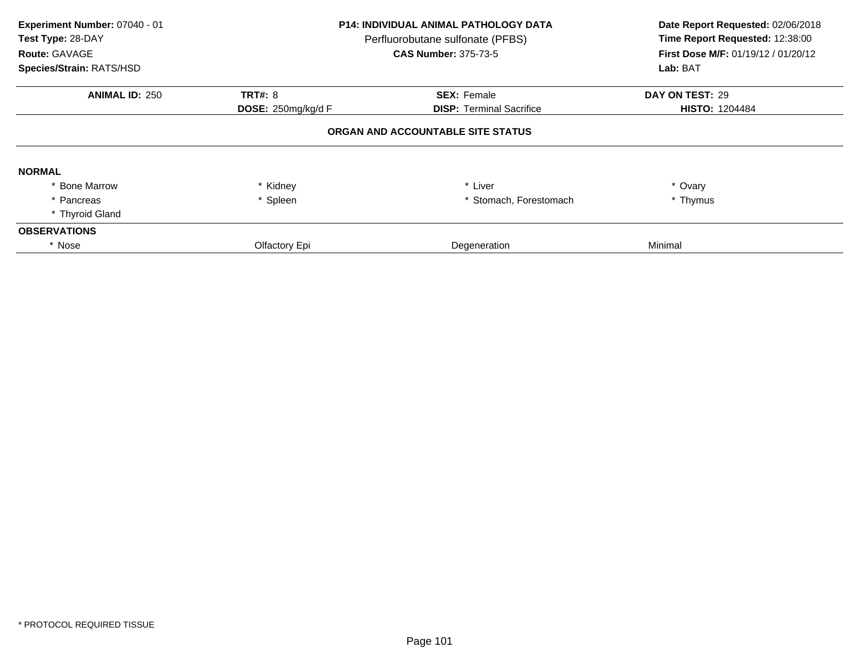| Experiment Number: 07040 - 01<br>Test Type: 28-DAY<br>Route: GAVAGE<br>Species/Strain: RATS/HSD |                                      | <b>P14: INDIVIDUAL ANIMAL PATHOLOGY DATA</b><br>Perfluorobutane sulfonate (PFBS)<br><b>CAS Number: 375-73-5</b> | Date Report Requested: 02/06/2018<br>Time Report Requested: 12:38:00<br>First Dose M/F: 01/19/12 / 01/20/12<br>Lab: BAT |  |  |  |
|-------------------------------------------------------------------------------------------------|--------------------------------------|-----------------------------------------------------------------------------------------------------------------|-------------------------------------------------------------------------------------------------------------------------|--|--|--|
| <b>ANIMAL ID: 250</b>                                                                           | <b>TRT#: 8</b><br>DOSE: 250mg/kg/d F | <b>SEX: Female</b><br><b>DISP:</b> Terminal Sacrifice                                                           | DAY ON TEST: 29<br><b>HISTO: 1204484</b>                                                                                |  |  |  |
| ORGAN AND ACCOUNTABLE SITE STATUS                                                               |                                      |                                                                                                                 |                                                                                                                         |  |  |  |
| <b>NORMAL</b>                                                                                   |                                      |                                                                                                                 |                                                                                                                         |  |  |  |
| * Bone Marrow                                                                                   | * Kidney                             | * Liver                                                                                                         | * Ovary                                                                                                                 |  |  |  |
| * Pancreas                                                                                      | * Spleen                             | * Stomach, Forestomach                                                                                          | * Thymus                                                                                                                |  |  |  |
| * Thyroid Gland                                                                                 |                                      |                                                                                                                 |                                                                                                                         |  |  |  |
| <b>OBSERVATIONS</b>                                                                             |                                      |                                                                                                                 |                                                                                                                         |  |  |  |
| * Nose                                                                                          | Olfactory Epi                        | Degeneration                                                                                                    | Minimal                                                                                                                 |  |  |  |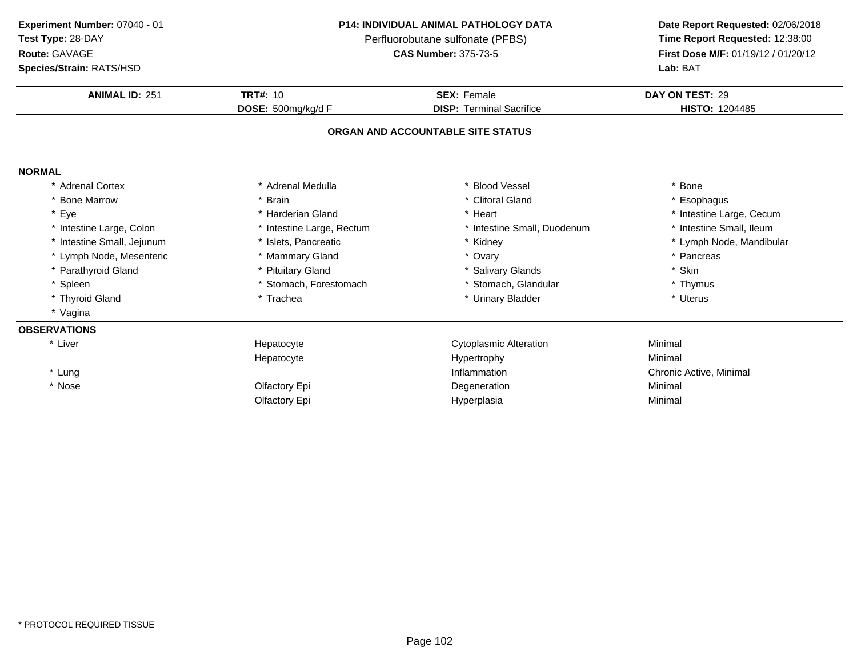### **Route:** GAVAGE

**Species/Strain:** RATS/HSD

### **P14: INDIVIDUAL ANIMAL PATHOLOGY DATA**

Perfluorobutane sulfonate (PFBS)<br>**CAS Number:** 375-73-5

| <b>Species/Strain: RATS/HSD</b> |                           | Lab: BAT                          |                          |  |
|---------------------------------|---------------------------|-----------------------------------|--------------------------|--|
| <b>ANIMAL ID: 251</b>           | <b>TRT#: 10</b>           | <b>SEX: Female</b>                | DAY ON TEST: 29          |  |
|                                 | DOSE: 500mg/kg/d F        | <b>DISP: Terminal Sacrifice</b>   | <b>HISTO: 1204485</b>    |  |
|                                 |                           | ORGAN AND ACCOUNTABLE SITE STATUS |                          |  |
| <b>NORMAL</b>                   |                           |                                   |                          |  |
| <b>Adrenal Cortex</b>           | Adrenal Medulla           | * Blood Vessel                    | * Bone                   |  |
| * Bone Marrow                   | Brain                     | * Clitoral Gland                  | * Esophagus              |  |
| * Eye                           | * Harderian Gland         | * Heart                           | * Intestine Large, Cecum |  |
| * Intestine Large, Colon        | * Intestine Large, Rectum | * Intestine Small, Duodenum       | * Intestine Small, Ileum |  |
| * Intestine Small, Jejunum      | * Islets, Pancreatic      | * Kidney                          | * Lymph Node, Mandibular |  |
| * Lymph Node, Mesenteric        | * Mammary Gland           | * Ovary                           | * Pancreas               |  |
| * Parathyroid Gland             | * Pituitary Gland         | * Salivary Glands                 | * Skin                   |  |
| * Spleen                        | * Stomach, Forestomach    | * Stomach, Glandular              | * Thymus                 |  |
| * Thyroid Gland                 | * Trachea                 | * Urinary Bladder                 | * Uterus                 |  |
| * Vagina                        |                           |                                   |                          |  |
| <b>OBSERVATIONS</b>             |                           |                                   |                          |  |
| * Liver                         | Hepatocyte                | <b>Cytoplasmic Alteration</b>     | Minimal                  |  |
|                                 | Hepatocyte                | Hypertrophy                       | Minimal                  |  |
| * Lung                          |                           | Inflammation                      | Chronic Active, Minimal  |  |
| * Nose                          | Olfactory Epi             | Degeneration                      | Minimal                  |  |
|                                 | Olfactory Epi             | Hyperplasia                       | Minimal                  |  |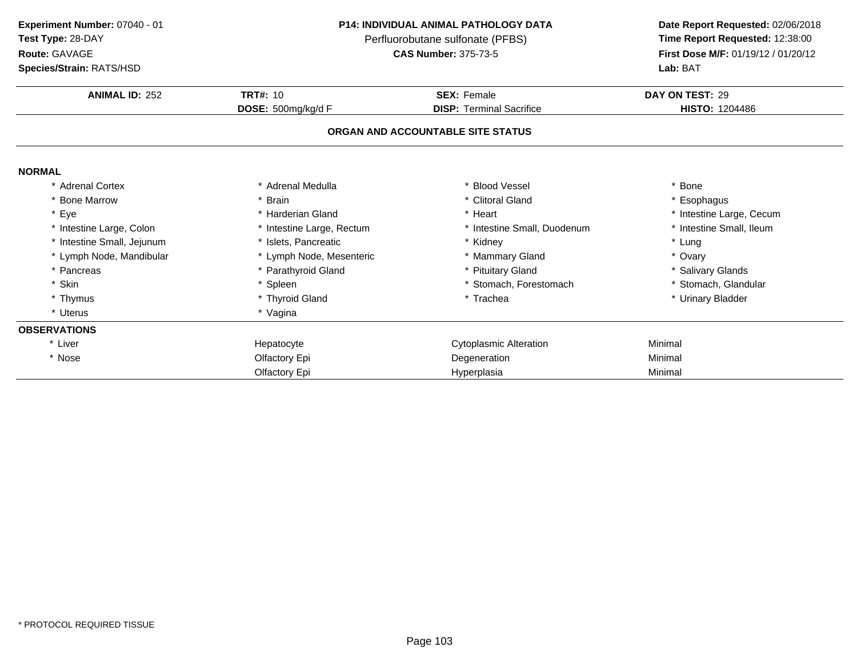**Route:** GAVAGE

**Species/Strain:** RATS/HSD

### **P14: INDIVIDUAL ANIMAL PATHOLOGY DATA**

Perfluorobutane sulfonate (PFBS)<br>**CAS Number:** 375-73-5

| <b>Species/Strain: RATS/HSD</b> |                           | <b>Lab: BAT</b>                   |                          |  |
|---------------------------------|---------------------------|-----------------------------------|--------------------------|--|
| <b>ANIMAL ID: 252</b>           | <b>TRT#: 10</b>           | <b>SEX: Female</b>                | DAY ON TEST: 29          |  |
|                                 | DOSE: 500mg/kg/d F        | <b>DISP: Terminal Sacrifice</b>   | <b>HISTO: 1204486</b>    |  |
|                                 |                           | ORGAN AND ACCOUNTABLE SITE STATUS |                          |  |
| <b>NORMAL</b>                   |                           |                                   |                          |  |
| * Adrenal Cortex                | * Adrenal Medulla         | * Blood Vessel                    | Bone                     |  |
| * Bone Marrow                   | * Brain                   | * Clitoral Gland                  | Esophagus                |  |
| * Eye                           | * Harderian Gland         | * Heart                           | * Intestine Large, Cecum |  |
| * Intestine Large, Colon        | * Intestine Large, Rectum | * Intestine Small, Duodenum       | * Intestine Small, Ileum |  |
| * Intestine Small, Jejunum      | * Islets, Pancreatic      | * Kidney                          | * Lung                   |  |
| * Lymph Node, Mandibular        | * Lymph Node, Mesenteric  | * Mammary Gland                   | * Ovary                  |  |
| * Pancreas                      | * Parathyroid Gland       | * Pituitary Gland                 | * Salivary Glands        |  |
| * Skin                          | * Spleen                  | * Stomach, Forestomach            | * Stomach, Glandular     |  |
| * Thymus                        | * Thyroid Gland           | * Trachea                         | * Urinary Bladder        |  |
| * Uterus                        | * Vagina                  |                                   |                          |  |
| <b>OBSERVATIONS</b>             |                           |                                   |                          |  |
| * Liver                         | Hepatocyte                | <b>Cytoplasmic Alteration</b>     | Minimal                  |  |
| * Nose                          | Olfactory Epi             | Degeneration                      | Minimal                  |  |
|                                 | Olfactory Epi             | Hyperplasia                       | Minimal                  |  |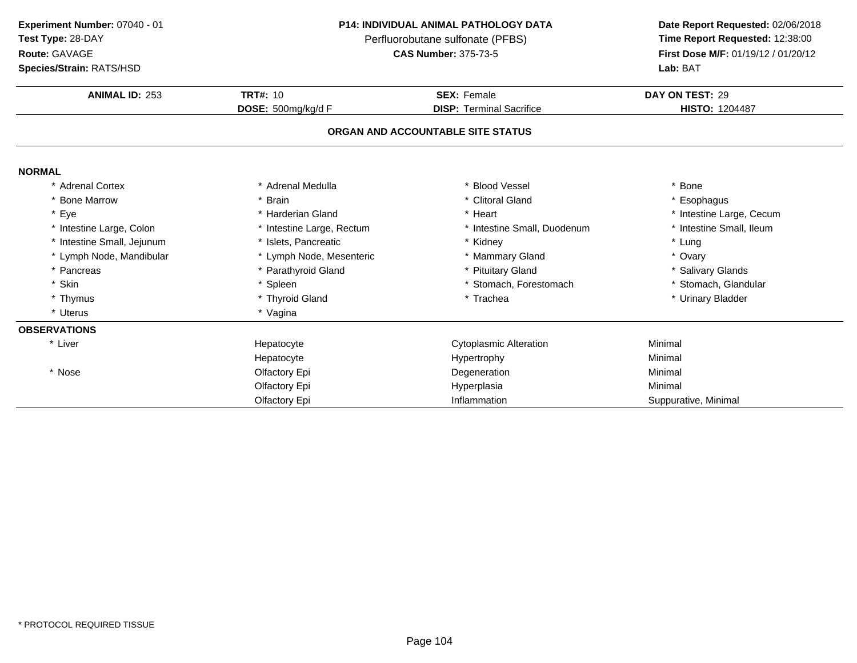**Route:** GAVAGE

**Species/Strain:** RATS/HSD

#### **P14: INDIVIDUAL ANIMAL PATHOLOGY DATA**

Perfluorobutane sulfonate (PFBS)<br>**CAS Number:** 375-73-5

| <b>Species/Strain: RATS/HSD</b> |                           | Lab: BAT                          |                          |  |
|---------------------------------|---------------------------|-----------------------------------|--------------------------|--|
| <b>ANIMAL ID: 253</b>           | <b>TRT#: 10</b>           | <b>SEX: Female</b>                | DAY ON TEST: 29          |  |
|                                 | DOSE: 500mg/kg/d F        | <b>DISP: Terminal Sacrifice</b>   | <b>HISTO: 1204487</b>    |  |
|                                 |                           | ORGAN AND ACCOUNTABLE SITE STATUS |                          |  |
| <b>NORMAL</b>                   |                           |                                   |                          |  |
| * Adrenal Cortex                | Adrenal Medulla           | * Blood Vessel                    | * Bone                   |  |
| * Bone Marrow                   | <b>Brain</b>              | * Clitoral Gland                  | * Esophagus              |  |
| * Eye                           | * Harderian Gland         | * Heart                           | * Intestine Large, Cecum |  |
| * Intestine Large, Colon        | * Intestine Large, Rectum | * Intestine Small, Duodenum       | * Intestine Small, Ileum |  |
| * Intestine Small, Jejunum      | * Islets, Pancreatic      | * Kidney                          | * Lung                   |  |
| * Lymph Node, Mandibular        | * Lymph Node, Mesenteric  | * Mammary Gland                   | * Ovary                  |  |
| * Pancreas                      | * Parathyroid Gland       | * Pituitary Gland                 | * Salivary Glands        |  |
| * Skin                          | * Spleen                  | * Stomach, Forestomach            | * Stomach, Glandular     |  |
| * Thymus                        | * Thyroid Gland           | * Trachea                         | * Urinary Bladder        |  |
| * Uterus                        | * Vagina                  |                                   |                          |  |
| <b>OBSERVATIONS</b>             |                           |                                   |                          |  |
| * Liver                         | Hepatocyte                | Cytoplasmic Alteration            | Minimal                  |  |
|                                 | Hepatocyte                | Hypertrophy                       | Minimal                  |  |
| * Nose                          | Olfactory Epi             | Degeneration                      | Minimal                  |  |
|                                 | Olfactory Epi             | Hyperplasia                       | Minimal                  |  |
|                                 | Olfactory Epi             | Inflammation                      | Suppurative, Minimal     |  |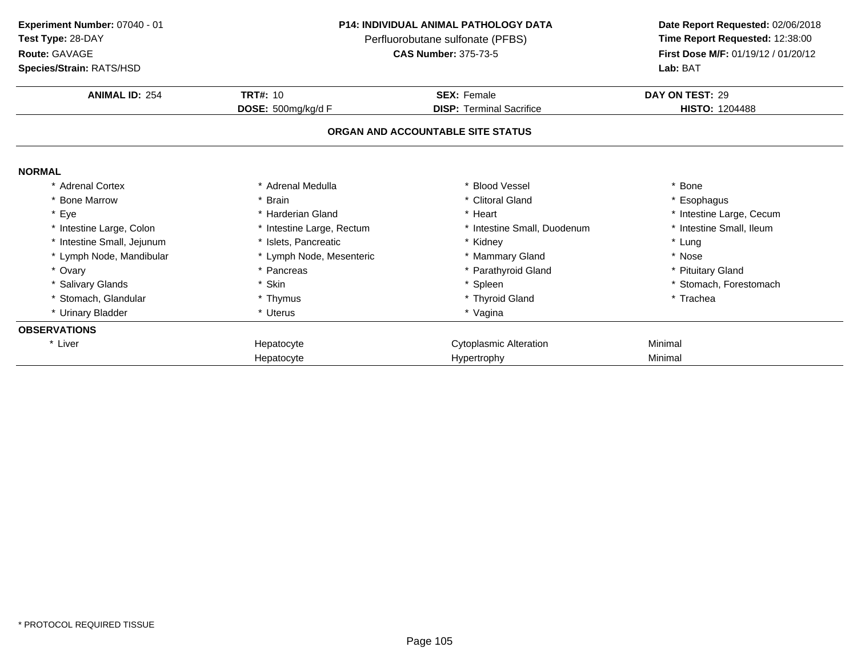**ANIMAL ID:** <sup>254</sup> **TRT#:** <sup>10</sup> **SEX:** Female **DAY ON TEST:** <sup>29</sup> **DOSE:** 500mg/kg/d F**DISP:** Terminal Sacrifice **HISTO:** 1204488 **ORGAN AND ACCOUNTABLE SITE STATUSNORMAL** \* Adrenal Cortex\* Adrenal Medulla<br>\* Brain a the set of the set of the set of the set of the set of the set of the set of the set of the set of the set o<br>Set of the set of the set of the set of the set of the set of the set of the set of the set of the set of the s \* Bone Marrow \* Brain \* Clitoral Gland \* Esophagus \* Eyee the second of the second term in the second term in the second term in the second term in the second term in the second term in the second term in the second term in the second term in the second term in the second term \* Intestine Small, Ileum \* Intestine Large, Colon\* Intestine Large, Rectum<br>\* Islets, Pancreatic \* Intestine Small, Duodenum \* \* Intest<br>\* Kidney \* \* Lung \* Intestine Small, Jejunumm \* Islets, Pancreatic \* Kidney \* Lung \* Lymph Node, Mesenteric \* \* Mammary Gland \* Nose **Experiment Number:** 07040 - 01 **P14: INDIVIDUAL ANIMAL PATHOLOGY DATA Date Report Requested:** 02/06/2018 **Test Type:** 28-DAYPerfluorobutane sulfonate (PFBS)<br>**CAS Number:** 375-73-5 **Route:** GAVAGE**First Dose M/F:** 01/19/12 / 01/20/12<br>**Lab:** BAT **Species/Strain:** RATS/HSD**Lab:** BAT

\* Pancreas \* Parathyroid Gland<br>
\* Skin \* Steen \* Steen \* Steen \* Steen \* Steen \* Steen \* Steen \* Steen \* Steen \* Steen \* Steen \* Steen \* Steen \* Steen \* Steen \* Steen \* Steen \* Steen \* Steen \* Steen \* Steen \* Steen \* Steen

\* Thymus \* Thyroid Gland<br>\* Uterus \* \* Yaqina

\* Skin \* \* Spleen \* Spleen \* \* Spleen \* \* Stomach, Forestomach \* \* Stomach, Forestomach \* Thyroid Gland

Cytoplasmic Alteration<br>
Hypertrophy Minimal<br>
Minimal

\* Vagina

Hypertrophy Minimal

\* Pituitary Gland

\* Trachea

\* Lymph Node, Mandibular \* Lymph Node, Mesenteric

Hepatocyte

Hepatocyte

s \* Skin

\* Stomach, Glandular **\*** Thymus

\* Urinary Bladder \* Uterus

\* Ovary

**OBSERVATIONS**\* Liver

\* Salivary Glands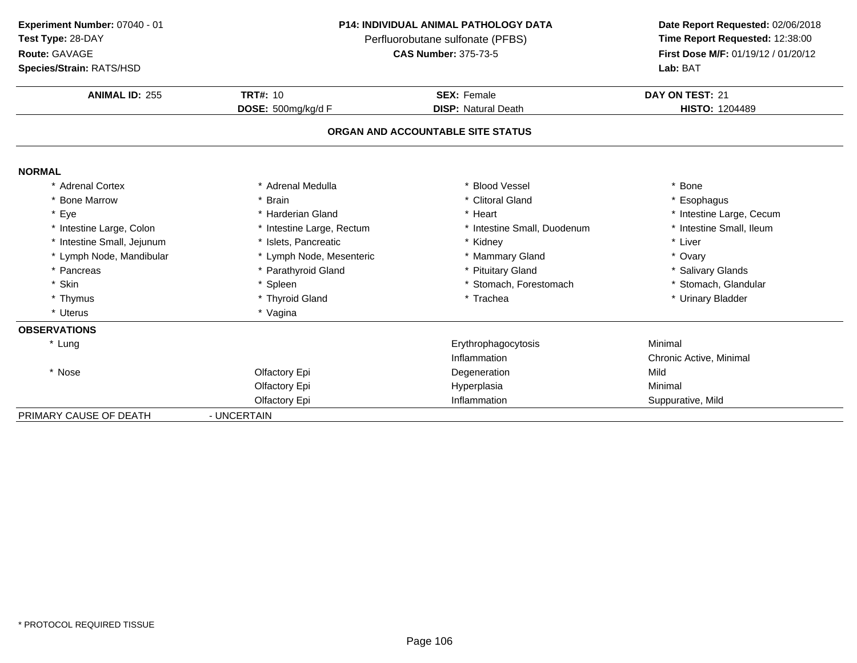| Experiment Number: 07040 - 01 |
|-------------------------------|
|                               |

**Test Type:** 28-DAY

**Route:** GAVAGE

**Species/Strain:** RATS/HSD

### **P14: INDIVIDUAL ANIMAL PATHOLOGY DATA**

Perfluorobutane sulfonate (PFBS)<br>**CAS Number:** 375-73-5

| <b>Species/Strain: RATS/HSD</b> |                           | Lab: BAT                          |                          |  |
|---------------------------------|---------------------------|-----------------------------------|--------------------------|--|
| <b>ANIMAL ID: 255</b>           | <b>TRT#: 10</b>           | <b>SEX: Female</b>                | DAY ON TEST: 21          |  |
|                                 | DOSE: 500mg/kg/d F        | <b>DISP: Natural Death</b>        | <b>HISTO: 1204489</b>    |  |
|                                 |                           | ORGAN AND ACCOUNTABLE SITE STATUS |                          |  |
| <b>NORMAL</b>                   |                           |                                   |                          |  |
| * Adrenal Cortex                | * Adrenal Medulla         | * Blood Vessel                    | * Bone                   |  |
| * Bone Marrow                   | * Brain                   | * Clitoral Gland                  | * Esophagus              |  |
| * Eye                           | * Harderian Gland         | * Heart                           | * Intestine Large, Cecum |  |
| * Intestine Large, Colon        | * Intestine Large, Rectum | * Intestine Small, Duodenum       | * Intestine Small, Ileum |  |
| * Intestine Small, Jejunum      | * Islets. Pancreatic      | * Kidney                          | * Liver                  |  |
| * Lymph Node, Mandibular        | * Lymph Node, Mesenteric  | * Mammary Gland                   | * Ovary                  |  |
| * Pancreas                      | * Parathyroid Gland       | * Pituitary Gland                 | * Salivary Glands        |  |
| * Skin                          | * Spleen                  | * Stomach, Forestomach            | * Stomach, Glandular     |  |
| * Thymus                        | * Thyroid Gland           | * Trachea                         | * Urinary Bladder        |  |
| * Uterus                        | * Vagina                  |                                   |                          |  |
| <b>OBSERVATIONS</b>             |                           |                                   |                          |  |
| * Lung                          |                           | Erythrophagocytosis               | Minimal                  |  |
|                                 |                           | Inflammation                      | Chronic Active, Minimal  |  |
| * Nose                          | Olfactory Epi             | Degeneration                      | Mild                     |  |
|                                 | Olfactory Epi             | Hyperplasia                       | Minimal                  |  |
|                                 | Olfactory Epi             | Inflammation                      | Suppurative, Mild        |  |
| PRIMARY CAUSE OF DEATH          | - UNCERTAIN               |                                   |                          |  |
|                                 |                           |                                   |                          |  |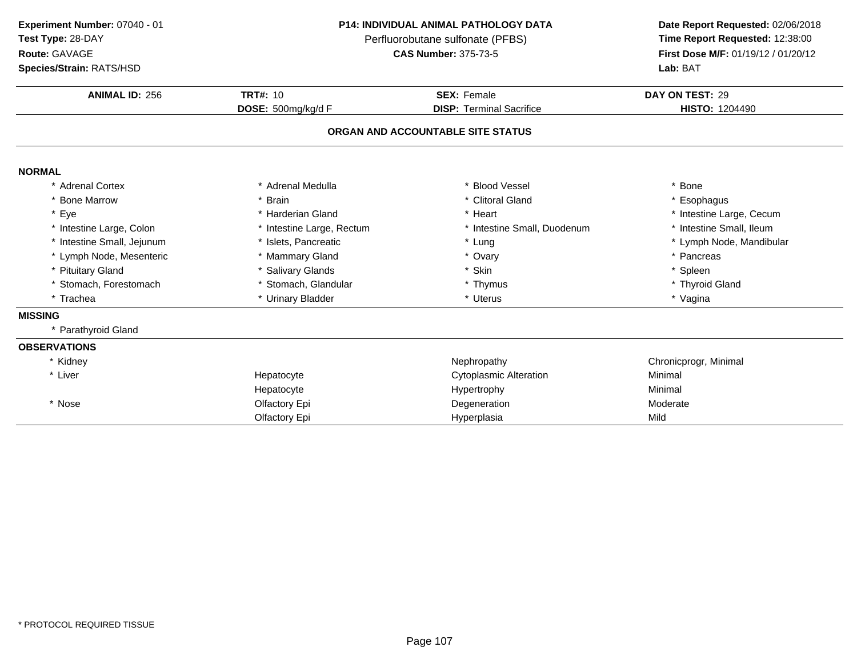### **Route:** GAVAGE

**Species/Strain:** RATS/HSD

### **P14: INDIVIDUAL ANIMAL PATHOLOGY DATA**

Perfluorobutane sulfonate (PFBS)<br>**CAS Number:** 375-73-5

| <b>ANIMAL ID: 256</b>      | <b>TRT#: 10</b>           | <b>SEX: Female</b>                | DAY ON TEST: 29          |
|----------------------------|---------------------------|-----------------------------------|--------------------------|
|                            | DOSE: 500mg/kg/d F        | <b>DISP: Terminal Sacrifice</b>   | <b>HISTO: 1204490</b>    |
|                            |                           | ORGAN AND ACCOUNTABLE SITE STATUS |                          |
| <b>NORMAL</b>              |                           |                                   |                          |
| <b>Adrenal Cortex</b>      | Adrenal Medulla           | <b>Blood Vessel</b>               | * Bone                   |
| * Bone Marrow              | * Brain                   | * Clitoral Gland                  | * Esophagus              |
| * Eye                      | * Harderian Gland         | * Heart                           | * Intestine Large, Cecum |
| * Intestine Large, Colon   | * Intestine Large, Rectum | * Intestine Small, Duodenum       | * Intestine Small, Ileum |
| * Intestine Small, Jejunum | * Islets, Pancreatic      | * Lung                            | * Lymph Node, Mandibular |
| * Lymph Node, Mesenteric   | * Mammary Gland           | * Ovary                           | * Pancreas               |
| * Pituitary Gland          | * Salivary Glands         | * Skin                            | * Spleen                 |
| * Stomach, Forestomach     | * Stomach, Glandular      | * Thymus                          | * Thyroid Gland          |
| * Trachea                  | * Urinary Bladder         | * Uterus                          | * Vagina                 |
| <b>MISSING</b>             |                           |                                   |                          |
| * Parathyroid Gland        |                           |                                   |                          |
| <b>OBSERVATIONS</b>        |                           |                                   |                          |
| * Kidney                   |                           | Nephropathy                       | Chronicprogr, Minimal    |
| * Liver                    | Hepatocyte                | <b>Cytoplasmic Alteration</b>     | Minimal                  |
|                            | Hepatocyte                | Hypertrophy                       | Minimal                  |
| * Nose                     | Olfactory Epi             | Degeneration                      | Moderate                 |
|                            | Olfactory Epi             | Hyperplasia                       | Mild                     |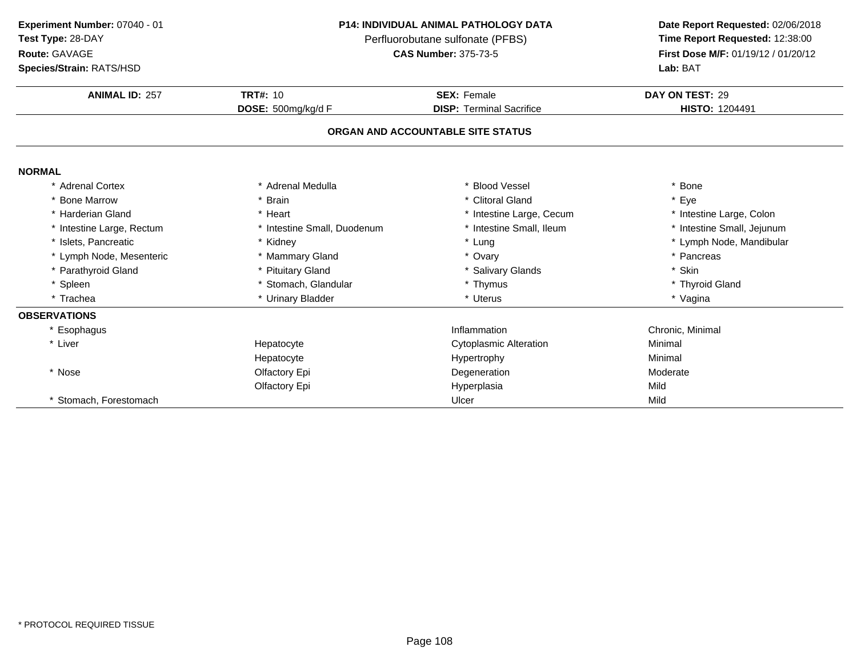**Route:** GAVAGE

**Species/Strain:** RATS/HSD

### **P14: INDIVIDUAL ANIMAL PATHOLOGY DATA**

Perfluorobutane sulfonate (PFBS)<br>**CAS Number:** 375-73-5

| <b>ANIMAL ID: 257</b>     | <b>TRT#: 10</b>             | <b>SEX: Female</b>                | DAY ON TEST: 29            |
|---------------------------|-----------------------------|-----------------------------------|----------------------------|
|                           | DOSE: 500mg/kg/d F          | <b>DISP: Terminal Sacrifice</b>   | HISTO: 1204491             |
|                           |                             | ORGAN AND ACCOUNTABLE SITE STATUS |                            |
| <b>NORMAL</b>             |                             |                                   |                            |
| * Adrenal Cortex          | * Adrenal Medulla           | <b>Blood Vessel</b>               | * Bone                     |
| <b>Bone Marrow</b>        | * Brain                     | * Clitoral Gland                  | * Eye                      |
| * Harderian Gland         | * Heart                     | * Intestine Large, Cecum          | * Intestine Large, Colon   |
| * Intestine Large, Rectum | * Intestine Small, Duodenum | * Intestine Small, Ileum          | * Intestine Small, Jejunum |
| * Islets, Pancreatic      | * Kidney                    | * Lung                            | * Lymph Node, Mandibular   |
| * Lymph Node, Mesenteric  | * Mammary Gland             | * Ovary                           | * Pancreas                 |
| * Parathyroid Gland       | * Pituitary Gland           | * Salivary Glands                 | * Skin                     |
| * Spleen                  | * Stomach, Glandular        | * Thymus                          | * Thyroid Gland            |
| * Trachea                 | * Urinary Bladder           | * Uterus                          | * Vagina                   |
| <b>OBSERVATIONS</b>       |                             |                                   |                            |
| * Esophagus               |                             | Inflammation                      | Chronic, Minimal           |
| * Liver                   | Hepatocyte                  | <b>Cytoplasmic Alteration</b>     | Minimal                    |
|                           | Hepatocyte                  | Hypertrophy                       | Minimal                    |
| * Nose                    | Olfactory Epi               | Degeneration                      | Moderate                   |
|                           | Olfactory Epi               | Hyperplasia                       | Mild                       |
| Stomach, Forestomach      |                             | Ulcer                             | Mild                       |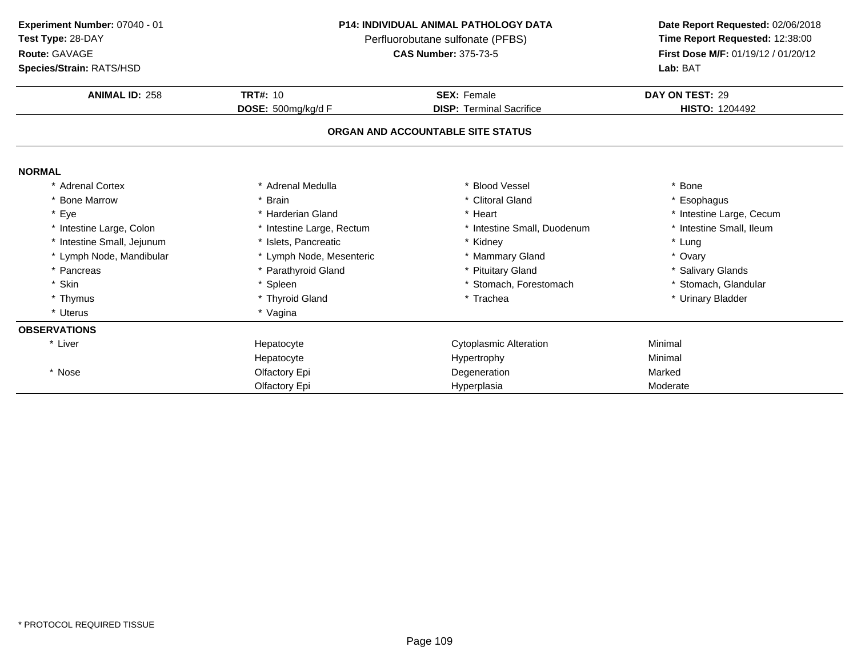**Route:** GAVAGE

**Species/Strain:** RATS/HSD

### **P14: INDIVIDUAL ANIMAL PATHOLOGY DATA**

Perfluorobutane sulfonate (PFBS)<br>**CAS Number:** 375-73-5

| <b>Species/Strain: RATS/HSD</b> |                           |                                   | Lab: BAT                 |
|---------------------------------|---------------------------|-----------------------------------|--------------------------|
| <b>ANIMAL ID: 258</b>           | <b>TRT#: 10</b>           | <b>SEX: Female</b>                | DAY ON TEST: 29          |
|                                 | DOSE: 500mg/kg/d F        | <b>DISP: Terminal Sacrifice</b>   | <b>HISTO: 1204492</b>    |
|                                 |                           | ORGAN AND ACCOUNTABLE SITE STATUS |                          |
| <b>NORMAL</b>                   |                           |                                   |                          |
| * Adrenal Cortex                | * Adrenal Medulla         | <b>Blood Vessel</b>               | * Bone                   |
| * Bone Marrow                   | * Brain                   | * Clitoral Gland                  | * Esophagus              |
| * Eye                           | * Harderian Gland         | * Heart                           | * Intestine Large, Cecum |
| * Intestine Large, Colon        | * Intestine Large, Rectum | * Intestine Small, Duodenum       | * Intestine Small, Ileum |
| * Intestine Small, Jejunum      | * Islets, Pancreatic      | * Kidney                          | * Lung                   |
| * Lymph Node, Mandibular        | * Lymph Node, Mesenteric  | * Mammary Gland                   | * Ovary                  |
| * Pancreas                      | * Parathyroid Gland       | * Pituitary Gland                 | * Salivary Glands        |
| * Skin                          | * Spleen                  | * Stomach, Forestomach            | * Stomach, Glandular     |
| * Thymus                        | * Thyroid Gland           | * Trachea                         | * Urinary Bladder        |
| * Uterus                        | * Vagina                  |                                   |                          |
| <b>OBSERVATIONS</b>             |                           |                                   |                          |
| * Liver                         | Hepatocyte                | Cytoplasmic Alteration            | Minimal                  |
|                                 | Hepatocyte                | Hypertrophy                       | Minimal                  |
| * Nose                          | Olfactory Epi             | Degeneration                      | Marked                   |
|                                 | Olfactory Epi             | Hyperplasia                       | Moderate                 |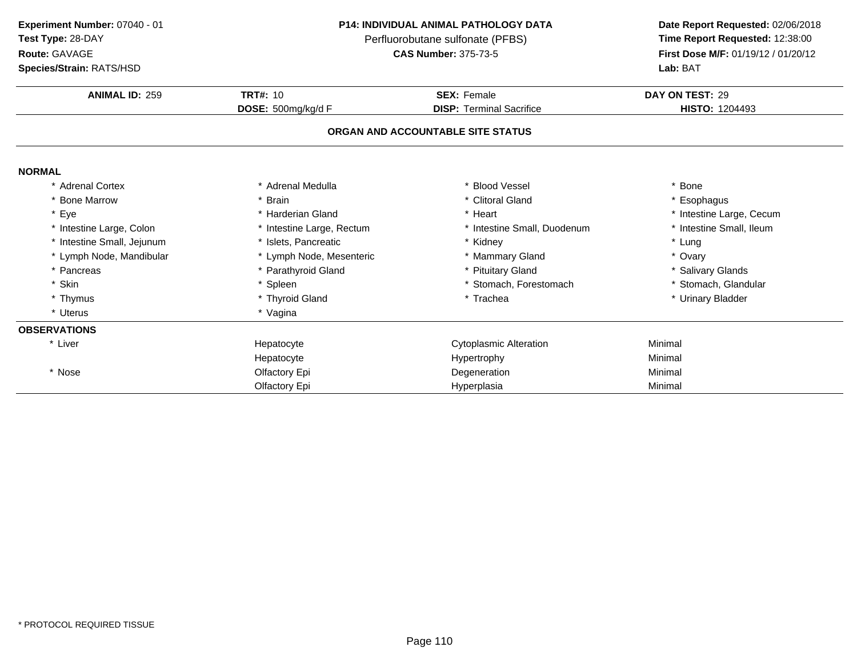**Route:** GAVAGE

**Species/Strain:** RATS/HSD

### **P14: INDIVIDUAL ANIMAL PATHOLOGY DATA**

Perfluorobutane sulfonate (PFBS)<br>**CAS Number:** 375-73-5

| <b>Species/Strain: RATS/HSD</b> |                           |                                   | Lab: BAT                 |
|---------------------------------|---------------------------|-----------------------------------|--------------------------|
| <b>ANIMAL ID: 259</b>           | <b>TRT#: 10</b>           | <b>SEX: Female</b>                | DAY ON TEST: 29          |
|                                 | DOSE: 500mg/kg/d F        | <b>DISP: Terminal Sacrifice</b>   | <b>HISTO: 1204493</b>    |
|                                 |                           | ORGAN AND ACCOUNTABLE SITE STATUS |                          |
| <b>NORMAL</b>                   |                           |                                   |                          |
| * Adrenal Cortex                | * Adrenal Medulla         | * Blood Vessel                    | * Bone                   |
| * Bone Marrow                   | <b>Brain</b>              | * Clitoral Gland                  | * Esophagus              |
| * Eye                           | * Harderian Gland         | * Heart                           | * Intestine Large, Cecum |
| * Intestine Large, Colon        | * Intestine Large, Rectum | * Intestine Small, Duodenum       | * Intestine Small, Ileum |
| * Intestine Small, Jejunum      | * Islets, Pancreatic      | * Kidney                          | * Lung                   |
| * Lymph Node, Mandibular        | * Lymph Node, Mesenteric  | * Mammary Gland                   | * Ovary                  |
| * Pancreas                      | * Parathyroid Gland       | * Pituitary Gland                 | * Salivary Glands        |
| * Skin                          | * Spleen                  | * Stomach, Forestomach            | * Stomach, Glandular     |
| * Thymus                        | * Thyroid Gland           | * Trachea                         | * Urinary Bladder        |
| * Uterus                        | * Vagina                  |                                   |                          |
| <b>OBSERVATIONS</b>             |                           |                                   |                          |
| * Liver                         | Hepatocyte                | <b>Cytoplasmic Alteration</b>     | Minimal                  |
|                                 | Hepatocyte                | Hypertrophy                       | Minimal                  |
| * Nose                          | Olfactory Epi             | Degeneration                      | Minimal                  |
|                                 | Olfactory Epi             | Hyperplasia                       | Minimal                  |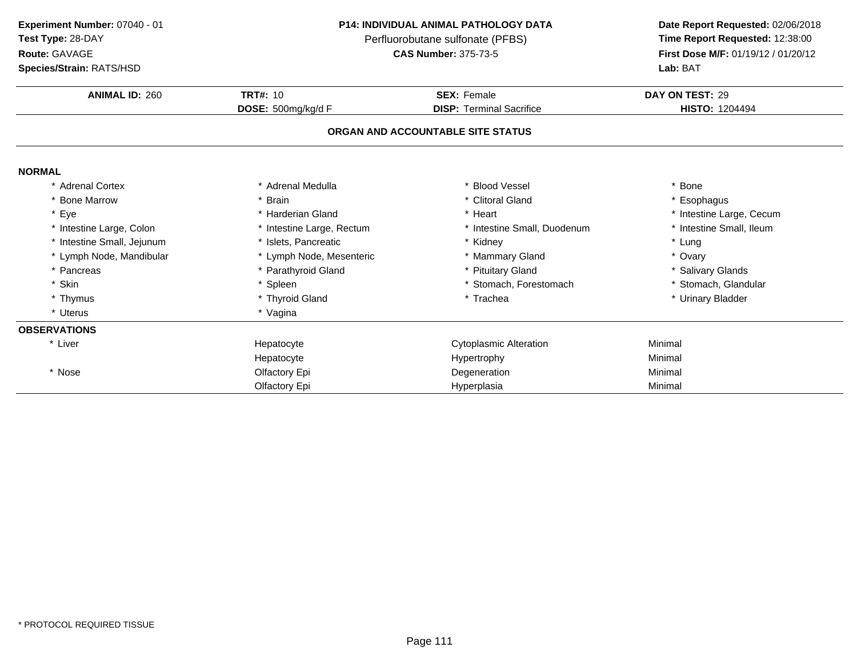**Experiment Number:** 07040 - 01

**Test Type:** 28-DAY

### **Route:** GAVAGE

**Species/Strain:** RATS/HSD

### **P14: INDIVIDUAL ANIMAL PATHOLOGY DATA**

Perfluorobutane sulfonate (PFBS)<br>**CAS Number:** 375-73-5

| <b>Species/Strain: RATS/HSD</b> |                           | <b>Lab: BAT</b>                   |                          |  |
|---------------------------------|---------------------------|-----------------------------------|--------------------------|--|
| <b>ANIMAL ID: 260</b>           | <b>TRT#: 10</b>           | <b>SEX: Female</b>                | DAY ON TEST: 29          |  |
|                                 | DOSE: 500mg/kg/d F        | <b>DISP: Terminal Sacrifice</b>   | <b>HISTO: 1204494</b>    |  |
|                                 |                           | ORGAN AND ACCOUNTABLE SITE STATUS |                          |  |
| <b>NORMAL</b>                   |                           |                                   |                          |  |
| * Adrenal Cortex                | * Adrenal Medulla         | * Blood Vessel                    | * Bone                   |  |
| * Bone Marrow                   | Brain                     | * Clitoral Gland                  | * Esophagus              |  |
| * Eye                           | * Harderian Gland         | * Heart                           | * Intestine Large, Cecum |  |
| * Intestine Large, Colon        | * Intestine Large, Rectum | * Intestine Small, Duodenum       | * Intestine Small, Ileum |  |
| * Intestine Small, Jejunum      | * Islets, Pancreatic      | * Kidney                          | * Lung                   |  |
| * Lymph Node, Mandibular        | * Lymph Node, Mesenteric  | * Mammary Gland                   | * Ovary                  |  |
| * Pancreas                      | * Parathyroid Gland       | * Pituitary Gland                 | * Salivary Glands        |  |
| * Skin                          | * Spleen                  | * Stomach, Forestomach            | * Stomach, Glandular     |  |
| * Thymus                        | * Thyroid Gland           | * Trachea                         | * Urinary Bladder        |  |
| * Uterus                        | * Vagina                  |                                   |                          |  |
| <b>OBSERVATIONS</b>             |                           |                                   |                          |  |
| * Liver                         | Hepatocyte                | <b>Cytoplasmic Alteration</b>     | Minimal                  |  |
|                                 | Hepatocyte                | Hypertrophy                       | Minimal                  |  |
| * Nose                          | Olfactory Epi             | Degeneration                      | Minimal                  |  |
|                                 | Olfactory Epi             | Hyperplasia                       | Minimal                  |  |
|                                 |                           |                                   |                          |  |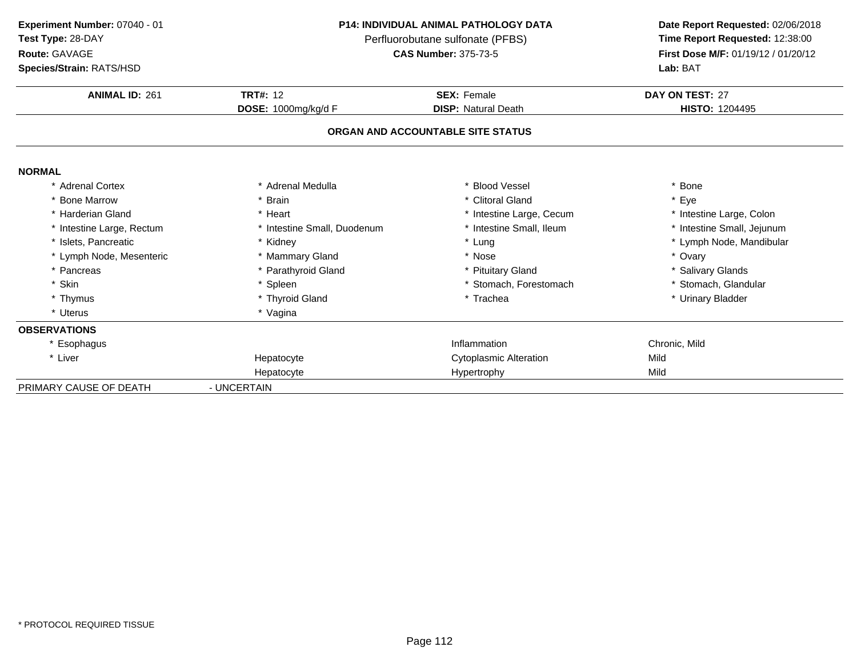**ANIMAL ID:** <sup>261</sup> **TRT#:** <sup>12</sup> **SEX:** Female **DAY ON TEST:** <sup>27</sup> **DOSE:** 1000mg/kg/d F**DISP:** Natural Death **HISTO:** 1204495 **ORGAN AND ACCOUNTABLE SITE STATUSNORMAL** \* Adrenal Cortex \* Adrenal Medullaa the set of the set of the set of the set of the set of the set of the set of the set of the set of the set o<br>Set of the set of the set of the set of the set of the set of the set of the set of the set of the set of the s \* Bone Marrow \* Brain \* Clitoral Gland \* Eye \* Harderian Gland\* Heart \* Heart \* Intestine Large, Cecum<br>\* Intestine Small, Duodenum \* \* Intestine Small, Ileum \* Intestine Large, Colon<br>\* Intestine Small, Jejunum \* Intestine Large, Rectum\* Intestine Small, Duodenum \* Intestine Small, Duodenum \* Intestine Small, Intesting Small, Internal Small, Internal Small, Internal Small, Internal Small, Internal Small, Internal Small, Internal Small, Internal Small, In \* Islets, Pancreaticc \* Kidney \* Cung \* Lung \* Lymph Node, Mandibular \* Lymph Node, Mesenteric \* Mammary Gland \* Nose \* Ovary \* Pancreas \* Parathyroid Gland\* Pituitary Gland<br>
\* Stomach, Forestomach<br>
\* Stomach, Glandular \* Skin\* Spleen \* Stomach, Forestomach \* Stomach, Forestomach \* Trachea \* Thymus \* Thyroid Gland\* Urinary Bladder \* Uterus \* Vagina**OBSERVATIONS** \* Esophaguss and the contract of the contract of the contract of the contract of the contract of the contract of the contract of the contract of the contract of the contract of the contract of the contract of the contract of the cont Inflammation Chronic, Mild<br>Cytoplasmic Alteration Mild Cytoplasmic Alteration \* Liver Hepatocyte Cytoplasmic Alteration<br>
Hypertrophy Mild HepatocyteHypertrophy PRIMARY CAUSE OF DEATH - UNCERTAIN **Experiment Number:** 07040 - 01 **P14: INDIVIDUAL ANIMAL PATHOLOGY DATA Date Report Requested:** 02/06/2018 **Test Type:** 28-DAYPerfluorobutane sulfonate (PFBS)<br>**CAS Number:** 375-73-5 **Route:** GAVAGE**First Dose M/F:** 01/19/12 / 01/20/12<br>**Lab:** BAT **Species/Strain:** RATS/HSD**Lab:** BAT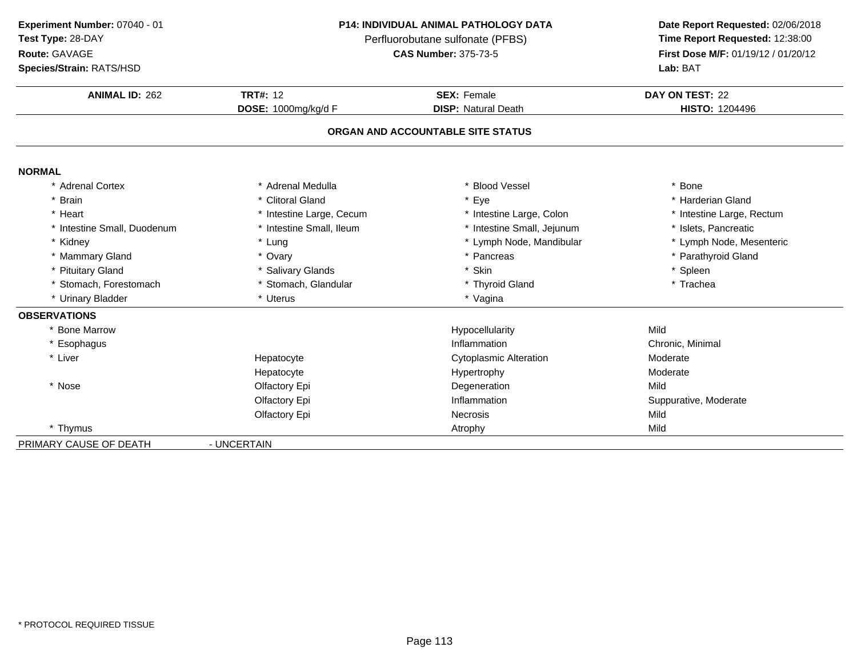### **Route:** GAVAGE

**Species/Strain:** RATS/HSD

## **P14: INDIVIDUAL ANIMAL PATHOLOGY DATA**Perfluorobutane sulfonate (PFBS)<br>**CAS Number:** 375-73-5

| <b>ANIMAL ID: 262</b>       | <b>TRT#: 12</b>          | <b>SEX: Female</b>                | DAY ON TEST: 22           |
|-----------------------------|--------------------------|-----------------------------------|---------------------------|
|                             | DOSE: 1000mg/kg/d F      | <b>DISP: Natural Death</b>        | <b>HISTO: 1204496</b>     |
|                             |                          | ORGAN AND ACCOUNTABLE SITE STATUS |                           |
| <b>NORMAL</b>               |                          |                                   |                           |
| * Adrenal Cortex            | * Adrenal Medulla        | <b>Blood Vessel</b>               | * Bone                    |
| * Brain                     | * Clitoral Gland         | * Eye                             | * Harderian Gland         |
| * Heart                     | * Intestine Large, Cecum | * Intestine Large, Colon          | * Intestine Large, Rectum |
| * Intestine Small, Duodenum | * Intestine Small, Ileum | * Intestine Small, Jejunum        | * Islets, Pancreatic      |
| * Kidney                    | * Lung                   | * Lymph Node, Mandibular          | * Lymph Node, Mesenteric  |
| * Mammary Gland             | * Ovary                  | * Pancreas                        | * Parathyroid Gland       |
| * Pituitary Gland           | * Salivary Glands        | * Skin                            | * Spleen                  |
| * Stomach, Forestomach      | * Stomach, Glandular     | * Thyroid Gland                   | * Trachea                 |
| * Urinary Bladder           | * Uterus                 | * Vagina                          |                           |
| <b>OBSERVATIONS</b>         |                          |                                   |                           |
| <b>Bone Marrow</b>          |                          | Hypocellularity                   | Mild                      |
| * Esophagus                 |                          | Inflammation                      | Chronic, Minimal          |
| * Liver                     | Hepatocyte               | <b>Cytoplasmic Alteration</b>     | Moderate                  |
|                             | Hepatocyte               | Hypertrophy                       | Moderate                  |
| * Nose                      | Olfactory Epi            | Degeneration                      | Mild                      |
|                             | Olfactory Epi            | Inflammation                      | Suppurative, Moderate     |
|                             | Olfactory Epi            | <b>Necrosis</b>                   | Mild                      |
| * Thymus                    |                          | Atrophy                           | Mild                      |
| PRIMARY CAUSE OF DEATH      | - UNCERTAIN              |                                   |                           |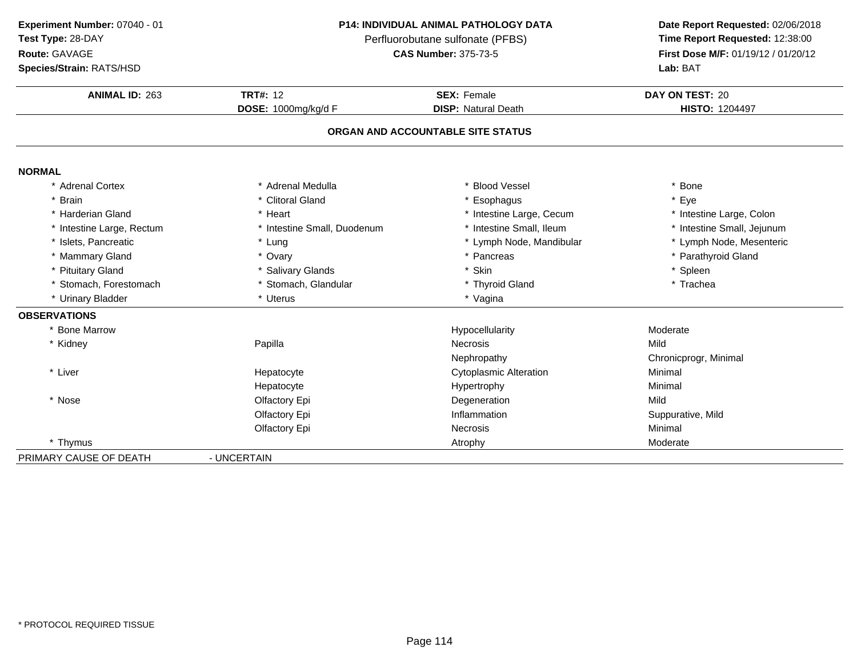| Experiment Number: 07040 - 01         |  |
|---------------------------------------|--|
| $\sim$<br>$\sim$ $\sim$ $\sim$ $\sim$ |  |

### **Test Type:** 28-DAY

### **Route:** GAVAGE

**Species/Strain:** RATS/HSD

### **P14: INDIVIDUAL ANIMAL PATHOLOGY DATA**

Perfluorobutane sulfonate (PFBS)<br>**CAS Number:** 375-73-5

| <b>ANIMAL ID: 263</b>     | <b>TRT#: 12</b>             | <b>SEX: Female</b>                | DAY ON TEST: 20            |
|---------------------------|-----------------------------|-----------------------------------|----------------------------|
|                           | DOSE: 1000mg/kg/d F         | <b>DISP: Natural Death</b>        | <b>HISTO: 1204497</b>      |
|                           |                             | ORGAN AND ACCOUNTABLE SITE STATUS |                            |
| <b>NORMAL</b>             |                             |                                   |                            |
| * Adrenal Cortex          | * Adrenal Medulla           | * Blood Vessel                    | Bone                       |
| * Brain                   | * Clitoral Gland            | * Esophagus                       | Eye                        |
| * Harderian Gland         | * Heart                     | * Intestine Large, Cecum          | * Intestine Large, Colon   |
| * Intestine Large, Rectum | * Intestine Small, Duodenum | * Intestine Small, Ileum          | * Intestine Small, Jejunum |
| * Islets, Pancreatic      | * Lung                      | * Lymph Node, Mandibular          | * Lymph Node, Mesenteric   |
| * Mammary Gland           | * Ovary                     | * Pancreas                        | * Parathyroid Gland        |
| * Pituitary Gland         | * Salivary Glands           | * Skin                            | * Spleen                   |
| * Stomach, Forestomach    | * Stomach, Glandular        | * Thyroid Gland                   | * Trachea                  |
| * Urinary Bladder         | * Uterus                    | * Vagina                          |                            |
| <b>OBSERVATIONS</b>       |                             |                                   |                            |
| * Bone Marrow             |                             | Hypocellularity                   | Moderate                   |
| * Kidney                  | Papilla                     | <b>Necrosis</b>                   | Mild                       |
|                           |                             | Nephropathy                       | Chronicprogr, Minimal      |
| * Liver                   | Hepatocyte                  | <b>Cytoplasmic Alteration</b>     | Minimal                    |
|                           | Hepatocyte                  | Hypertrophy                       | Minimal                    |
| * Nose                    | Olfactory Epi               | Degeneration                      | Mild                       |
|                           | Olfactory Epi               | Inflammation                      | Suppurative, Mild          |
|                           | Olfactory Epi               | <b>Necrosis</b>                   | Minimal                    |
| * Thymus                  |                             | Atrophy                           | Moderate                   |
| PRIMARY CAUSE OF DEATH    | - UNCERTAIN                 |                                   |                            |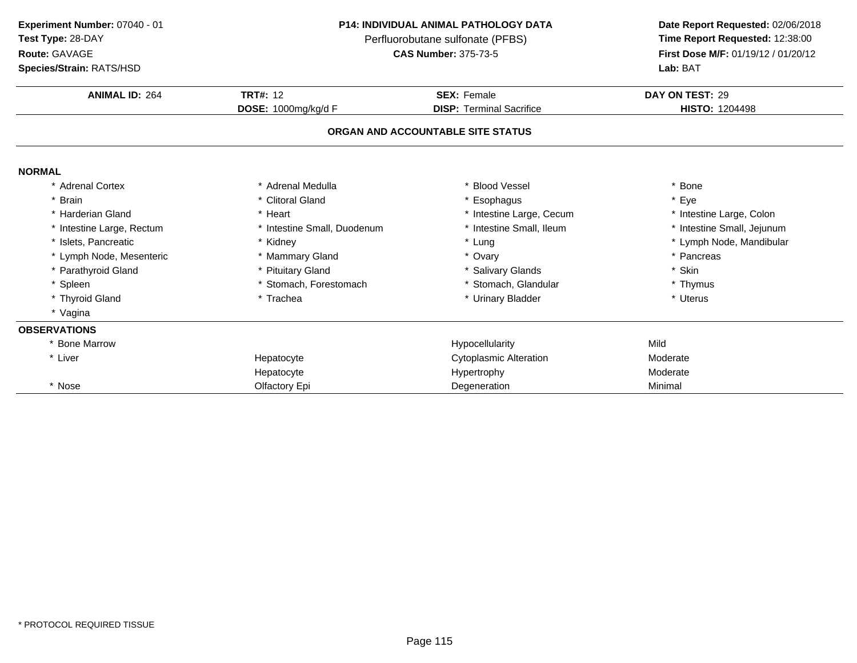| Experiment Number: 07040 - 01 |  |
|-------------------------------|--|
| Test Type: 28-DAY             |  |

**Route:** GAVAGE

**Species/Strain:** RATS/HSD

### **P14: INDIVIDUAL ANIMAL PATHOLOGY DATA**

Perfluorobutane sulfonate (PFBS)<br>**CAS Number:** 375-73-5

| <b>Species/Strain: RATS/HSD</b> |                             |                                   | Lab: BAT                   |
|---------------------------------|-----------------------------|-----------------------------------|----------------------------|
| <b>ANIMAL ID: 264</b>           | <b>TRT#: 12</b>             | <b>SEX: Female</b>                | DAY ON TEST: 29            |
|                                 | DOSE: 1000mg/kg/d F         | <b>DISP: Terminal Sacrifice</b>   | <b>HISTO: 1204498</b>      |
|                                 |                             | ORGAN AND ACCOUNTABLE SITE STATUS |                            |
| <b>NORMAL</b>                   |                             |                                   |                            |
| * Adrenal Cortex                | * Adrenal Medulla           | <b>Blood Vessel</b>               | * Bone                     |
| * Brain                         | * Clitoral Gland            | Esophagus                         | * Eye                      |
| * Harderian Gland               | * Heart                     | * Intestine Large, Cecum          | * Intestine Large, Colon   |
| * Intestine Large, Rectum       | * Intestine Small, Duodenum | * Intestine Small, Ileum          | * Intestine Small, Jejunum |
| * Islets, Pancreatic            | * Kidney                    | * Lung                            | * Lymph Node, Mandibular   |
| * Lymph Node, Mesenteric        | * Mammary Gland             | * Ovary                           | * Pancreas                 |
| * Parathyroid Gland             | * Pituitary Gland           | * Salivary Glands                 | * Skin                     |
| * Spleen                        | * Stomach, Forestomach      | * Stomach, Glandular              | * Thymus                   |
| * Thyroid Gland                 | * Trachea                   | * Urinary Bladder                 | * Uterus                   |
| * Vagina                        |                             |                                   |                            |
| <b>OBSERVATIONS</b>             |                             |                                   |                            |
| * Bone Marrow                   |                             | Hypocellularity                   | Mild                       |
| * Liver                         | Hepatocyte                  | <b>Cytoplasmic Alteration</b>     | Moderate                   |
|                                 | Hepatocyte                  | Hypertrophy                       | Moderate                   |
| * Nose                          | Olfactory Epi               | Degeneration                      | Minimal                    |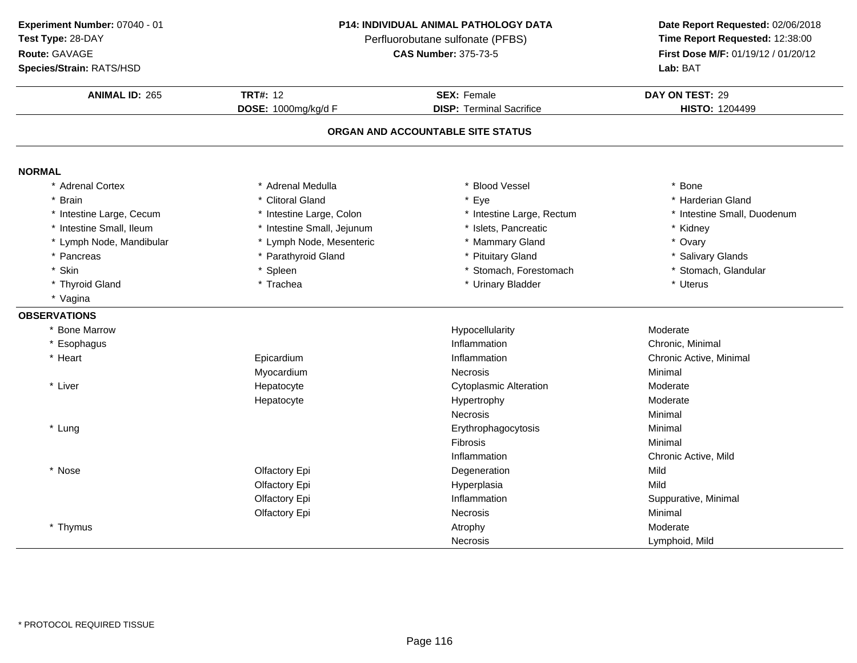**ANIMAL ID:** <sup>265</sup> **TRT#:** <sup>12</sup> **SEX:** Female **DAY ON TEST:** <sup>29</sup> **DOSE:** 1000mg/kg/d F**DISP:** Terminal Sacrifice **HISTO:** 1204499 **ORGAN AND ACCOUNTABLE SITE STATUSNORMAL** \* Adrenal Cortex\* Adrenal Medulla<br>\* Clitoral Gland a the set of the set of the set of the set of the set of the set of the set of the set of the set of the set o<br>Set of the set of the set of the set of the set of the set of the set of the set of the set of the set of the s \* Brainn and the set of the Section of the Section of the Section of the Section of the Section of the Section of the Section of the Section of the Section of the Section of the Section of the Section of the Section of the Sectio \* Intestine Large, Cecumm and the stime Large, Colon the state of the state of the state of the state of the small, Duodenum and the state of the state of the state of the state of the state of the state of the state of the state of the state of \* Intestine Small, Ileum\* Intestine Small, Jejunum \* \* 1991 \* 1991 \* Islets, Pancreatic \* The state of the state of the state of the state of the state of the state of the state of the state of the state of the state of the state of the state of \* Lymph Node, Mandibular \* Lymph Node, Mesenteric \* Mammary Gland\* Ovary<br>\* Salivary Glands \* Pancreas \* Parathyroid Gland\* Pituitary Gland<br>
\* Stomach. Forestomach<br>
\* Stomach. Glandular \* Skinn that is the spin of the spin of the spin of the stomach, Forestomach the stomach of the stomach, Glandular \* Thyroid Gland \* Trachea \* Urinary Bladder \* Uterus \* Vagina**OBSERVATIONS** \* Bone Marroww weblachularity when the matter of the Hypocellularity and the Moderate Moderate \* Esophaguss and the contract of the contract of the contract of the contract of the contract of the contract of the contract of the contract of the contract of the contract of the contract of the contract of the contract of the cont Inflammation **Chronic, Minimal**<br>
Inflammation **Chronic Active Minimal** \* Heart Epicardium Inflammation Chronic Active, Minimal<br>
Necrosis Minimal<br>
Necrosis Myocardium Necrosis Minimal \* Liver Hepatocyte Cytoplasmic Alteration **Moderate**<br>
Hypertrophy<br>
Moderate Hepatocytee and the Hypertrophy and the Moderate Moderate Necrosiss Minimal \* Lungg the contract of the contract of the contract of the contract of the contract of the contract of the contract of the contract of the contract of the contract of the contract of the contract of the contract of the contract Fibrosis Minimal InflammationInflammation **Exercise 2 Chronic Active, Mild**<br>
Degeneration **Chronic Active**, Mild \* Nosee and the Colfactory Epi and the Degeneration Colfactory Epi and the Degeneration of the Mild Olfactory Epi Hyperplasiaa Mild Olfactory Epi Inflammation Suppurative, Minimal Olfactory Epi**Necrosis** s Minimal \* Thymuss and the contract of the contract of the contract of the contract of the contract of the Moderate Lymphoid, Mild**Necrosis Experiment Number:** 07040 - 01 **P14: INDIVIDUAL ANIMAL PATHOLOGY DATA Date Report Requested:** 02/06/2018 **Test Type:** 28-DAYPerfluorobutane sulfonate (PFBS)<br>**CAS Number:** 375-73-5 **Route:** GAVAGE**First Dose M/F:** 01/19/12 / 01/20/12<br>**Lab:** BAT **Species/Strain:** RATS/HSD**Lab:** BAT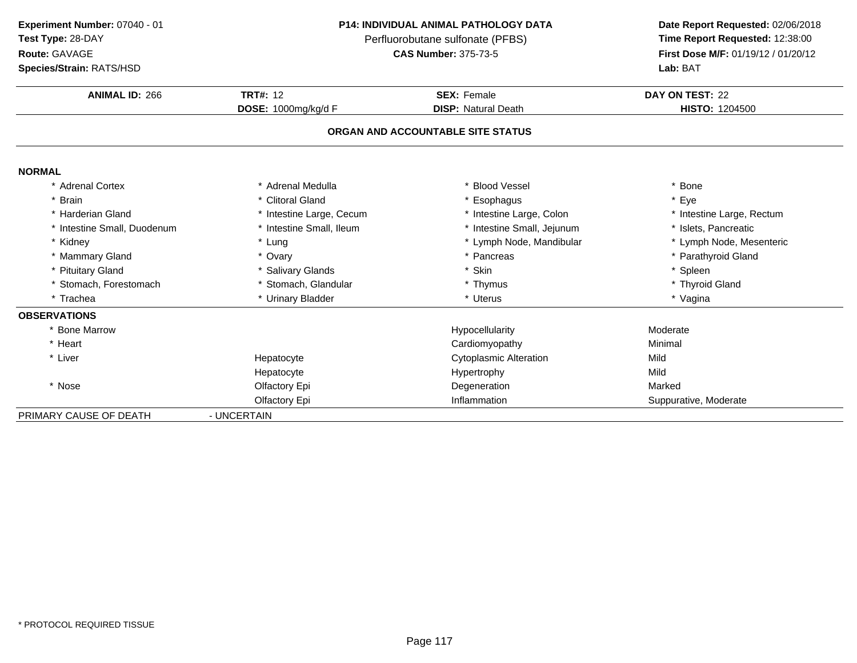**Route:** GAVAGE

### **P14: INDIVIDUAL ANIMAL PATHOLOGY DATA**

Perfluorobutane sulfonate (PFBS)<br>**CAS Number:** 375-73-5

| Species/Strain: RATS/HSD    |                          |                                   | Lab: BAT                  |
|-----------------------------|--------------------------|-----------------------------------|---------------------------|
| <b>ANIMAL ID: 266</b>       | <b>TRT#: 12</b>          | <b>SEX: Female</b>                | DAY ON TEST: 22           |
|                             | DOSE: 1000mg/kg/d F      | <b>DISP: Natural Death</b>        | <b>HISTO: 1204500</b>     |
|                             |                          | ORGAN AND ACCOUNTABLE SITE STATUS |                           |
| <b>NORMAL</b>               |                          |                                   |                           |
| * Adrenal Cortex            | * Adrenal Medulla        | * Blood Vessel                    | * Bone                    |
| * Brain                     | * Clitoral Gland         | * Esophagus                       | * Eye                     |
| * Harderian Gland           | * Intestine Large, Cecum | * Intestine Large, Colon          | * Intestine Large, Rectum |
| * Intestine Small, Duodenum | * Intestine Small, Ileum | * Intestine Small, Jejunum        | * Islets. Pancreatic      |
| * Kidney                    | * Lung                   | * Lymph Node, Mandibular          | * Lymph Node, Mesenteric  |
| * Mammary Gland             | * Ovary                  | * Pancreas                        | * Parathyroid Gland       |
| * Pituitary Gland           | * Salivary Glands        | * Skin                            | * Spleen                  |
| * Stomach, Forestomach      | * Stomach, Glandular     | * Thymus                          | * Thyroid Gland           |
| * Trachea                   | * Urinary Bladder        | * Uterus                          | * Vagina                  |
| <b>OBSERVATIONS</b>         |                          |                                   |                           |
| * Bone Marrow               |                          | Hypocellularity                   | Moderate                  |
| * Heart                     |                          | Cardiomyopathy                    | Minimal                   |
| * Liver                     | Hepatocyte               | <b>Cytoplasmic Alteration</b>     | Mild                      |
|                             | Hepatocyte               | Hypertrophy                       | Mild                      |
| * Nose                      | Olfactory Epi            | Degeneration                      | Marked                    |
|                             | Olfactory Epi            | Inflammation                      | Suppurative, Moderate     |
| PRIMARY CAUSE OF DEATH      | - UNCERTAIN              |                                   |                           |
|                             |                          |                                   |                           |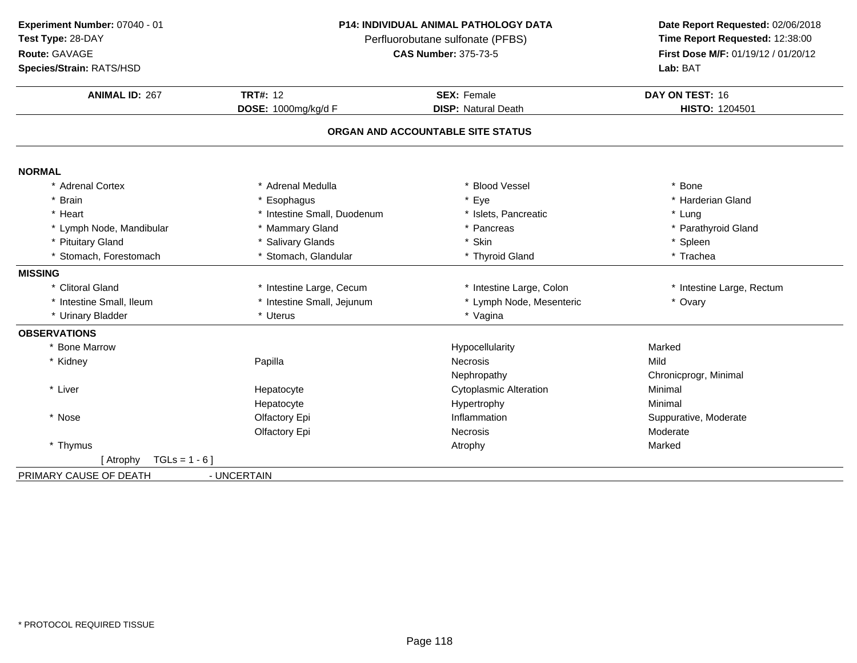**Route:** GAVAGE

**Species/Strain:** RATS/HSD

### **P14: INDIVIDUAL ANIMAL PATHOLOGY DATA**

Perfluorobutane sulfonate (PFBS)<br>**CAS Number:** 375-73-5

| <b>ANIMAL ID: 267</b>       | <b>TRT#: 12</b>             | <b>SEX: Female</b>                | DAY ON TEST: 16           |
|-----------------------------|-----------------------------|-----------------------------------|---------------------------|
|                             | DOSE: 1000mg/kg/d F         | <b>DISP: Natural Death</b>        | HISTO: 1204501            |
|                             |                             | ORGAN AND ACCOUNTABLE SITE STATUS |                           |
| <b>NORMAL</b>               |                             |                                   |                           |
| * Adrenal Cortex            | * Adrenal Medulla           | * Blood Vessel                    | * Bone                    |
| * Brain                     | * Esophagus                 | * Eye                             | * Harderian Gland         |
| * Heart                     | * Intestine Small, Duodenum | * Islets, Pancreatic              | * Lung                    |
| * Lymph Node, Mandibular    | * Mammary Gland             | * Pancreas                        | * Parathyroid Gland       |
| * Pituitary Gland           | * Salivary Glands           | * Skin                            | * Spleen                  |
| * Stomach, Forestomach      | * Stomach, Glandular        | * Thyroid Gland                   | * Trachea                 |
| <b>MISSING</b>              |                             |                                   |                           |
| * Clitoral Gland            | * Intestine Large, Cecum    | * Intestine Large, Colon          | * Intestine Large, Rectum |
| * Intestine Small, Ileum    | * Intestine Small, Jejunum  | * Lymph Node, Mesenteric          | * Ovary                   |
| * Urinary Bladder           | * Uterus                    | * Vagina                          |                           |
| <b>OBSERVATIONS</b>         |                             |                                   |                           |
| * Bone Marrow               |                             | Hypocellularity                   | Marked                    |
| * Kidney                    | Papilla                     | <b>Necrosis</b>                   | Mild                      |
|                             |                             | Nephropathy                       | Chronicprogr, Minimal     |
| * Liver                     | Hepatocyte                  | <b>Cytoplasmic Alteration</b>     | Minimal                   |
|                             | Hepatocyte                  | Hypertrophy                       | Minimal                   |
| * Nose                      | Olfactory Epi               | Inflammation                      | Suppurative, Moderate     |
|                             | Olfactory Epi               | <b>Necrosis</b>                   | Moderate                  |
| * Thymus                    |                             | Atrophy                           | Marked                    |
| $TGLs = 1 - 6$<br>[ Atrophy |                             |                                   |                           |
| PRIMARY CAUSE OF DEATH      | - UNCERTAIN                 |                                   |                           |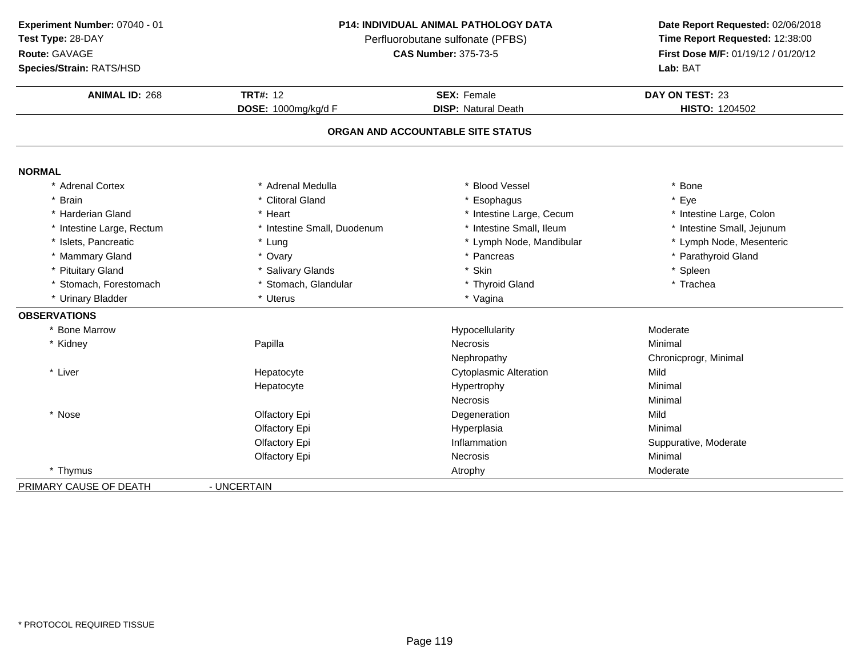| Experiment Number: 07040 - 01 |
|-------------------------------|
|                               |

**Test Type:** 28-DAY

**Route:** GAVAGE

**Species/Strain:** RATS/HSD

#### **P14: INDIVIDUAL ANIMAL PATHOLOGY DATA**

Perfluorobutane sulfonate (PFBS)<br>**CAS Number:** 375-73-5

| <b>ANIMAL ID: 268</b>     | <b>TRT#: 12</b>             | <b>SEX: Female</b>                | DAY ON TEST: 23            |
|---------------------------|-----------------------------|-----------------------------------|----------------------------|
|                           | DOSE: 1000mg/kg/d F         | <b>DISP: Natural Death</b>        | <b>HISTO: 1204502</b>      |
|                           |                             | ORGAN AND ACCOUNTABLE SITE STATUS |                            |
| <b>NORMAL</b>             |                             |                                   |                            |
| * Adrenal Cortex          | * Adrenal Medulla           | * Blood Vessel                    | * Bone                     |
| * Brain                   | * Clitoral Gland            | * Esophagus                       | * Eye                      |
| * Harderian Gland         | * Heart                     | * Intestine Large, Cecum          | * Intestine Large, Colon   |
| * Intestine Large, Rectum | * Intestine Small, Duodenum | * Intestine Small, Ileum          | * Intestine Small, Jejunum |
| * Islets, Pancreatic      | * Lung                      | * Lymph Node, Mandibular          | * Lymph Node, Mesenteric   |
| * Mammary Gland           | * Ovary                     | * Pancreas                        | * Parathyroid Gland        |
| <b>Pituitary Gland</b>    | * Salivary Glands           | * Skin                            | * Spleen                   |
| * Stomach, Forestomach    | * Stomach, Glandular        | * Thyroid Gland                   | * Trachea                  |
| * Urinary Bladder         | * Uterus                    | * Vagina                          |                            |
| <b>OBSERVATIONS</b>       |                             |                                   |                            |
| * Bone Marrow             |                             | Hypocellularity                   | Moderate                   |
| * Kidney                  | Papilla                     | <b>Necrosis</b>                   | Minimal                    |
|                           |                             | Nephropathy                       | Chronicprogr, Minimal      |
| * Liver                   | Hepatocyte                  | <b>Cytoplasmic Alteration</b>     | Mild                       |
|                           | Hepatocyte                  | Hypertrophy                       | Minimal                    |
|                           |                             | Necrosis                          | Minimal                    |
| * Nose                    | Olfactory Epi               | Degeneration                      | Mild                       |
|                           | Olfactory Epi               | Hyperplasia                       | Minimal                    |
|                           | Olfactory Epi               | Inflammation                      | Suppurative, Moderate      |
|                           | Olfactory Epi               | <b>Necrosis</b>                   | Minimal                    |
| * Thymus                  |                             | Atrophy                           | Moderate                   |
| PRIMARY CAUSE OF DEATH    | - UNCERTAIN                 |                                   |                            |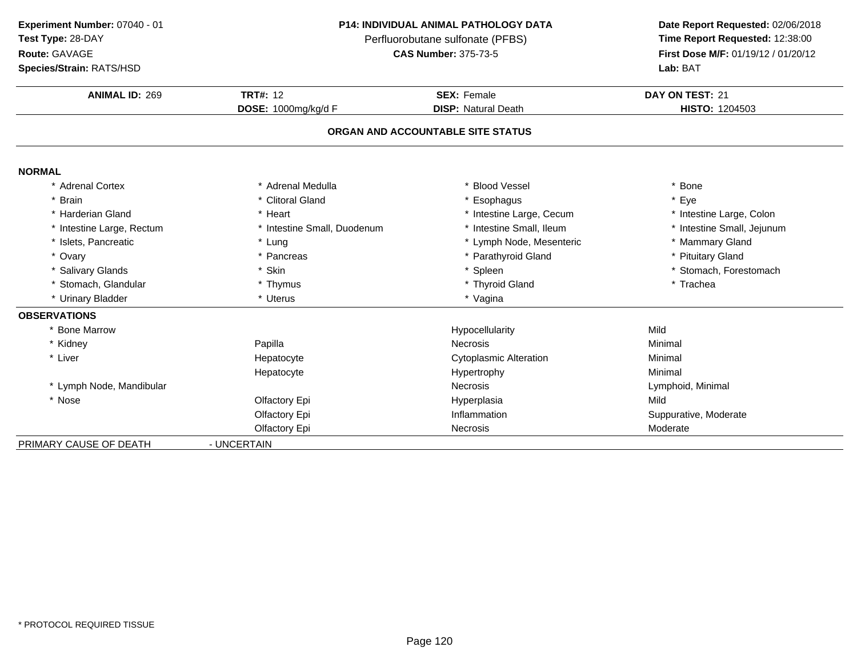|  | Experiment Number: 07040 - 01 |
|--|-------------------------------|
|  | ------                        |

**Test Type:** 28-DAY

### **Route:** GAVAGE

**Species/Strain:** RATS/HSD

### **P14: INDIVIDUAL ANIMAL PATHOLOGY DATA**

Perfluorobutane sulfonate (PFBS)<br>**CAS Number:** 375-73-5

| <b>ANIMAL ID: 269</b>             | <b>TRT#: 12</b>             | <b>SEX: Female</b>            | DAY ON TEST: 21<br>HISTO: 1204503 |  |  |  |  |  |
|-----------------------------------|-----------------------------|-------------------------------|-----------------------------------|--|--|--|--|--|
|                                   | DOSE: 1000mg/kg/d F         | <b>DISP: Natural Death</b>    |                                   |  |  |  |  |  |
| ORGAN AND ACCOUNTABLE SITE STATUS |                             |                               |                                   |  |  |  |  |  |
|                                   |                             |                               |                                   |  |  |  |  |  |
| <b>NORMAL</b>                     |                             |                               |                                   |  |  |  |  |  |
| * Adrenal Cortex                  | * Adrenal Medulla           | * Blood Vessel                | * Bone                            |  |  |  |  |  |
| * Brain                           | * Clitoral Gland            | Esophagus                     | * Eye                             |  |  |  |  |  |
| * Harderian Gland                 | * Heart                     | * Intestine Large, Cecum      | * Intestine Large, Colon          |  |  |  |  |  |
| * Intestine Large, Rectum         | * Intestine Small, Duodenum | * Intestine Small, Ileum      | * Intestine Small, Jejunum        |  |  |  |  |  |
| * Islets, Pancreatic              | * Lung                      | * Lymph Node, Mesenteric      | * Mammary Gland                   |  |  |  |  |  |
| * Ovary                           | * Pancreas                  | * Parathyroid Gland           | * Pituitary Gland                 |  |  |  |  |  |
| * Salivary Glands                 | * Skin                      | * Spleen                      | * Stomach, Forestomach            |  |  |  |  |  |
| * Stomach, Glandular              | * Thymus                    | * Thyroid Gland               | * Trachea                         |  |  |  |  |  |
| * Urinary Bladder                 | * Uterus                    | * Vagina                      |                                   |  |  |  |  |  |
| <b>OBSERVATIONS</b>               |                             |                               |                                   |  |  |  |  |  |
| * Bone Marrow                     |                             | Hypocellularity               | Mild                              |  |  |  |  |  |
| * Kidney                          | Papilla                     | <b>Necrosis</b>               | Minimal                           |  |  |  |  |  |
| * Liver                           | Hepatocyte                  | <b>Cytoplasmic Alteration</b> | Minimal                           |  |  |  |  |  |
|                                   | Hepatocyte                  | Hypertrophy                   | Minimal                           |  |  |  |  |  |
| * Lymph Node, Mandibular          |                             | Necrosis                      | Lymphoid, Minimal                 |  |  |  |  |  |
| * Nose                            | Olfactory Epi               | Hyperplasia                   | Mild                              |  |  |  |  |  |
|                                   | Olfactory Epi               | Inflammation                  | Suppurative, Moderate             |  |  |  |  |  |
|                                   | Olfactory Epi               | Necrosis                      | Moderate                          |  |  |  |  |  |
| PRIMARY CAUSE OF DEATH            | - UNCERTAIN                 |                               |                                   |  |  |  |  |  |